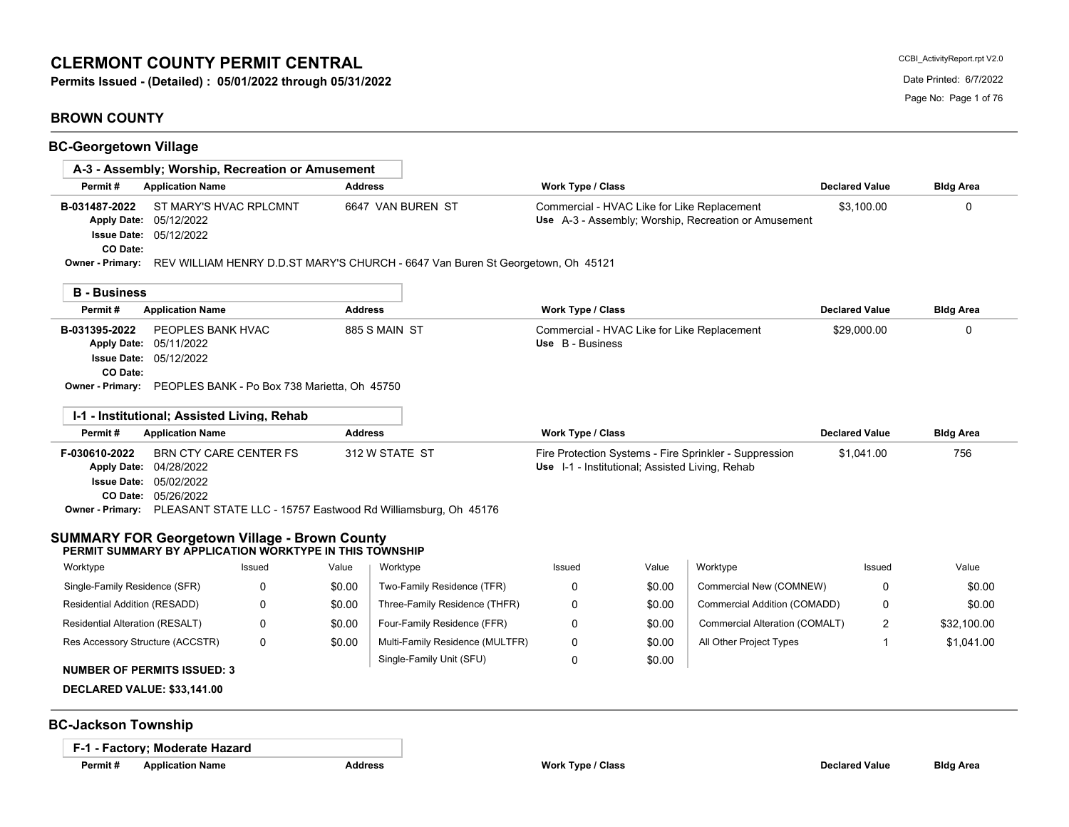# **CLERMONT COUNTY PERMIT CENTRAL**

**Permits Issued - (Detailed) : 05/01/2022 through 05/31/2022** Date Printed: 6/7/2022

# **BROWN COUNTY**

| <b>BC-Georgetown Village</b>                                                                                                 |                                                                                                                 |                |                                                                                                  |                                                 |                  |                                                                                                     |                       |                  |
|------------------------------------------------------------------------------------------------------------------------------|-----------------------------------------------------------------------------------------------------------------|----------------|--------------------------------------------------------------------------------------------------|-------------------------------------------------|------------------|-----------------------------------------------------------------------------------------------------|-----------------------|------------------|
|                                                                                                                              | A-3 - Assembly; Worship, Recreation or Amusement                                                                |                |                                                                                                  |                                                 |                  |                                                                                                     |                       |                  |
| Permit#                                                                                                                      | <b>Application Name</b>                                                                                         | <b>Address</b> |                                                                                                  | Work Type / Class                               |                  |                                                                                                     | <b>Declared Value</b> | <b>Bldg Area</b> |
| B-031487-2022<br><b>Apply Date:</b><br>05/12/2022<br><b>Issue Date:</b><br>05/12/2022<br>CO Date:                            | ST MARY'S HVAC RPLCMNT                                                                                          |                | 6647 VAN BUREN ST                                                                                |                                                 |                  | Commercial - HVAC Like for Like Replacement<br>Use A-3 - Assembly; Worship, Recreation or Amusement | \$3.100.00            | 0                |
|                                                                                                                              |                                                                                                                 |                | Owner - Primary: REV WILLIAM HENRY D.D.ST MARY'S CHURCH - 6647 Van Buren St Georgetown, Oh 45121 |                                                 |                  |                                                                                                     |                       |                  |
| <b>B</b> - Business                                                                                                          |                                                                                                                 |                |                                                                                                  |                                                 |                  |                                                                                                     |                       |                  |
| Permit#                                                                                                                      | <b>Application Name</b>                                                                                         | <b>Address</b> |                                                                                                  | Work Type / Class                               |                  |                                                                                                     | <b>Declared Value</b> | <b>Bldg Area</b> |
| B-031395-2022<br>05/11/2022<br><b>Apply Date:</b><br><b>Issue Date:</b><br>05/12/2022<br>CO Date:<br><b>Owner - Primary:</b> | PEOPLES BANK HVAC<br>PEOPLES BANK - Po Box 738 Marietta, Oh 45750                                               |                | 885 S MAIN ST                                                                                    | Use B - Business                                |                  | Commercial - HVAC Like for Like Replacement                                                         | \$29,000.00           | 0                |
|                                                                                                                              | I-1 - Institutional; Assisted Living, Rehab                                                                     |                |                                                                                                  |                                                 |                  |                                                                                                     |                       |                  |
| Permit#                                                                                                                      | <b>Application Name</b>                                                                                         | <b>Address</b> |                                                                                                  | Work Type / Class                               |                  |                                                                                                     | <b>Declared Value</b> | <b>Bldg Area</b> |
| F-030610-2022<br>04/28/2022<br><b>Apply Date:</b><br><b>Issue Date:</b><br>05/02/2022<br>CO Date: 05/26/2022                 | <b>BRN CTY CARE CENTER FS</b><br>Owner - Primary: PLEASANT STATE LLC - 15757 Eastwood Rd Williamsburg, Oh 45176 |                | 312 W STATE ST                                                                                   | Use I-1 - Institutional; Assisted Living, Rehab |                  | Fire Protection Systems - Fire Sprinkler - Suppression                                              | \$1,041.00            | 756              |
|                                                                                                                              | <b>SUMMARY FOR Georgetown Village - Brown County</b><br>PERMIT SUMMARY BY APPLICATION WORKTYPE IN THIS TOWNSHIP |                |                                                                                                  |                                                 |                  |                                                                                                     |                       |                  |
| Worktype                                                                                                                     | Issued                                                                                                          | Value          | Worktype                                                                                         | Issued                                          | Value            | Worktype                                                                                            | Issued                | Value            |
| Single-Family Residence (SFR)                                                                                                | 0                                                                                                               | \$0.00         | Two-Family Residence (TFR)                                                                       | 0                                               | \$0.00           | Commercial New (COMNEW)                                                                             | 0                     | \$0.00           |
| Residential Addition (RESADD)                                                                                                | 0                                                                                                               | \$0.00         | Three-Family Residence (THFR)                                                                    | 0                                               | \$0.00           | Commercial Addition (COMADD)                                                                        | 0                     | \$0.00           |
| Residential Alteration (RESALT)                                                                                              | 0                                                                                                               | \$0.00         | Four-Family Residence (FFR)                                                                      | 0                                               | \$0.00           | Commercial Alteration (COMALT)                                                                      | $\overline{2}$        | \$32,100.00      |
| Res Accessory Structure (ACCSTR)                                                                                             | $\Omega$                                                                                                        | \$0.00         | Multi-Family Residence (MULTFR)<br>Single-Family Unit (SFU)                                      | 0<br>0                                          | \$0.00<br>\$0.00 | All Other Project Types                                                                             | $\mathbf{1}$          | \$1,041.00       |
| <b>NUMBER OF PERMITS ISSUED: 3</b>                                                                                           |                                                                                                                 |                |                                                                                                  |                                                 |                  |                                                                                                     |                       |                  |
| DECLARED VALUE: \$33,141.00                                                                                                  |                                                                                                                 |                |                                                                                                  |                                                 |                  |                                                                                                     |                       |                  |

## **BC-Jackson Township**

**F-1 - Factory; Moderate Hazard**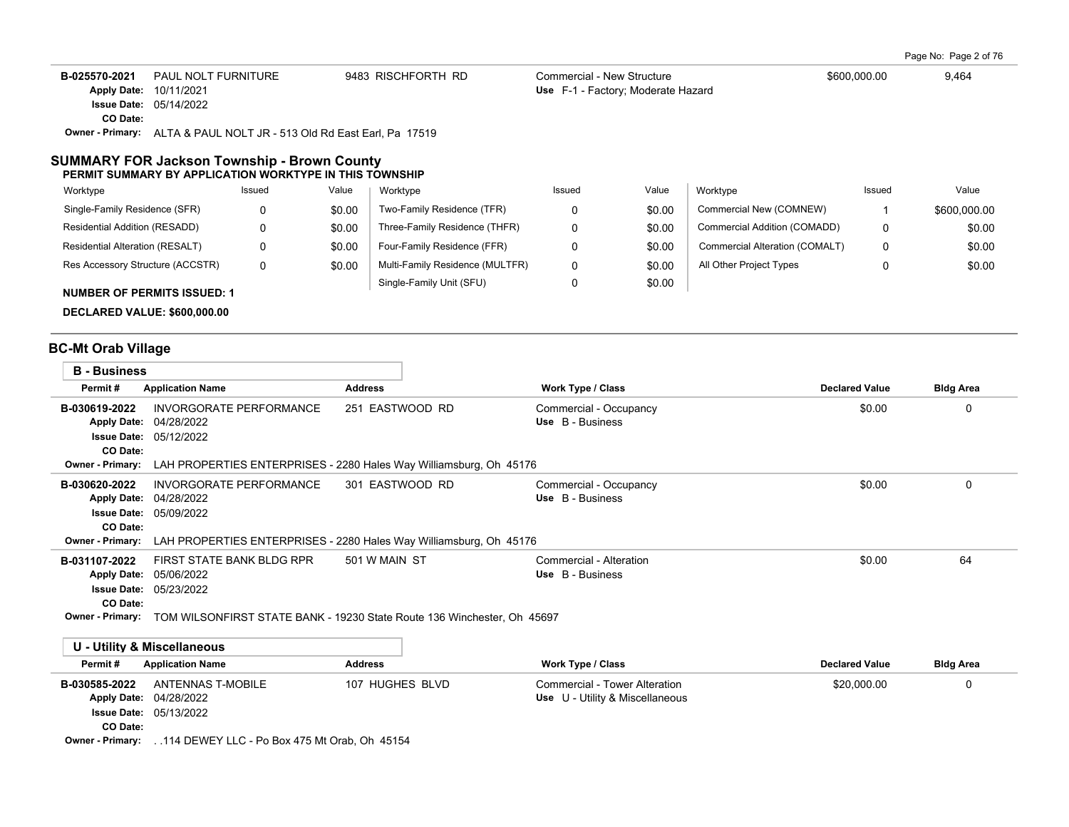| B-025570-2021                 | PAUL NOLT FURNITURE                                                          | 9483 RISCHFORTH RD | Commercial - New Structure         | \$600,000.00 | 9.464 |
|-------------------------------|------------------------------------------------------------------------------|--------------------|------------------------------------|--------------|-------|
| <b>Apply Date: 10/11/2021</b> |                                                                              |                    | Use F-1 - Factory; Moderate Hazard |              |       |
|                               | <b>Issue Date: 05/14/2022</b>                                                |                    |                                    |              |       |
| CO Date:                      |                                                                              |                    |                                    |              |       |
|                               | <b>Owner - Primary:</b> ALTA & PAUL NOLT JR - 513 Old Rd East Earl, Pa 17519 |                    |                                    |              |       |

#### **SUMMARY FOR Jackson Township - Brown County PERMIT SUMMARY BY APPLICATION WORKTYPE IN THIS TOWNSHIP**

| Worktype                           | Issued | Value  | Worktype                        | Issued | Value  | Worktype                       | Issued | Value        |
|------------------------------------|--------|--------|---------------------------------|--------|--------|--------------------------------|--------|--------------|
| Single-Family Residence (SFR)      | 0      | \$0.00 | Two-Family Residence (TFR)      |        | \$0.00 | Commercial New (COMNEW)        |        | \$600,000.00 |
| Residential Addition (RESADD)      |        | \$0.00 | Three-Family Residence (THFR)   |        | \$0.00 | Commercial Addition (COMADD)   |        | \$0.00       |
| Residential Alteration (RESALT)    | 0      | \$0.00 | Four-Family Residence (FFR)     |        | \$0.00 | Commercial Alteration (COMALT) |        | \$0.00       |
| Res Accessory Structure (ACCSTR)   | 0      | \$0.00 | Multi-Family Residence (MULTFR) |        | \$0.00 | All Other Project Types        |        | \$0.00       |
| <b>NUMBER OF PERMITS ISSUED: 1</b> |        |        | Single-Family Unit (SFU)        |        | \$0.00 |                                |        |              |

**DECLARED VALUE: \$600,000.00**

# **BC-Mt Orab Village**

| <b>B</b> - Business                                                   |                                                                         |                 |                                                                  |                       |                  |
|-----------------------------------------------------------------------|-------------------------------------------------------------------------|-----------------|------------------------------------------------------------------|-----------------------|------------------|
| Permit#                                                               | <b>Application Name</b>                                                 | <b>Address</b>  | <b>Work Type / Class</b>                                         | <b>Declared Value</b> | <b>Bldg Area</b> |
| B-030619-2022<br><b>Apply Date:</b><br><b>Issue Date:</b><br>CO Date: | <b>INVORGORATE PERFORMANCE</b><br>04/28/2022<br>05/12/2022              | 251 EASTWOOD RD | Commercial - Occupancy<br>Use B - Business                       | \$0.00                | 0                |
| Owner - Primary:                                                      | LAH PROPERTIES ENTERPRISES - 2280 Hales Way Williamsburg, Oh 45176      |                 |                                                                  |                       |                  |
| B-030620-2022<br><b>Apply Date:</b><br><b>Issue Date:</b><br>CO Date: | <b>INVORGORATE PERFORMANCE</b><br>04/28/2022<br>05/09/2022              | 301 EASTWOOD RD | Commercial - Occupancy<br>Use B - Business                       | \$0.00                | 0                |
| <b>Owner - Primary:</b>                                               | LAH PROPERTIES ENTERPRISES - 2280 Hales Way Williamsburg, Oh 45176      |                 |                                                                  |                       |                  |
| B-031107-2022<br><b>Apply Date:</b><br><b>Issue Date:</b><br>CO Date: | FIRST STATE BANK BLDG RPR<br>05/06/2022<br>05/23/2022                   | 501 W MAIN ST   | Commercial - Alteration<br>Use B - Business                      | \$0.00                | 64               |
| <b>Owner - Primary:</b>                                               | TOM WILSONFIRST STATE BANK - 19230 State Route 136 Winchester, Oh 45697 |                 |                                                                  |                       |                  |
|                                                                       | U - Utility & Miscellaneous                                             |                 |                                                                  |                       |                  |
| Permit#                                                               | <b>Application Name</b>                                                 | <b>Address</b>  | <b>Work Type / Class</b>                                         | <b>Declared Value</b> | <b>Bldg Area</b> |
| B-030585-2022<br><b>Apply Date:</b><br><b>Issue Date:</b><br>CO Date: | <b>ANTENNAS T-MOBILE</b><br>04/28/2022<br>05/13/2022                    | 107 HUGHES BLVD | Commercial - Tower Alteration<br>Use U - Utility & Miscellaneous | \$20,000.00           | 0                |
| <b>Owner - Primary:</b>                                               | 114 DEWEY LLC - Po Box 475 Mt Orab, Oh 45154                            |                 |                                                                  |                       |                  |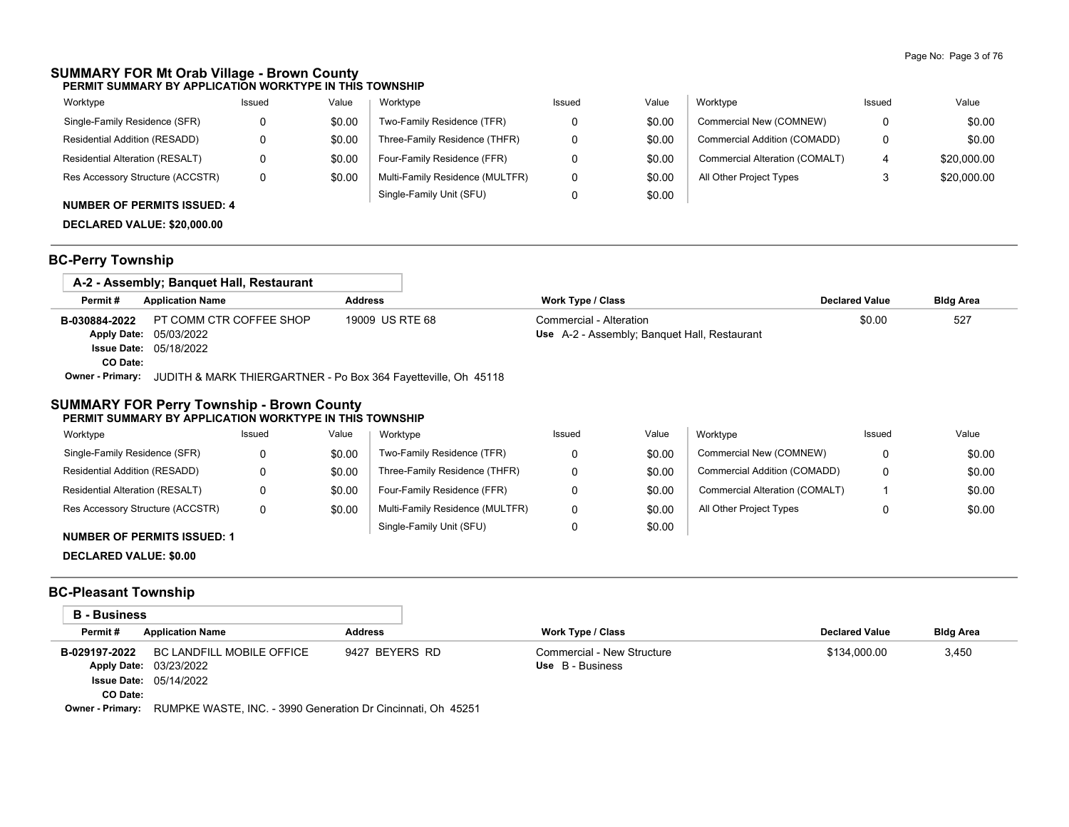#### **SUMMARY FOR Mt Orab Village - Brown County PERMIT SUMMARY BY APPLICATION WORKTYPE IN THIS TOWNSHIP**

| Worktype                                                                                                                                                                                                                                                                                                                                                                                                                                                   | Issued | Value  | Worktype                        | Issued | Value  | Worktype                       | Issued | Value       |
|------------------------------------------------------------------------------------------------------------------------------------------------------------------------------------------------------------------------------------------------------------------------------------------------------------------------------------------------------------------------------------------------------------------------------------------------------------|--------|--------|---------------------------------|--------|--------|--------------------------------|--------|-------------|
| Single-Family Residence (SFR)                                                                                                                                                                                                                                                                                                                                                                                                                              |        | \$0.00 | Two-Family Residence (TFR)      |        | \$0.00 | Commercial New (COMNEW)        | 0      | \$0.00      |
| Residential Addition (RESADD)                                                                                                                                                                                                                                                                                                                                                                                                                              |        | \$0.00 | Three-Family Residence (THFR)   |        | \$0.00 | Commercial Addition (COMADD)   | 0      | \$0.00      |
| <b>Residential Alteration (RESALT)</b>                                                                                                                                                                                                                                                                                                                                                                                                                     | 0      | \$0.00 | Four-Family Residence (FFR)     |        | \$0.00 | Commercial Alteration (COMALT) | 4      | \$20,000.00 |
| Res Accessory Structure (ACCSTR)                                                                                                                                                                                                                                                                                                                                                                                                                           | 0      | \$0.00 | Multi-Family Residence (MULTFR) |        | \$0.00 | All Other Project Types        | J      | \$20,000.00 |
| $\mathbf{1} \cup \mathbf{1} \cup \mathbf{2} \cup \mathbf{3} \cup \mathbf{4} \cup \mathbf{5} \cup \mathbf{6} \cup \mathbf{7} \cup \mathbf{8} \cup \mathbf{8} \cup \mathbf{1} \cup \mathbf{8} \cup \mathbf{1} \cup \mathbf{1} \cup \mathbf{1} \cup \mathbf{1} \cup \mathbf{1} \cup \mathbf{1} \cup \mathbf{1} \cup \mathbf{1} \cup \mathbf{1} \cup \mathbf{1} \cup \mathbf{1} \cup \mathbf{1} \cup \mathbf{1} \cup \mathbf{1} \cup \mathbf{1} \cup \mathbf{$ |        |        | Single-Family Unit (SFU)        |        | \$0.00 |                                |        |             |

## **NUMBER OF PERMITS ISSUED: 4**

**DECLARED VALUE: \$20,000.00**

## **BC-Perry Township**

|                         | A-2 - Assembly; Banguet Hall, Restaurant                       |                 |                                              |                       |                  |
|-------------------------|----------------------------------------------------------------|-----------------|----------------------------------------------|-----------------------|------------------|
| Permit#                 | <b>Application Name</b>                                        | <b>Address</b>  | <b>Work Type / Class</b>                     | <b>Declared Value</b> | <b>Bldg Area</b> |
| B-030884-2022           | PT COMM CTR COFFEE SHOP                                        | 19009 US RTE 68 | Commercial - Alteration                      | \$0.00                | 527              |
|                         | <b>Apply Date: 05/03/2022</b>                                  |                 | Use A-2 - Assembly; Banquet Hall, Restaurant |                       |                  |
|                         | <b>Issue Date: 05/18/2022</b>                                  |                 |                                              |                       |                  |
| CO Date:                |                                                                |                 |                                              |                       |                  |
| <b>Owner - Primary:</b> | JUDITH & MARK THIERGARTNER - Po Box 364 Fayetteville, Oh 45118 |                 |                                              |                       |                  |

# **SUMMARY FOR Perry Township - Brown County**

#### **PERMIT SUMMARY BY APPLICATION WORKTYPE IN THIS TOWNSHIP**

| Worktype                         | Issued | Value  | Worktype                        | Issued | Value  | Worktype                       | Issued | Value  |
|----------------------------------|--------|--------|---------------------------------|--------|--------|--------------------------------|--------|--------|
| Single-Family Residence (SFR)    |        | \$0.00 | Two-Family Residence (TFR)      |        | \$0.00 | Commercial New (COMNEW)        |        | \$0.00 |
| Residential Addition (RESADD)    |        | \$0.00 | Three-Family Residence (THFR)   |        | \$0.00 | Commercial Addition (COMADD)   |        | \$0.00 |
| Residential Alteration (RESALT)  |        | \$0.00 | Four-Family Residence (FFR)     |        | \$0.00 | Commercial Alteration (COMALT) |        | \$0.00 |
| Res Accessory Structure (ACCSTR) | 0      | \$0.00 | Multi-Family Residence (MULTFR) |        | \$0.00 | All Other Project Types        |        | \$0.00 |
|                                  |        |        | Single-Family Unit (SFU)        |        | \$0.00 |                                |        |        |

#### **NUMBER OF PERMITS ISSUED: 1**

**DECLARED VALUE: \$0.00**

## **BC-Pleasant Township**

| <b>B</b> - Business                            |                           |                |                                                |                       |                  |
|------------------------------------------------|---------------------------|----------------|------------------------------------------------|-----------------------|------------------|
| Permit#                                        | <b>Application Name</b>   | <b>Address</b> | Work Type / Class                              | <b>Declared Value</b> | <b>Bldg Area</b> |
| B-029197-2022<br><b>Apply Date: 03/23/2022</b> | BC LANDFILL MOBILE OFFICE | 9427 BEYERS RD | Commercial - New Structure<br>Use B - Business | \$134,000.00          | 3,450            |
| <b>Issue Date: 05/14/2022</b><br>CO Date:      |                           |                |                                                |                       |                  |

**Owner - Primary:** RUMPKE WASTE, INC. - 3990 Generation Dr Cincinnati, Oh 45251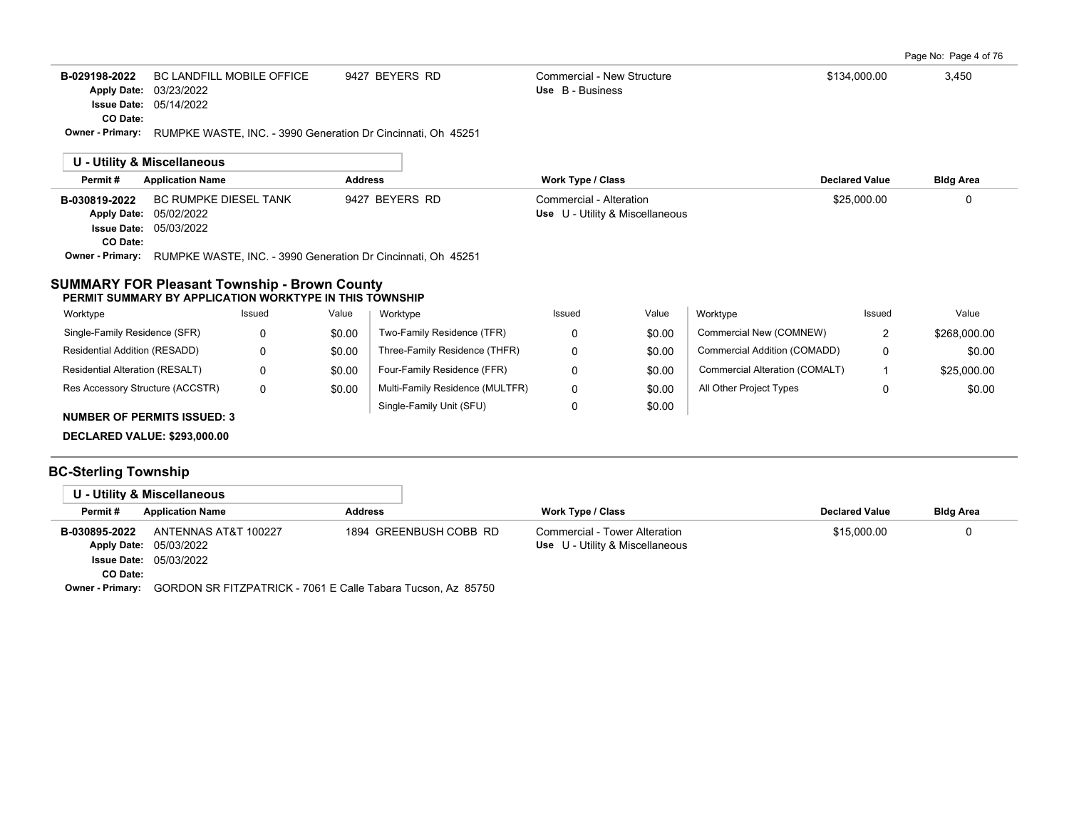Page No: Page 4 of 76

| B-029198-2022                       | BC LANDFILL MOBILE OFFICE<br>Apply Date: 03/23/2022<br><b>Issue Date: 05/14/2022</b> | 9427 BEYERS RD | Commercial - New Structure<br>Use B - Business | \$134,000.00          | 3,450            |
|-------------------------------------|--------------------------------------------------------------------------------------|----------------|------------------------------------------------|-----------------------|------------------|
| CO Date:<br><b>Owner - Primary:</b> | RUMPKE WASTE, INC. - 3990 Generation Dr Cincinnati, Oh 45251                         |                |                                                |                       |                  |
|                                     |                                                                                      |                |                                                |                       |                  |
|                                     | U - Utility & Miscellaneous                                                          |                |                                                |                       |                  |
| Permit#                             | <b>Application Name</b>                                                              | <b>Address</b> | <b>Work Type / Class</b>                       | <b>Declared Value</b> | <b>Bldg Area</b> |

05/03/2022 **Issue Date:**

**CO Date:**

**Owner - Primary:** RUMPKE WASTE, INC. - 3990 Generation Dr Cincinnati, Oh 45251

#### **SUMMARY FOR Pleasant Township - Brown County PERMIT SUMMARY BY APPLICATION WORKTYPE IN THIS TOWNSHIP**

| Worktype                           | Issued | Value  | Worktype                        | Issued | Value  | Worktype                       | Issued | Value        |
|------------------------------------|--------|--------|---------------------------------|--------|--------|--------------------------------|--------|--------------|
| Single-Family Residence (SFR)      |        | \$0.00 | Two-Family Residence (TFR)      |        | \$0.00 | Commercial New (COMNEW)        |        | \$268,000.00 |
| Residential Addition (RESADD)      |        | \$0.00 | Three-Family Residence (THFR)   |        | \$0.00 | Commercial Addition (COMADD)   |        | \$0.00       |
| Residential Alteration (RESALT)    |        | \$0.00 | Four-Family Residence (FFR)     |        | \$0.00 | Commercial Alteration (COMALT) |        | \$25,000.00  |
| Res Accessory Structure (ACCSTR)   |        | \$0.00 | Multi-Family Residence (MULTFR) |        | \$0.00 | All Other Project Types        |        | \$0.00       |
| <b>NUMBER OF PERMITS ISSUED: 3</b> |        |        | Single-Family Unit (SFU)        |        | \$0.00 |                                |        |              |

**DECLARED VALUE: \$293,000.00**

## **BC-Sterling Township**

| U - Utility & Miscellaneous                                     |                        |                                                                  |                       |                  |
|-----------------------------------------------------------------|------------------------|------------------------------------------------------------------|-----------------------|------------------|
| Permit#<br><b>Application Name</b>                              | <b>Address</b>         | Work Type / Class                                                | <b>Declared Value</b> | <b>Bldg Area</b> |
| ANTENNAS AT&T 100227<br>B-030895-2022<br>Apply Date: 05/03/2022 | 1894 GREENBUSH COBB RD | Commercial - Tower Alteration<br>Use U - Utility & Miscellaneous | \$15,000.00           |                  |
| <b>Issue Date: 05/03/2022</b>                                   |                        |                                                                  |                       |                  |
| CO Date:                                                        |                        |                                                                  |                       |                  |

**Owner - Primary:** GORDON SR FITZPATRICK - 7061 E Calle Tabara Tucson, Az 85750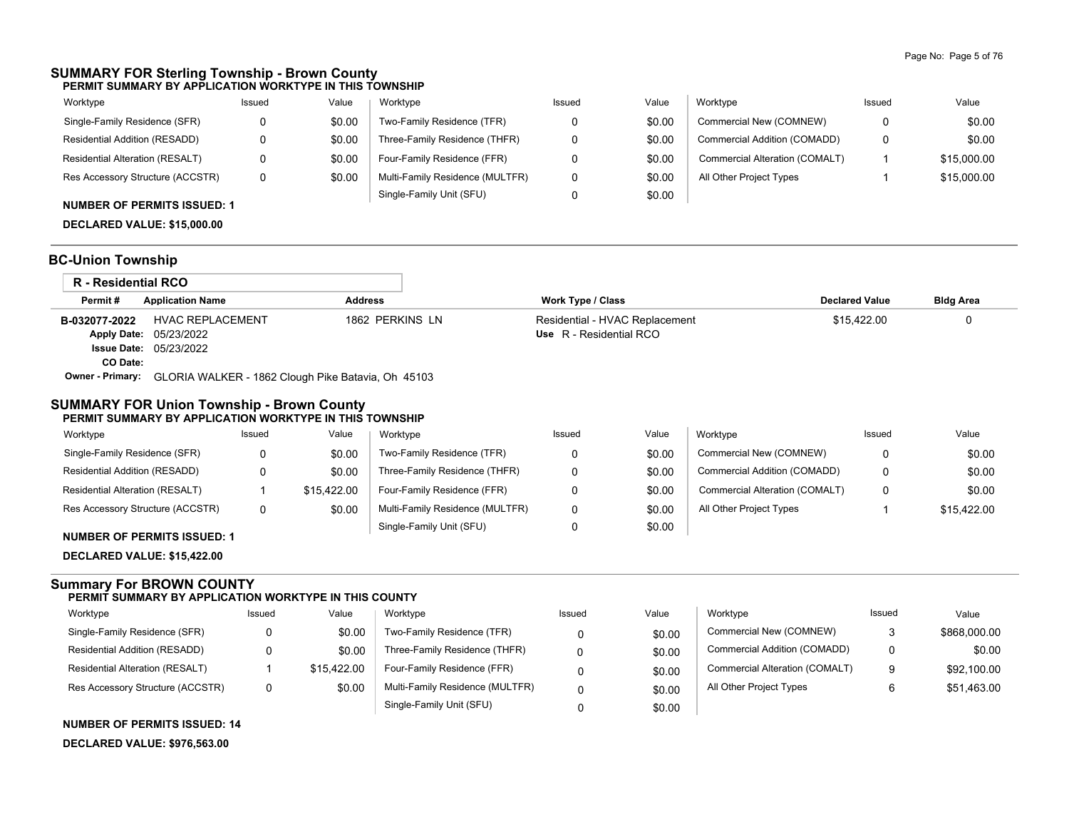### **SUMMARY FOR Sterling Township - Brown County PERMIT SUMMARY BY APPLICATION WORKTYPE IN THIS TOWNSHIP**

| Worktype                           | Issued | Value  | Worktype                        | Issued | Value  | Worktype                       | Issued | Value       |
|------------------------------------|--------|--------|---------------------------------|--------|--------|--------------------------------|--------|-------------|
| Single-Family Residence (SFR)      |        | \$0.00 | Two-Family Residence (TFR)      |        | \$0.00 | Commercial New (COMNEW)        |        | \$0.00      |
| Residential Addition (RESADD)      |        | \$0.00 | Three-Family Residence (THFR)   |        | \$0.00 | Commercial Addition (COMADD)   |        | \$0.00      |
| Residential Alteration (RESALT)    |        | \$0.00 | Four-Family Residence (FFR)     |        | \$0.00 | Commercial Alteration (COMALT) |        | \$15,000.00 |
| Res Accessory Structure (ACCSTR)   | 0      | \$0.00 | Multi-Family Residence (MULTFR) |        | \$0.00 | All Other Project Types        |        | \$15,000.00 |
| <b>NUMBER OF PERMITS ISSUED: 1</b> |        |        | Single-Family Unit (SFU)        |        | \$0.00 |                                |        |             |

## **DECLARED VALUE: \$15,000.00**

## **BC-Union Township**

| R - Residential RCO     |                                                    |                 |                                |                       |                  |
|-------------------------|----------------------------------------------------|-----------------|--------------------------------|-----------------------|------------------|
| Permit#                 | <b>Application Name</b>                            | Address         | <b>Work Type / Class</b>       | <b>Declared Value</b> | <b>Bldg Area</b> |
| B-032077-2022           | <b>HVAC REPLACEMENT</b>                            | 1862 PERKINS LN | Residential - HVAC Replacement | \$15.422.00           |                  |
|                         | <b>Apply Date: 05/23/2022</b>                      |                 | Use R - Residential RCO        |                       |                  |
|                         | <b>Issue Date: 05/23/2022</b>                      |                 |                                |                       |                  |
| CO Date:                |                                                    |                 |                                |                       |                  |
| <b>Owner - Primary:</b> | GLORIA WALKER - 1862 Clough Pike Batavia, Oh 45103 |                 |                                |                       |                  |

#### **SUMMARY FOR Union Township - Brown County PERMIT SUMMARY BY APPLICATION WORKTYPE IN THIS TOWNSHIP**

| Worktype                               | Issued | Value       | Worktype                        | Issued | Value  | Worktype                       | Issued | Value       |
|----------------------------------------|--------|-------------|---------------------------------|--------|--------|--------------------------------|--------|-------------|
| Single-Family Residence (SFR)          |        | \$0.00      | Two-Family Residence (TFR)      |        | \$0.00 | Commercial New (COMNEW)        |        | \$0.00      |
| Residential Addition (RESADD)          |        | \$0.00      | Three-Family Residence (THFR)   |        | \$0.00 | Commercial Addition (COMADD)   |        | \$0.00      |
| <b>Residential Alteration (RESALT)</b> |        | \$15,422.00 | Four-Family Residence (FFR)     |        | \$0.00 | Commercial Alteration (COMALT) |        | \$0.00      |
| Res Accessory Structure (ACCSTR)       |        | \$0.00      | Multi-Family Residence (MULTFR) |        | \$0.00 | All Other Project Types        |        | \$15.422.00 |
|                                        |        |             | Single-Family Unit (SFU)        |        | \$0.00 |                                |        |             |

#### **NUMBER OF PERMITS ISSUED: 1**

**DECLARED VALUE: \$15,422.00**

#### **Summary For BROWN COUNTY PERMIT SUMMARY BY APPLICATION WORKTYPE IN THIS COUNTY**

| Worktype                         | Issued | Value       | Worktype                        | Issued | Value  | Worktype                       | Issued | Value        |
|----------------------------------|--------|-------------|---------------------------------|--------|--------|--------------------------------|--------|--------------|
| Single-Family Residence (SFR)    | 0      | \$0.00      | Two-Family Residence (TFR)      |        | \$0.00 | Commercial New (COMNEW)        |        | \$868,000.00 |
| Residential Addition (RESADD)    | 0      | \$0.00      | Three-Family Residence (THFR)   |        | \$0.00 | Commercial Addition (COMADD)   |        | \$0.00       |
| Residential Alteration (RESALT)  |        | \$15.422.00 | Four-Family Residence (FFR)     |        | \$0.00 | Commercial Alteration (COMALT) | Ω      | \$92,100.00  |
| Res Accessory Structure (ACCSTR) | 0      | \$0.00      | Multi-Family Residence (MULTFR) | 0      | \$0.00 | All Other Project Types        |        | \$51,463.00  |
|                                  |        |             | Single-Family Unit (SFU)        |        | \$0.00 |                                |        |              |

**NUMBER OF PERMITS ISSUED: 14**

**DECLARED VALUE: \$976,563.00**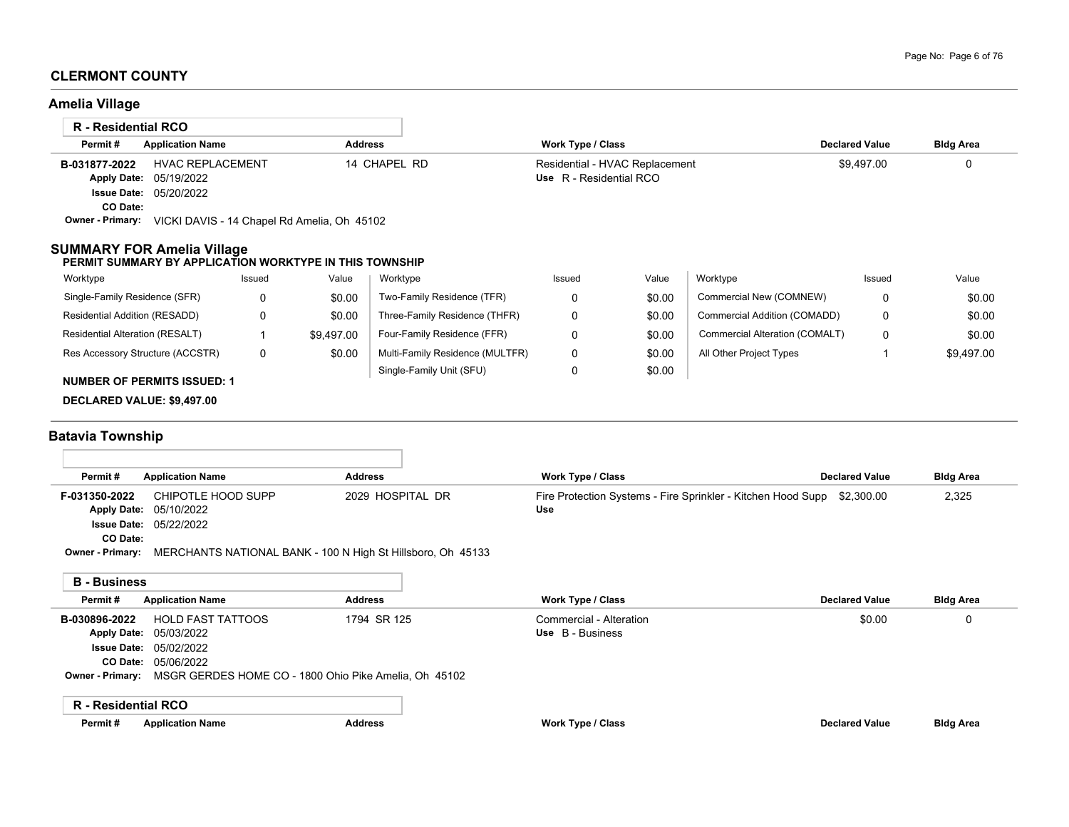## **CLERMONT COUNTY**

## **Amelia Village**

| R - Residential RCO                                  |                                                                                                                                          |                |                                                           |                       |                  |
|------------------------------------------------------|------------------------------------------------------------------------------------------------------------------------------------------|----------------|-----------------------------------------------------------|-----------------------|------------------|
| Permit #                                             | <b>Application Name</b>                                                                                                                  | <b>Address</b> | Work Type / Class                                         | <b>Declared Value</b> | <b>Bldg Area</b> |
| B-031877-2022<br>CO Date:<br><b>Owner - Primary:</b> | <b>HVAC REPLACEMENT</b><br><b>Apply Date: 05/19/2022</b><br><b>Issue Date: 05/20/2022</b><br>VICKI DAVIS - 14 Chapel Rd Amelia, Oh 45102 | 14 CHAPEL RD   | Residential - HVAC Replacement<br>Use R - Residential RCO | \$9.497.00            | 0                |

### **SUMMARY FOR Amelia Village**

**PERMIT SUMMARY BY APPLICATION WORKTYPE IN THIS TOWNSHIP**

| Worktype                           | Issued | Value      | Worktype                        | Issued | Value  | Worktype                       | Issued | Value      |
|------------------------------------|--------|------------|---------------------------------|--------|--------|--------------------------------|--------|------------|
| Single-Family Residence (SFR)      |        | \$0.00     | Two-Family Residence (TFR)      |        | \$0.00 | Commercial New (COMNEW)        |        | \$0.00     |
| Residential Addition (RESADD)      |        | \$0.00     | Three-Family Residence (THFR)   |        | \$0.00 | Commercial Addition (COMADD)   |        | \$0.00     |
| Residential Alteration (RESALT)    |        | \$9.497.00 | Four-Family Residence (FFR)     |        | \$0.00 | Commercial Alteration (COMALT) |        | \$0.00     |
| Res Accessory Structure (ACCSTR)   | 0      | \$0.00     | Multi-Family Residence (MULTFR) |        | \$0.00 | All Other Project Types        |        | \$9.497.00 |
| <b>NUMBER OF PERMITS ISSUED: 1</b> |        |            | Single-Family Unit (SFU)        |        | \$0.00 |                                |        |            |

# **DECLARED VALUE: \$9,497.00**

## **Batavia Township**

л

| Permit#                    | <b>Application Name</b>                                     | <b>Address</b>   | <b>Work Type / Class</b>                                     | <b>Declared Value</b> | <b>Bldg Area</b> |
|----------------------------|-------------------------------------------------------------|------------------|--------------------------------------------------------------|-----------------------|------------------|
| F-031350-2022              | CHIPOTLE HOOD SUPP                                          | 2029 HOSPITAL DR | Fire Protection Systems - Fire Sprinkler - Kitchen Hood Supp | \$2,300.00            | 2,325            |
| <b>Apply Date:</b>         | 05/10/2022                                                  |                  | Use                                                          |                       |                  |
| <b>Issue Date:</b>         | 05/22/2022                                                  |                  |                                                              |                       |                  |
| CO Date:                   |                                                             |                  |                                                              |                       |                  |
| <b>Owner - Primary:</b>    | MERCHANTS NATIONAL BANK - 100 N High St Hillsboro, Oh 45133 |                  |                                                              |                       |                  |
|                            |                                                             |                  |                                                              |                       |                  |
| <b>B</b> - Business        |                                                             |                  |                                                              |                       |                  |
| Permit#                    | <b>Application Name</b>                                     | <b>Address</b>   | Work Type / Class                                            | <b>Declared Value</b> | <b>Bldg Area</b> |
| B-030896-2022              | <b>HOLD FAST TATTOOS</b>                                    | 1794 SR 125      | Commercial - Alteration                                      | \$0.00                | $\Omega$         |
| <b>Apply Date:</b>         | 05/03/2022                                                  |                  | Use B - Business                                             |                       |                  |
| <b>Issue Date:</b>         | 05/02/2022                                                  |                  |                                                              |                       |                  |
| CO Date:                   | 05/06/2022                                                  |                  |                                                              |                       |                  |
| <b>Owner - Primary:</b>    | MSGR GERDES HOME CO - 1800 Ohio Pike Amelia, Oh 45102       |                  |                                                              |                       |                  |
|                            |                                                             |                  |                                                              |                       |                  |
| <b>R</b> - Residential RCO |                                                             |                  |                                                              |                       |                  |
| Permit#                    | <b>Application Name</b>                                     | <b>Address</b>   | Work Type / Class                                            | <b>Declared Value</b> | <b>Bldg Area</b> |
|                            |                                                             |                  |                                                              |                       |                  |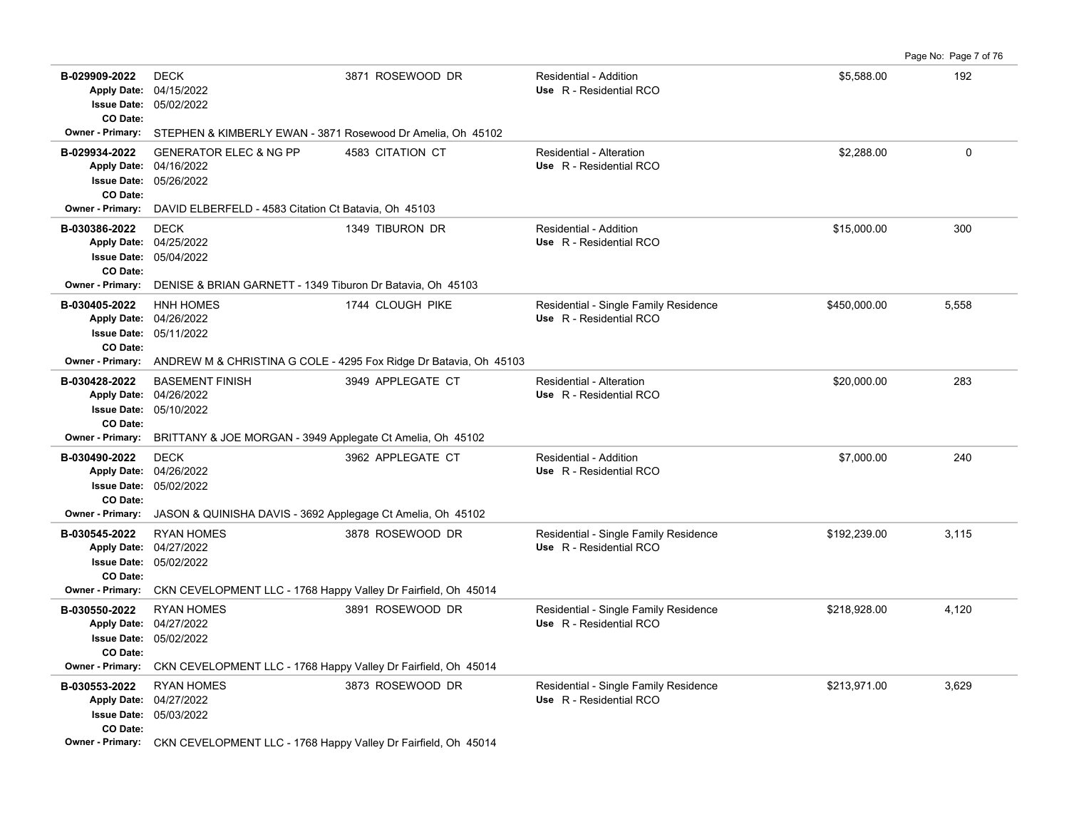**B-029909-2022** \$5,588.00 192 DECK 3871 ROSEWOOD DR Residential - Addition 05/02/2022 **Issue Date:** 04/15/2022 **Apply Date: Use** R - Residential RCO **CO Date: Owner - Primary:** STEPHEN & KIMBERLY EWAN - 3871 Rosewood Dr Amelia, Oh 45102 **B-029934-2022** \$2,288.00 0 GENERATOR ELEC & NG PP 4583 CITATION CT Residential - Alteration 05/26/2022 **Issue Date:** 04/16/2022 **Apply Date: Use** R - Residential RCO **CO Date: Owner - Primary:** DAVID ELBERFELD - 4583 Citation Ct Batavia, Oh 45103 **B-030386-2022** \$15,000.00 300 05/04/2022 **Issue Date:** 04/25/2022 DECK 1349 TIBURON DR Residential - Addition **Apply Date: Use** R - Residential RCO **CO Date: Owner - Primary:** DENISE & BRIAN GARNETT - 1349 Tiburon Dr Batavia, Oh 45103 **B-030405-2022** \$450,000.00 5,558 HNH HOMES 1744 CLOUGH PIKE Residential - Single Family Residence 05/11/2022 **Issue Date:** 04/26/2022 **Apply Date: Use** R - Residential RCO **CO Date: Owner - Primary:** ANDREW M & CHRISTINA G COLE - 4295 Fox Ridge Dr Batavia, Oh 45103 **B-030428-2022** \$20,000.00 283 05/10/2022 **Issue Date:** Apply Date: 04/26/2022 BASEMENT FINISH 3949 APPLEGATE CT Residential - Alteration **Apply Date: Use** R - Residential RCO **CO Date: Owner - Primary:** BRITTANY & JOE MORGAN - 3949 Applegate Ct Amelia, Oh 45102 **B-030490-2022** \$7,000.00 240 DECK 3962 APPLEGATE CT Residential - Addition 05/02/2022 **Issue Date:** Apply Date: 04/26/2022 **Apply Date: Use** R - Residential RCO **CO Date: Owner - Primary:** JASON & QUINISHA DAVIS - 3692 Applegage Ct Amelia, Oh 45102 B-030545-2022 RYAN HOMES 3878 ROSEWOOD DR Residential - Single Family Residence \$192,239.00 3,115 05/02/2022 **Issue Date:** Apply Date: 04/27/2022 **Apply Date: Use** R - Residential RCO **CO Date: Owner - Primary:** CKN CEVELOPMENT LLC - 1768 Happy Valley Dr Fairfield, Oh 45014 B-030550-2022 RYAN HOMES 3891 ROSEWOOD DR Residential - Single Family Residence \$218,928.00 4,120 05/02/2022 **Issue Date:** Apply Date: 04/27/2022 **Apply Date: Use** R - Residential RCO **CO Date: Owner - Primary:** CKN CEVELOPMENT LLC - 1768 Happy Valley Dr Fairfield, Oh 45014 B-030553-2022 RYAN HOMES 3873 ROSEWOOD DR Residential - Single Family Residence \$213,971.00 3,629 05/03/2022 **Issue Date:** 04/27/2022 **Apply Date: Use** R - Residential RCO **CO Date:**

Page No: Page 7 of 76

**Owner - Primary:** CKN CEVELOPMENT LLC - 1768 Happy Valley Dr Fairfield, Oh 45014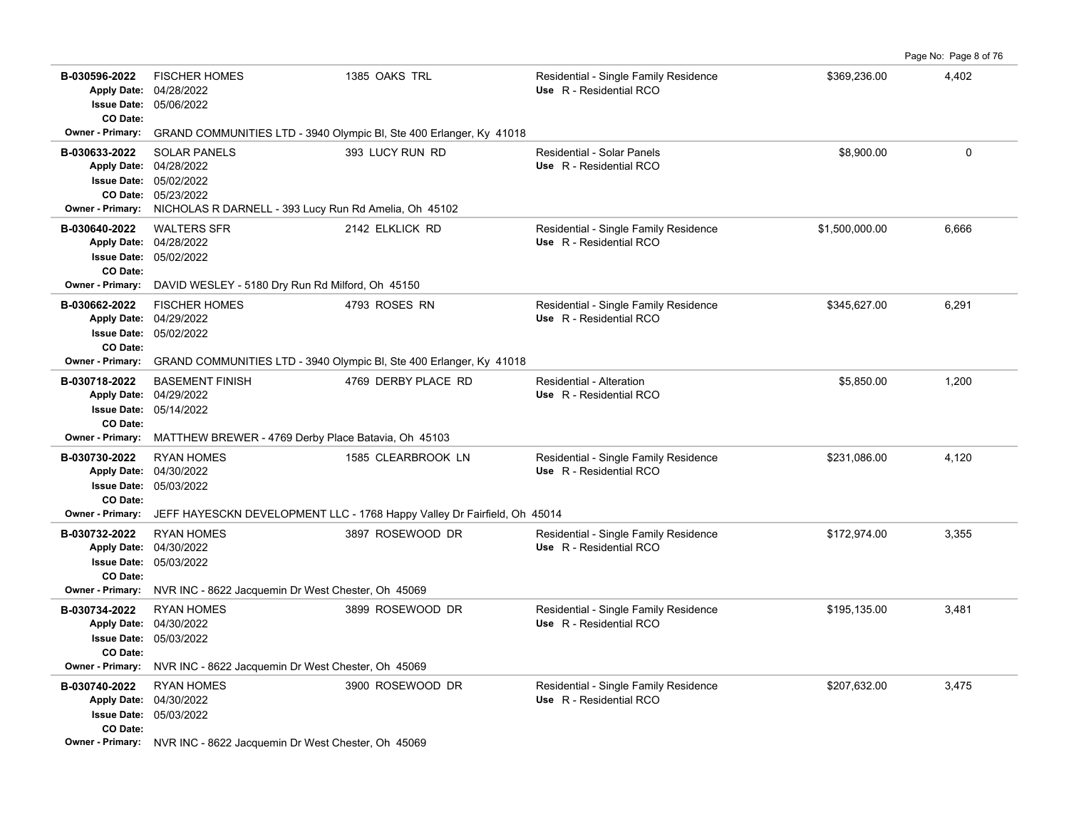| B-030596-2022<br><b>Apply Date:</b>                                   | <b>FISCHER HOMES</b><br>04/28/2022<br><b>Issue Date: 05/06/2022</b>                                                                                | 1385 OAKS TRL                                                            | Residential - Single Family Residence<br>Use R - Residential RCO | \$369,236.00   | 4,402       |
|-----------------------------------------------------------------------|----------------------------------------------------------------------------------------------------------------------------------------------------|--------------------------------------------------------------------------|------------------------------------------------------------------|----------------|-------------|
| CO Date:<br><b>Owner - Primary:</b>                                   |                                                                                                                                                    | GRAND COMMUNITIES LTD - 3940 Olympic BI, Ste 400 Erlanger, Ky 41018      |                                                                  |                |             |
| B-030633-2022<br><b>Apply Date:</b><br>Owner - Primary:               | <b>SOLAR PANELS</b><br>04/28/2022<br><b>Issue Date: 05/02/2022</b><br>CO Date: 05/23/2022<br>NICHOLAS R DARNELL - 393 Lucy Run Rd Amelia, Oh 45102 | 393 LUCY RUN RD                                                          | Residential - Solar Panels<br>Use R - Residential RCO            | \$8,900.00     | $\mathbf 0$ |
| B-030640-2022<br>CO Date:<br><b>Owner - Primary:</b>                  | <b>WALTERS SFR</b><br>Apply Date: 04/28/2022<br><b>Issue Date: 05/02/2022</b>                                                                      | 2142 ELKLICK RD                                                          | Residential - Single Family Residence<br>Use R - Residential RCO | \$1,500,000.00 | 6,666       |
| B-030662-2022<br>CO Date:                                             | DAVID WESLEY - 5180 Dry Run Rd Milford, Oh 45150<br><b>FISCHER HOMES</b><br>Apply Date: 04/29/2022<br><b>Issue Date: 05/02/2022</b>                | 4793 ROSES RN                                                            | Residential - Single Family Residence<br>Use R - Residential RCO | \$345,627.00   | 6,291       |
| Owner - Primary:                                                      |                                                                                                                                                    | GRAND COMMUNITIES LTD - 3940 Olympic BI, Ste 400 Erlanger, Ky 41018      |                                                                  |                |             |
| B-030718-2022<br><b>Apply Date:</b><br><b>Issue Date:</b><br>CO Date: | <b>BASEMENT FINISH</b><br>04/29/2022<br>05/14/2022                                                                                                 | 4769 DERBY PLACE RD                                                      | Residential - Alteration<br>Use R - Residential RCO              | \$5,850.00     | 1,200       |
| <b>Owner - Primary:</b>                                               | MATTHEW BREWER - 4769 Derby Place Batavia, Oh 45103                                                                                                |                                                                          |                                                                  |                |             |
| B-030730-2022<br>CO Date:                                             | <b>RYAN HOMES</b><br>Apply Date: 04/30/2022<br><b>Issue Date: 05/03/2022</b>                                                                       | 1585 CLEARBROOK LN                                                       | Residential - Single Family Residence<br>Use R - Residential RCO | \$231,086.00   | 4,120       |
| <b>Owner - Primary:</b>                                               |                                                                                                                                                    | JEFF HAYESCKN DEVELOPMENT LLC - 1768 Happy Valley Dr Fairfield, Oh 45014 |                                                                  |                |             |
| B-030732-2022<br><b>Apply Date:</b><br>CO Date:                       | <b>RYAN HOMES</b><br>04/30/2022<br><b>Issue Date: 05/03/2022</b>                                                                                   | 3897 ROSEWOOD DR                                                         | Residential - Single Family Residence<br>Use R - Residential RCO | \$172,974.00   | 3,355       |
| <b>Owner - Primary:</b>                                               | NVR INC - 8622 Jacquemin Dr West Chester, Oh 45069                                                                                                 |                                                                          |                                                                  |                |             |
| B-030734-2022<br><b>Apply Date:</b><br><b>Issue Date:</b><br>CO Date: | <b>RYAN HOMES</b><br>04/30/2022<br>05/03/2022                                                                                                      | 3899 ROSEWOOD DR                                                         | Residential - Single Family Residence<br>Use R - Residential RCO | \$195,135.00   | 3,481       |
| <b>Owner - Primary:</b>                                               | NVR INC - 8622 Jacquemin Dr West Chester, Oh 45069                                                                                                 |                                                                          |                                                                  |                |             |
| B-030740-2022<br>CO Date:                                             | <b>RYAN HOMES</b><br>Apply Date: 04/30/2022<br><b>Issue Date: 05/03/2022</b>                                                                       | 3900 ROSEWOOD DR                                                         | Residential - Single Family Residence<br>Use R - Residential RCO | \$207,632.00   | 3,475       |
|                                                                       | <b>Owner - Primary:</b> NVR INC - 8622 Jacquemin Dr West Chester, Oh 45069                                                                         |                                                                          |                                                                  |                |             |

Page No: Page 8 of 76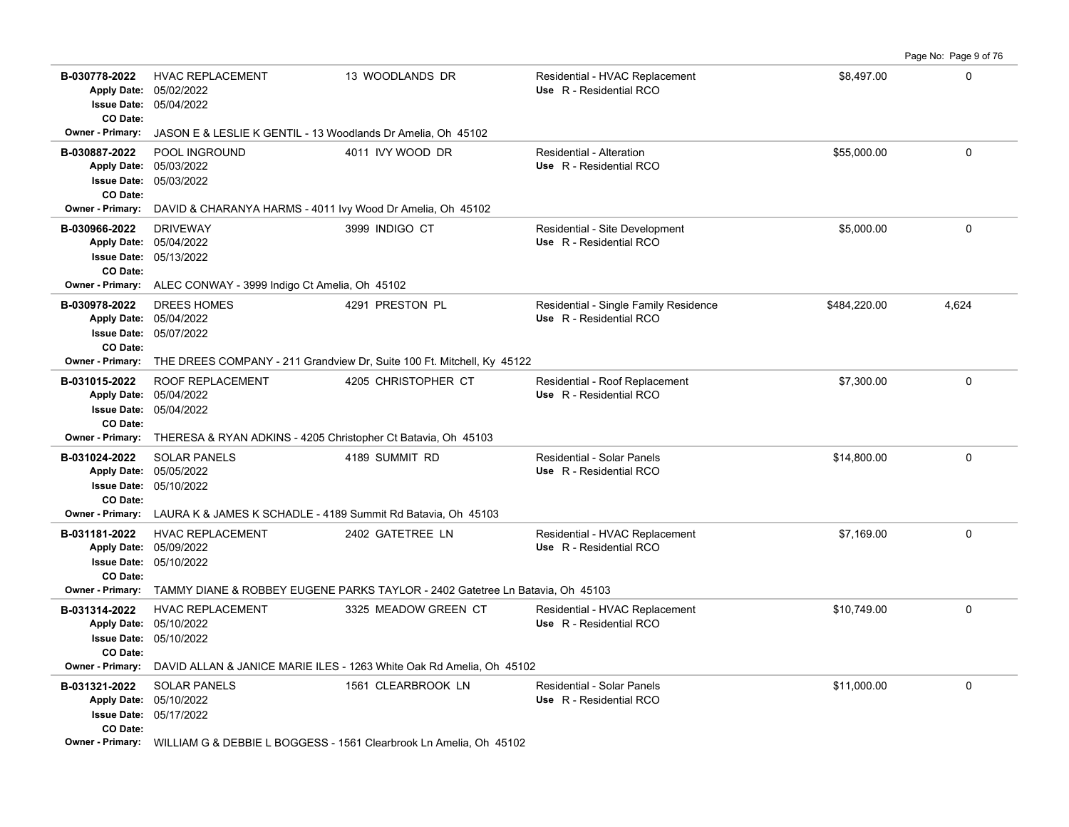|                                                                            |                                                                                                                 |                                                                                             |                                                                  |              | Page No: Page 9 of 76 |
|----------------------------------------------------------------------------|-----------------------------------------------------------------------------------------------------------------|---------------------------------------------------------------------------------------------|------------------------------------------------------------------|--------------|-----------------------|
| B-030778-2022<br><b>Apply Date:</b><br><b>Issue Date:</b><br>CO Date:      | <b>HVAC REPLACEMENT</b><br>05/02/2022<br>05/04/2022                                                             | 13 WOODLANDS DR                                                                             | Residential - HVAC Replacement<br>Use R - Residential RCO        | \$8,497.00   | 0                     |
| Owner - Primary:                                                           | JASON E & LESLIE K GENTIL - 13 Woodlands Dr Amelia, Oh 45102                                                    |                                                                                             |                                                                  |              |                       |
| B-030887-2022<br><b>Apply Date:</b><br><b>Issue Date:</b><br>CO Date:      | POOL INGROUND<br>05/03/2022<br>05/03/2022                                                                       | 4011 IVY WOOD DR                                                                            | Residential - Alteration<br>Use R - Residential RCO              | \$55,000.00  | 0                     |
| <b>Owner - Primary:</b>                                                    | DAVID & CHARANYA HARMS - 4011 Ivy Wood Dr Amelia, Oh 45102                                                      |                                                                                             |                                                                  |              |                       |
| B-030966-2022<br><b>Apply Date:</b><br>CO Date:<br><b>Owner - Primary:</b> | <b>DRIVEWAY</b><br>05/04/2022<br><b>Issue Date: 05/13/2022</b><br>ALEC CONWAY - 3999 Indigo Ct Amelia, Oh 45102 | 3999 INDIGO CT                                                                              | Residential - Site Development<br>Use R - Residential RCO        | \$5,000.00   | $\mathbf 0$           |
| B-030978-2022<br><b>Apply Date:</b><br><b>Issue Date:</b><br>CO Date:      | DREES HOMES<br>05/04/2022<br>05/07/2022                                                                         | 4291 PRESTON PL                                                                             | Residential - Single Family Residence<br>Use R - Residential RCO | \$484,220.00 | 4,624                 |
| <b>Owner - Primary:</b>                                                    |                                                                                                                 | THE DREES COMPANY - 211 Grandview Dr, Suite 100 Ft. Mitchell, Ky 45122                      |                                                                  |              |                       |
| B-031015-2022<br><b>Apply Date:</b><br>CO Date:                            | ROOF REPLACEMENT<br>05/04/2022<br><b>Issue Date: 05/04/2022</b>                                                 | 4205 CHRISTOPHER CT                                                                         | Residential - Roof Replacement<br>Use R - Residential RCO        | \$7,300.00   | 0                     |
| <b>Owner - Primary:</b>                                                    | THERESA & RYAN ADKINS - 4205 Christopher Ct Batavia, Oh 45103                                                   |                                                                                             |                                                                  |              |                       |
| B-031024-2022<br><b>Issue Date:</b><br>CO Date:                            | <b>SOLAR PANELS</b><br>Apply Date: 05/05/2022<br>05/10/2022                                                     | 4189 SUMMIT RD                                                                              | Residential - Solar Panels<br>Use R - Residential RCO            | \$14,800.00  | 0                     |
| <b>Owner - Primary:</b>                                                    | LAURA K & JAMES K SCHADLE - 4189 Summit Rd Batavia, Oh 45103                                                    |                                                                                             |                                                                  |              |                       |
| B-031181-2022<br>CO Date:                                                  | <b>HVAC REPLACEMENT</b><br>Apply Date: 05/09/2022<br><b>Issue Date: 05/10/2022</b>                              | 2402 GATETREE LN                                                                            | Residential - HVAC Replacement<br>Use R - Residential RCO        | \$7,169.00   | $\mathbf 0$           |
| <b>Owner - Primary:</b>                                                    |                                                                                                                 | TAMMY DIANE & ROBBEY EUGENE PARKS TAYLOR - 2402 Gatetree Ln Batavia, Oh 45103               |                                                                  |              |                       |
| B-031314-2022<br><b>Issue Date:</b><br>CO Date:                            | HVAC REPLACEMENT<br>Apply Date: 05/10/2022<br>05/10/2022                                                        | 3325 MEADOW GREEN CT                                                                        | Residential - HVAC Replacement<br>Use R - Residential RCO        | \$10,749.00  | 0                     |
| <b>Owner - Primary:</b>                                                    |                                                                                                                 | DAVID ALLAN & JANICE MARIE ILES - 1263 White Oak Rd Amelia, Oh 45102                        |                                                                  |              |                       |
| B-031321-2022<br>CO Date:                                                  | <b>SOLAR PANELS</b><br>Apply Date: 05/10/2022<br><b>Issue Date: 05/17/2022</b>                                  | 1561 CLEARBROOK LN                                                                          | Residential - Solar Panels<br>Use R - Residential RCO            | \$11,000.00  | $\mathbf 0$           |
|                                                                            |                                                                                                                 | <b>Owner - Primary:</b> WILLIAM G & DEBBIE L BOGGESS - 1561 Clearbrook Ln Amelia, Ob. 45102 |                                                                  |              |                       |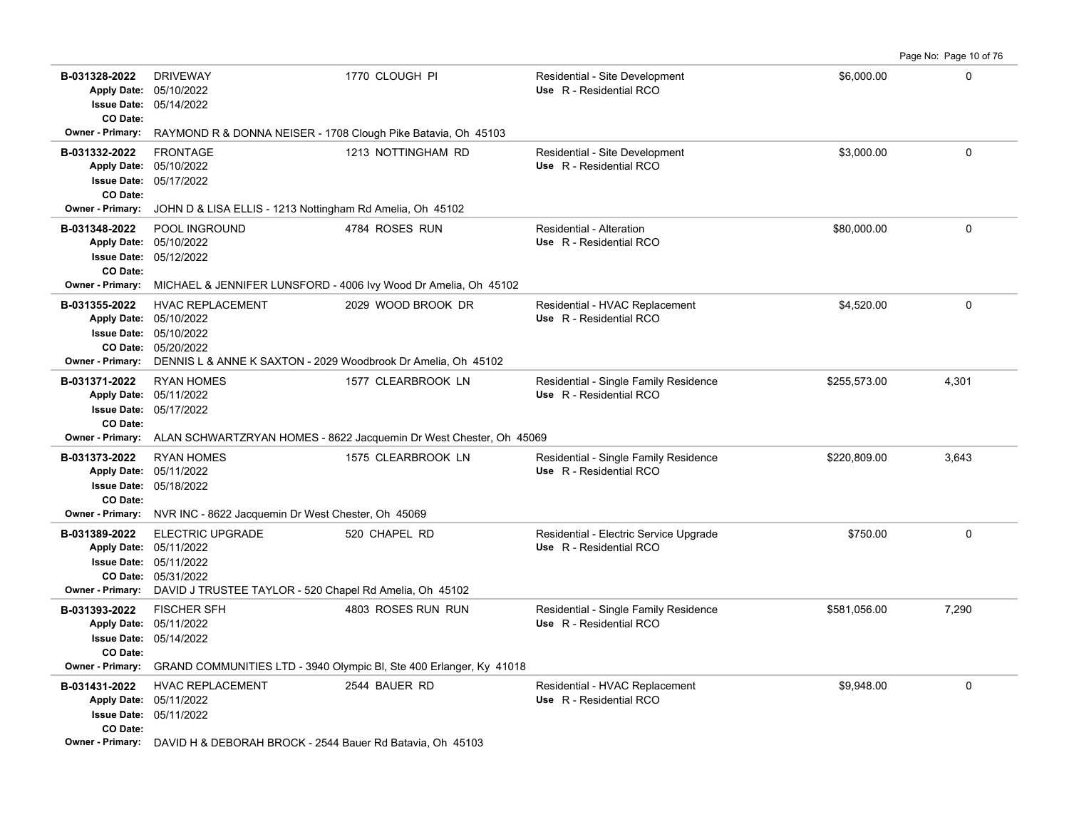**B-031328-2022** DRIVEWAY 1770 CLOUGH PI Residential - Site Development \$6,000.00 \$6,000.00 05/14/2022 **Issue Date:** Apply Date: 05/10/2022 **Apply Date: Use** R - Residential RCO **CO Date: Owner - Primary:** RAYMOND R & DONNA NEISER - 1708 Clough Pike Batavia, Oh 45103 **B-031332-2022** FRONTAGE 1213 NOTTINGHAM RD Residential - Site Development \$3,000.00 \$3,000.00 05/17/2022 **Issue Date:** 05/10/2022 **Apply Date: Use** R - Residential RCO **CO Date: Owner - Primary:** JOHN D & LISA ELLIS - 1213 Nottingham Rd Amelia, Oh 45102 **B-031348-2022** POOL INGROUND 4784 ROSES RUN Residential - Alteration \$80,000.00 0 05/12/2022 **Issue Date:** 05/10/2022 POOL INGROUND 4784 ROSES RUN Residential - Alteration **Apply Date: Use** R - Residential RCO **CO Date: Owner - Primary:** MICHAEL & JENNIFER LUNSFORD - 4006 Ivy Wood Dr Amelia, Oh 45102 B-031355-2022 HVAC REPLACEMENT 2029 WOOD BROOK DR Residential - HVAC Replacement \$4,520.00 \$4,520.00 05/20/2022 **CO Date:** 05/10/2022 **Issue Date:** Apply Date: 05/10/2022 **Apply Date: Use** R - Residential RCO **Owner - Primary:** DENNIS L & ANNE K SAXTON - 2029 Woodbrook Dr Amelia, Oh 45102 B-031371-2022 RYAN HOMES 1577 CLEARBROOK LN Residential - Single Family Residence \$255,573.00 4,301 05/17/2022 **Issue Date:** Apply Date: 05/11/2022 **Apply Date: Use** R - Residential RCO **CO Date: Owner - Primary:** ALAN SCHWARTZRYAN HOMES - 8622 Jacquemin Dr West Chester, Oh 45069 B-031373-2022 RYAN HOMES 1575 CLEARBROOK LN Residential - Single Family Residence \$220,809.00 3,643 05/18/2022 **Issue Date:** 05/11/2022 **Apply Date: Use** R - Residential RCO **CO Date: Owner - Primary:** NVR INC - 8622 Jacquemin Dr West Chester, Oh 45069 **B-031389-2022** ELECTRIC UPGRADE 520 CHAPEL RD Residential - Electric Service Upgrade \$750.00 \$750.00 05/31/2022 **CO Date:** 05/11/2022 **Issue Date:** Apply Date: 05/11/2022 **Apply Date: Use** R - Residential RCO **Owner - Primary:** DAVID J TRUSTEE TAYLOR - 520 Chapel Rd Amelia, Oh 45102 B-031393-2022 FISCHER SFH 4803 ROSES RUN RUN Residential - Single Family Residence \$581,056.00 7,290 05/14/2022 **Issue Date:** 05/11/2022 **Apply Date: Use** R - Residential RCO **CO Date: Owner - Primary:** GRAND COMMUNITIES LTD - 3940 Olympic Bl, Ste 400 Erlanger, Ky 41018 **B-031431-2022** HVAC REPLACEMENT 2544 BAUER RD Residential - HVAC Replacement \$9,948.00 \$9,948.00 0 05/11/2022 **Issue Date:** 05/11/2022 **Apply Date: Use** R - Residential RCO **CO Date: Owner - Primary:** DAVID H & DEBORAH BROCK - 2544 Bauer Rd Batavia, Oh 45103

Page No: Page 10 of 76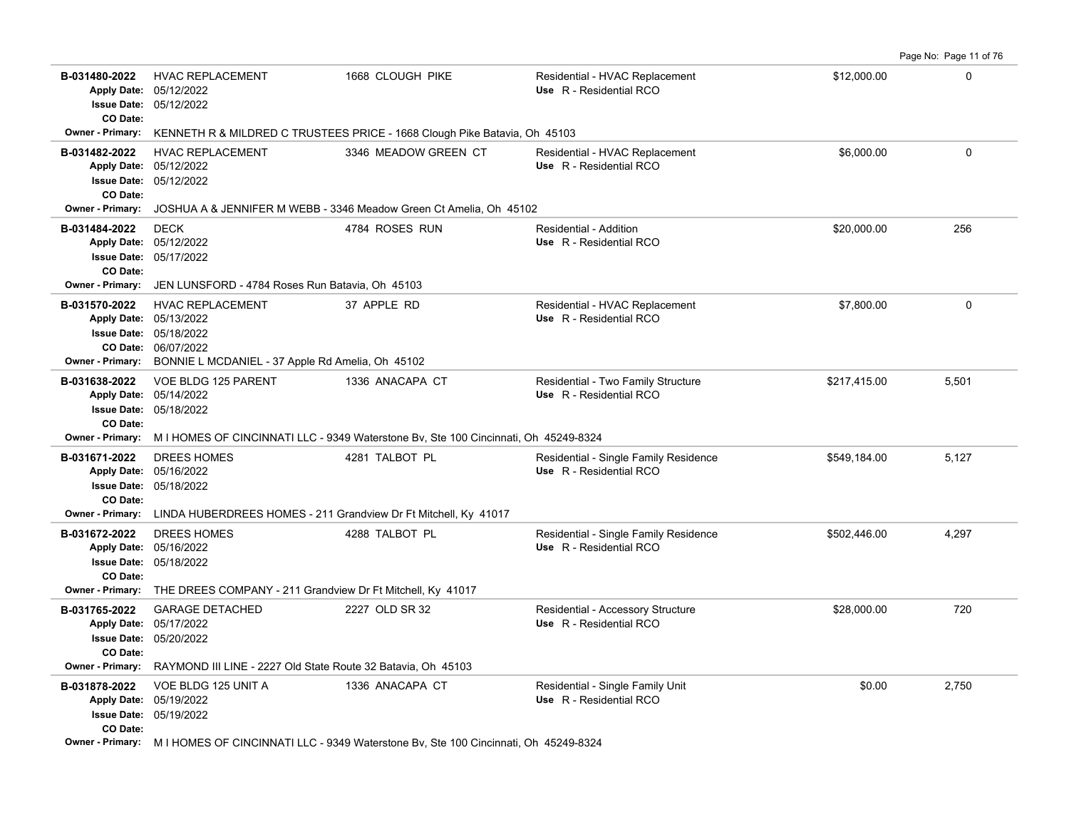Page No: Page 11 of 76

| CO Date:<br>Owner - Primary:<br>KENNETH R & MILDRED C TRUSTEES PRICE - 1668 Clough Pike Batavia, Oh 45103                                                                                                                                                                                                  | \$6,000.00   | $\mathbf 0$ |
|------------------------------------------------------------------------------------------------------------------------------------------------------------------------------------------------------------------------------------------------------------------------------------------------------------|--------------|-------------|
|                                                                                                                                                                                                                                                                                                            |              |             |
| 3346 MEADOW GREEN CT<br><b>HVAC REPLACEMENT</b><br>Residential - HVAC Replacement<br>B-031482-2022<br>Apply Date: 05/12/2022<br>Use R - Residential RCO<br>Issue Date: 05/12/2022<br>CO Date:                                                                                                              |              |             |
| Owner - Primary:<br>JOSHUA A & JENNIFER M WEBB - 3346 Meadow Green Ct Amelia, Oh 45102                                                                                                                                                                                                                     |              |             |
| B-031484-2022<br><b>DECK</b><br>4784 ROSES RUN<br><b>Residential - Addition</b><br>Apply Date: 05/12/2022<br>Use R - Residential RCO<br><b>Issue Date: 05/17/2022</b><br>CO Date:                                                                                                                          | \$20,000.00  | 256         |
| Owner - Primary:<br>JEN LUNSFORD - 4784 Roses Run Batavia, Oh 45103                                                                                                                                                                                                                                        |              |             |
| 37 APPLE RD<br>B-031570-2022<br><b>HVAC REPLACEMENT</b><br>Residential - HVAC Replacement<br>Use R - Residential RCO<br>Apply Date: 05/13/2022<br>Issue Date: 05/18/2022<br>CO Date: 06/07/2022<br>Owner - Primary:<br>BONNIE L MCDANIEL - 37 Apple Rd Amelia, Oh 45102                                    | \$7,800.00   | 0           |
| VOE BLDG 125 PARENT<br>B-031638-2022<br>1336 ANACAPA CT<br>Residential - Two Family Structure<br>Apply Date: 05/14/2022<br>Use R - Residential RCO<br><b>Issue Date: 05/18/2022</b><br>CO Date:<br>Owner - Primary:<br>M I HOMES OF CINCINNATI LLC - 9349 Waterstone By, Ste 100 Cincinnati, Oh 45249-8324 | \$217,415.00 | 5,501       |
| <b>DREES HOMES</b><br>4281 TALBOT PL<br>Residential - Single Family Residence<br>B-031671-2022<br>Apply Date: 05/16/2022<br>Use R - Residential RCO<br><b>Issue Date: 05/18/2022</b><br>CO Date:<br><b>Owner - Primary:</b><br>LINDA HUBERDREES HOMES - 211 Grandview Dr Ft Mitchell, Ky 41017             | \$549,184.00 | 5,127       |
| B-031672-2022<br>DREES HOMES<br>4288 TALBOT PL<br>Residential - Single Family Residence<br>Apply Date: 05/16/2022<br>Use R - Residential RCO<br>Issue Date: 05/18/2022<br>CO Date:                                                                                                                         | \$502,446.00 | 4,297       |
| Owner - Primary:<br>THE DREES COMPANY - 211 Grandview Dr Ft Mitchell, Ky 41017                                                                                                                                                                                                                             |              |             |
| <b>GARAGE DETACHED</b><br>2227 OLD SR 32<br>Residential - Accessory Structure<br>B-031765-2022<br>Apply Date: 05/17/2022<br>Use R - Residential RCO<br><b>Issue Date: 05/20/2022</b><br>CO Date:                                                                                                           | \$28,000.00  | 720         |
| Owner - Primary:<br>RAYMOND III LINE - 2227 Old State Route 32 Batavia, Oh 45103                                                                                                                                                                                                                           |              |             |
| B-031878-2022<br>VOE BLDG 125 UNIT A<br>Residential - Single Family Unit<br>1336 ANACAPA CT<br>Apply Date: 05/19/2022<br>Use R - Residential RCO<br>Issue Date: 05/19/2022<br>CO Date:<br>Owner - Primary: M I HOMES OF CINCINNATI LLC - 9349 Waterstone By, Ste 100 Cincinnati, Oh 45249-8324             | \$0.00       | 2,750       |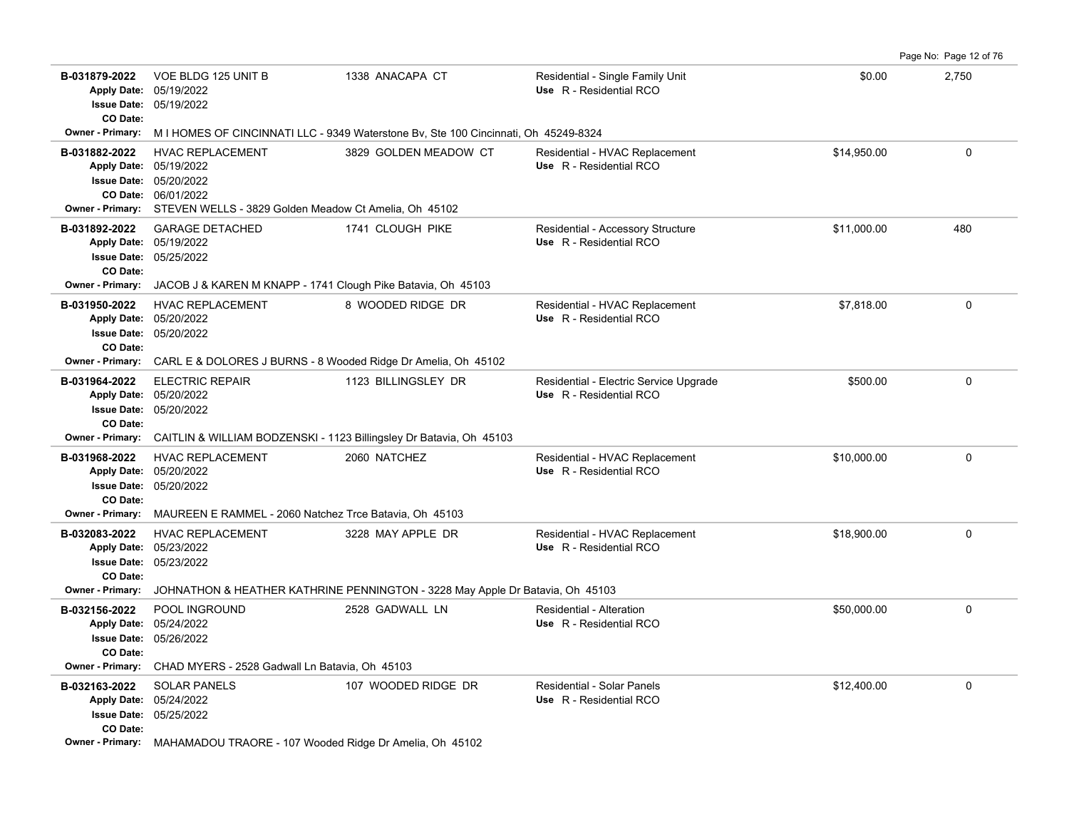|                                                                                                                 |                                                                                                                                                    |                       |                                                                   |             | Page No: Page 12 of 76 |
|-----------------------------------------------------------------------------------------------------------------|----------------------------------------------------------------------------------------------------------------------------------------------------|-----------------------|-------------------------------------------------------------------|-------------|------------------------|
| B-031879-2022<br>Apply Date: 05/19/2022<br>Issue Date: 05/19/2022<br>CO Date:                                   | VOE BLDG 125 UNIT B                                                                                                                                | 1338 ANACAPA CT       | Residential - Single Family Unit<br>Use R - Residential RCO       | \$0.00      | 2,750                  |
| <b>Owner - Primary:</b>                                                                                         | M I HOMES OF CINCINNATI LLC - 9349 Waterstone By, Ste 100 Cincinnati, Oh 45249-8324                                                                |                       |                                                                   |             |                        |
| B-031882-2022<br>Apply Date: 05/19/2022                                                                         | <b>HVAC REPLACEMENT</b><br>Issue Date: 05/20/2022<br>CO Date: 06/01/2022<br>Owner - Primary: STEVEN WELLS - 3829 Golden Meadow Ct Amelia, Oh 45102 | 3829 GOLDEN MEADOW CT | Residential - HVAC Replacement<br>Use R - Residential RCO         | \$14.950.00 | $\Omega$               |
| B-031892-2022<br>Apply Date: 05/19/2022<br><b>Issue Date: 05/25/2022</b><br>CO Date:<br><b>Owner - Primary:</b> | <b>GARAGE DETACHED</b><br>JACOB J & KAREN M KNAPP - 1741 Clough Pike Batavia, Oh 45103                                                             | 1741 CLOUGH PIKE      | Residential - Accessory Structure<br>Use R - Residential RCO      | \$11,000.00 | 480                    |
| B-031950-2022<br>Apply Date: 05/20/2022<br><b>Issue Date: 05/20/2022</b><br>CO Date:                            | <b>HVAC REPLACEMENT</b>                                                                                                                            | 8 WOODED RIDGE DR     | Residential - HVAC Replacement<br>Use R - Residential RCO         | \$7,818.00  | $\Omega$               |
| <b>Owner - Primary:</b>                                                                                         | CARL E & DOLORES J BURNS - 8 Wooded Ridge Dr Amelia, Oh 45102                                                                                      |                       |                                                                   |             |                        |
| B-031964-2022<br>Apply Date: 05/20/2022<br><b>Issue Date: 05/20/2022</b><br>CO Date:                            | <b>ELECTRIC REPAIR</b>                                                                                                                             | 1123 BILLINGSLEY DR   | Residential - Electric Service Upgrade<br>Use R - Residential RCO | \$500.00    | $\mathbf 0$            |
| Owner - Primary:                                                                                                | CAITLIN & WILLIAM BODZENSKI - 1123 Billingsley Dr Batavia, Oh 45103                                                                                |                       |                                                                   |             |                        |
| B-031968-2022<br>Apply Date: 05/20/2022<br><b>Issue Date: 05/20/2022</b><br>CO Date:                            | <b>HVAC REPLACEMENT</b>                                                                                                                            | 2060 NATCHEZ          | Residential - HVAC Replacement<br>Use R - Residential RCO         | \$10,000.00 | $\mathbf 0$            |
| Owner - Primary:                                                                                                | MAUREEN E RAMMEL - 2060 Natchez Trce Batavia, Oh 45103                                                                                             |                       |                                                                   |             |                        |
| B-032083-2022<br>Apply Date: 05/23/2022<br><b>Issue Date: 05/23/2022</b><br>CO Date:                            | <b>HVAC REPLACEMENT</b>                                                                                                                            | 3228 MAY APPLE DR     | Residential - HVAC Replacement<br>Use R - Residential RCO         | \$18,900.00 | $\mathbf 0$            |
| <b>Owner - Primary:</b>                                                                                         | JOHNATHON & HEATHER KATHRINE PENNINGTON - 3228 May Apple Dr Batavia, Oh 45103                                                                      |                       |                                                                   |             |                        |
| B-032156-2022<br>Apply Date: 05/24/2022<br>CO Date:<br><b>Owner - Primary:</b>                                  | POOL INGROUND<br><b>Issue Date: 05/26/2022</b><br>CHAD MYERS - 2528 Gadwall Ln Batavia, Oh 45103                                                   | 2528 GADWALL LN       | Residential - Alteration<br>Use R - Residential RCO               | \$50,000.00 | $\mathbf 0$            |
| B-032163-2022<br>Apply Date: 05/24/2022<br>CO Date:                                                             | <b>SOLAR PANELS</b><br>Issue Date: 05/25/2022<br><b>Owner - Primary:</b> MAHAMADOU TRAORE - 107 Wooded Ridge Dr Amelia, Oh 45102                   | 107 WOODED RIDGE DR   | Residential - Solar Panels<br>Use R - Residential RCO             | \$12,400.00 | $\Omega$               |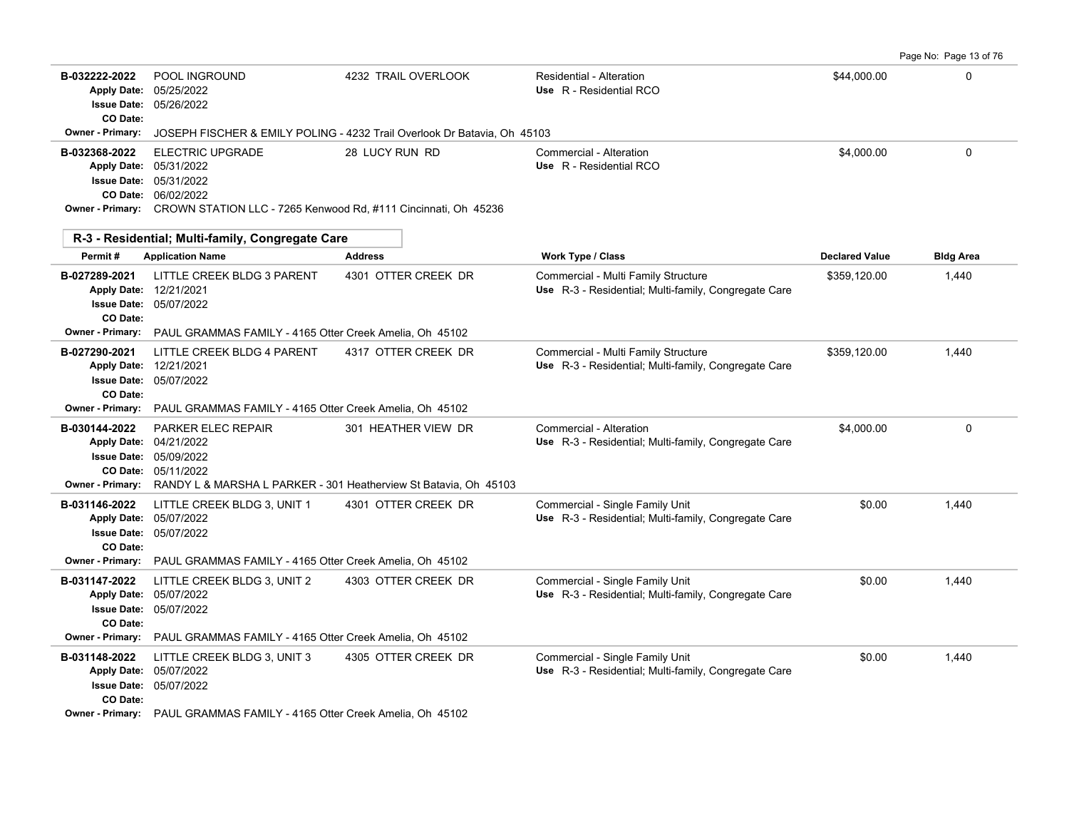Page No: Page 13 of 76

| B-032222-2022<br>CO Date:                            | POOL INGROUND<br>Apply Date: 05/25/2022<br><b>Issue Date: 05/26/2022</b>                                                                                                              | 4232 TRAIL OVERLOOK                                                      | <b>Residential - Alteration</b><br>Use R - Residential RCO                                  | \$44,000.00           | $\mathbf 0$      |
|------------------------------------------------------|---------------------------------------------------------------------------------------------------------------------------------------------------------------------------------------|--------------------------------------------------------------------------|---------------------------------------------------------------------------------------------|-----------------------|------------------|
| <b>Owner - Primary:</b>                              |                                                                                                                                                                                       | JOSEPH FISCHER & EMILY POLING - 4232 Trail Overlook Dr Batavia, Oh 45103 |                                                                                             |                       |                  |
| B-032368-2022                                        | <b>ELECTRIC UPGRADE</b><br>Apply Date: 05/31/2022<br>Issue Date: 05/31/2022<br>CO Date: 06/02/2022<br>Owner - Primary: CROWN STATION LLC - 7265 Kenwood Rd, #111 Cincinnati, Oh 45236 | 28 LUCY RUN RD                                                           | Commercial - Alteration<br>Use R - Residential RCO                                          | \$4,000.00            | $\Omega$         |
|                                                      | R-3 - Residential; Multi-family, Congregate Care                                                                                                                                      |                                                                          |                                                                                             |                       |                  |
| Permit#                                              | <b>Application Name</b>                                                                                                                                                               | <b>Address</b>                                                           | Work Type / Class                                                                           | <b>Declared Value</b> | <b>Bldg Area</b> |
| B-027289-2021<br>CO Date:                            | LITTLE CREEK BLDG 3 PARENT<br>Apply Date: 12/21/2021<br><b>Issue Date: 05/07/2022</b>                                                                                                 | 4301 OTTER CREEK DR                                                      | Commercial - Multi Family Structure<br>Use R-3 - Residential; Multi-family, Congregate Care | \$359,120.00          | 1,440            |
| <b>Owner - Primary:</b>                              | PAUL GRAMMAS FAMILY - 4165 Otter Creek Amelia, Oh 45102                                                                                                                               |                                                                          |                                                                                             |                       |                  |
| B-027290-2021<br>CO Date:                            | LITTLE CREEK BLDG 4 PARENT<br>Apply Date: 12/21/2021<br>Issue Date: 05/07/2022                                                                                                        | 4317 OTTER CREEK DR                                                      | Commercial - Multi Family Structure<br>Use R-3 - Residential; Multi-family, Congregate Care | \$359,120.00          | 1,440            |
| <b>Owner - Primary:</b>                              | PAUL GRAMMAS FAMILY - 4165 Otter Creek Amelia, Oh 45102                                                                                                                               |                                                                          |                                                                                             |                       |                  |
| B-030144-2022<br><b>Owner - Primary:</b>             | <b>PARKER ELEC REPAIR</b><br>Apply Date: 04/21/2022<br>Issue Date: 05/09/2022<br>CO Date: 05/11/2022<br>RANDY L & MARSHA L PARKER - 301 Heatherview St Batavia, Oh 45103              | 301 HEATHER VIEW DR                                                      | Commercial - Alteration<br>Use R-3 - Residential; Multi-family, Congregate Care             | \$4,000.00            | $\mathbf 0$      |
| B-031146-2022<br>CO Date:<br><b>Owner - Primary:</b> | LITTLE CREEK BLDG 3, UNIT 1<br>Apply Date: 05/07/2022<br>Issue Date: 05/07/2022<br>PAUL GRAMMAS FAMILY - 4165 Otter Creek Amelia, Oh 45102                                            | 4301 OTTER CREEK DR                                                      | Commercial - Single Family Unit<br>Use R-3 - Residential: Multi-family, Congregate Care     | \$0.00                | 1,440            |
| B-031147-2022<br>CO Date:<br><b>Owner - Primary:</b> | LITTLE CREEK BLDG 3, UNIT 2<br>Apply Date: 05/07/2022<br><b>Issue Date: 05/07/2022</b><br>PAUL GRAMMAS FAMILY - 4165 Otter Creek Amelia, Oh 45102                                     | 4303 OTTER CREEK DR                                                      | Commercial - Single Family Unit<br>Use R-3 - Residential; Multi-family, Congregate Care     | \$0.00                | 1.440            |
| B-031148-2022<br>CO Date:                            | LITTLE CREEK BLDG 3, UNIT 3<br>Apply Date: 05/07/2022<br><b>Issue Date: 05/07/2022</b><br><b>Owner - Primary:</b> PAUL GRAMMAS FAMILY - 4165 Otter Creek Amelia, Oh 45102             | 4305 OTTER CREEK DR                                                      | Commercial - Single Family Unit<br>Use R-3 - Residential; Multi-family, Congregate Care     | \$0.00                | 1,440            |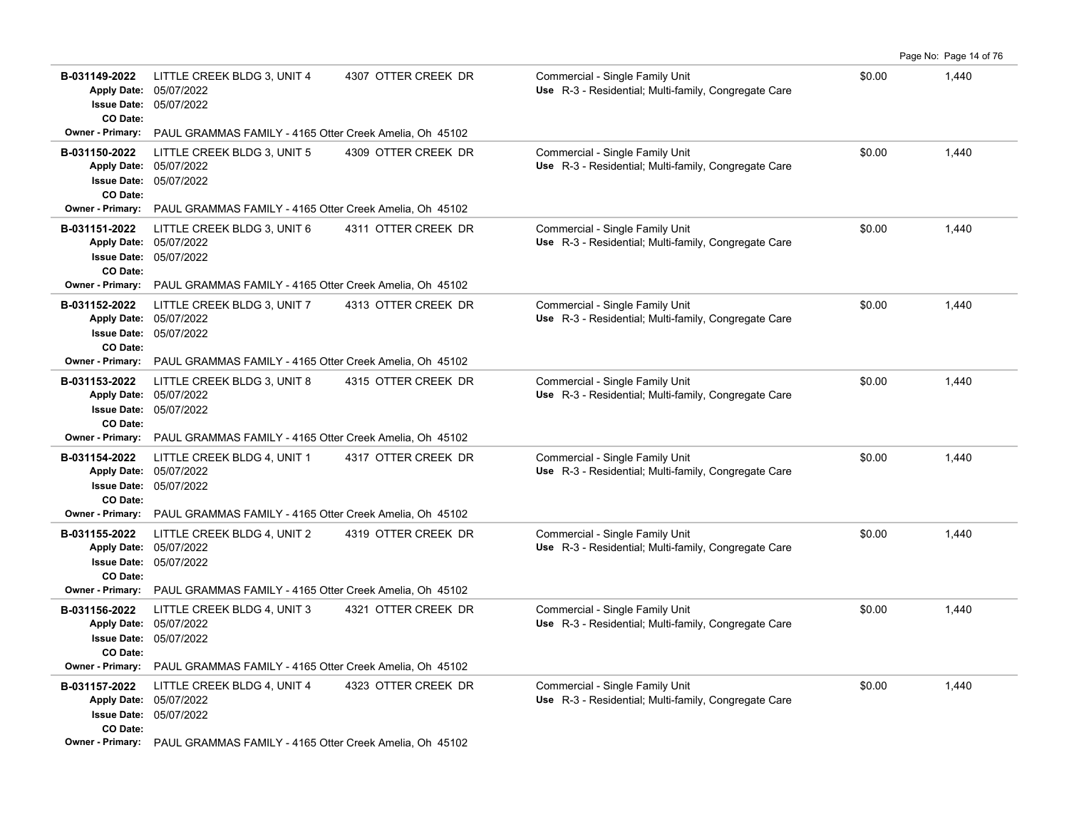| B-031149-2022<br>CO Date:                       | LITTLE CREEK BLDG 3, UNIT 4<br>Apply Date: 05/07/2022<br><b>Issue Date: 05/07/2022</b> | 4307 OTTER CREEK DR | Commercial - Single Family Unit<br>Use R-3 - Residential; Multi-family, Congregate Care | \$0.00 | 1,440 |
|-------------------------------------------------|----------------------------------------------------------------------------------------|---------------------|-----------------------------------------------------------------------------------------|--------|-------|
| <b>Owner - Primary:</b>                         | PAUL GRAMMAS FAMILY - 4165 Otter Creek Amelia, Oh 45102                                |                     |                                                                                         |        |       |
| B-031150-2022<br>CO Date:                       | LITTLE CREEK BLDG 3, UNIT 5<br>Apply Date: 05/07/2022<br><b>Issue Date: 05/07/2022</b> | 4309 OTTER CREEK DR | Commercial - Single Family Unit<br>Use R-3 - Residential; Multi-family, Congregate Care | \$0.00 | 1,440 |
| <b>Owner - Primary:</b>                         | PAUL GRAMMAS FAMILY - 4165 Otter Creek Amelia, Oh 45102                                |                     |                                                                                         |        |       |
| B-031151-2022<br>CO Date:                       | LITTLE CREEK BLDG 3, UNIT 6<br>Apply Date: 05/07/2022<br><b>Issue Date: 05/07/2022</b> | 4311 OTTER CREEK DR | Commercial - Single Family Unit<br>Use R-3 - Residential; Multi-family, Congregate Care | \$0.00 | 1,440 |
| <b>Owner - Primary:</b>                         | PAUL GRAMMAS FAMILY - 4165 Otter Creek Amelia, Oh 45102                                |                     |                                                                                         |        |       |
| B-031152-2022<br>CO Date:                       | LITTLE CREEK BLDG 3, UNIT 7<br>Apply Date: 05/07/2022<br><b>Issue Date: 05/07/2022</b> | 4313 OTTER CREEK DR | Commercial - Single Family Unit<br>Use R-3 - Residential; Multi-family, Congregate Care | \$0.00 | 1,440 |
| Owner - Primary:                                | PAUL GRAMMAS FAMILY - 4165 Otter Creek Amelia, Oh 45102                                |                     |                                                                                         |        |       |
| B-031153-2022<br><b>Apply Date:</b><br>CO Date: | LITTLE CREEK BLDG 3, UNIT 8<br>05/07/2022<br><b>Issue Date: 05/07/2022</b>             | 4315 OTTER CREEK DR | Commercial - Single Family Unit<br>Use R-3 - Residential; Multi-family, Congregate Care | \$0.00 | 1,440 |
| Owner - Primary:                                | PAUL GRAMMAS FAMILY - 4165 Otter Creek Amelia, Oh 45102                                |                     |                                                                                         |        |       |
| B-031154-2022<br>CO Date:                       | LITTLE CREEK BLDG 4, UNIT 1<br>Apply Date: 05/07/2022<br><b>Issue Date: 05/07/2022</b> | 4317 OTTER CREEK DR | Commercial - Single Family Unit<br>Use R-3 - Residential; Multi-family, Congregate Care | \$0.00 | 1,440 |
| <b>Owner - Primary:</b>                         | PAUL GRAMMAS FAMILY - 4165 Otter Creek Amelia, Oh 45102                                |                     |                                                                                         |        |       |
| B-031155-2022<br>CO Date:                       | LITTLE CREEK BLDG 4, UNIT 2<br>Apply Date: 05/07/2022<br><b>Issue Date: 05/07/2022</b> | 4319 OTTER CREEK DR | Commercial - Single Family Unit<br>Use R-3 - Residential; Multi-family, Congregate Care | \$0.00 | 1,440 |
| <b>Owner - Primary:</b>                         | PAUL GRAMMAS FAMILY - 4165 Otter Creek Amelia, Oh 45102                                |                     |                                                                                         |        |       |
| B-031156-2022<br>CO Date:                       | LITTLE CREEK BLDG 4, UNIT 3<br>Apply Date: 05/07/2022<br><b>Issue Date: 05/07/2022</b> | 4321 OTTER CREEK DR | Commercial - Single Family Unit<br>Use R-3 - Residential; Multi-family, Congregate Care | \$0.00 | 1,440 |
| Owner - Primary:                                | PAUL GRAMMAS FAMILY - 4165 Otter Creek Amelia, Oh 45102                                |                     |                                                                                         |        |       |
| B-031157-2022<br>CO Date:                       | LITTLE CREEK BLDG 4, UNIT 4<br>Apply Date: 05/07/2022<br><b>Issue Date: 05/07/2022</b> | 4323 OTTER CREEK DR | Commercial - Single Family Unit<br>Use R-3 - Residential; Multi-family, Congregate Care | \$0.00 | 1,440 |
|                                                 | Owner - Primary: PAUL GRAMMAS FAMILY - 4165 Otter Creek Amelia, Oh 45102               |                     |                                                                                         |        |       |

Page No: Page 14 of 76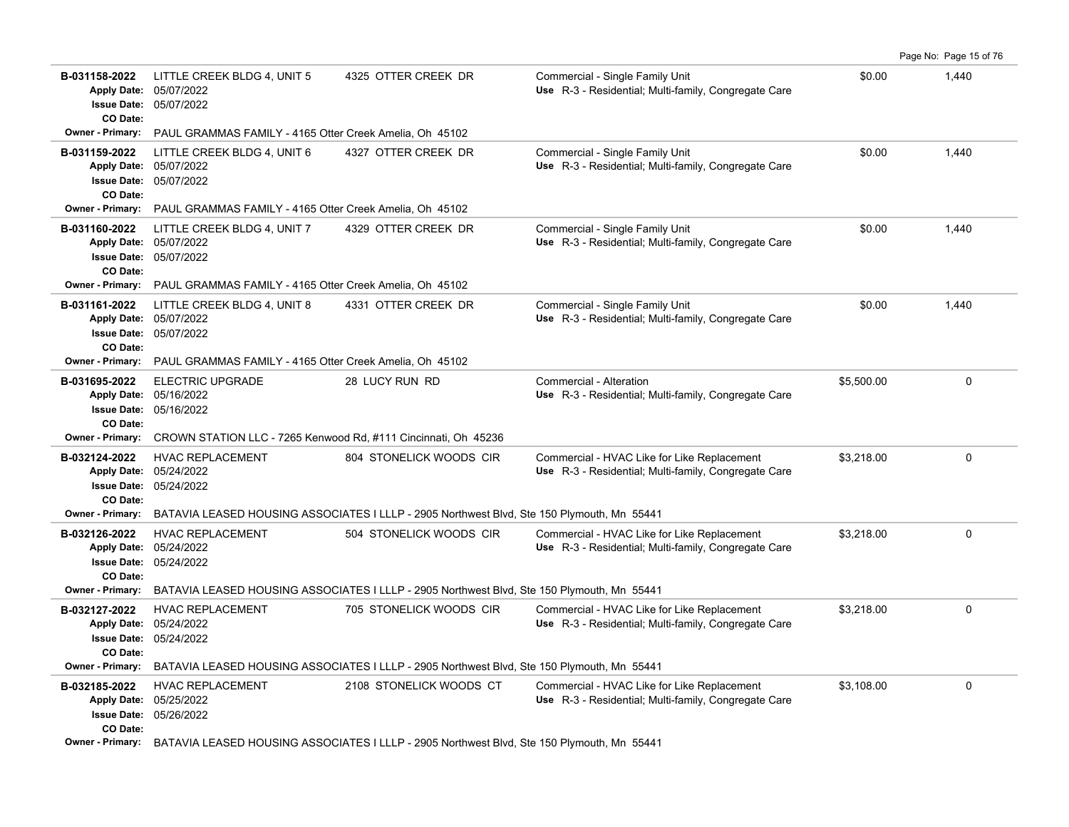|                                                      |                                                                                                                                                   |                                                                                                                       |                                                                                                     |            | Page No: Page 15 of 76 |
|------------------------------------------------------|---------------------------------------------------------------------------------------------------------------------------------------------------|-----------------------------------------------------------------------------------------------------------------------|-----------------------------------------------------------------------------------------------------|------------|------------------------|
| B-031158-2022<br>CO Date:                            | LITTLE CREEK BLDG 4, UNIT 5<br>Apply Date: 05/07/2022<br>Issue Date: 05/07/2022                                                                   | 4325 OTTER CREEK DR                                                                                                   | Commercial - Single Family Unit<br>Use R-3 - Residential; Multi-family, Congregate Care             | \$0.00     | 1,440                  |
| Owner - Primary:                                     | PAUL GRAMMAS FAMILY - 4165 Otter Creek Amelia, Oh 45102                                                                                           |                                                                                                                       |                                                                                                     |            |                        |
| B-031159-2022<br>CO Date:                            | LITTLE CREEK BLDG 4, UNIT 6<br>Apply Date: 05/07/2022<br>Issue Date: 05/07/2022                                                                   | 4327 OTTER CREEK DR                                                                                                   | Commercial - Single Family Unit<br>Use R-3 - Residential; Multi-family, Congregate Care             | \$0.00     | 1,440                  |
| <b>Owner - Primary:</b>                              | PAUL GRAMMAS FAMILY - 4165 Otter Creek Amelia, Oh 45102                                                                                           |                                                                                                                       |                                                                                                     |            |                        |
| B-031160-2022<br>CO Date:<br>Owner - Primary:        | LITTLE CREEK BLDG 4, UNIT 7<br>Apply Date: 05/07/2022<br><b>Issue Date: 05/07/2022</b><br>PAUL GRAMMAS FAMILY - 4165 Otter Creek Amelia, Oh 45102 | 4329 OTTER CREEK DR                                                                                                   | Commercial - Single Family Unit<br>Use R-3 - Residential; Multi-family, Congregate Care             | \$0.00     | 1,440                  |
| B-031161-2022<br>CO Date:                            | LITTLE CREEK BLDG 4, UNIT 8<br>Apply Date: 05/07/2022<br><b>Issue Date: 05/07/2022</b>                                                            | 4331 OTTER CREEK DR                                                                                                   | Commercial - Single Family Unit<br>Use R-3 - Residential; Multi-family, Congregate Care             | \$0.00     | 1,440                  |
| Owner - Primary:                                     | PAUL GRAMMAS FAMILY - 4165 Otter Creek Amelia, Oh 45102                                                                                           |                                                                                                                       |                                                                                                     |            |                        |
| B-031695-2022<br>CO Date:                            | <b>ELECTRIC UPGRADE</b><br>Apply Date: 05/16/2022<br><b>Issue Date: 05/16/2022</b>                                                                | 28 LUCY RUN RD                                                                                                        | Commercial - Alteration<br>Use R-3 - Residential; Multi-family, Congregate Care                     | \$5,500.00 | $\mathbf 0$            |
| Owner - Primary:                                     | CROWN STATION LLC - 7265 Kenwood Rd, #111 Cincinnati, Oh 45236                                                                                    |                                                                                                                       |                                                                                                     |            |                        |
| B-032124-2022<br>CO Date:                            | <b>HVAC REPLACEMENT</b><br>Apply Date: 05/24/2022<br><b>Issue Date: 05/24/2022</b>                                                                | 804 STONELICK WOODS CIR                                                                                               | Commercial - HVAC Like for Like Replacement<br>Use R-3 - Residential; Multi-family, Congregate Care | \$3,218.00 | $\mathbf 0$            |
| Owner - Primary:                                     |                                                                                                                                                   | BATAVIA LEASED HOUSING ASSOCIATES I LLLP - 2905 Northwest Blvd, Ste 150 Plymouth, Mn 55441                            |                                                                                                     |            |                        |
| B-032126-2022<br>CO Date:                            | <b>HVAC REPLACEMENT</b><br>Apply Date: 05/24/2022<br><b>Issue Date: 05/24/2022</b>                                                                | 504 STONELICK WOODS CIR                                                                                               | Commercial - HVAC Like for Like Replacement<br>Use R-3 - Residential; Multi-family, Congregate Care | \$3,218.00 | $\mathbf 0$            |
| <b>Owner - Primary:</b>                              |                                                                                                                                                   | BATAVIA LEASED HOUSING ASSOCIATES I LLLP - 2905 Northwest Blvd, Ste 150 Plymouth, Mn 55441                            |                                                                                                     |            |                        |
| B-032127-2022<br>CO Date:<br><b>Owner - Primary:</b> | <b>HVAC REPLACEMENT</b><br>Apply Date: 05/24/2022<br><b>Issue Date: 05/24/2022</b>                                                                | 705 STONELICK WOODS CIR<br>BATAVIA LEASED HOUSING ASSOCIATES I LLLP - 2905 Northwest Blvd, Ste 150 Plymouth, Mn 55441 | Commercial - HVAC Like for Like Replacement<br>Use R-3 - Residential; Multi-family, Congregate Care | \$3,218.00 | $\mathbf 0$            |
| B-032185-2022<br>CO Date:                            | <b>HVAC REPLACEMENT</b><br>Apply Date: 05/25/2022<br>Issue Date: 05/26/2022                                                                       | 2108 STONELICK WOODS CT                                                                                               | Commercial - HVAC Like for Like Replacement<br>Use R-3 - Residential; Multi-family, Congregate Care | \$3,108.00 | $\mathbf 0$            |
|                                                      |                                                                                                                                                   | Owner - Primary: BATAVIA LEASED HOUSING ASSOCIATES I LLLP - 2905 Northwest Blvd, Ste 150 Plymouth, Mn 55441           |                                                                                                     |            |                        |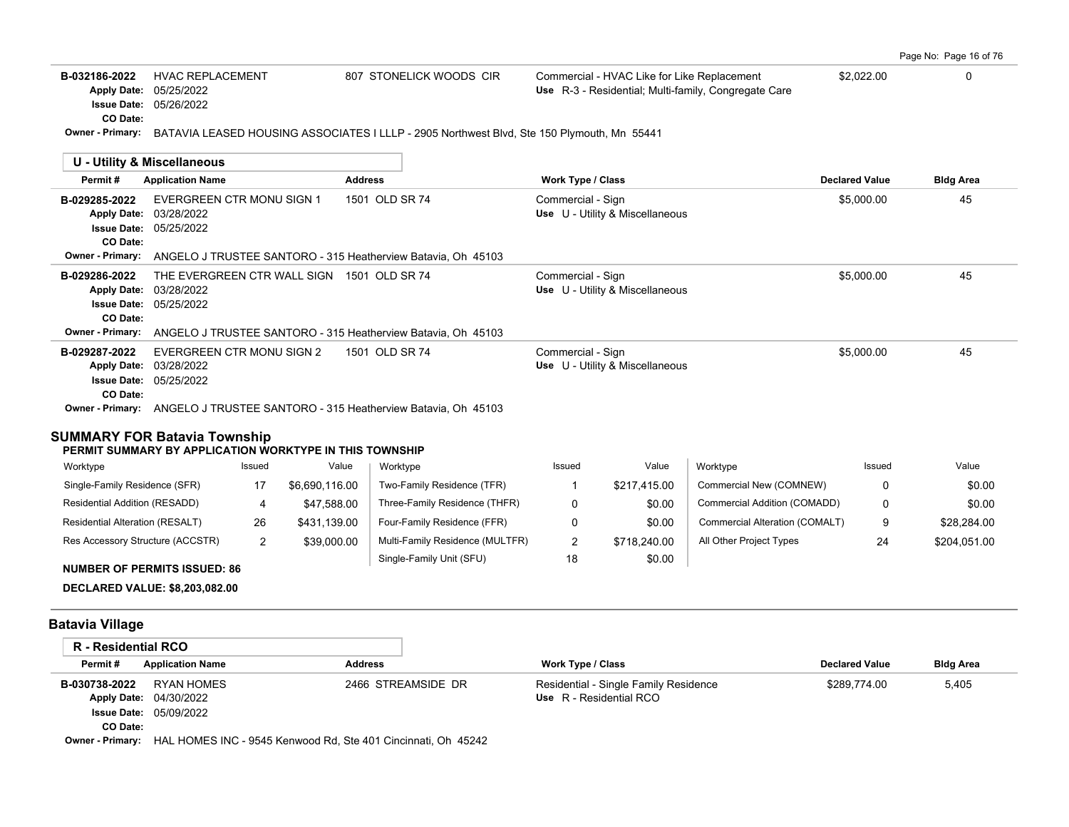| B-032186-2022<br><b>Apply Date:</b><br>CO Date:                              | <b>HVAC REPLACEMENT</b><br>05/25/2022<br><b>Issue Date: 05/26/2022</b>                      |                |                                                         | 807 STONELICK WOODS CIR                                                                         |                   | Commercial - HVAC Like for Like Replacement | Use R-3 - Residential: Multi-family, Congregate Care | \$2,022.00            | $\Omega$         |
|------------------------------------------------------------------------------|---------------------------------------------------------------------------------------------|----------------|---------------------------------------------------------|-------------------------------------------------------------------------------------------------|-------------------|---------------------------------------------|------------------------------------------------------|-----------------------|------------------|
| Owner - Primary:                                                             |                                                                                             |                |                                                         | BATAVIA LEASED HOUSING ASSOCIATES I LLLP - 2905 Northwest Blvd, Ste 150 Plymouth, Mn 55441      |                   |                                             |                                                      |                       |                  |
|                                                                              | <b>U - Utility &amp; Miscellaneous</b>                                                      |                |                                                         |                                                                                                 |                   |                                             |                                                      |                       |                  |
| Permit#                                                                      | <b>Application Name</b>                                                                     |                | <b>Address</b>                                          |                                                                                                 | Work Type / Class |                                             |                                                      | <b>Declared Value</b> | <b>Bldg Area</b> |
| B-029285-2022<br>CO Date:                                                    | EVERGREEN CTR MONU SIGN 1<br>Apply Date: 03/28/2022<br><b>Issue Date: 05/25/2022</b>        |                |                                                         | 1501 OLD SR 74                                                                                  | Commercial - Sign | Use U - Utility & Miscellaneous             |                                                      | \$5,000.00            | 45               |
| <b>Owner - Primary:</b>                                                      |                                                                                             |                |                                                         | ANGELO J TRUSTEE SANTORO - 315 Heatherview Batavia, Oh 45103                                    |                   |                                             |                                                      |                       |                  |
| B-029286-2022<br><b>Apply Date:</b><br>CO Date:                              | 03/28/2022<br><b>Issue Date: 05/25/2022</b>                                                 |                | THE EVERGREEN CTR WALL SIGN 1501 OLD SR 74              |                                                                                                 | Commercial - Sign | Use U - Utility & Miscellaneous             |                                                      | \$5.000.00            | 45               |
| <b>Owner - Primary:</b>                                                      |                                                                                             |                |                                                         | ANGELO J TRUSTEE SANTORO - 315 Heatherview Batavia. Oh 45103                                    |                   |                                             |                                                      |                       |                  |
| B-029287-2022<br>CO Date:                                                    | <b>EVERGREEN CTR MONU SIGN 2</b><br>Apply Date: 03/28/2022<br><b>Issue Date: 05/25/2022</b> |                |                                                         | 1501 OLD SR 74<br>Owner - Primary: ANGELO J TRUSTEE SANTORO - 315 Heatherview Batavia, Oh 45103 | Commercial - Sign | Use U - Utility & Miscellaneous             |                                                      | \$5.000.00            | 45               |
| <b>SUMMARY FOR Batavia Township</b>                                          |                                                                                             |                | PERMIT SUMMARY BY APPLICATION WORKTYPE IN THIS TOWNSHIP |                                                                                                 |                   |                                             |                                                      |                       |                  |
| Worktype                                                                     |                                                                                             | Issued         | Value                                                   | Worktype                                                                                        | Issued            | Value                                       | Worktype                                             | Issued                | Value            |
| Single-Family Residence (SFR)                                                |                                                                                             | 17             | \$6,690,116.00                                          | Two-Family Residence (TFR)                                                                      | 1                 | \$217,415.00                                | Commercial New (COMNEW)                              | 0                     | \$0.00           |
| Residential Addition (RESADD)                                                |                                                                                             | 4              | \$47,588.00                                             | Three-Family Residence (THFR)                                                                   | 0                 | \$0.00                                      | Commercial Addition (COMADD)                         | 0                     | \$0.00           |
| Residential Alteration (RESALT)                                              |                                                                                             | 26             | \$431,139.00                                            | Four-Family Residence (FFR)                                                                     | 0                 | \$0.00                                      | Commercial Alteration (COMALT)                       | 9                     | \$28,284.00      |
| Res Accessory Structure (ACCSTR)                                             |                                                                                             | $\overline{2}$ | \$39,000.00                                             | Multi-Family Residence (MULTFR)                                                                 | 2                 | \$718,240.00                                | All Other Project Types                              | 24                    | \$204,051.00     |
| <b>NUMBER OF PERMITS ISSUED: 86</b><br><b>DECLARED VALUE: \$8,203,082.00</b> |                                                                                             |                |                                                         | Single-Family Unit (SFU)                                                                        | 18                | \$0.00                                      |                                                      |                       |                  |
| <b>Batavia Village</b><br><b>R</b> - Residential RCO                         |                                                                                             |                |                                                         |                                                                                                 |                   |                                             |                                                      |                       |                  |

| N - NESIUBIILIAI NUU |                                                                                |                    |                                       |                       |                  |
|----------------------|--------------------------------------------------------------------------------|--------------------|---------------------------------------|-----------------------|------------------|
| Permit#              | <b>Application Name</b>                                                        | <b>Address</b>     | Work Type / Class                     | <b>Declared Value</b> | <b>Bldg Area</b> |
| B-030738-2022        | RYAN HOMES                                                                     | 2466 STREAMSIDE DR | Residential - Single Family Residence | \$289.774.00          | 5,405            |
|                      | <b>Apply Date: 04/30/2022</b>                                                  |                    | Use R - Residential RCO               |                       |                  |
|                      | <b>Issue Date: 05/09/2022</b>                                                  |                    |                                       |                       |                  |
| CO Date:             |                                                                                |                    |                                       |                       |                  |
|                      | Owner - Primary: HAL HOMES INC - 9545 Kenwood Rd, Ste 401 Cincinnati, Oh 45242 |                    |                                       |                       |                  |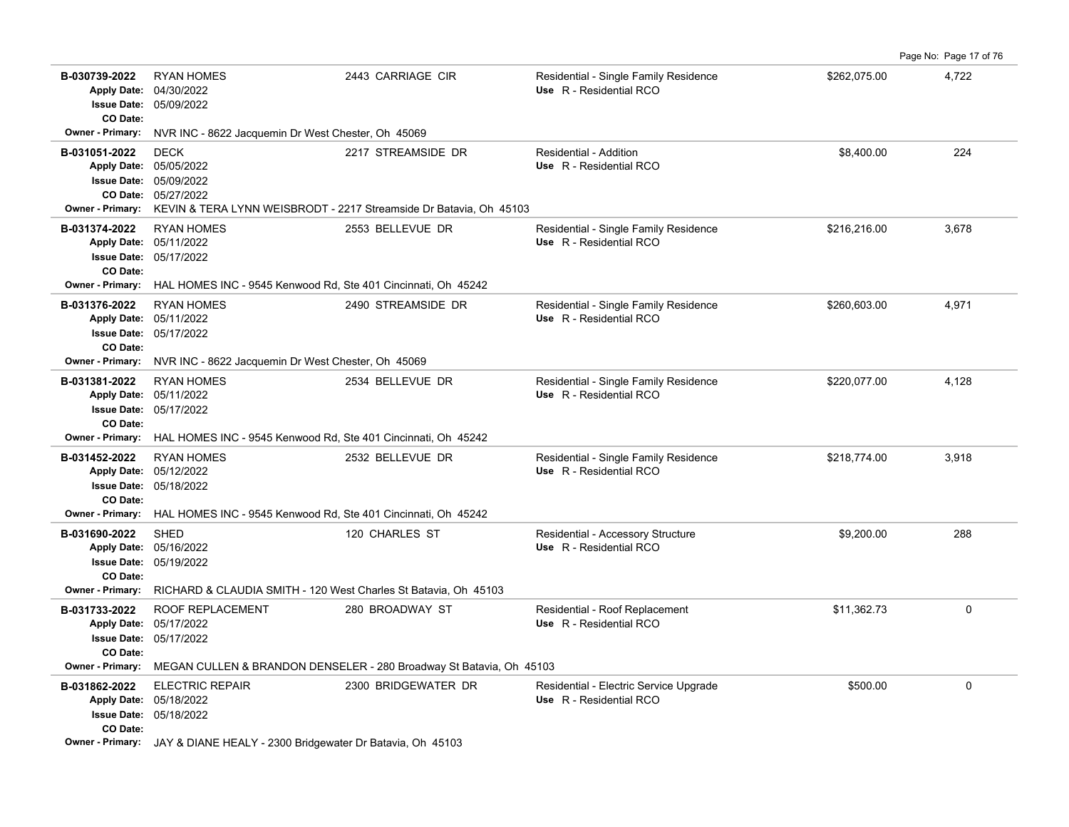|                                                                                                  |                                                                                                                                                                                                                |                                                                                          |                                                                   |              | Page No: Page 17 of 76 |
|--------------------------------------------------------------------------------------------------|----------------------------------------------------------------------------------------------------------------------------------------------------------------------------------------------------------------|------------------------------------------------------------------------------------------|-------------------------------------------------------------------|--------------|------------------------|
| B-030739-2022<br><b>Apply Date:</b><br><b>Issue Date:</b><br>CO Date:                            | <b>RYAN HOMES</b><br>04/30/2022<br>05/09/2022                                                                                                                                                                  | 2443 CARRIAGE CIR                                                                        | Residential - Single Family Residence<br>Use R - Residential RCO  | \$262,075.00 | 4,722                  |
| <b>Owner - Primary:</b>                                                                          | NVR INC - 8622 Jacquemin Dr West Chester, Oh 45069                                                                                                                                                             |                                                                                          |                                                                   |              |                        |
| B-031051-2022<br><b>Owner - Primary:</b>                                                         | <b>DECK</b><br>Apply Date: 05/05/2022<br><b>Issue Date: 05/09/2022</b><br>CO Date: 05/27/2022                                                                                                                  | 2217 STREAMSIDE DR<br>KEVIN & TERA LYNN WEISBRODT - 2217 Streamside Dr Batavia, Oh 45103 | Residential - Addition<br>Use R - Residential RCO                 | \$8,400.00   | 224                    |
| B-031374-2022<br><b>Apply Date:</b><br>CO Date:<br>Owner - Primary:                              | <b>RYAN HOMES</b><br>05/11/2022<br><b>Issue Date: 05/17/2022</b><br>HAL HOMES INC - 9545 Kenwood Rd, Ste 401 Cincinnati, Oh 45242                                                                              | 2553 BELLEVUE DR                                                                         | Residential - Single Family Residence<br>Use R - Residential RCO  | \$216,216.00 | 3,678                  |
| B-031376-2022<br><b>Apply Date:</b><br>CO Date:<br><b>Owner - Primary:</b>                       | <b>RYAN HOMES</b><br>05/11/2022<br><b>Issue Date: 05/17/2022</b><br>NVR INC - 8622 Jacquemin Dr West Chester, Oh 45069                                                                                         | 2490 STREAMSIDE DR                                                                       | Residential - Single Family Residence<br>Use R - Residential RCO  | \$260,603.00 | 4,971                  |
| B-031381-2022<br><b>Apply Date:</b><br><b>Issue Date:</b><br>CO Date:<br><b>Owner - Primary:</b> | <b>RYAN HOMES</b><br>05/11/2022<br>05/17/2022                                                                                                                                                                  | 2534 BELLEVUE DR                                                                         | Residential - Single Family Residence<br>Use R - Residential RCO  | \$220,077.00 | 4,128                  |
| B-031452-2022<br>CO Date:<br><b>Owner - Primary:</b>                                             | HAL HOMES INC - 9545 Kenwood Rd, Ste 401 Cincinnati, Oh 45242<br><b>RYAN HOMES</b><br>Apply Date: 05/12/2022<br><b>Issue Date: 05/18/2022</b><br>HAL HOMES INC - 9545 Kenwood Rd, Ste 401 Cincinnati, Oh 45242 | 2532 BELLEVUE DR                                                                         | Residential - Single Family Residence<br>Use R - Residential RCO  | \$218,774.00 | 3,918                  |
| B-031690-2022<br><b>Apply Date:</b><br><b>Issue Date:</b><br>CO Date:<br><b>Owner - Primary:</b> | <b>SHED</b><br>05/16/2022<br>05/19/2022<br>RICHARD & CLAUDIA SMITH - 120 West Charles St Batavia, Oh 45103                                                                                                     | 120 CHARLES ST                                                                           | Residential - Accessory Structure<br>Use R - Residential RCO      | \$9,200.00   | 288                    |
| B-031733-2022<br><b>Issue Date:</b><br>CO Date:<br>Owner - Primary:                              | <b>ROOF REPLACEMENT</b><br>Apply Date: 05/17/2022<br>05/17/2022                                                                                                                                                | 280 BROADWAY ST<br>MEGAN CULLEN & BRANDON DENSELER - 280 Broadway St Batavia, Oh 45103   | Residential - Roof Replacement<br>Use R - Residential RCO         | \$11,362.73  | $\pmb{0}$              |
| B-031862-2022<br>CO Date:<br><b>Owner - Primary:</b>                                             | <b>ELECTRIC REPAIR</b><br>Apply Date: 05/18/2022<br><b>Issue Date: 05/18/2022</b><br>JAY & DIANE HEALY - 2300 Bridgewater Dr Batavia, Oh 45103                                                                 | 2300 BRIDGEWATER DR                                                                      | Residential - Electric Service Upgrade<br>Use R - Residential RCO | \$500.00     | $\mathbf 0$            |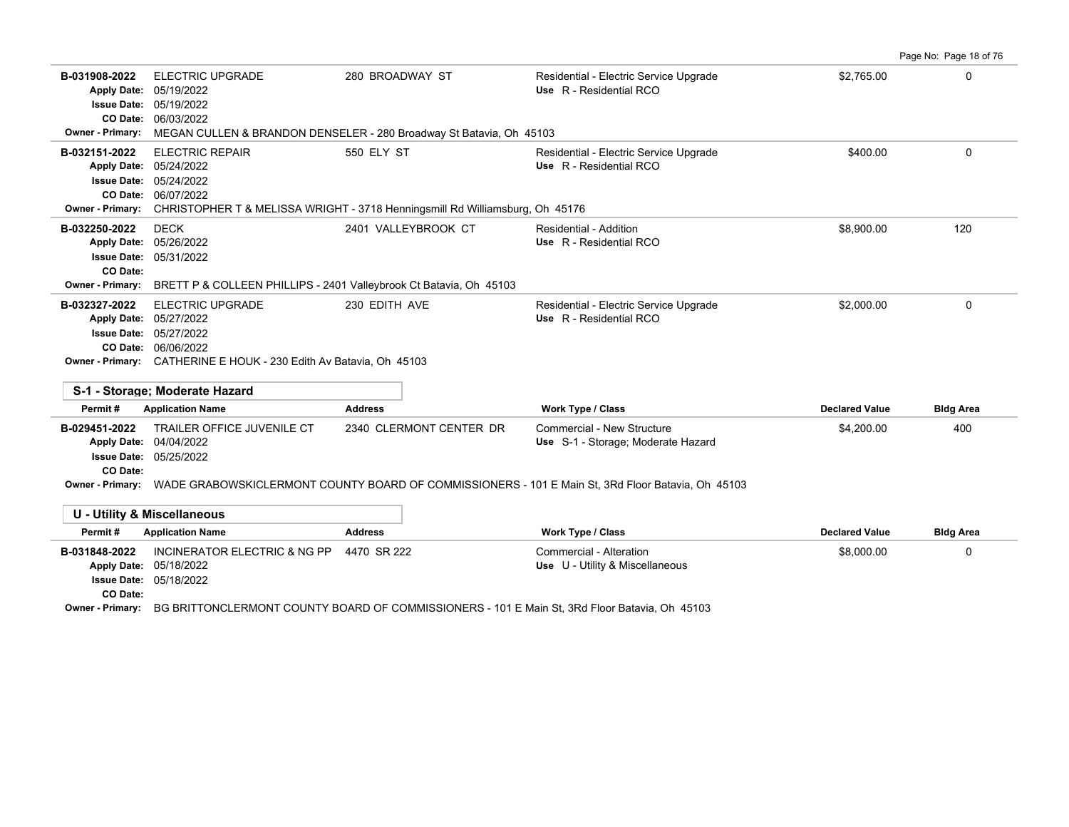|                                                                                                  |                                                                                                                                                                                 |                                                                                            |                                                                                                                                                                                        |                       | Page No: Page 18 of 76 |
|--------------------------------------------------------------------------------------------------|---------------------------------------------------------------------------------------------------------------------------------------------------------------------------------|--------------------------------------------------------------------------------------------|----------------------------------------------------------------------------------------------------------------------------------------------------------------------------------------|-----------------------|------------------------|
| B-031908-2022<br><b>Apply Date:</b><br><b>Issue Date:</b><br>CO Date:<br>Owner - Primary:        | <b>ELECTRIC UPGRADE</b><br>05/19/2022<br>05/19/2022<br>06/03/2022                                                                                                               | 280 BROADWAY ST<br>MEGAN CULLEN & BRANDON DENSELER - 280 Broadway St Batavia, Oh 45103     | Residential - Electric Service Upgrade<br>Use R - Residential RCO                                                                                                                      | \$2,765.00            | 0                      |
| B-032151-2022<br><b>Owner - Primary:</b>                                                         | <b>ELECTRIC REPAIR</b><br>Apply Date: 05/24/2022<br><b>Issue Date: 05/24/2022</b><br>CO Date: 06/07/2022                                                                        | 550 ELY ST<br>CHRISTOPHER T & MELISSA WRIGHT - 3718 Henningsmill Rd Williamsburg, Oh 45176 | Residential - Electric Service Upgrade<br>Use R - Residential RCO                                                                                                                      | \$400.00              | $\mathbf 0$            |
| B-032250-2022<br><b>Apply Date:</b><br><b>Issue Date:</b><br>CO Date:<br><b>Owner - Primary:</b> | <b>DECK</b><br>05/26/2022<br>05/31/2022<br>BRETT P & COLLEEN PHILLIPS - 2401 Valleybrook Ct Batavia, Oh 45103                                                                   | 2401 VALLEYBROOK CT                                                                        | Residential - Addition<br>Use R - Residential RCO                                                                                                                                      | \$8.900.00            | 120                    |
| B-032327-2022                                                                                    | <b>ELECTRIC UPGRADE</b><br>Apply Date: 05/27/2022<br><b>Issue Date: 05/27/2022</b><br>CO Date: 06/06/2022<br>Owner - Primary: CATHERINE E HOUK - 230 Edith Av Batavia, Oh 45103 | 230 EDITH AVE                                                                              | Residential - Electric Service Upgrade<br>Use R - Residential RCO                                                                                                                      | \$2,000.00            | $\Omega$               |
|                                                                                                  | S-1 - Storage; Moderate Hazard                                                                                                                                                  |                                                                                            |                                                                                                                                                                                        |                       |                        |
| Permit#                                                                                          | <b>Application Name</b>                                                                                                                                                         | <b>Address</b>                                                                             | <b>Work Type / Class</b>                                                                                                                                                               | <b>Declared Value</b> | <b>Bldg Area</b>       |
| B-029451-2022<br><b>Issue Date:</b><br>CO Date:                                                  | TRAILER OFFICE JUVENILE CT<br>Apply Date: 04/04/2022<br>05/25/2022                                                                                                              | 2340 CLERMONT CENTER DR                                                                    | Commercial - New Structure<br>Use S-1 - Storage; Moderate Hazard<br>Owner - Primary: WADE GRABOWSKICLERMONT COUNTY BOARD OF COMMISSIONERS - 101 E Main St, 3Rd Floor Batavia, Oh 45103 | \$4,200.00            | 400                    |
|                                                                                                  |                                                                                                                                                                                 |                                                                                            |                                                                                                                                                                                        |                       |                        |
| <b>U - Utility &amp; Miscellaneous</b><br>Permit#                                                | <b>Application Name</b>                                                                                                                                                         | <b>Address</b>                                                                             | Work Type / Class                                                                                                                                                                      | <b>Declared Value</b> | <b>Bldg Area</b>       |
| B-031848-2022<br><b>Apply Date:</b><br><b>Issue Date:</b><br>CO Date:                            | INCINERATOR ELECTRIC & NG PP<br>05/18/2022<br>05/18/2022                                                                                                                        | 4470 SR 222                                                                                | Commercial - Alteration<br>Use U - Utility & Miscellaneous                                                                                                                             | \$8,000.00            | $\Omega$               |

**Owner - Primary:** BG BRITTONCLERMONT COUNTY BOARD OF COMMISSIONERS - 101 E Main St, 3Rd Floor Batavia, Oh 45103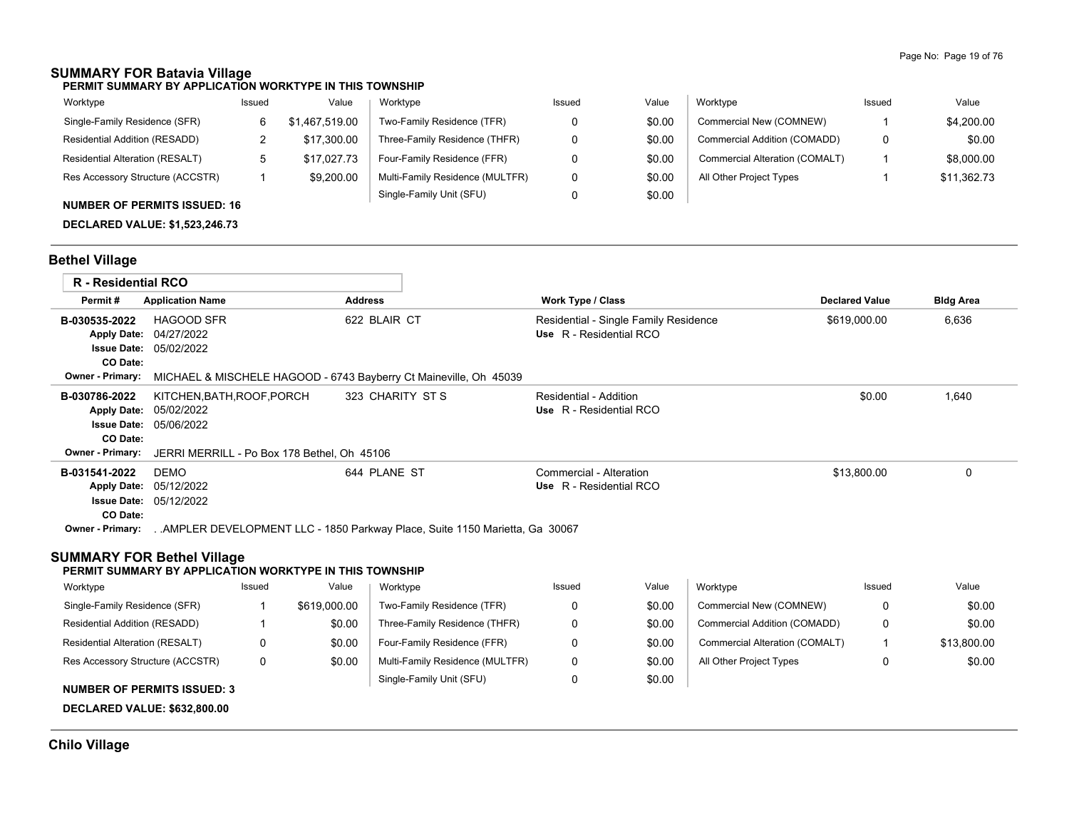# **SUMMARY FOR Batavia Village**

**PERMIT SUMMARY BY APPLICATION WORKTYPE IN THIS TOWNSHIP**

| Worktype                         | Issued | Value          | Worktype                        | Issued | Value  | Worktype                       | Issued | Value       |
|----------------------------------|--------|----------------|---------------------------------|--------|--------|--------------------------------|--------|-------------|
| Single-Family Residence (SFR)    | 6      | \$1.467.519.00 | Two-Family Residence (TFR)      |        | \$0.00 | Commercial New (COMNEW)        |        | \$4,200.00  |
| Residential Addition (RESADD)    |        | \$17.300.00    | Three-Family Residence (THFR)   |        | \$0.00 | Commercial Addition (COMADD)   |        | \$0.00      |
| Residential Alteration (RESALT)  |        | \$17.027.73    | Four-Family Residence (FFR)     |        | \$0.00 | Commercial Alteration (COMALT) |        | \$8,000.00  |
| Res Accessory Structure (ACCSTR) |        | \$9,200.00     | Multi-Family Residence (MULTFR) |        | \$0.00 | All Other Project Types        |        | \$11,362.73 |
|                                  |        |                | Single-Family Unit (SFU)        |        | \$0.00 |                                |        |             |

#### **NUMBER OF PERMITS ISSUED: 16**

**DECLARED VALUE: \$1,523,246.73**

## **Bethel Village**

| <b>R</b> - Residential RCO                                            |                                                                                              |                |                            |                                                    |                                       |                         |                       |                  |
|-----------------------------------------------------------------------|----------------------------------------------------------------------------------------------|----------------|----------------------------|----------------------------------------------------|---------------------------------------|-------------------------|-----------------------|------------------|
| Permit#                                                               | <b>Application Name</b>                                                                      | <b>Address</b> |                            | Work Type / Class                                  |                                       |                         | <b>Declared Value</b> | <b>Bldg Area</b> |
| B-030535-2022                                                         | <b>HAGOOD SFR</b>                                                                            | 622 BLAIR CT   |                            |                                                    | Residential - Single Family Residence |                         | \$619,000.00          | 6,636            |
| <b>Apply Date:</b>                                                    | 04/27/2022                                                                                   |                |                            | Use R - Residential RCO                            |                                       |                         |                       |                  |
| <b>Issue Date:</b>                                                    | 05/02/2022                                                                                   |                |                            |                                                    |                                       |                         |                       |                  |
| CO Date:                                                              |                                                                                              |                |                            |                                                    |                                       |                         |                       |                  |
| Owner - Primary:                                                      | MICHAEL & MISCHELE HAGOOD - 6743 Bayberry Ct Maineville, Oh 45039                            |                |                            |                                                    |                                       |                         |                       |                  |
| B-030786-2022<br><b>Apply Date:</b><br><b>Issue Date:</b><br>CO Date: | KITCHEN, BATH, ROOF, PORCH<br>05/02/2022<br>05/06/2022                                       |                | 323 CHARITY ST S           | Residential - Addition<br>Use R - Residential RCO  |                                       |                         | \$0.00                | 1,640            |
| <b>Owner - Primary:</b>                                               | JERRI MERRILL - Po Box 178 Bethel, Oh 45106                                                  |                |                            |                                                    |                                       |                         |                       |                  |
| B-031541-2022<br><b>Apply Date:</b><br><b>Issue Date:</b><br>CO Date: | <b>DEMO</b><br>05/12/2022<br>05/12/2022                                                      | 644 PLANE ST   |                            | Commercial - Alteration<br>Use R - Residential RCO |                                       |                         | \$13,800.00           | 0                |
| <b>Owner - Primary:</b>                                               | AMPLER DEVELOPMENT LLC - 1850 Parkway Place, Suite 1150 Marietta, Ga 30067                   |                |                            |                                                    |                                       |                         |                       |                  |
|                                                                       | <b>SUMMARY FOR Bethel Village</b><br>PERMIT SUMMARY BY APPLICATION WORKTYPE IN THIS TOWNSHIP |                |                            |                                                    |                                       |                         |                       |                  |
| Worktype                                                              | Issued                                                                                       | Value          | Worktype                   | Issued                                             | Value                                 | Worktype                | Issued                | Value            |
| Single-Family Residence (SFR)                                         |                                                                                              | \$619,000.00   | Two-Family Residence (TFR) | 0                                                  | \$0.00                                | Commercial New (COMNEW) | 0                     | \$0.00           |

\$0.00 \$0.00 \$0.00 \$0.00

Single-Family Unit (SFU) Multi-Family Residence (MULTFR) Four-Family Residence (FFR) Three-Family Residence (THFR)

Commercial Addition (COMADD) Commercial Alteration (COMALT)  0 1 0

\$0.00 \$13,800.00 \$0.00

All Other Project Types

| <b>DECLARED VALUE: \$632,800.00</b> |  |
|-------------------------------------|--|
| hila Villaga                        |  |

 1 0 0

\$0.00 \$0.00 \$0.00

Residential Addition (RESADD)

Res Accessory Structure (ACCSTR) Residential Alteration (RESALT)

**NUMBER OF PERMITS ISSUED: 3**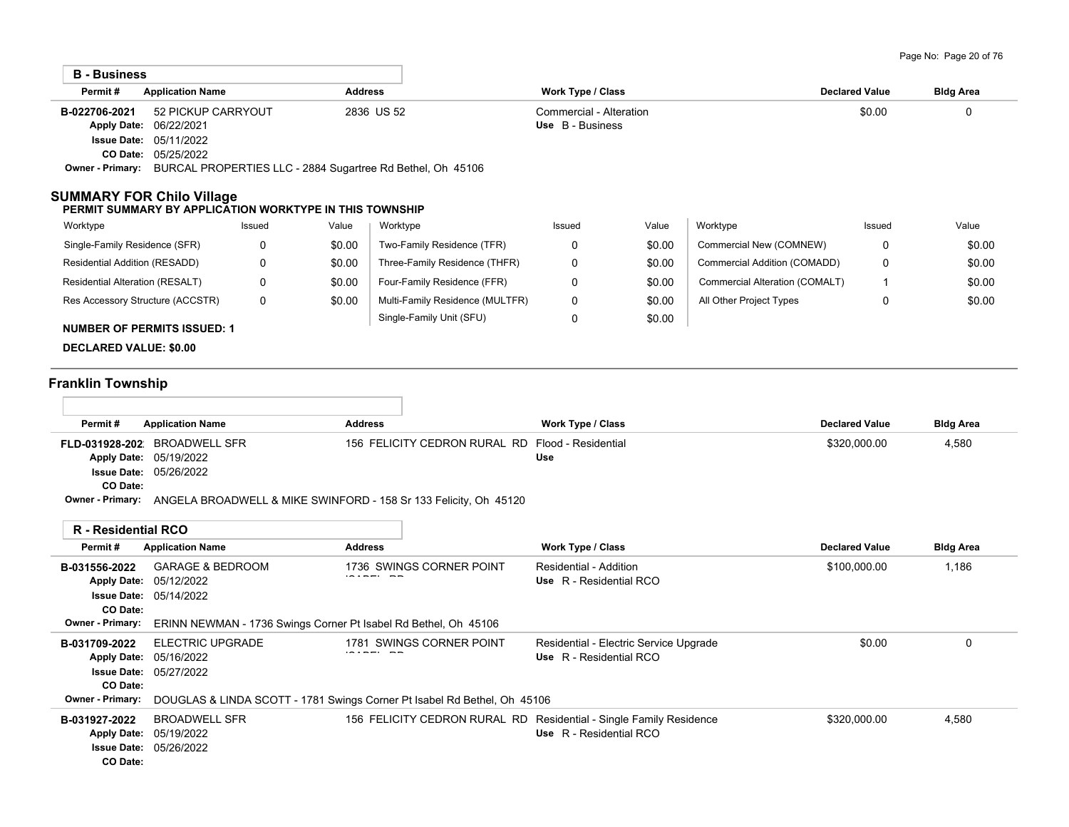| <b>B</b> - Business                   |                                                         |        |                |                                                            |                          |        |                                |                       |                  |
|---------------------------------------|---------------------------------------------------------|--------|----------------|------------------------------------------------------------|--------------------------|--------|--------------------------------|-----------------------|------------------|
| Permit#                               | <b>Application Name</b>                                 |        | <b>Address</b> |                                                            | <b>Work Type / Class</b> |        |                                | <b>Declared Value</b> | <b>Bldg Area</b> |
| B-022706-2021                         | 52 PICKUP CARRYOUT                                      |        |                | 2836 US 52                                                 | Commercial - Alteration  |        |                                | \$0.00                | 0                |
| <b>Apply Date:</b>                    | 06/22/2021                                              |        |                |                                                            | Use B - Business         |        |                                |                       |                  |
| <b>Issue Date:</b>                    | 05/11/2022                                              |        |                |                                                            |                          |        |                                |                       |                  |
| CO Date:                              | 05/25/2022                                              |        |                |                                                            |                          |        |                                |                       |                  |
| <b>Owner - Primary:</b>               |                                                         |        |                | BURCAL PROPERTIES LLC - 2884 Sugartree Rd Bethel, Oh 45106 |                          |        |                                |                       |                  |
| SUMMARY FOR Chilo Village<br>Worktype | PERMIT SUMMARY BY APPLICATION WORKTYPE IN THIS TOWNSHIP | Issued | Value          | Worktype                                                   | Issued                   | Value  | Worktype                       | Issued                | Value            |
| Single-Family Residence (SFR)         |                                                         | 0      | \$0.00         | Two-Family Residence (TFR)                                 | 0                        | \$0.00 | Commercial New (COMNEW)        | $\mathbf 0$           | \$0.00           |
| Residential Addition (RESADD)         |                                                         | 0      | \$0.00         | Three-Family Residence (THFR)                              | 0                        | \$0.00 | Commercial Addition (COMADD)   | 0                     | \$0.00           |
| Residential Alteration (RESALT)       |                                                         | 0      | \$0.00         | Four-Family Residence (FFR)                                | 0                        | \$0.00 | Commercial Alteration (COMALT) |                       | \$0.00           |
| Res Accessory Structure (ACCSTR)      |                                                         | 0      | \$0.00         | Multi-Family Residence (MULTFR)                            | 0                        | \$0.00 | All Other Project Types        | $\mathbf 0$           | \$0.00           |
|                                       | <b>NUMBER OF PERMITS ISSUED: 1</b>                      |        |                | Single-Family Unit (SFU)                                   | 0                        | \$0.00 |                                |                       |                  |
| <b>DECLARED VALUE: \$0.00</b>         |                                                         |        |                |                                                            |                          |        |                                |                       |                  |

# **Franklin Township**

| Permit#                                                                                           | <b>Application Name</b>                                                                                                    | <b>Address</b>                                                                                   | <b>Work Type / Class</b>                                          | <b>Declared Value</b> | <b>Bldg Area</b> |
|---------------------------------------------------------------------------------------------------|----------------------------------------------------------------------------------------------------------------------------|--------------------------------------------------------------------------------------------------|-------------------------------------------------------------------|-----------------------|------------------|
| FLD-031928-202<br><b>Apply Date:</b><br><b>Issue Date:</b><br>CO Date:<br><b>Owner - Primary:</b> | BROADWELL SFR<br>05/19/2022<br>05/26/2022                                                                                  | 156 FELICITY CEDRON RURAL RD<br>ANGELA BROADWELL & MIKE SWINFORD - 158 Sr 133 Felicity, Oh 45120 | Flood - Residential<br>Use                                        | \$320,000.00          | 4,580            |
| <b>R</b> - Residential RCO                                                                        |                                                                                                                            |                                                                                                  |                                                                   |                       |                  |
| Permit#                                                                                           | <b>Application Name</b>                                                                                                    | <b>Address</b>                                                                                   | <b>Work Type / Class</b>                                          | <b>Declared Value</b> | <b>Bldg Area</b> |
| B-031556-2022<br><b>Apply Date:</b><br><b>Issue Date:</b><br>CO Date:<br><b>Owner - Primary:</b>  | <b>GARAGE &amp; BEDROOM</b><br>05/12/2022<br>05/14/2022<br>ERINN NEWMAN - 1736 Swings Corner Pt Isabel Rd Bethel, Oh 45106 | 1736 SWINGS CORNER POINT                                                                         | Residential - Addition<br>Use R - Residential RCO                 | \$100,000.00          | 1,186            |
| B-031709-2022<br><b>Apply Date:</b><br><b>Issue Date:</b><br>CO Date:                             | <b>ELECTRIC UPGRADE</b><br>05/16/2022<br>05/27/2022                                                                        | 1781 SWINGS CORNER POINT                                                                         | Residential - Electric Service Upgrade<br>Use R - Residential RCO | \$0.00                | $\Omega$         |
| <b>Owner - Primary:</b>                                                                           |                                                                                                                            | DOUGLAS & LINDA SCOTT - 1781 Swings Corner Pt Isabel Rd Bethel, Oh 45106                         |                                                                   |                       |                  |
| B-031927-2022<br><b>Apply Date:</b><br><b>Issue Date:</b><br>CO Date:                             | <b>BROADWELL SFR</b><br>05/19/2022<br>05/26/2022                                                                           | 156 FELICITY CEDRON RURAL RD                                                                     | Residential - Single Family Residence<br>Use R - Residential RCO  | \$320,000.00          | 4.580            |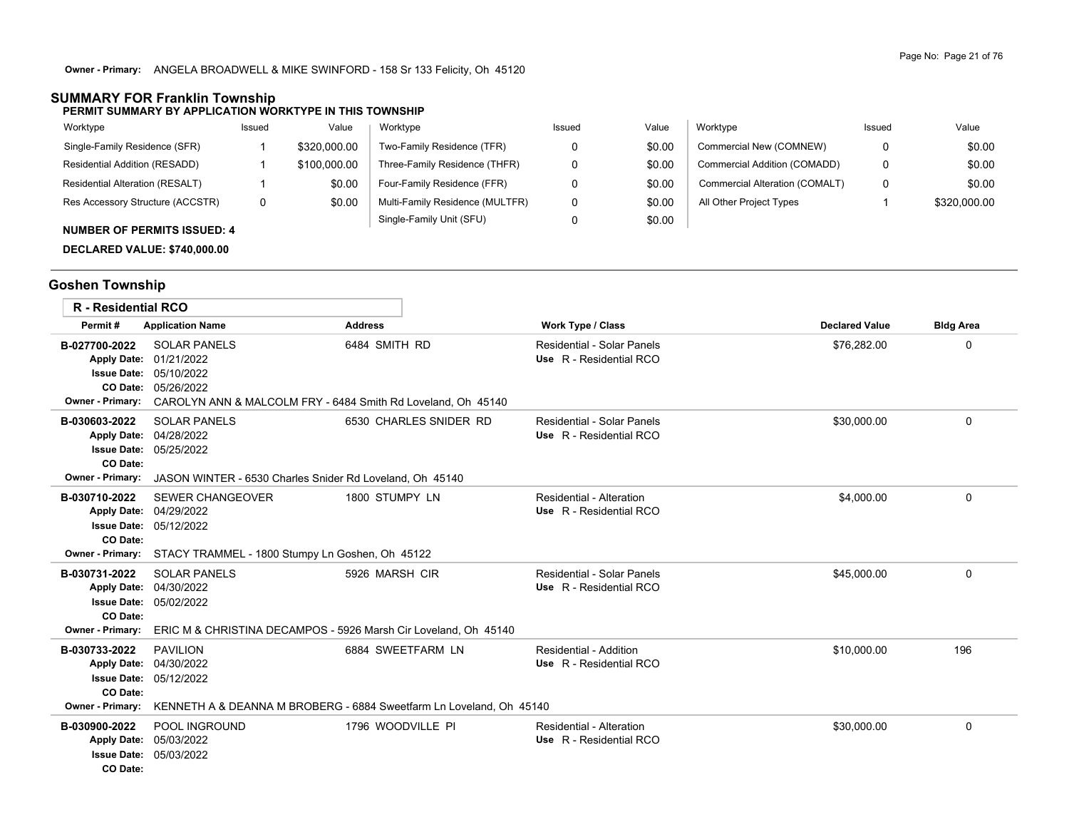### **SUMMARY FOR Franklin Township**

**PERMIT SUMMARY BY APPLICATION WORKTYPE IN THIS TOWNSHIP**

| Worktype                         | Issued | Value        | Worktype                        | Issued | Value  | Worktype                       | Issued | Value        |
|----------------------------------|--------|--------------|---------------------------------|--------|--------|--------------------------------|--------|--------------|
| Single-Family Residence (SFR)    |        | \$320,000.00 | Two-Family Residence (TFR)      |        | \$0.00 | Commercial New (COMNEW)        |        | \$0.00       |
| Residential Addition (RESADD)    |        | \$100,000.00 | Three-Family Residence (THFR)   |        | \$0.00 | Commercial Addition (COMADD)   |        | \$0.00       |
| Residential Alteration (RESALT)  |        | \$0.00       | Four-Family Residence (FFR)     |        | \$0.00 | Commercial Alteration (COMALT) |        | \$0.00       |
| Res Accessory Structure (ACCSTR) | 0      | \$0.00       | Multi-Family Residence (MULTFR) |        | \$0.00 | All Other Project Types        |        | \$320,000.00 |
|                                  |        |              | Single-Family Unit (SFU)        |        | \$0.00 |                                |        |              |

#### **NUMBER OF PERMITS ISSUED: 4**

**DECLARED VALUE: \$740,000.00**

## **Goshen Township**

| <b>R</b> - Residential RCO                                                 |                                                                                                                                                                       |                                                                                          |                                                              |                       |                  |
|----------------------------------------------------------------------------|-----------------------------------------------------------------------------------------------------------------------------------------------------------------------|------------------------------------------------------------------------------------------|--------------------------------------------------------------|-----------------------|------------------|
| Permit#                                                                    | <b>Application Name</b>                                                                                                                                               | <b>Address</b>                                                                           | <b>Work Type / Class</b>                                     | <b>Declared Value</b> | <b>Bldg Area</b> |
| B-027700-2022<br><b>Owner - Primary:</b>                                   | <b>SOLAR PANELS</b><br>Apply Date: 01/21/2022<br><b>Issue Date: 05/10/2022</b><br>CO Date: 05/26/2022<br>CAROLYN ANN & MALCOLM FRY - 6484 Smith Rd Loveland, Oh 45140 | 6484 SMITH RD                                                                            | Residential - Solar Panels<br>Use R - Residential RCO        | \$76,282.00           | 0                |
| B-030603-2022<br>CO Date:<br><b>Owner - Primary:</b>                       | <b>SOLAR PANELS</b><br>Apply Date: 04/28/2022<br><b>Issue Date: 05/25/2022</b><br>JASON WINTER - 6530 Charles Snider Rd Loveland, Oh 45140                            | 6530 CHARLES SNIDER RD                                                                   | Residential - Solar Panels<br>Use R - Residential RCO        | \$30,000.00           | 0                |
| B-030710-2022<br>CO Date:<br><b>Owner - Primary:</b>                       | <b>SEWER CHANGEOVER</b><br>Apply Date: 04/29/2022<br><b>Issue Date: 05/12/2022</b><br>STACY TRAMMEL - 1800 Stumpy Ln Goshen, Oh 45122                                 | 1800 STUMPY LN                                                                           | Residential - Alteration<br>Use R - Residential RCO          | \$4,000.00            | 0                |
| B-030731-2022<br><b>Apply Date:</b><br>CO Date:<br><b>Owner - Primary:</b> | <b>SOLAR PANELS</b><br>04/30/2022<br><b>Issue Date: 05/02/2022</b><br>ERIC M & CHRISTINA DECAMPOS - 5926 Marsh Cir Loveland, Oh 45140                                 | 5926 MARSH CIR                                                                           | <b>Residential - Solar Panels</b><br>Use R - Residential RCO | \$45,000.00           | 0                |
| B-030733-2022<br><b>Apply Date:</b><br>CO Date:<br>Owner - Primary:        | <b>PAVILION</b><br>04/30/2022<br><b>Issue Date: 05/12/2022</b>                                                                                                        | 6884 SWEETFARM LN<br>KENNETH A & DEANNA M BROBERG - 6884 Sweetfarm Ln Loveland, Oh 45140 | Residential - Addition<br>Use R - Residential RCO            | \$10,000.00           | 196              |
| B-030900-2022<br><b>Apply Date:</b><br><b>Issue Date:</b><br>CO Date:      | POOL INGROUND<br>05/03/2022<br>05/03/2022                                                                                                                             | 1796 WOODVILLE PI                                                                        | Residential - Alteration<br>Use R - Residential RCO          | \$30,000.00           | 0                |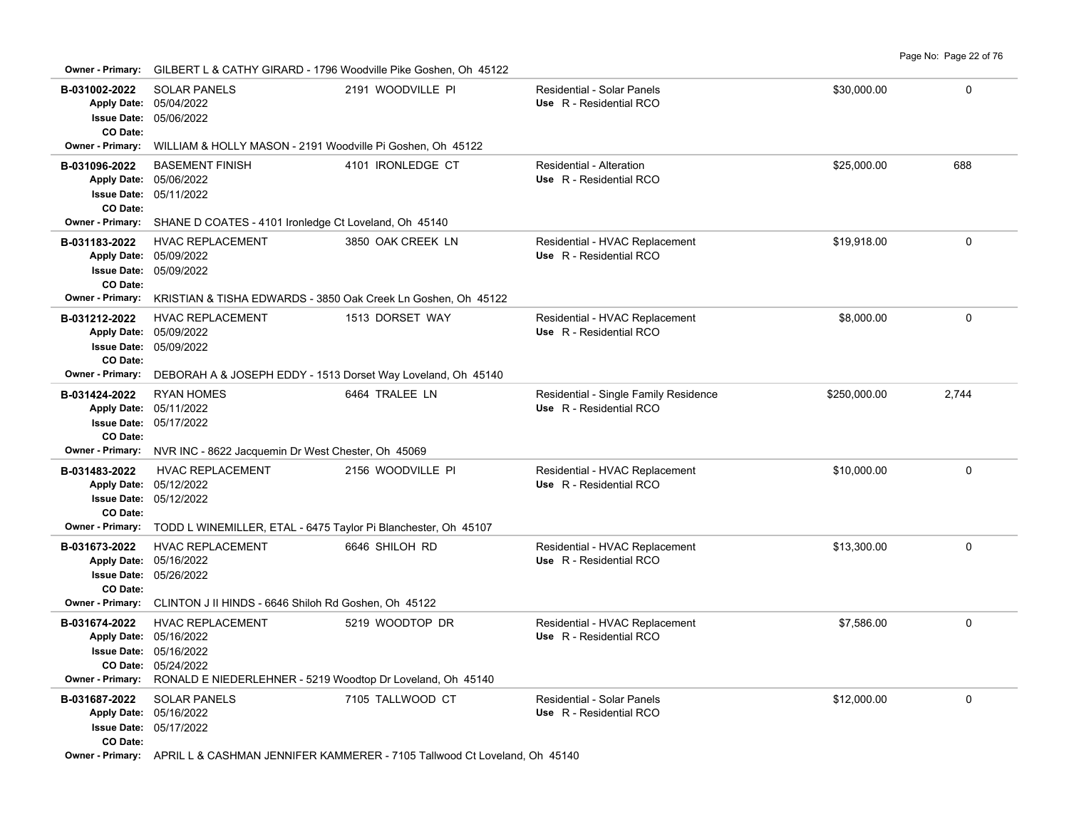**Owner - Primary:** GILBERT L & CATHY GIRARD - 1796 Woodville Pike Goshen, Oh 45122

| B-031002-2022<br><b>CO Date:</b>         | <b>SOLAR PANELS</b><br>Apply Date: 05/04/2022<br>Issue Date: 05/06/2022                                                                                          | 2191 WOODVILLE PI                                                                          | Residential - Solar Panels<br>Use R - Residential RCO            | \$30,000.00  | $\mathbf 0$ |
|------------------------------------------|------------------------------------------------------------------------------------------------------------------------------------------------------------------|--------------------------------------------------------------------------------------------|------------------------------------------------------------------|--------------|-------------|
| <b>Owner - Primary:</b>                  | WILLIAM & HOLLY MASON - 2191 Woodville Pi Goshen, Oh 45122                                                                                                       |                                                                                            |                                                                  |              |             |
| B-031096-2022<br>CO Date:                | <b>BASEMENT FINISH</b><br>Apply Date: 05/06/2022<br>Issue Date: 05/11/2022                                                                                       | 4101 IRONLEDGE CT                                                                          | Residential - Alteration<br>Use R - Residential RCO              | \$25,000.00  | 688         |
| Owner - Primary:                         | SHANE D COATES - 4101 Ironledge Ct Loveland, Oh 45140                                                                                                            |                                                                                            |                                                                  |              |             |
| B-031183-2022<br>CO Date:                | <b>HVAC REPLACEMENT</b><br>Apply Date: 05/09/2022<br>Issue Date: 05/09/2022                                                                                      | 3850 OAK CREEK LN                                                                          | Residential - HVAC Replacement<br>Use R - Residential RCO        | \$19,918.00  | $\mathbf 0$ |
| <b>Owner - Primary:</b>                  | KRISTIAN & TISHA EDWARDS - 3850 Oak Creek Ln Goshen, Oh 45122                                                                                                    |                                                                                            |                                                                  |              |             |
| B-031212-2022<br>CO Date:                | <b>HVAC REPLACEMENT</b><br>Apply Date: 05/09/2022<br><b>Issue Date: 05/09/2022</b>                                                                               | 1513 DORSET WAY                                                                            | Residential - HVAC Replacement<br>Use R - Residential RCO        | \$8,000.00   | $\Omega$    |
| <b>Owner - Primary:</b>                  | DEBORAH A & JOSEPH EDDY - 1513 Dorset Way Loveland, Oh 45140                                                                                                     |                                                                                            |                                                                  |              |             |
| B-031424-2022<br>CO Date:                | <b>RYAN HOMES</b><br>Apply Date: 05/11/2022<br>Issue Date: 05/17/2022                                                                                            | 6464 TRALEE LN                                                                             | Residential - Single Family Residence<br>Use R - Residential RCO | \$250,000.00 | 2,744       |
| Owner - Primary:                         | NVR INC - 8622 Jacquemin Dr West Chester, Oh 45069                                                                                                               |                                                                                            |                                                                  |              |             |
| B-031483-2022<br>CO Date:                | <b>HVAC REPLACEMENT</b><br>Apply Date: 05/12/2022<br>Issue Date: 05/12/2022                                                                                      | 2156 WOODVILLE PI                                                                          | Residential - HVAC Replacement<br>Use R - Residential RCO        | \$10,000.00  | $\mathbf 0$ |
| Owner - Primary:                         | TODD L WINEMILLER, ETAL - 6475 Taylor Pi Blanchester, Oh 45107                                                                                                   |                                                                                            |                                                                  |              |             |
| B-031673-2022<br>CO Date:                | <b>HVAC REPLACEMENT</b><br>Apply Date: 05/16/2022<br><b>Issue Date: 05/26/2022</b>                                                                               | 6646 SHILOH RD                                                                             | Residential - HVAC Replacement<br>Use R - Residential RCO        | \$13,300.00  | 0           |
| <b>Owner - Primary:</b>                  | CLINTON J II HINDS - 6646 Shiloh Rd Goshen, Oh 45122                                                                                                             |                                                                                            |                                                                  |              |             |
| B-031674-2022<br><b>Owner - Primary:</b> | <b>HVAC REPLACEMENT</b><br>Apply Date: 05/16/2022<br>Issue Date: 05/16/2022<br>CO Date: 05/24/2022<br>RONALD E NIEDERLEHNER - 5219 Woodtop Dr Loveland, Oh 45140 | 5219 WOODTOP DR                                                                            | Residential - HVAC Replacement<br>Use R - Residential RCO        | \$7,586.00   | $\mathbf 0$ |
| B-031687-2022<br>CO Date:                | <b>SOLAR PANELS</b><br>Apply Date: 05/16/2022<br><b>Issue Date: 05/17/2022</b>                                                                                   | 7105 TALLWOOD CT                                                                           | Residential - Solar Panels<br>Use R - Residential RCO            | \$12,000.00  | $\mathbf 0$ |
|                                          |                                                                                                                                                                  | Owner - Primary: APRIL L & CASHMAN JENNIFER KAMMERER - 7105 Tallwood Ct Loveland, Oh 45140 |                                                                  |              |             |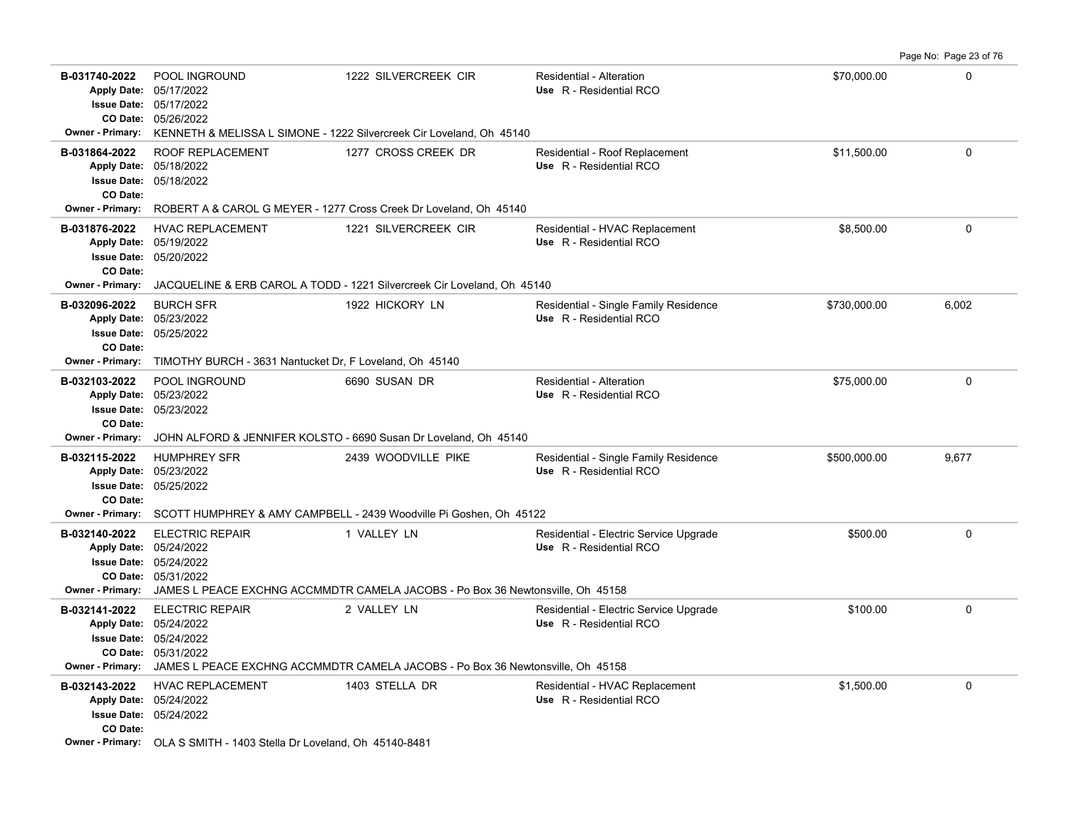Page No: Page 23 of 76

| B-031740-2022                       | POOL INGROUND<br>Apply Date: 05/17/2022<br><b>Issue Date: 05/17/2022</b><br>CO Date: 05/26/2022 | 1222 SILVERCREEK CIR                                                           | Residential - Alteration<br>Use R - Residential RCO               | \$70,000.00  | 0     |
|-------------------------------------|-------------------------------------------------------------------------------------------------|--------------------------------------------------------------------------------|-------------------------------------------------------------------|--------------|-------|
| <b>Owner - Primary:</b>             |                                                                                                 | KENNETH & MELISSA L SIMONE - 1222 Silvercreek Cir Loveland, Oh 45140           |                                                                   |              |       |
| B-031864-2022<br>CO Date:           | ROOF REPLACEMENT<br>Apply Date: 05/18/2022<br><b>Issue Date: 05/18/2022</b>                     | 1277 CROSS CREEK DR                                                            | Residential - Roof Replacement<br>Use R - Residential RCO         | \$11,500.00  | 0     |
| Owner - Primary:                    |                                                                                                 | ROBERT A & CAROL G MEYER - 1277 Cross Creek Dr Loveland, Oh 45140              |                                                                   |              |       |
|                                     |                                                                                                 |                                                                                |                                                                   |              |       |
| B-031876-2022                       | <b>HVAC REPLACEMENT</b><br>Apply Date: 05/19/2022<br><b>Issue Date: 05/20/2022</b>              | 1221 SILVERCREEK CIR                                                           | Residential - HVAC Replacement<br>Use R - Residential RCO         | \$8,500.00   | 0     |
| CO Date:                            |                                                                                                 |                                                                                |                                                                   |              |       |
| <b>Owner - Primary:</b>             |                                                                                                 | JACQUELINE & ERB CAROL A TODD - 1221 Silvercreek Cir Loveland, Oh 45140        |                                                                   |              |       |
| B-032096-2022<br>CO Date:           | <b>BURCH SFR</b><br>Apply Date: 05/23/2022<br>Issue Date: 05/25/2022                            | 1922 HICKORY LN                                                                | Residential - Single Family Residence<br>Use R - Residential RCO  | \$730,000.00 | 6,002 |
| Owner - Primary:                    | TIMOTHY BURCH - 3631 Nantucket Dr, F Loveland, Oh 45140                                         |                                                                                |                                                                   |              |       |
| B-032103-2022                       | POOL INGROUND<br>Apply Date: 05/23/2022                                                         | 6690 SUSAN DR                                                                  | Residential - Alteration<br>Use R - Residential RCO               | \$75,000.00  | 0     |
| CO Date:<br><b>Owner - Primary:</b> | <b>Issue Date: 05/23/2022</b>                                                                   | JOHN ALFORD & JENNIFER KOLSTO - 6690 Susan Dr Loveland, Oh 45140               |                                                                   |              |       |
|                                     |                                                                                                 |                                                                                |                                                                   |              |       |
| B-032115-2022                       | <b>HUMPHREY SFR</b>                                                                             | 2439 WOODVILLE PIKE                                                            | Residential - Single Family Residence                             | \$500,000.00 | 9,677 |
|                                     | Apply Date: 05/23/2022<br>Issue Date: 05/25/2022                                                |                                                                                | Use R - Residential RCO                                           |              |       |
| CO Date:                            |                                                                                                 |                                                                                |                                                                   |              |       |
|                                     | Owner - Primary: SCOTT HUMPHREY & AMY CAMPBELL - 2439 Woodville Pi Goshen, Oh 45122             |                                                                                |                                                                   |              |       |
|                                     |                                                                                                 |                                                                                |                                                                   |              |       |
| B-032140-2022                       | <b>ELECTRIC REPAIR</b><br>Apply Date: 05/24/2022                                                | 1 VALLEY LN                                                                    | Residential - Electric Service Upgrade<br>Use R - Residential RCO | \$500.00     | 0     |
|                                     | <b>Issue Date: 05/24/2022</b>                                                                   |                                                                                |                                                                   |              |       |
|                                     | CO Date: 05/31/2022                                                                             |                                                                                |                                                                   |              |       |
|                                     | Owner - Primary: JAMES L PEACE EXCHNG ACCMMDTR CAMELA JACOBS - Po Box 36 Newtonsville, Oh 45158 |                                                                                |                                                                   |              |       |
|                                     |                                                                                                 |                                                                                |                                                                   |              | 0     |
| B-032141-2022                       | <b>ELECTRIC REPAIR</b><br>Apply Date: 05/24/2022                                                | 2 VALLEY LN                                                                    | Residential - Electric Service Upgrade<br>Use R - Residential RCO | \$100.00     |       |
|                                     | <b>Issue Date: 05/24/2022</b>                                                                   |                                                                                |                                                                   |              |       |
|                                     | CO Date: 05/31/2022                                                                             |                                                                                |                                                                   |              |       |
| Owner - Primary:                    |                                                                                                 | JAMES L PEACE EXCHNG ACCMMDTR CAMELA JACOBS - Po Box 36 Newtonsville, Oh 45158 |                                                                   |              |       |
| B-032143-2022                       | <b>HVAC REPLACEMENT</b>                                                                         | 1403 STELLA DR                                                                 | Residential - HVAC Replacement                                    | \$1,500.00   | 0     |
|                                     | Apply Date: 05/24/2022                                                                          |                                                                                | Use R - Residential RCO                                           |              |       |
|                                     | <b>Issue Date: 05/24/2022</b>                                                                   |                                                                                |                                                                   |              |       |
| CO Date:                            |                                                                                                 |                                                                                |                                                                   |              |       |
|                                     | Owner - Primary: OLA S SMITH - 1403 Stella Dr Loveland, Oh 45140-8481                           |                                                                                |                                                                   |              |       |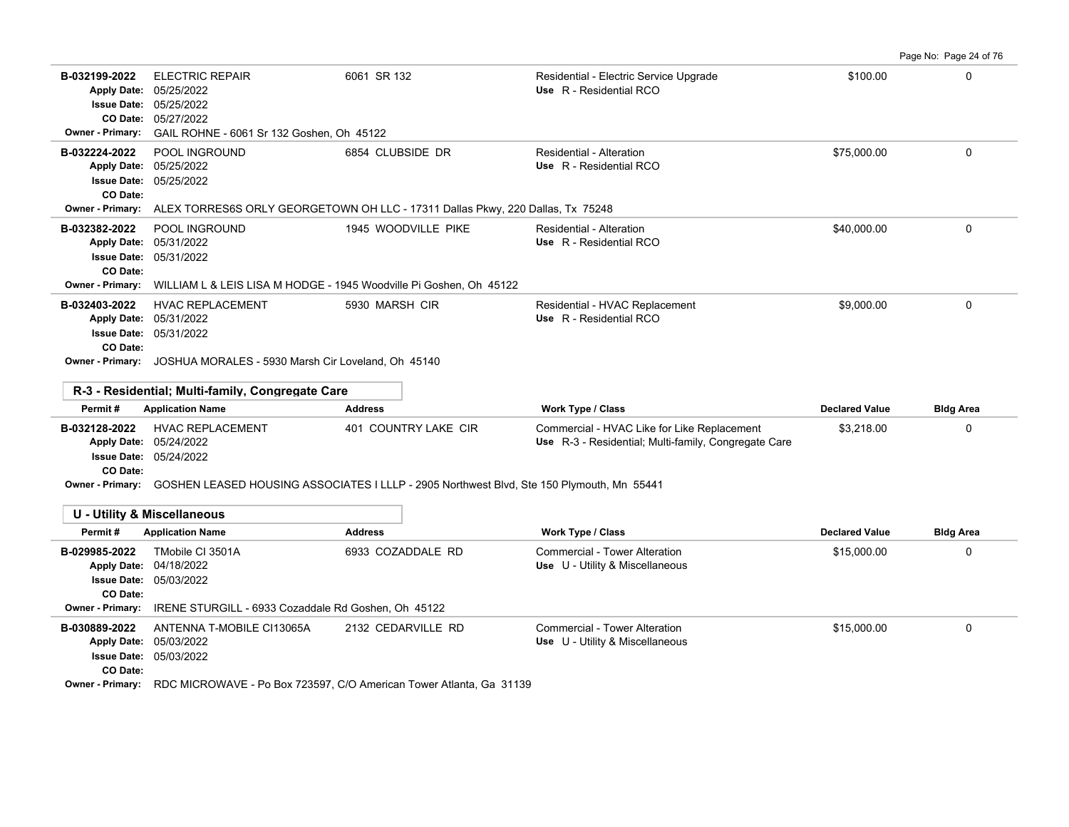|                                                                                          |                                                                                                       |                                                                                                                                    |                                                                                                     |                       | Page No: Page 24 of 76 |
|------------------------------------------------------------------------------------------|-------------------------------------------------------------------------------------------------------|------------------------------------------------------------------------------------------------------------------------------------|-----------------------------------------------------------------------------------------------------|-----------------------|------------------------|
| B-032199-2022<br>Apply Date: 05/25/2022<br>Issue Date: 05/25/2022<br>CO Date: 05/27/2022 | <b>ELECTRIC REPAIR</b><br>Owner - Primary: GAIL ROHNE - 6061 Sr 132 Goshen, Oh 45122                  | 6061 SR 132                                                                                                                        | Residential - Electric Service Upgrade<br>Use R - Residential RCO                                   | \$100.00              | 0                      |
| B-032224-2022<br>Apply Date: 05/25/2022<br><b>Issue Date: 05/25/2022</b><br>CO Date:     | POOL INGROUND                                                                                         | 6854 CLUBSIDE DR                                                                                                                   | Residential - Alteration<br>Use R - Residential RCO                                                 | \$75,000.00           | 0                      |
|                                                                                          |                                                                                                       | Owner - Primary: ALEX TORRES6S ORLY GEORGETOWN OH LLC - 17311 Dallas Pkwy, 220 Dallas, Tx 75248                                    |                                                                                                     |                       |                        |
| B-032382-2022<br>Apply Date: 05/31/2022<br>Issue Date: 05/31/2022<br>CO Date:            | POOL INGROUND                                                                                         | 1945 WOODVILLE PIKE                                                                                                                | Residential - Alteration<br>Use R - Residential RCO                                                 | \$40,000.00           | 0                      |
|                                                                                          |                                                                                                       | Owner - Primary: WILLIAM L & LEIS LISA M HODGE - 1945 Woodville Pi Goshen, Oh 45122                                                |                                                                                                     |                       |                        |
| B-032403-2022<br>Apply Date: 05/31/2022<br><b>Issue Date: 05/31/2022</b><br>CO Date:     | <b>HVAC REPLACEMENT</b><br><b>Owner - Primary:</b> JOSHUA MORALES - 5930 Marsh Cir Loveland, Oh 45140 | 5930 MARSH CIR                                                                                                                     | Residential - HVAC Replacement<br>Use R - Residential RCO                                           | \$9,000.00            | 0                      |
|                                                                                          | R-3 - Residential; Multi-family, Congregate Care                                                      |                                                                                                                                    |                                                                                                     |                       |                        |
| Permit#                                                                                  | <b>Application Name</b>                                                                               | <b>Address</b>                                                                                                                     | Work Type / Class                                                                                   | <b>Declared Value</b> | <b>Bldg Area</b>       |
| B-032128-2022<br>Apply Date: 05/24/2022<br>Issue Date: 05/24/2022<br>CO Date:            | <b>HVAC REPLACEMENT</b>                                                                               | 401 COUNTRY LAKE CIR<br>Owner - Primary: GOSHEN LEASED HOUSING ASSOCIATES I LLLP - 2905 Northwest Blvd, Ste 150 Plymouth, Mn 55441 | Commercial - HVAC Like for Like Replacement<br>Use R-3 - Residential; Multi-family, Congregate Care | \$3,218.00            | $\Omega$               |
| <b>U - Utility &amp; Miscellaneous</b>                                                   |                                                                                                       |                                                                                                                                    |                                                                                                     |                       |                        |
| Permit#                                                                                  | <b>Application Name</b>                                                                               | <b>Address</b>                                                                                                                     | Work Type / Class                                                                                   | <b>Declared Value</b> | <b>Bldg Area</b>       |
| B-029985-2022<br>Apply Date: 04/18/2022<br><b>Issue Date: 05/03/2022</b><br>CO Date:     | TMobile CI 3501A                                                                                      | 6933 COZADDALE RD                                                                                                                  | Commercial - Tower Alteration<br>Use U - Utility & Miscellaneous                                    | \$15,000.00           | 0                      |
|                                                                                          | Owner - Primary: IRENE STURGILL - 6933 Cozaddale Rd Goshen, Oh 45122                                  |                                                                                                                                    |                                                                                                     |                       |                        |
| B-030889-2022<br>Apply Date: 05/03/2022<br><b>Issue Date: 05/03/2022</b><br>CO Date:     | ANTENNA T-MOBILE CI13065A                                                                             | 2132 CEDARVILLE RD                                                                                                                 | Commercial - Tower Alteration<br>Use U - Utility & Miscellaneous                                    | \$15,000.00           | 0                      |
|                                                                                          |                                                                                                       | Owner Primary: PDC MICROMAVE, Bo Roy 702507 CIO American Tower Atlanta Co. 21120                                                   |                                                                                                     |                       |                        |

**Owner - Primary:** RDC MICROWAVE - Po Box 723597, C/O American Tower Atlanta, Ga 31139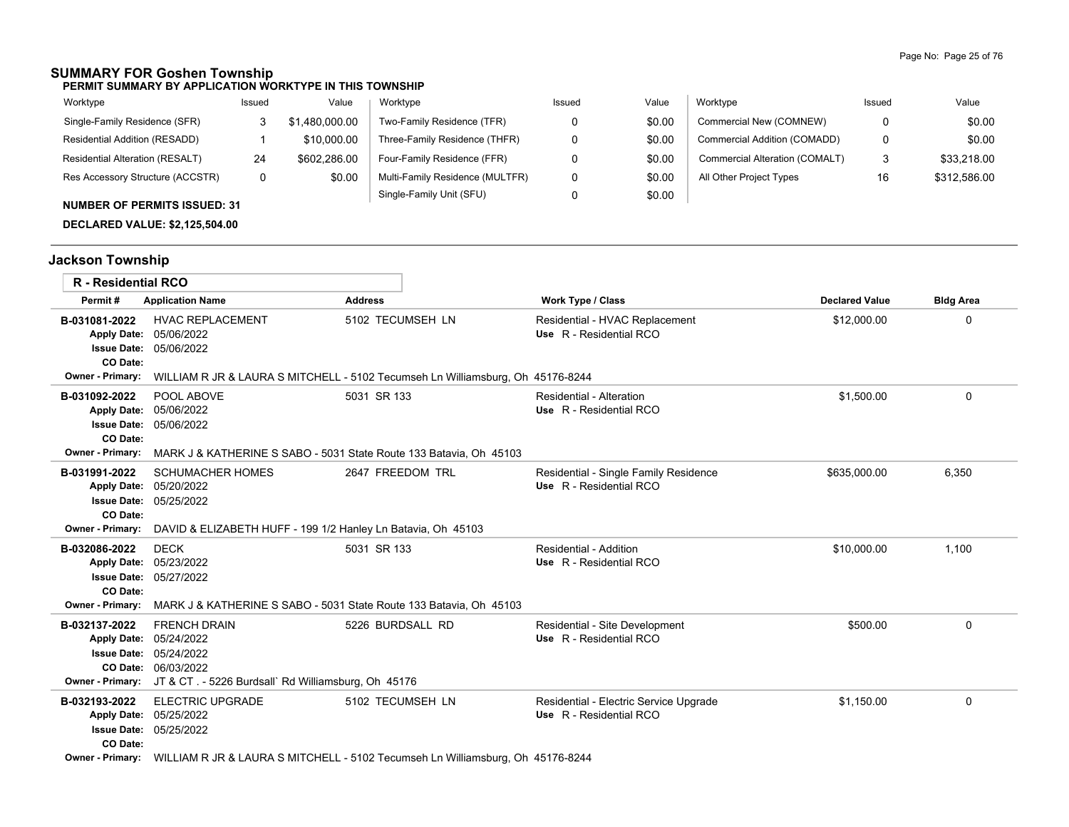## **SUMMARY FOR Goshen Township**

**PERMIT SUMMARY BY APPLICATION WORKTYPE IN THIS TOWNSHIP**

| Worktype                            | Issued | Value          | Worktype                        | Issued | Value  | Worktype                       | Issued | Value        |
|-------------------------------------|--------|----------------|---------------------------------|--------|--------|--------------------------------|--------|--------------|
| Single-Family Residence (SFR)       |        | \$1.480.000.00 | Two-Family Residence (TFR)      |        | \$0.00 | Commercial New (COMNEW)        | 0      | \$0.00       |
| Residential Addition (RESADD)       |        | \$10,000.00    | Three-Family Residence (THFR)   |        | \$0.00 | Commercial Addition (COMADD)   | 0      | \$0.00       |
| Residential Alteration (RESALT)     | 24     | \$602,286.00   | Four-Family Residence (FFR)     |        | \$0.00 | Commercial Alteration (COMALT) | 3      | \$33,218.00  |
| Res Accessory Structure (ACCSTR)    | 0      | \$0.00         | Multi-Family Residence (MULTFR) |        | \$0.00 | All Other Project Types        | 16     | \$312,586.00 |
| <b>NUMBER OF PERMITS ISSUED: 31</b> |        |                | Single-Family Unit (SFU)        |        | \$0.00 |                                |        |              |

**DECLARED VALUE: \$2,125,504.00**

# **Jackson Township**

| <b>R</b> - Residential RCO                                          |                                                                                                                                                                                |                                                                                                    |                                                                   |                       |                  |
|---------------------------------------------------------------------|--------------------------------------------------------------------------------------------------------------------------------------------------------------------------------|----------------------------------------------------------------------------------------------------|-------------------------------------------------------------------|-----------------------|------------------|
| Permit#                                                             | <b>Application Name</b>                                                                                                                                                        | <b>Address</b>                                                                                     | <b>Work Type / Class</b>                                          | <b>Declared Value</b> | <b>Bldg Area</b> |
| B-031081-2022<br><b>Apply Date:</b><br>CO Date:<br>Owner - Primary: | <b>HVAC REPLACEMENT</b><br>05/06/2022<br><b>Issue Date: 05/06/2022</b>                                                                                                         | 5102 TECUMSEH LN<br>WILLIAM R JR & LAURA S MITCHELL - 5102 Tecumseh Ln Williamsburg, Oh 45176-8244 | Residential - HVAC Replacement<br>Use R - Residential RCO         | \$12,000.00           | 0                |
| B-031092-2022<br>CO Date:<br><b>Owner - Primary:</b>                | POOL ABOVE<br>Apply Date: 05/06/2022<br><b>Issue Date: 05/06/2022</b><br>MARK J & KATHERINE S SABO - 5031 State Route 133 Batavia, Oh 45103                                    | 5031 SR 133                                                                                        | Residential - Alteration<br>Use R - Residential RCO               | \$1.500.00            | 0                |
| B-031991-2022<br>CO Date:<br>Owner - Primary:                       | <b>SCHUMACHER HOMES</b><br>Apply Date: 05/20/2022<br><b>Issue Date: 05/25/2022</b><br>DAVID & ELIZABETH HUFF - 199 1/2 Hanley Ln Batavia, Oh 45103                             | 2647 FREEDOM TRL                                                                                   | Residential - Single Family Residence<br>Use R - Residential RCO  | \$635,000.00          | 6,350            |
| B-032086-2022<br>CO Date:<br><b>Owner - Primary:</b>                | <b>DECK</b><br>Apply Date: 05/23/2022<br><b>Issue Date: 05/27/2022</b><br>MARK J & KATHERINE S SABO - 5031 State Route 133 Batavia, Oh 45103                                   | 5031 SR 133                                                                                        | Residential - Addition<br>Use R - Residential RCO                 | \$10,000.00           | 1,100            |
| B-032137-2022<br><b>Owner - Primary:</b>                            | <b>FRENCH DRAIN</b><br>Apply Date: 05/24/2022<br><b>Issue Date: 05/24/2022</b><br>CO Date: 06/03/2022<br>JT & CT. - 5226 Burdsall` Rd Williamsburg, Oh 45176                   | 5226 BURDSALL RD                                                                                   | Residential - Site Development<br>Use R - Residential RCO         | \$500.00              | 0                |
| B-032193-2022<br>CO Date:                                           | ELECTRIC UPGRADE<br>Apply Date: 05/25/2022<br><b>Issue Date: 05/25/2022</b><br>Owner - Primary: WILLIAM R JR & LAURA S MITCHELL - 5102 Tecumseh Ln Williamsburg, Oh 45176-8244 | 5102 TECUMSEH LN                                                                                   | Residential - Electric Service Upgrade<br>Use R - Residential RCO | \$1,150.00            | 0                |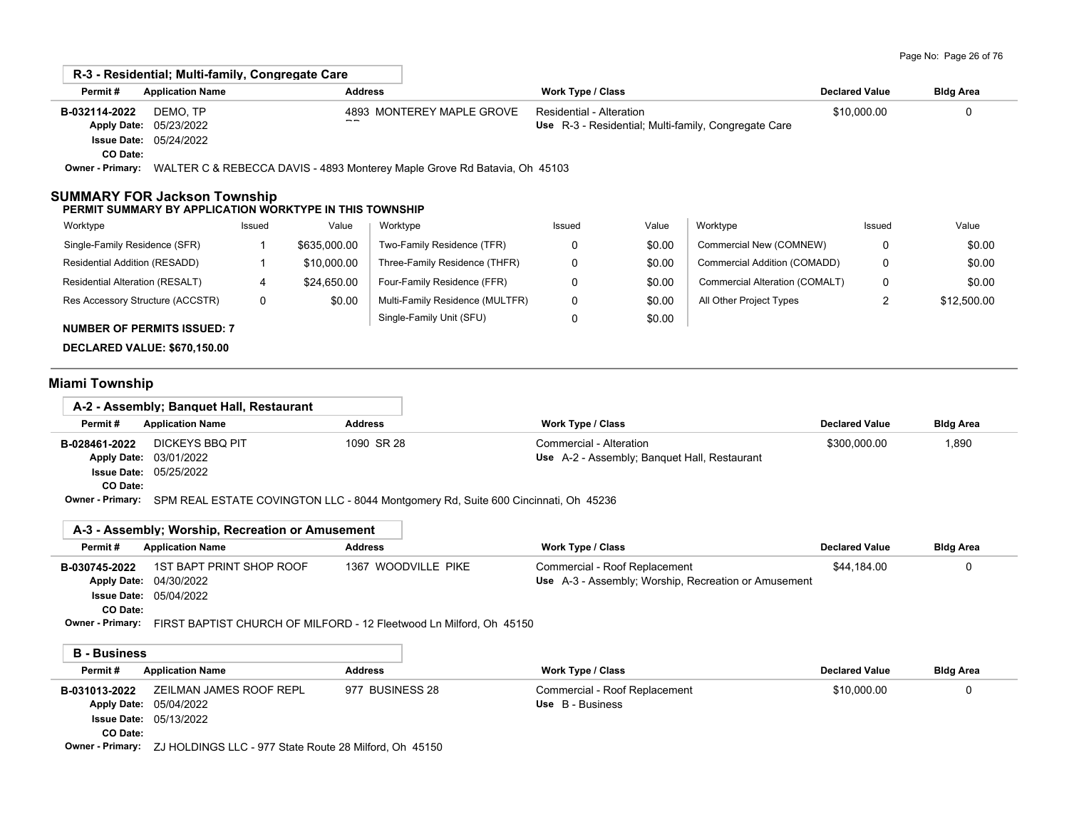|                                                 | R-3 - Residential: Multi-family, Congregate Care        |        |                |                                                                           |                          |        |                                                      |                       |                  |
|-------------------------------------------------|---------------------------------------------------------|--------|----------------|---------------------------------------------------------------------------|--------------------------|--------|------------------------------------------------------|-----------------------|------------------|
| Permit#                                         | <b>Application Name</b>                                 |        | <b>Address</b> |                                                                           | <b>Work Type / Class</b> |        |                                                      | <b>Declared Value</b> | <b>Bldg Area</b> |
| B-032114-2022                                   | DEMO. TP                                                |        |                | 4893 MONTEREY MAPLE GROVE                                                 | Residential - Alteration |        |                                                      | \$10,000.00           |                  |
| <b>Apply Date:</b>                              | 05/23/2022                                              |        | --             |                                                                           |                          |        | Use R-3 - Residential; Multi-family, Congregate Care |                       |                  |
| <b>Issue Date:</b>                              | 05/24/2022                                              |        |                |                                                                           |                          |        |                                                      |                       |                  |
| CO Date:                                        |                                                         |        |                |                                                                           |                          |        |                                                      |                       |                  |
| <b>Owner - Primary:</b>                         |                                                         |        |                | WALTER C & REBECCA DAVIS - 4893 Monterey Maple Grove Rd Batavia, Oh 45103 |                          |        |                                                      |                       |                  |
| <b>SUMMARY FOR Jackson Township</b><br>Worktype | PERMIT SUMMARY BY APPLICATION WORKTYPE IN THIS TOWNSHIP | Issued | Value          | Worktype                                                                  | Issued                   | Value  | Worktype                                             | Issued                | Value            |
| Single-Family Residence (SFR)                   |                                                         |        | \$635,000.00   | Two-Family Residence (TFR)                                                | 0                        | \$0.00 | Commercial New (COMNEW)                              | 0                     | \$0.00           |
| Residential Addition (RESADD)                   |                                                         |        | \$10,000.00    | Three-Family Residence (THFR)                                             | 0                        | \$0.00 | Commercial Addition (COMADD)                         | 0                     | \$0.00           |
| Residential Alteration (RESALT)                 |                                                         | 4      | \$24,650.00    | Four-Family Residence (FFR)                                               | $\Omega$                 | \$0.00 | Commercial Alteration (COMALT)                       | 0                     | \$0.00           |
| Res Accessory Structure (ACCSTR)                |                                                         | 0      | \$0.00         | Multi-Family Residence (MULTFR)                                           | 0                        | \$0.00 | All Other Project Types                              |                       | \$12,500.00      |
|                                                 | <b>NUMBER OF PERMITS ISSUED: 7</b>                      |        |                | Single-Family Unit (SFU)                                                  | 0                        | \$0.00 |                                                      |                       |                  |

**DECLARED VALUE: \$670,150.00**

# **Miami Township**

|                         | A-2 - Assembly: Banguet Hall, Restaurant |                                                                                    |                                              |                       |                  |
|-------------------------|------------------------------------------|------------------------------------------------------------------------------------|----------------------------------------------|-----------------------|------------------|
| Permit#                 | <b>Application Name</b>                  | <b>Address</b>                                                                     | <b>Work Type / Class</b>                     | <b>Declared Value</b> | <b>Bldg Area</b> |
| B-028461-2022           | DICKEYS BBO PIT                          | 1090 SR 28                                                                         | Commercial - Alteration                      | \$300,000.00          | 1,890            |
|                         | <b>Apply Date: 03/01/2022</b>            |                                                                                    | Use A-2 - Assembly: Banquet Hall, Restaurant |                       |                  |
|                         | <b>Issue Date: 05/25/2022</b>            |                                                                                    |                                              |                       |                  |
| CO Date:                |                                          |                                                                                    |                                              |                       |                  |
| <b>Owner - Primary:</b> |                                          | SPM REAL ESTATE COVINGTON LLC - 8044 Montgomery Rd, Suite 600 Cincinnati, Oh 45236 |                                              |                       |                  |

|                           | A-3 - Assembly: Worship, Recreation or Amusement                                                                                                                                   |                        |                                                                                       |                       |                  |
|---------------------------|------------------------------------------------------------------------------------------------------------------------------------------------------------------------------------|------------------------|---------------------------------------------------------------------------------------|-----------------------|------------------|
| Permit#                   | <b>Application Name</b>                                                                                                                                                            | <b>Address</b>         | <b>Work Type / Class</b>                                                              | <b>Declared Value</b> | <b>Bldg Area</b> |
| B-030745-2022<br>CO Date: | 1ST BAPT PRINT SHOP ROOF<br><b>Apply Date: 04/30/2022</b><br><b>Issue Date: 05/04/2022</b><br>Owner - Primary: FIRST BAPTIST CHURCH OF MILFORD - 12 Fleetwood Ln Milford, Oh 45150 | WOODVILLE PIKE<br>1367 | Commercial - Roof Replacement<br>Use A-3 - Assembly; Worship, Recreation or Amusement | \$44.184.00           |                  |
|                           |                                                                                                                                                                                    |                        |                                                                                       |                       |                  |
| <b>B</b> - Business       |                                                                                                                                                                                    |                        |                                                                                       |                       |                  |
| Permit#                   | <b>Application Name</b>                                                                                                                                                            | <b>Address</b>         | <b>Work Type / Class</b>                                                              | <b>Declared Value</b> | <b>Bldg Area</b> |

05/13/2022 **Issue Date: CO Date:**

**Owner - Primary:** ZJ HOLDINGS LLC - 977 State Route 28 Milford, Oh 45150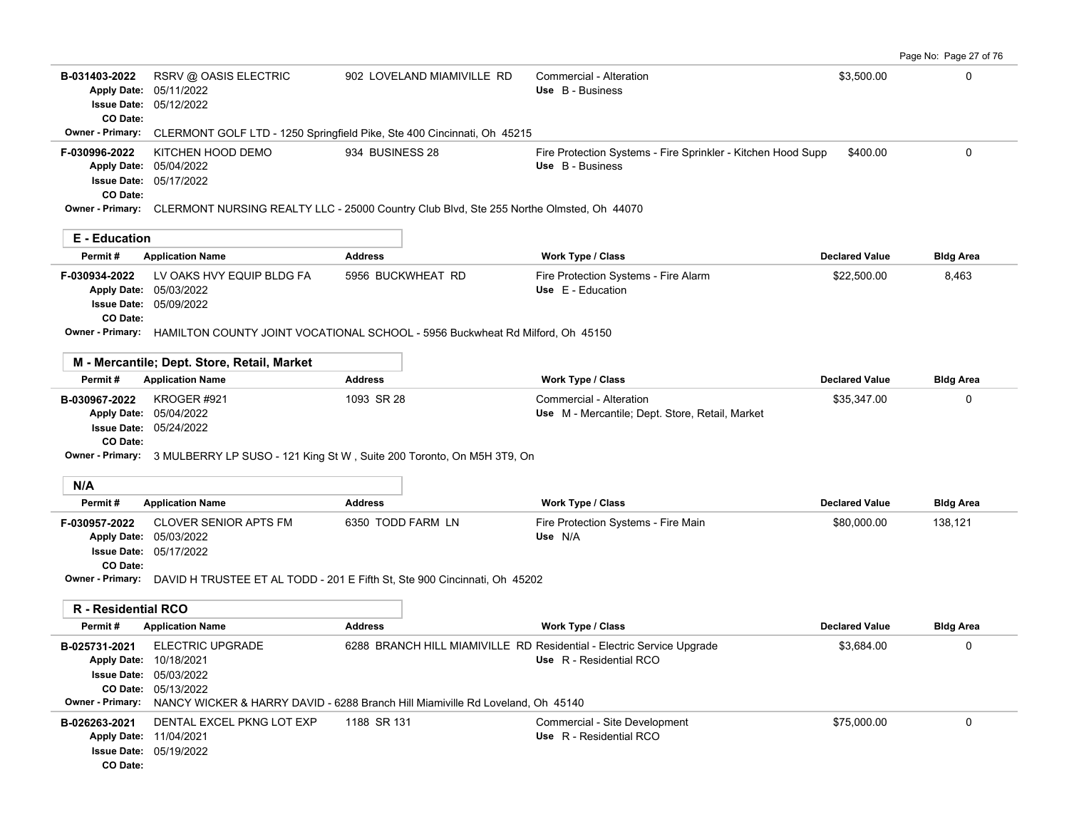| Page No: Page 27 of 76 |  |  |  |  |  |  |
|------------------------|--|--|--|--|--|--|
|------------------------|--|--|--|--|--|--|

| B-031403-2022<br><b>Apply Date:</b><br><b>Issue Date:</b><br>CO Date:                          | RSRV @ OASIS ELECTRIC<br>05/11/2022<br>05/12/2022                                                | 902 LOVELAND MIAMIVILLE RD                                                                                                  | Commercial - Alteration<br>Use B - Business                                                      | \$3,500.00            | 0                |  |  |  |  |
|------------------------------------------------------------------------------------------------|--------------------------------------------------------------------------------------------------|-----------------------------------------------------------------------------------------------------------------------------|--------------------------------------------------------------------------------------------------|-----------------------|------------------|--|--|--|--|
| <b>Owner - Primary:</b>                                                                        |                                                                                                  | CLERMONT GOLF LTD - 1250 Springfield Pike, Ste 400 Cincinnati, Oh 45215                                                     |                                                                                                  |                       |                  |  |  |  |  |
| F-030996-2022<br><b>Apply Date:</b><br><b>Issue Date:</b><br>CO Date:                          | KITCHEN HOOD DEMO<br>05/04/2022<br>05/17/2022                                                    | 934 BUSINESS 28<br>Owner - Primary: CLERMONT NURSING REALTY LLC - 25000 Country Club Blvd, Ste 255 Northe Olmsted, Oh 44070 | Fire Protection Systems - Fire Sprinkler - Kitchen Hood Supp<br>Use B - Business                 | \$400.00              | 0                |  |  |  |  |
|                                                                                                |                                                                                                  |                                                                                                                             |                                                                                                  |                       |                  |  |  |  |  |
| E - Education                                                                                  |                                                                                                  |                                                                                                                             |                                                                                                  |                       |                  |  |  |  |  |
| Permit#                                                                                        | <b>Application Name</b>                                                                          | <b>Address</b>                                                                                                              | Work Type / Class                                                                                | <b>Declared Value</b> | <b>Bldg Area</b> |  |  |  |  |
| F-030934-2022<br><b>Issue Date:</b><br>CO Date:                                                | LV OAKS HVY EQUIP BLDG FA<br>Apply Date: 05/03/2022<br>05/09/2022                                | 5956 BUCKWHEAT RD                                                                                                           | Fire Protection Systems - Fire Alarm<br>Use E - Education                                        | \$22,500.00           | 8,463            |  |  |  |  |
| Owner - Primary: HAMILTON COUNTY JOINT VOCATIONAL SCHOOL - 5956 Buckwheat Rd Milford, Oh 45150 |                                                                                                  |                                                                                                                             |                                                                                                  |                       |                  |  |  |  |  |
|                                                                                                | M - Mercantile; Dept. Store, Retail, Market                                                      |                                                                                                                             |                                                                                                  |                       |                  |  |  |  |  |
| Permit#                                                                                        | <b>Application Name</b>                                                                          | <b>Address</b>                                                                                                              | Work Type / Class                                                                                | <b>Declared Value</b> | <b>Bldg Area</b> |  |  |  |  |
| B-030967-2022<br><b>Apply Date:</b><br><b>Issue Date:</b><br>CO Date:                          | KROGER #921<br>05/04/2022<br>05/24/2022                                                          | 1093 SR 28<br>Owner - Primary: 3 MULBERRY LP SUSO - 121 King St W, Suite 200 Toronto, On M5H 3T9, On                        | Commercial - Alteration<br>Use M - Mercantile; Dept. Store, Retail, Market                       | \$35,347.00           | 0                |  |  |  |  |
| N/A                                                                                            |                                                                                                  |                                                                                                                             |                                                                                                  |                       |                  |  |  |  |  |
| Permit#                                                                                        | <b>Application Name</b>                                                                          | <b>Address</b>                                                                                                              | Work Type / Class                                                                                | <b>Declared Value</b> | <b>Bldg Area</b> |  |  |  |  |
| F-030957-2022<br><b>Issue Date:</b><br>CO Date:<br><b>Owner - Primary:</b>                     | <b>CLOVER SENIOR APTS FM</b><br>Apply Date: 05/03/2022<br>05/17/2022                             | 6350 TODD FARM LN<br>DAVID H TRUSTEE ET AL TODD - 201 E Fifth St, Ste 900 Cincinnati, Oh 45202                              | Fire Protection Systems - Fire Main<br>Use N/A                                                   | \$80,000.00           | 138,121          |  |  |  |  |
| R - Residential RCO                                                                            |                                                                                                  |                                                                                                                             |                                                                                                  |                       |                  |  |  |  |  |
| Permit#                                                                                        | <b>Application Name</b>                                                                          | <b>Address</b>                                                                                                              | Work Type / Class                                                                                | <b>Declared Value</b> | <b>Bldg Area</b> |  |  |  |  |
| B-025731-2021<br>CO Date:<br><b>Owner - Primary:</b>                                           | <b>ELECTRIC UPGRADE</b><br>Apply Date: 10/18/2021<br><b>Issue Date: 05/03/2022</b><br>05/13/2022 | NANCY WICKER & HARRY DAVID - 6288 Branch Hill Miamiville Rd Loveland, Oh 45140                                              | 6288 BRANCH HILL MIAMIVILLE RD Residential - Electric Service Upgrade<br>Use R - Residential RCO | \$3,684.00            | 0                |  |  |  |  |
| B-026263-2021<br>CO Date:                                                                      | DENTAL EXCEL PKNG LOT EXP<br>Apply Date: 11/04/2021<br><b>Issue Date: 05/19/2022</b>             | 1188 SR 131                                                                                                                 | Commercial - Site Development<br>Use R - Residential RCO                                         | \$75,000.00           | 0                |  |  |  |  |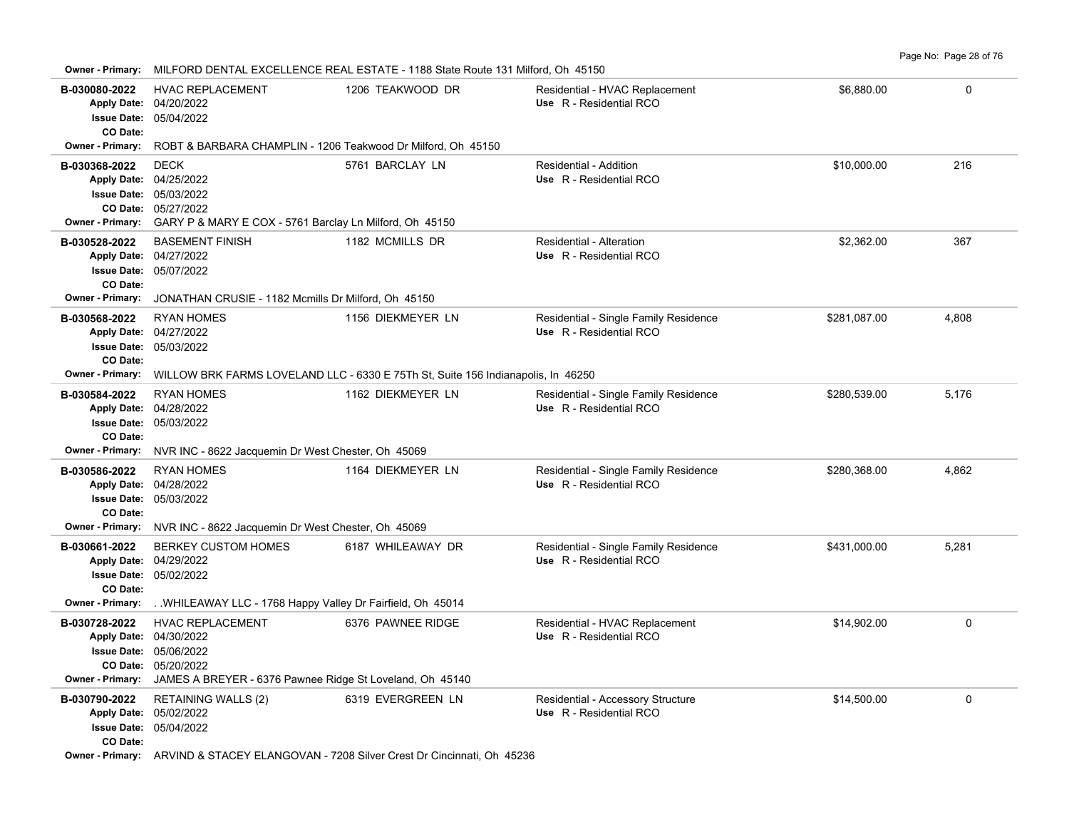| <b>Owner - Primary:</b>                              |                                                                                                                                                                       | MILFORD DENTAL EXCELLENCE REAL ESTATE - 1188 State Route 131 Milford, Oh 45150                        |                                                                  |              |             |  |  |  |
|------------------------------------------------------|-----------------------------------------------------------------------------------------------------------------------------------------------------------------------|-------------------------------------------------------------------------------------------------------|------------------------------------------------------------------|--------------|-------------|--|--|--|
| B-030080-2022<br>CO Date:                            | <b>HVAC REPLACEMENT</b><br>Apply Date: 04/20/2022<br><b>Issue Date: 05/04/2022</b>                                                                                    | 1206 TEAKWOOD DR                                                                                      | Residential - HVAC Replacement<br>Use R - Residential RCO        | \$6,880.00   | 0           |  |  |  |
| Owner - Primary:                                     |                                                                                                                                                                       | ROBT & BARBARA CHAMPLIN - 1206 Teakwood Dr Milford, Oh 45150                                          |                                                                  |              |             |  |  |  |
| B-030368-2022<br><b>Owner - Primary:</b>             | <b>DECK</b><br>Apply Date: 04/25/2022<br>Issue Date: 05/03/2022<br>CO Date: 05/27/2022<br>GARY P & MARY E COX - 5761 Barclay Ln Milford, Oh 45150                     | 5761 BARCLAY LN                                                                                       | Residential - Addition<br>Use R - Residential RCO                | \$10,000.00  | 216         |  |  |  |
| B-030528-2022<br>CO Date:<br><b>Owner - Primary:</b> | <b>BASEMENT FINISH</b><br>Apply Date: 04/27/2022<br>Issue Date: 05/07/2022<br>JONATHAN CRUSIE - 1182 Mcmills Dr Milford, Oh 45150                                     | 1182 MCMILLS DR                                                                                       | Residential - Alteration<br>Use R - Residential RCO              | \$2,362.00   | 367         |  |  |  |
| B-030568-2022<br>CO Date:<br>Owner - Primary:        | <b>RYAN HOMES</b><br>Apply Date: 04/27/2022<br><b>Issue Date: 05/03/2022</b>                                                                                          | 1156 DIEKMEYER LN<br>WILLOW BRK FARMS LOVELAND LLC - 6330 E 75Th St, Suite 156 Indianapolis, In 46250 | Residential - Single Family Residence<br>Use R - Residential RCO | \$281,087.00 | 4,808       |  |  |  |
| B-030584-2022<br>CO Date:<br>Owner - Primary:        | <b>RYAN HOMES</b><br>Apply Date: 04/28/2022<br><b>Issue Date: 05/03/2022</b><br>NVR INC - 8622 Jacquemin Dr West Chester, Oh 45069                                    | 1162 DIEKMEYER LN                                                                                     | Residential - Single Family Residence<br>Use R - Residential RCO | \$280,539.00 | 5,176       |  |  |  |
| B-030586-2022<br>CO Date:<br>Owner - Primary:        | <b>RYAN HOMES</b><br>Apply Date: 04/28/2022<br><b>Issue Date: 05/03/2022</b><br>NVR INC - 8622 Jacquemin Dr West Chester, Oh 45069                                    | 1164 DIEKMEYER LN                                                                                     | Residential - Single Family Residence<br>Use R - Residential RCO | \$280,368.00 | 4,862       |  |  |  |
| B-030661-2022<br>CO Date:<br><b>Owner - Primary:</b> | <b>BERKEY CUSTOM HOMES</b><br>Apply Date: 04/29/2022<br>Issue Date: 05/02/2022<br>WHILEAWAY LLC - 1768 Happy Valley Dr Fairfield, Oh 45014                            | 6187 WHILEAWAY DR                                                                                     | Residential - Single Family Residence<br>Use R - Residential RCO | \$431,000.00 | 5,281       |  |  |  |
| B-030728-2022<br><b>Owner - Primary:</b>             | <b>HVAC REPLACEMENT</b><br>Apply Date: 04/30/2022<br><b>Issue Date: 05/06/2022</b><br>CO Date: 05/20/2022<br>JAMES A BREYER - 6376 Pawnee Ridge St Loveland, Oh 45140 | 6376 PAWNEE RIDGE                                                                                     | Residential - HVAC Replacement<br>Use R - Residential RCO        | \$14,902.00  | $\mathbf 0$ |  |  |  |
| B-030790-2022<br>CO Date:                            | <b>RETAINING WALLS (2)</b><br>Apply Date: 05/02/2022<br><b>Issue Date: 05/04/2022</b>                                                                                 | 6319 EVERGREEN LN                                                                                     | Residential - Accessory Structure<br>Use R - Residential RCO     | \$14,500.00  | 0           |  |  |  |
|                                                      | Owner - Primary: ARVIND & STACEY ELANGOVAN - 7208 Silver Crest Dr Cincinnati, Oh 45236                                                                                |                                                                                                       |                                                                  |              |             |  |  |  |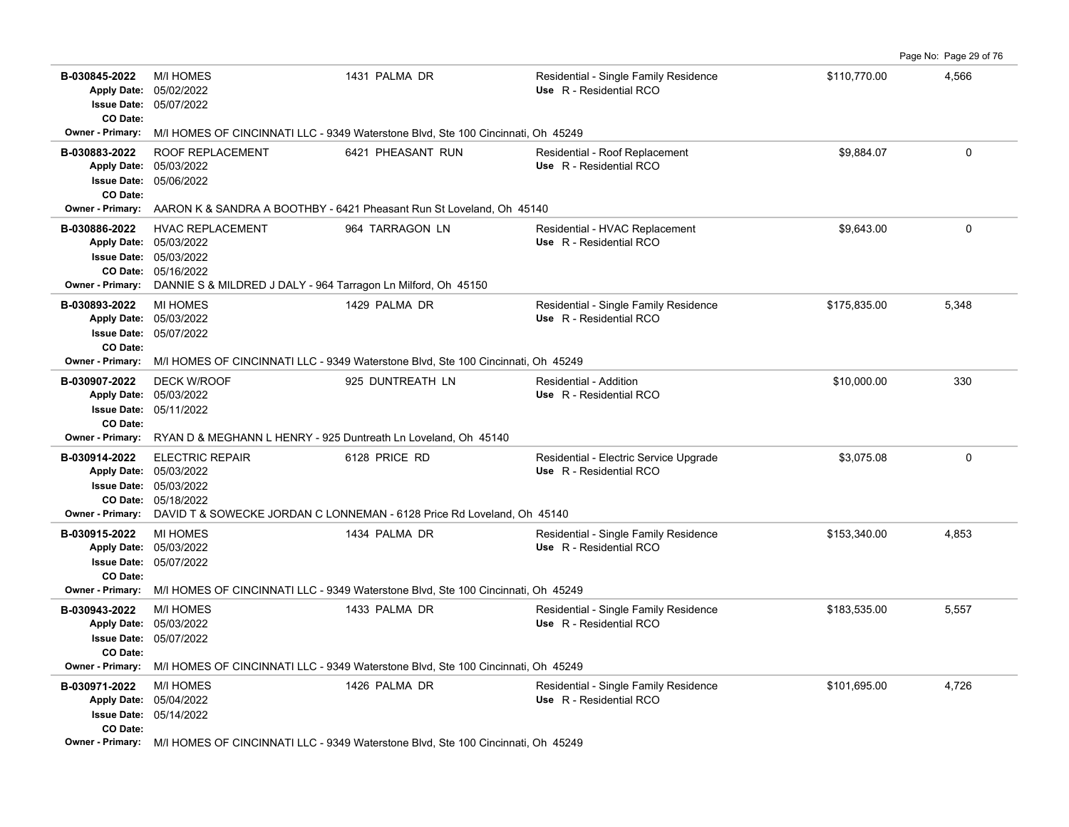| B-030845-2022<br><b>Apply Date:</b><br>CO Date:                       | <b>M/I HOMES</b><br>05/02/2022<br><b>Issue Date: 05/07/2022</b>                                                                                                                             | 1431 PALMA DR                                                                    | Residential - Single Family Residence<br>Use R - Residential RCO  | \$110,770.00 | 4.566       |  |  |  |
|-----------------------------------------------------------------------|---------------------------------------------------------------------------------------------------------------------------------------------------------------------------------------------|----------------------------------------------------------------------------------|-------------------------------------------------------------------|--------------|-------------|--|--|--|
| Owner - Primary:                                                      |                                                                                                                                                                                             | M/I HOMES OF CINCINNATI LLC - 9349 Waterstone Blvd, Ste 100 Cincinnati, Oh 45249 |                                                                   |              |             |  |  |  |
| B-030883-2022<br><b>Apply Date:</b><br><b>Issue Date:</b><br>CO Date: | ROOF REPLACEMENT<br>05/03/2022<br>05/06/2022                                                                                                                                                | 6421 PHEASANT RUN                                                                | Residential - Roof Replacement<br>Use R - Residential RCO         | \$9,884.07   | $\Omega$    |  |  |  |
| <b>Owner - Primary:</b>                                               |                                                                                                                                                                                             | AARON K & SANDRA A BOOTHBY - 6421 Pheasant Run St Loveland, Oh 45140             |                                                                   |              |             |  |  |  |
| B-030886-2022                                                         | <b>HVAC REPLACEMENT</b><br>Apply Date: 05/03/2022<br><b>Issue Date: 05/03/2022</b><br>CO Date: 05/16/2022<br>Owner - Primary: DANNIE S & MILDRED J DALY - 964 Tarragon Ln Milford, Oh 45150 | 964 TARRAGON LN                                                                  | Residential - HVAC Replacement<br>Use R - Residential RCO         | \$9,643.00   | $\mathbf 0$ |  |  |  |
| B-030893-2022<br>CO Date:                                             | <b>MI HOMES</b><br>Apply Date: 05/03/2022<br><b>Issue Date: 05/07/2022</b>                                                                                                                  | 1429 PALMA DR                                                                    | Residential - Single Family Residence<br>Use R - Residential RCO  | \$175,835.00 | 5,348       |  |  |  |
| <b>Owner - Primary:</b>                                               |                                                                                                                                                                                             | M/I HOMES OF CINCINNATI LLC - 9349 Waterstone Blvd, Ste 100 Cincinnati, Oh 45249 |                                                                   |              |             |  |  |  |
| B-030907-2022<br><b>Apply Date:</b><br>CO Date:                       | <b>DECK W/ROOF</b><br>05/03/2022<br><b>Issue Date: 05/11/2022</b>                                                                                                                           | 925 DUNTREATH LN                                                                 | Residential - Addition<br>Use R - Residential RCO                 | \$10,000.00  | 330         |  |  |  |
|                                                                       | <b>Owner - Primary:</b> RYAN D & MEGHANN L HENRY - 925 Duntreath Ln Loveland, Oh 45140                                                                                                      |                                                                                  |                                                                   |              |             |  |  |  |
| B-030914-2022                                                         | <b>ELECTRIC REPAIR</b><br>Apply Date: 05/03/2022<br><b>Issue Date: 05/03/2022</b><br>CO Date: 05/18/2022                                                                                    | 6128 PRICE RD                                                                    | Residential - Electric Service Upgrade<br>Use R - Residential RCO | \$3,075.08   | $\mathbf 0$ |  |  |  |
|                                                                       | <b>Owner - Primary:</b> DAVID T & SOWECKE JORDAN C LONNEMAN - 6128 Price Rd Loveland, Oh 45140                                                                                              |                                                                                  |                                                                   |              |             |  |  |  |
| B-030915-2022<br>CO Date:                                             | <b>MI HOMES</b><br>Apply Date: 05/03/2022<br><b>Issue Date: 05/07/2022</b>                                                                                                                  | 1434 PALMA DR                                                                    | Residential - Single Family Residence<br>Use R - Residential RCO  | \$153,340.00 | 4,853       |  |  |  |
| <b>Owner - Primary:</b>                                               | M/I HOMES OF CINCINNATI LLC - 9349 Waterstone Blvd, Ste 100 Cincinnati, Oh 45249                                                                                                            |                                                                                  |                                                                   |              |             |  |  |  |
| B-030943-2022<br><b>Issue Date:</b><br>CO Date:                       | <b>M/I HOMES</b><br>Apply Date: 05/03/2022<br>05/07/2022                                                                                                                                    | 1433 PALMA DR                                                                    | Residential - Single Family Residence<br>Use R - Residential RCO  | \$183,535.00 | 5,557       |  |  |  |
| <b>Owner - Primary:</b>                                               |                                                                                                                                                                                             | M/I HOMES OF CINCINNATI LLC - 9349 Waterstone Blvd, Ste 100 Cincinnati, Oh 45249 |                                                                   |              |             |  |  |  |
| B-030971-2022<br>CO Date:                                             | <b>M/I HOMES</b><br>Apply Date: 05/04/2022<br><b>Issue Date: 05/14/2022</b>                                                                                                                 | 1426 PALMA DR                                                                    | Residential - Single Family Residence<br>Use R - Residential RCO  | \$101,695.00 | 4,726       |  |  |  |
|                                                                       | Owner - Primary: M/I HOMES OF CINCINNATI LLC - 9349 Waterstone Blvd, Ste 100 Cincinnati, Oh 45249                                                                                           |                                                                                  |                                                                   |              |             |  |  |  |

Page No: Page 29 of 76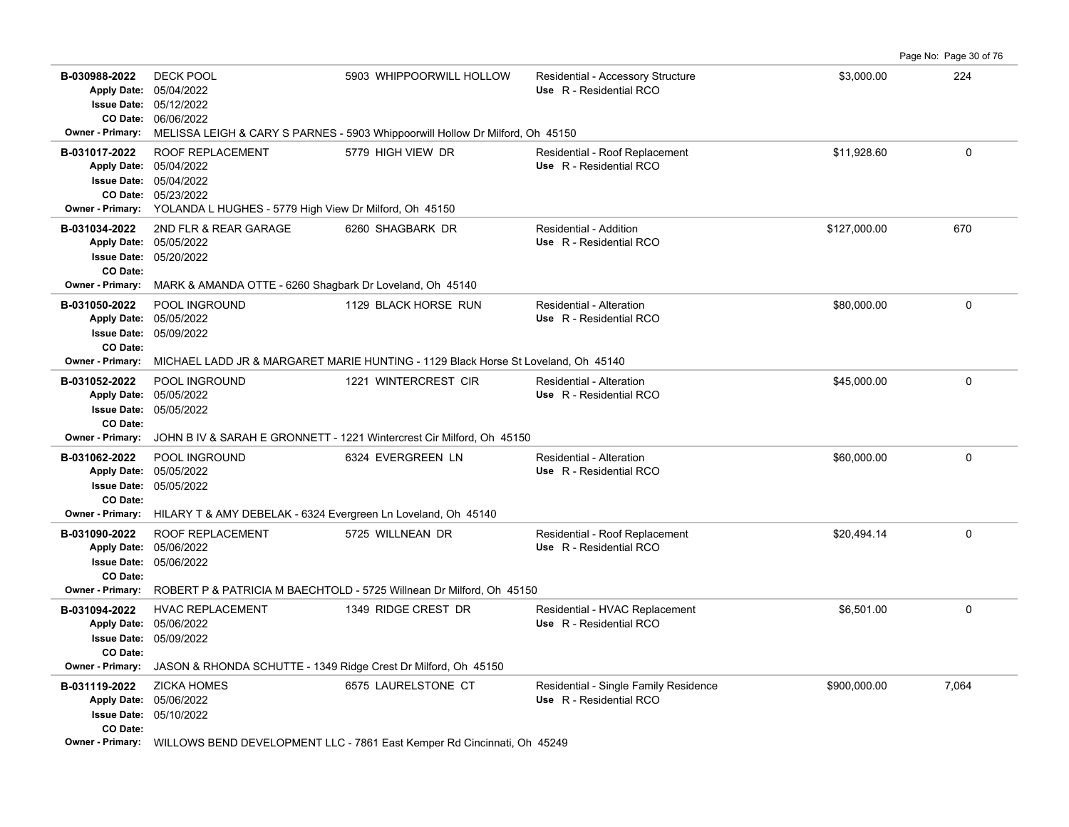|                                                                                |                                                                                                                                                           |                                                                                                                 |                                                                  |              | Page No: Page 30 of 76 |
|--------------------------------------------------------------------------------|-----------------------------------------------------------------------------------------------------------------------------------------------------------|-----------------------------------------------------------------------------------------------------------------|------------------------------------------------------------------|--------------|------------------------|
| B-030988-2022<br>Apply Date: 05/04/2022<br><b>Owner - Primary:</b>             | <b>DECK POOL</b><br><b>Issue Date: 05/12/2022</b><br>CO Date: 06/06/2022<br>MELISSA LEIGH & CARY S PARNES - 5903 Whippoorwill Hollow Dr Milford, Oh 45150 | 5903 WHIPPOORWILL HOLLOW                                                                                        | Residential - Accessory Structure<br>Use R - Residential RCO     | \$3,000.00   | 224                    |
| B-031017-2022<br>Apply Date: 05/04/2022<br><b>Owner - Primary:</b>             | ROOF REPLACEMENT<br><b>Issue Date: 05/04/2022</b><br>CO Date: 05/23/2022<br>YOLANDA L HUGHES - 5779 High View Dr Milford, Oh 45150                        | 5779 HIGH VIEW DR                                                                                               | Residential - Roof Replacement<br>Use R - Residential RCO        | \$11,928.60  | $\mathbf 0$            |
| B-031034-2022<br>Apply Date: 05/05/2022<br>CO Date:<br>Owner - Primary:        | 2ND FLR & REAR GARAGE<br><b>Issue Date: 05/20/2022</b><br>MARK & AMANDA OTTE - 6260 Shagbark Dr Loveland, Oh 45140                                        | 6260 SHAGBARK DR                                                                                                | Residential - Addition<br>Use R - Residential RCO                | \$127,000.00 | 670                    |
| B-031050-2022<br>Apply Date: 05/05/2022<br>CO Date:<br><b>Owner - Primary:</b> | POOL INGROUND<br><b>Issue Date: 05/09/2022</b><br>MICHAEL LADD JR & MARGARET MARIE HUNTING - 1129 Black Horse St Loveland, Oh 45140                       | 1129 BLACK HORSE RUN                                                                                            | Residential - Alteration<br>Use R - Residential RCO              | \$80,000.00  | $\mathbf 0$            |
| B-031052-2022<br>CO Date:<br><b>Owner - Primary:</b>                           | POOL INGROUND<br>Apply Date: 05/05/2022<br><b>Issue Date: 05/05/2022</b><br>JOHN B IV & SARAH E GRONNETT - 1221 Wintercrest Cir Milford, Oh 45150         | 1221 WINTERCREST CIR                                                                                            | Residential - Alteration<br>Use R - Residential RCO              | \$45,000.00  | $\Omega$               |
| B-031062-2022<br>CO Date:<br><b>Owner - Primary:</b>                           | POOL INGROUND<br>Apply Date: 05/05/2022<br><b>Issue Date: 05/05/2022</b><br>HILARY T & AMY DEBELAK - 6324 Evergreen Ln Loveland, Oh 45140                 | 6324 EVERGREEN LN                                                                                               | <b>Residential - Alteration</b><br>Use R - Residential RCO       | \$60,000.00  | $\Omega$               |
| B-031090-2022<br>Apply Date: 05/06/2022<br>CO Date:<br><b>Owner - Primary:</b> | <b>ROOF REPLACEMENT</b><br><b>Issue Date: 05/06/2022</b><br>ROBERT P & PATRICIA M BAECHTOLD - 5725 Willnean Dr Milford, Oh 45150                          | 5725 WILLNEAN DR                                                                                                | Residential - Roof Replacement<br>Use R - Residential RCO        | \$20,494.14  | $\Omega$               |
| B-031094-2022<br>Apply Date: 05/06/2022<br>CO Date:<br><b>Owner - Primary:</b> | <b>HVAC REPLACEMENT</b><br>Issue Date: 05/09/2022<br>JASON & RHONDA SCHUTTE - 1349 Ridge Crest Dr Milford, Oh 45150                                       | 1349 RIDGE CREST DR                                                                                             | Residential - HVAC Replacement<br>Use R - Residential RCO        | \$6,501.00   | $\Omega$               |
| B-031119-2022<br>Apply Date: 05/06/2022<br>CO Date:                            | <b>ZICKA HOMES</b><br>Issue Date: 05/10/2022                                                                                                              | 6575 LAURELSTONE CT<br>Owner - Primary: WILLOWS BEND DEVELOPMENT LLC - 7861 East Kemper Rd Cincinnati, Oh 45249 | Residential - Single Family Residence<br>Use R - Residential RCO | \$900,000.00 | 7,064                  |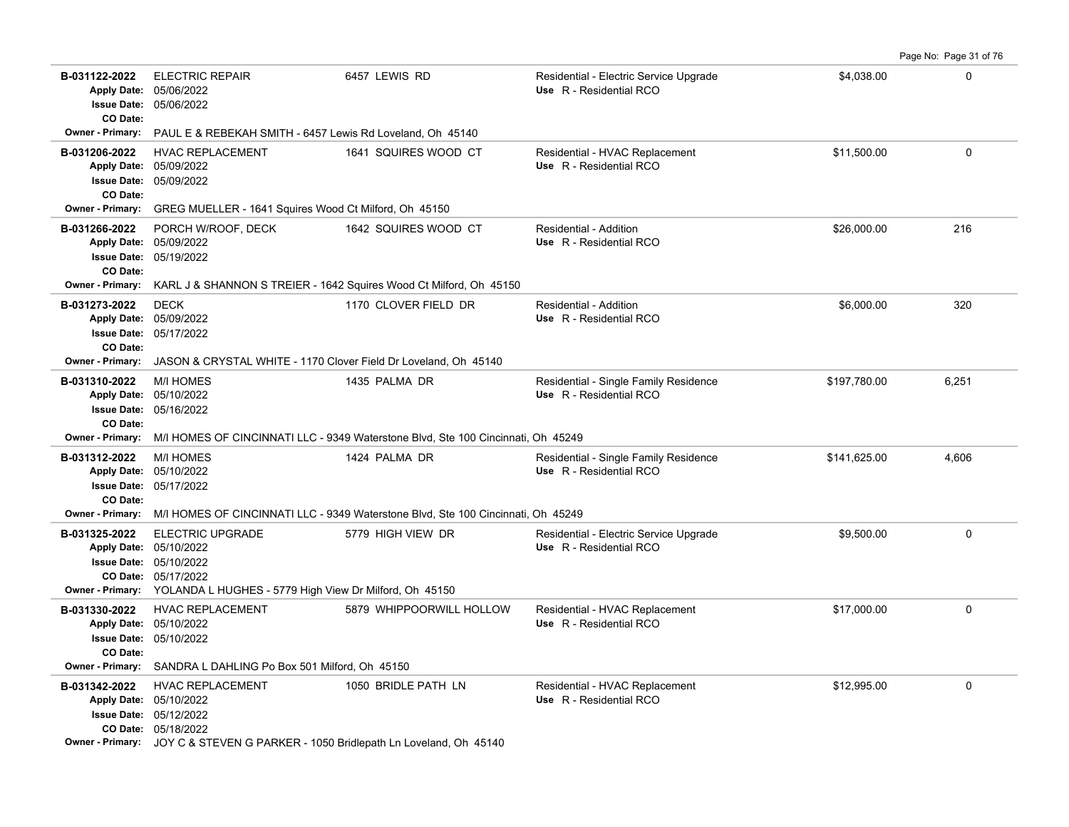|                                                                            |                                                                                                                                                                               |                          |                                                                   |              | Page No: Page 31 of 76 |  |  |  |
|----------------------------------------------------------------------------|-------------------------------------------------------------------------------------------------------------------------------------------------------------------------------|--------------------------|-------------------------------------------------------------------|--------------|------------------------|--|--|--|
| B-031122-2022<br><b>Issue Date:</b><br>CO Date:                            | <b>ELECTRIC REPAIR</b><br>Apply Date: 05/06/2022<br>05/06/2022                                                                                                                | 6457 LEWIS RD            | Residential - Electric Service Upgrade<br>Use R - Residential RCO | \$4,038.00   | 0                      |  |  |  |
| Owner - Primary:                                                           | PAUL E & REBEKAH SMITH - 6457 Lewis Rd Loveland, Oh 45140                                                                                                                     |                          |                                                                   |              |                        |  |  |  |
| B-031206-2022<br>CO Date:                                                  | <b>HVAC REPLACEMENT</b><br>Apply Date: 05/09/2022<br><b>Issue Date: 05/09/2022</b>                                                                                            | 1641 SQUIRES WOOD CT     | Residential - HVAC Replacement<br>Use R - Residential RCO         | \$11,500.00  | 0                      |  |  |  |
| Owner - Primary:                                                           | GREG MUELLER - 1641 Squires Wood Ct Milford, Oh 45150                                                                                                                         |                          |                                                                   |              |                        |  |  |  |
| B-031266-2022<br><b>Apply Date:</b><br>CO Date:<br><b>Owner - Primary:</b> | PORCH W/ROOF, DECK<br>05/09/2022<br>Issue Date: 05/19/2022<br>KARL J & SHANNON S TREIER - 1642 Squires Wood Ct Milford, Oh 45150                                              | 1642 SQUIRES WOOD CT     | Residential - Addition<br>Use R - Residential RCO                 | \$26,000.00  | 216                    |  |  |  |
| B-031273-2022<br>CO Date:                                                  | <b>DECK</b><br>Apply Date: 05/09/2022<br><b>Issue Date: 05/17/2022</b>                                                                                                        | 1170 CLOVER FIELD DR     | Residential - Addition<br>Use R - Residential RCO                 | \$6,000.00   | 320                    |  |  |  |
| <b>Owner - Primary:</b>                                                    | JASON & CRYSTAL WHITE - 1170 Clover Field Dr Loveland, Oh 45140                                                                                                               |                          |                                                                   |              |                        |  |  |  |
| B-031310-2022<br>CO Date:                                                  | <b>M/I HOMES</b><br>Apply Date: 05/10/2022<br><b>Issue Date: 05/16/2022</b>                                                                                                   | 1435 PALMA DR            | Residential - Single Family Residence<br>Use R - Residential RCO  | \$197,780.00 | 6,251                  |  |  |  |
| <b>Owner - Primary:</b>                                                    | M/I HOMES OF CINCINNATI LLC - 9349 Waterstone Blvd, Ste 100 Cincinnati, Oh 45249                                                                                              |                          |                                                                   |              |                        |  |  |  |
| B-031312-2022<br>CO Date:                                                  | <b>M/I HOMES</b><br>Apply Date: 05/10/2022<br><b>Issue Date: 05/17/2022</b>                                                                                                   | 1424 PALMA DR            | Residential - Single Family Residence<br>Use R - Residential RCO  | \$141,625.00 | 4,606                  |  |  |  |
| <b>Owner - Primary:</b>                                                    | M/I HOMES OF CINCINNATI LLC - 9349 Waterstone Blvd, Ste 100 Cincinnati, Oh 45249                                                                                              |                          |                                                                   |              |                        |  |  |  |
| B-031325-2022                                                              | ELECTRIC UPGRADE<br>Apply Date: 05/10/2022<br><b>Issue Date: 05/10/2022</b><br>CO Date: 05/17/2022<br>Owner - Primary: YOLANDA L HUGHES - 5779 High View Dr Milford, Oh 45150 | 5779 HIGH VIEW DR        | Residential - Electric Service Upgrade<br>Use R - Residential RCO | \$9,500.00   | $\mathbf 0$            |  |  |  |
| B-031330-2022                                                              | <b>HVAC REPLACEMENT</b>                                                                                                                                                       | 5879 WHIPPOORWILL HOLLOW | Residential - HVAC Replacement                                    | \$17,000.00  | 0                      |  |  |  |
| CO Date:                                                                   | Apply Date: 05/10/2022<br><b>Issue Date: 05/10/2022</b>                                                                                                                       |                          | Use R - Residential RCO                                           |              |                        |  |  |  |
| <b>Owner - Primary:</b>                                                    | SANDRA L DAHLING Po Box 501 Milford, Oh 45150                                                                                                                                 |                          |                                                                   |              |                        |  |  |  |
| B-031342-2022                                                              | <b>HVAC REPLACEMENT</b><br>Apply Date: 05/10/2022<br><b>Issue Date: 05/12/2022</b><br>CO Date: 05/18/2022                                                                     | 1050 BRIDLE PATH LN      | Residential - HVAC Replacement<br>Use R - Residential RCO         | \$12,995.00  | $\Omega$               |  |  |  |
|                                                                            | <b>Owner - Primary:</b> JOY C & STEVEN G PARKER - 1050 Bridlenath Ln Loveland, Oh, 45140                                                                                      |                          |                                                                   |              |                        |  |  |  |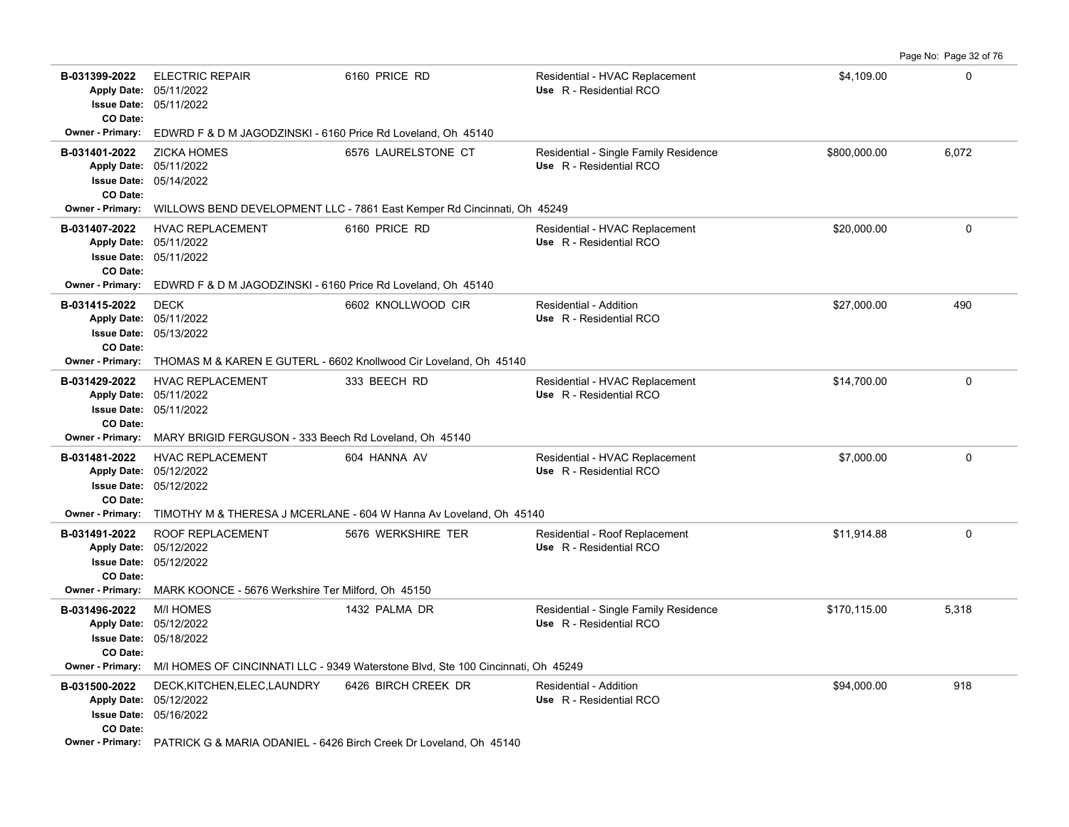| B-031399-2022                            | <b>ELECTRIC REPAIR</b>                                                                      | 6160 PRICE RD                                                                     | Residential - HVAC Replacement                                   | \$4,109.00   | 0           |  |
|------------------------------------------|---------------------------------------------------------------------------------------------|-----------------------------------------------------------------------------------|------------------------------------------------------------------|--------------|-------------|--|
| <b>Apply Date:</b>                       | 05/11/2022<br><b>Issue Date: 05/11/2022</b>                                                 |                                                                                   | Use R - Residential RCO                                          |              |             |  |
| CO Date:                                 |                                                                                             |                                                                                   |                                                                  |              |             |  |
| <b>Owner - Primary:</b>                  | EDWRD F & D M JAGODZINSKI - 6160 Price Rd Loveland, Oh 45140                                |                                                                                   |                                                                  |              |             |  |
| B-031401-2022                            | <b>ZICKA HOMES</b><br>Apply Date: 05/11/2022                                                | 6576 LAURELSTONE CT                                                               | Residential - Single Family Residence<br>Use R - Residential RCO | \$800,000.00 | 6,072       |  |
|                                          | <b>Issue Date: 05/14/2022</b>                                                               |                                                                                   |                                                                  |              |             |  |
| CO Date:                                 |                                                                                             |                                                                                   |                                                                  |              |             |  |
| <b>Owner - Primary:</b>                  |                                                                                             | WILLOWS BEND DEVELOPMENT LLC - 7861 East Kemper Rd Cincinnati, Oh 45249           |                                                                  |              |             |  |
| B-031407-2022                            | <b>HVAC REPLACEMENT</b><br>Apply Date: 05/11/2022                                           | 6160 PRICE RD                                                                     | Residential - HVAC Replacement<br>Use R - Residential RCO        | \$20,000.00  | $\mathbf 0$ |  |
|                                          | <b>Issue Date: 05/11/2022</b>                                                               |                                                                                   |                                                                  |              |             |  |
| CO Date:                                 |                                                                                             |                                                                                   |                                                                  |              |             |  |
| <b>Owner - Primary:</b>                  | EDWRD F & D M JAGODZINSKI - 6160 Price Rd Loveland, Oh 45140                                |                                                                                   |                                                                  |              |             |  |
| B-031415-2022                            | <b>DECK</b><br>Apply Date: 05/11/2022                                                       | 6602 KNOLLWOOD CIR                                                                | Residential - Addition<br>Use R - Residential RCO                | \$27,000.00  | 490         |  |
|                                          | <b>Issue Date: 05/13/2022</b>                                                               |                                                                                   |                                                                  |              |             |  |
| CO Date:                                 |                                                                                             |                                                                                   |                                                                  |              |             |  |
| <b>Owner - Primary:</b><br>B-031429-2022 | <b>HVAC REPLACEMENT</b>                                                                     | THOMAS M & KAREN E GUTERL - 6602 Knollwood Cir Loveland, Oh 45140<br>333 BEECH RD |                                                                  | \$14,700.00  | $\mathbf 0$ |  |
|                                          | Apply Date: 05/11/2022                                                                      |                                                                                   | Residential - HVAC Replacement<br>Use R - Residential RCO        |              |             |  |
|                                          | <b>Issue Date: 05/11/2022</b>                                                               |                                                                                   |                                                                  |              |             |  |
| CO Date:                                 | Owner - Primary: MARY BRIGID FERGUSON - 333 Beech Rd Loveland, Oh 45140                     |                                                                                   |                                                                  |              |             |  |
| B-031481-2022                            | <b>HVAC REPLACEMENT</b>                                                                     | 604 HANNA AV                                                                      | Residential - HVAC Replacement                                   | \$7,000.00   | $\mathbf 0$ |  |
|                                          | Apply Date: 05/12/2022                                                                      |                                                                                   | Use R - Residential RCO                                          |              |             |  |
|                                          | <b>Issue Date: 05/12/2022</b>                                                               |                                                                                   |                                                                  |              |             |  |
| CO Date:<br>Owner - Primary:             |                                                                                             | TIMOTHY M & THERESA J MCERLANE - 604 W Hanna Av Loveland, Oh 45140                |                                                                  |              |             |  |
| B-031491-2022                            | <b>ROOF REPLACEMENT</b>                                                                     | 5676 WERKSHIRE TER                                                                | Residential - Roof Replacement                                   | \$11.914.88  | $\mathbf 0$ |  |
| <b>Apply Date:</b>                       | 05/12/2022                                                                                  |                                                                                   | Use R - Residential RCO                                          |              |             |  |
|                                          | <b>Issue Date: 05/12/2022</b>                                                               |                                                                                   |                                                                  |              |             |  |
| CO Date:<br><b>Owner - Primary:</b>      | MARK KOONCE - 5676 Werkshire Ter Milford, Oh 45150                                          |                                                                                   |                                                                  |              |             |  |
| B-031496-2022                            | <b>M/I HOMES</b>                                                                            | 1432 PALMA DR                                                                     | Residential - Single Family Residence                            | \$170,115.00 | 5,318       |  |
|                                          | Apply Date: 05/12/2022                                                                      |                                                                                   | Use R - Residential RCO                                          |              |             |  |
|                                          | <b>Issue Date: 05/18/2022</b>                                                               |                                                                                   |                                                                  |              |             |  |
| CO Date:<br><b>Owner - Primary:</b>      |                                                                                             | M/I HOMES OF CINCINNATI LLC - 9349 Waterstone Blvd, Ste 100 Cincinnati, Oh 45249  |                                                                  |              |             |  |
| B-031500-2022                            | DECK, KITCHEN, ELEC, LAUNDRY                                                                | 6426 BIRCH CREEK DR                                                               | Residential - Addition                                           | \$94,000.00  | 918         |  |
|                                          | Apply Date: 05/12/2022                                                                      |                                                                                   | Use R - Residential RCO                                          |              |             |  |
|                                          | Issue Date: 05/16/2022                                                                      |                                                                                   |                                                                  |              |             |  |
| CO Date:                                 | <b>Owner - Primary:</b> PATRICK G & MARIA ODANIFL - 6426 Birch Creek Dr Loveland, Ob. 45140 |                                                                                   |                                                                  |              |             |  |

Page No: Page 32 of 76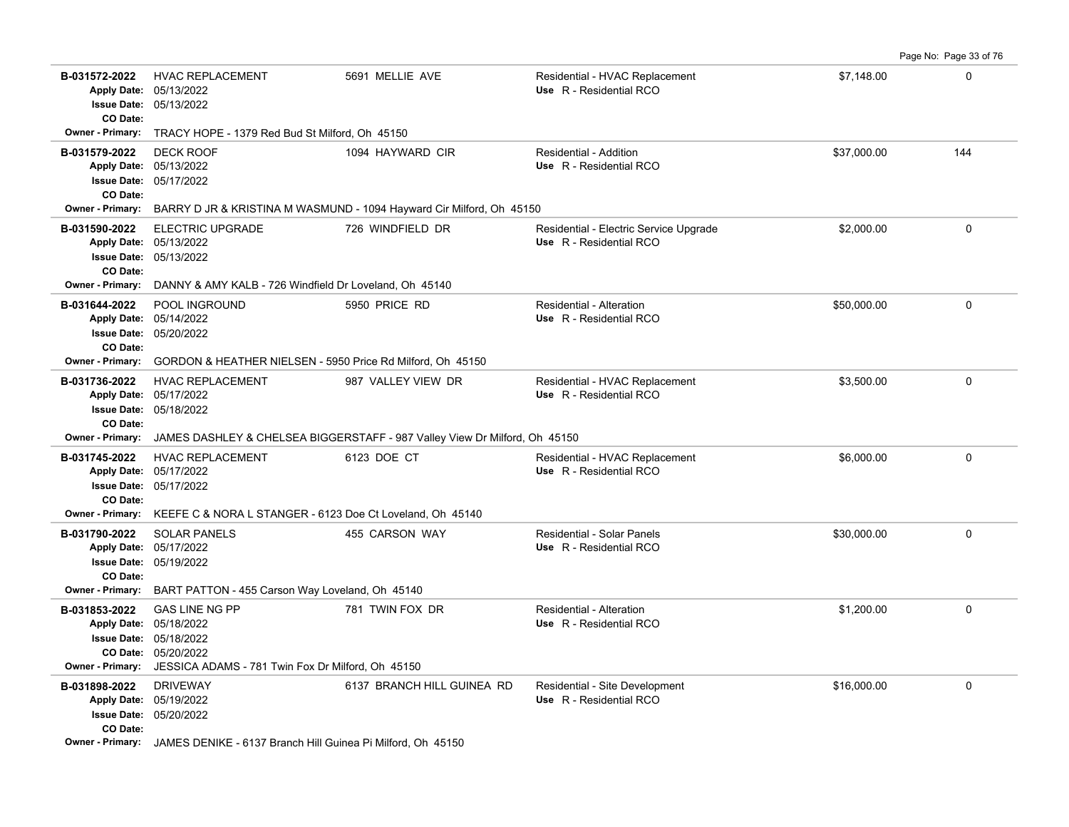|                                                      |                                                                                                                                                              |                                                                            |                                                                   |             | Page No: Page 33 of 76 |  |  |  |
|------------------------------------------------------|--------------------------------------------------------------------------------------------------------------------------------------------------------------|----------------------------------------------------------------------------|-------------------------------------------------------------------|-------------|------------------------|--|--|--|
| B-031572-2022<br>CO Date:                            | <b>HVAC REPLACEMENT</b><br>Apply Date: 05/13/2022<br>Issue Date: 05/13/2022                                                                                  | 5691 MELLIE AVE                                                            | Residential - HVAC Replacement<br>Use R - Residential RCO         | \$7,148.00  | $\mathbf 0$            |  |  |  |
| <b>Owner - Primary:</b>                              |                                                                                                                                                              | TRACY HOPE - 1379 Red Bud St Milford, Oh 45150                             |                                                                   |             |                        |  |  |  |
| B-031579-2022<br>CO Date:                            | <b>DECK ROOF</b><br>Apply Date: 05/13/2022<br>Issue Date: 05/17/2022                                                                                         | 1094 HAYWARD CIR                                                           | Residential - Addition<br>Use R - Residential RCO                 | \$37,000.00 | 144                    |  |  |  |
| <b>Owner - Primary:</b>                              |                                                                                                                                                              | BARRY D JR & KRISTINA M WASMUND - 1094 Hayward Cir Milford, Oh 45150       |                                                                   |             |                        |  |  |  |
| B-031590-2022<br>CO Date:<br><b>Owner - Primary:</b> | <b>ELECTRIC UPGRADE</b><br>Apply Date: 05/13/2022<br><b>Issue Date: 05/13/2022</b><br>DANNY & AMY KALB - 726 Windfield Dr Loveland, Oh 45140                 | 726 WINDFIELD DR                                                           | Residential - Electric Service Upgrade<br>Use R - Residential RCO | \$2,000.00  | 0                      |  |  |  |
| B-031644-2022<br>CO Date:                            | POOL INGROUND<br>Apply Date: 05/14/2022<br><b>Issue Date: 05/20/2022</b>                                                                                     | 5950 PRICE RD                                                              | Residential - Alteration<br>Use R - Residential RCO               | \$50,000.00 | $\Omega$               |  |  |  |
| <b>Owner - Primary:</b>                              | GORDON & HEATHER NIELSEN - 5950 Price Rd Milford, Oh 45150                                                                                                   |                                                                            |                                                                   |             |                        |  |  |  |
| B-031736-2022<br><b>Apply Date:</b><br>CO Date:      | <b>HVAC REPLACEMENT</b><br>05/17/2022<br><b>Issue Date: 05/18/2022</b>                                                                                       | 987 VALLEY VIEW DR                                                         | Residential - HVAC Replacement<br>Use R - Residential RCO         | \$3,500.00  | 0                      |  |  |  |
| <b>Owner - Primary:</b>                              |                                                                                                                                                              | JAMES DASHLEY & CHELSEA BIGGERSTAFF - 987 Valley View Dr Milford, Oh 45150 |                                                                   |             |                        |  |  |  |
| B-031745-2022<br>CO Date:                            | <b>HVAC REPLACEMENT</b><br>Apply Date: 05/17/2022<br><b>Issue Date: 05/17/2022</b>                                                                           | 6123 DOE CT                                                                | Residential - HVAC Replacement<br>Use R - Residential RCO         | \$6,000.00  | 0                      |  |  |  |
| Owner - Primary:                                     | KEEFE C & NORA L STANGER - 6123 Doe Ct Loveland, Oh 45140                                                                                                    |                                                                            |                                                                   |             |                        |  |  |  |
| B-031790-2022<br>CO Date:                            | <b>SOLAR PANELS</b><br>Apply Date: 05/17/2022<br><b>Issue Date: 05/19/2022</b>                                                                               | 455 CARSON WAY                                                             | Residential - Solar Panels<br>Use R - Residential RCO             | \$30,000.00 | $\mathbf 0$            |  |  |  |
| <b>Owner - Primary:</b>                              |                                                                                                                                                              | BART PATTON - 455 Carson Way Loveland, Oh 45140                            |                                                                   |             |                        |  |  |  |
| B-031853-2022<br><b>Owner - Primary:</b>             | <b>GAS LINE NG PP</b><br>Apply Date: 05/18/2022<br><b>Issue Date: 05/18/2022</b><br>CO Date: 05/20/2022<br>JESSICA ADAMS - 781 Twin Fox Dr Milford, Oh 45150 | 781 TWIN FOX DR                                                            | Residential - Alteration<br>Use R - Residential RCO               | \$1,200.00  | 0                      |  |  |  |
| B-031898-2022<br>CO Date:                            | <b>DRIVEWAY</b><br>Apply Date: 05/19/2022<br>Issue Date: 05/20/2022<br><b>Owner - Primary:</b> JAMES DENIKE - 6137 Branch Hill Guinea Pi Milford, Oh 45150   | 6137 BRANCH HILL GUINEA RD                                                 | Residential - Site Development<br>Use R - Residential RCO         | \$16,000.00 | $\Omega$               |  |  |  |
|                                                      |                                                                                                                                                              |                                                                            |                                                                   |             |                        |  |  |  |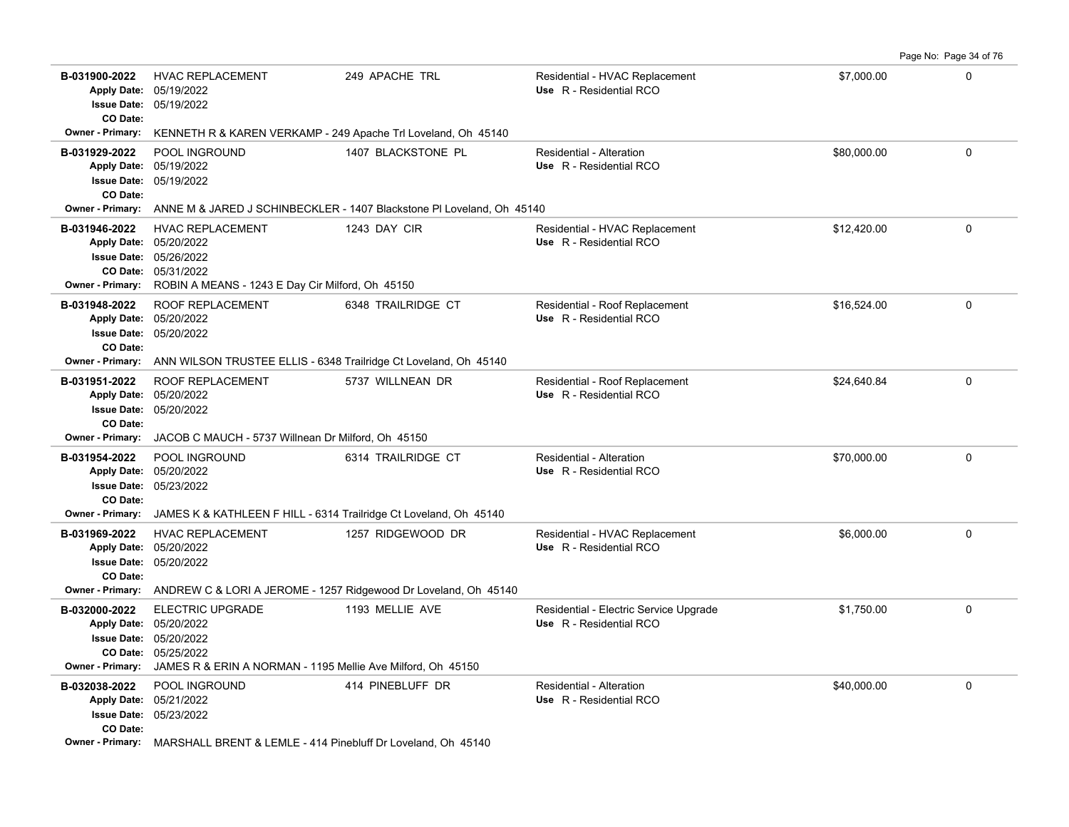**B-031900-2022** HVAC REPLACEMENT 249 APACHE TRL Residential - HVAC Replacement \$7,000.00 \$7,000.00 0 05/19/2022 **Issue Date:** Apply Date: 05/19/2022 **Apply Date: Use** R - Residential RCO **CO Date: Owner - Primary:** KENNETH R & KAREN VERKAMP - 249 Apache Trl Loveland, Oh 45140 **B-031929-2022** POOL INGROUND 1407 BLACKSTONE PL Residential - Alteration \$80,000.00 \$80,000.00 0 05/19/2022 **Issue Date:** 05/19/2022 **Apply Date: Use** R - Residential RCO **CO Date: Owner - Primary:** ANNE M & JARED J SCHINBECKLER - 1407 Blackstone Pl Loveland, Oh 45140 **B-031946-2022** \$12,420.00 0 HVAC REPLACEMENT 1243 DAY CIR Residential - HVAC Replacement 05/31/2022 **CO Date:** 05/26/2022 **Issue Date:** 05/20/2022 **Apply Date: Use** R - Residential RCO **Owner - Primary:** ROBIN A MEANS - 1243 E Day Cir Milford, Oh 45150 B-031948-2022 ROOF REPLACEMENT 6348 TRAILRIDGE CT Residential - Roof Replacement \$16,524.00 \$16,524.00 05/20/2022 **Issue Date:** Apply Date: 05/20/2022 **Apply Date: Use** R - Residential RCO **CO Date: Owner - Primary:** ANN WILSON TRUSTEE ELLIS - 6348 Trailridge Ct Loveland, Oh 45140 **B-031951-2022** ROOF REPLACEMENT 5737 WILLNEAN DR Residential - Roof Replacement \$24,640.84 \$24,640.84 05/20/2022 **Issue Date:** Apply Date: 05/20/2022 **Apply Date: Use** R - Residential RCO **CO Date: Owner - Primary:** JACOB C MAUCH - 5737 Willnean Dr Milford, Oh 45150 **B-031954-2022** \$70,000.00 0 POOL INGROUND 6314 TRAILRIDGE CT Residential - Alteration 05/23/2022 **Issue Date:** Apply Date: 05/20/2022 **Apply Date: Use** R - Residential RCO **CO Date: Owner - Primary:** JAMES K & KATHLEEN F HILL - 6314 Trailridge Ct Loveland, Oh 45140 **B-031969-2022** HVAC REPLACEMENT 1257 RIDGEWOOD DR Residential - HVAC Replacement \$6,000.00 \$6,000.00 0 05/20/2022 **Issue Date:** Apply Date: 05/20/2022 **Apply Date: Use** R - Residential RCO **CO Date: Owner - Primary:** ANDREW C & LORI A JEROME - 1257 Ridgewood Dr Loveland, Oh 45140 B-032000-2022 ELECTRIC UPGRADE 1193 MELLIE AVE Residential - Electric Service Upgrade \$1,750.00 \$1,750.00 05/25/2022 **CO Date:** 05/20/2022 **Issue Date:** 05/20/2022 **Apply Date: Use** R - Residential RCO **Owner - Primary:** JAMES R & ERIN A NORMAN - 1195 Mellie Ave Milford, Oh 45150 **B-032038-2022** \$40,000.00 0 POOL INGROUND 414 PINEBLUFF DR Residential - Alteration 05/23/2022 **Issue Date:** 05/21/2022 **Apply Date: Use** R - Residential RCO **CO Date: Owner - Primary:** MARSHALL BRENT & LEMLE - 414 Pinebluff Dr Loveland, Oh 45140

Page No: Page 34 of 76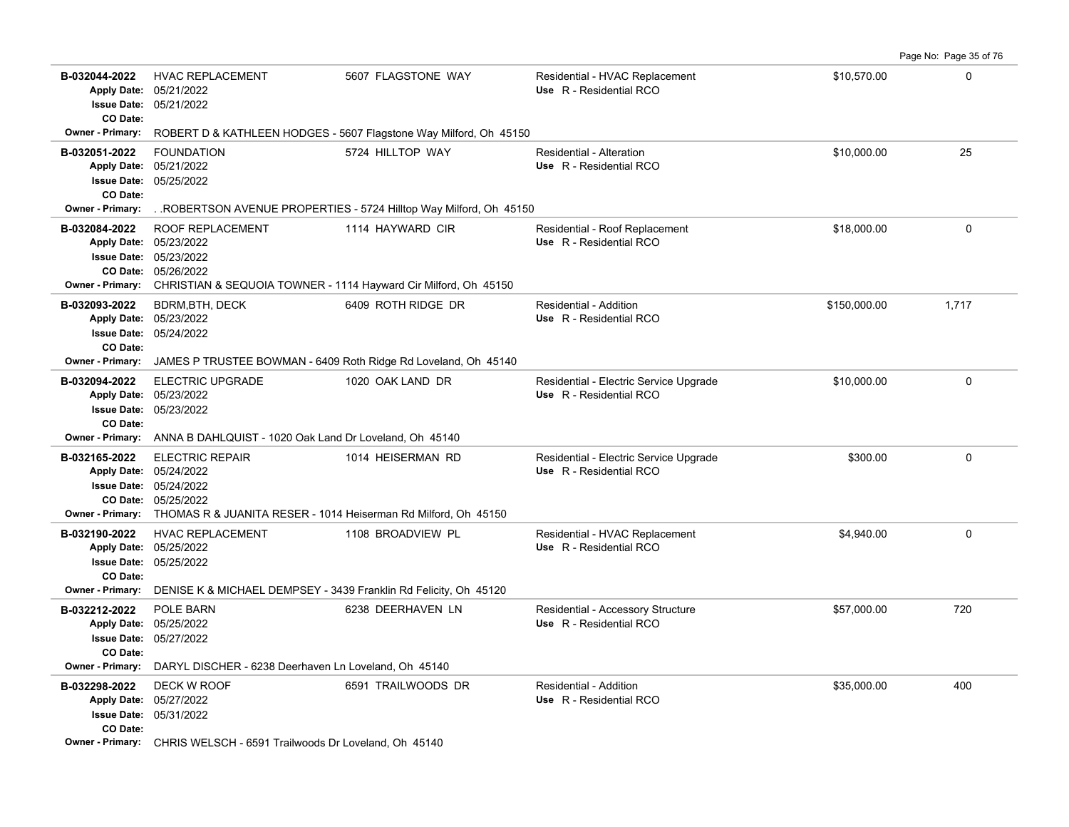**B-032044-2022** HVAC REPLACEMENT 5607 FLAGSTONE WAY Residential - HVAC Replacement \$10,570.00 \$10,570.00 0 05/21/2022 **Issue Date:** Apply Date: 05/21/2022 **Apply Date: Use** R - Residential RCO **CO Date: Owner - Primary:** ROBERT D & KATHLEEN HODGES - 5607 Flagstone Way Milford, Oh 45150 **B-032051-2022** \$10,000.00 25 FOUNDATION 5724 HILLTOP WAY Residential - Alteration 05/25/2022 **Issue Date:** 05/21/2022 **Apply Date: Use** R - Residential RCO **CO Date: Owner - Primary:** . .ROBERTSON AVENUE PROPERTIES - 5724 Hilltop Way Milford, Oh 45150 **B-032084-2022** ROOF REPLACEMENT 1114 HAYWARD CIR Residential - Roof Replacement \$18,000.00 \$18,000.00 0 05/26/2022 **CO Date:** 05/23/2022 **Issue Date:** 05/23/2022 **Apply Date: Use** R - Residential RCO **Owner - Primary:** CHRISTIAN & SEQUOIA TOWNER - 1114 Hayward Cir Milford, Oh 45150 **B-032093-2022** \$150,000.00 1,717 BDRM,BTH, DECK 6409 ROTH RIDGE DR Residential - Addition 05/24/2022 **Issue Date:** 05/23/2022 **Apply Date: Use** R - Residential RCO **CO Date: Owner - Primary:** JAMES P TRUSTEE BOWMAN - 6409 Roth Ridge Rd Loveland, Oh 45140 B-032094-2022 ELECTRIC UPGRADE 1020 OAK LAND DR Residential - Electric Service Upgrade \$10,000.00 \$10,000.00 0 05/23/2022 **Issue Date:** 05/23/2022 **Apply Date: Use** R - Residential RCO **CO Date: Owner - Primary:** ANNA B DAHLQUIST - 1020 Oak Land Dr Loveland, Oh 45140 **B-032165-2022** ELECTRIC REPAIR 1014 HEISERMAN RD Residential - Electric Service Upgrade \$300.00 \$300.00 0 05/25/2022 **CO Date:** 05/24/2022 **Issue Date:** 05/24/2022 **Apply Date: Use** R - Residential RCO **Owner - Primary:** THOMAS R & JUANITA RESER - 1014 Heiserman Rd Milford, Oh 45150 **B-032190-2022** HVAC REPLACEMENT 1108 BROADVIEW PL Residential - HVAC Replacement \$4,940.00 \$4,940.00 05/25/2022 **Issue Date:** Apply Date: 05/25/2022 **Apply Date: Use** R - Residential RCO **CO Date: Owner - Primary:** DENISE K & MICHAEL DEMPSEY - 3439 Franklin Rd Felicity, Oh 45120 **B-032212-2022** \$57,000.00 720 POLE BARN 6238 DEERHAVEN LN Residential - Accessory Structure 05/27/2022 **Issue Date:** 05/25/2022 **Apply Date: Use** R - Residential RCO **CO Date: Owner - Primary:** DARYL DISCHER - 6238 Deerhaven Ln Loveland, Oh 45140 **B-032298-2022** \$35,000.00 400 DECK W ROOF 6591 TRAILWOODS DR Residential - Addition 05/31/2022 **Issue Date:** 05/27/2022 **Apply Date: Use** R - Residential RCO **CO Date:**

Page No: Page 35 of 76

**Owner - Primary:** CHRIS WELSCH - 6591 Trailwoods Dr Loveland, Oh 45140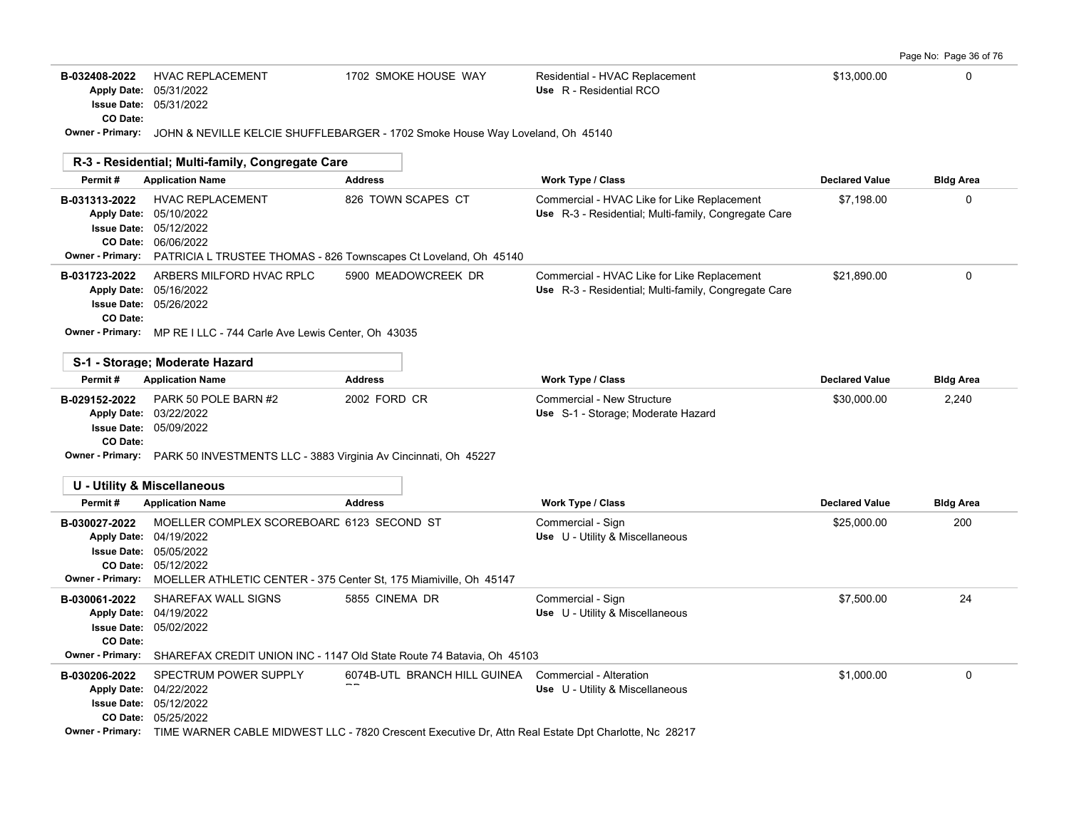Page No: Page 36 of 76

| B-032408-2022<br>CO Date:                | <b>HVAC REPLACEMENT</b><br>Apply Date: 05/31/2022<br>Issue Date: 05/31/2022                                                                                                               | 1702 SMOKE HOUSE WAY                                                                                     | Residential - HVAC Replacement<br>Use R - Residential RCO                                           | \$13,000.00           | $\Omega$         |  |  |  |  |
|------------------------------------------|-------------------------------------------------------------------------------------------------------------------------------------------------------------------------------------------|----------------------------------------------------------------------------------------------------------|-----------------------------------------------------------------------------------------------------|-----------------------|------------------|--|--|--|--|
|                                          | Owner - Primary: JOHN & NEVILLE KELCIE SHUFFLEBARGER - 1702 Smoke House Way Loveland, Oh 45140                                                                                            |                                                                                                          |                                                                                                     |                       |                  |  |  |  |  |
|                                          | R-3 - Residential; Multi-family, Congregate Care                                                                                                                                          |                                                                                                          |                                                                                                     |                       |                  |  |  |  |  |
| Permit#                                  | <b>Application Name</b>                                                                                                                                                                   | <b>Address</b>                                                                                           | <b>Work Type / Class</b>                                                                            | <b>Declared Value</b> | <b>Bldg Area</b> |  |  |  |  |
| B-031313-2022<br><b>Owner - Primary:</b> | <b>HVAC REPLACEMENT</b><br>Apply Date: 05/10/2022<br>Issue Date: 05/12/2022<br>CO Date: 06/06/2022<br>PATRICIA L TRUSTEE THOMAS - 826 Townscapes Ct Loveland, Oh 45140                    | 826 TOWN SCAPES CT                                                                                       | Commercial - HVAC Like for Like Replacement<br>Use R-3 - Residential; Multi-family, Congregate Care | \$7,198.00            | $\mathbf 0$      |  |  |  |  |
| B-031723-2022<br>CO Date:                | ARBERS MILFORD HVAC RPLC<br>Apply Date: 05/16/2022<br><b>Issue Date: 05/26/2022</b><br>Owner - Primary: MP RE I LLC - 744 Carle Ave Lewis Center, Oh 43035                                | 5900 MEADOWCREEK DR                                                                                      | Commercial - HVAC Like for Like Replacement<br>Use R-3 - Residential; Multi-family, Congregate Care | \$21,890.00           | $\mathbf 0$      |  |  |  |  |
|                                          | S-1 - Storage; Moderate Hazard                                                                                                                                                            |                                                                                                          |                                                                                                     |                       |                  |  |  |  |  |
| Permit#                                  | <b>Application Name</b>                                                                                                                                                                   | <b>Address</b>                                                                                           | Work Type / Class                                                                                   | <b>Declared Value</b> | <b>Bldg Area</b> |  |  |  |  |
| B-029152-2022<br>CO Date:                | PARK 50 POLE BARN #2<br>Apply Date: 03/22/2022<br>Issue Date: 05/09/2022<br><b>Owner - Primary:</b> PARK 50 INVESTMENTS LLC - 3883 Virginia Av Cincinnati, Oh 45227                       | 2002 FORD CR                                                                                             | Commercial - New Structure<br>Use S-1 - Storage; Moderate Hazard                                    | \$30,000.00           | 2,240            |  |  |  |  |
|                                          | <b>U - Utility &amp; Miscellaneous</b>                                                                                                                                                    |                                                                                                          |                                                                                                     |                       |                  |  |  |  |  |
| Permit#                                  | <b>Application Name</b>                                                                                                                                                                   | <b>Address</b>                                                                                           | Work Type / Class                                                                                   | <b>Declared Value</b> | <b>Bldg Area</b> |  |  |  |  |
| B-030027-2022<br><b>Owner - Primary:</b> | MOELLER COMPLEX SCOREBOARD 6123 SECOND ST<br>Apply Date: 04/19/2022<br>Issue Date: 05/05/2022<br>CO Date: 05/12/2022<br>MOELLER ATHLETIC CENTER - 375 Center St, 175 Miamiville, Oh 45147 |                                                                                                          | Commercial - Sign<br>Use U - Utility & Miscellaneous                                                | \$25,000.00           | 200              |  |  |  |  |
| B-030061-2022<br>CO Date:                | SHAREFAX WALL SIGNS<br>Apply Date: 04/19/2022<br>Issue Date: 05/02/2022                                                                                                                   | 5855 CINEMA DR<br>Owner - Primary: SHAREFAX CREDIT UNION INC - 1147 Old State Route 74 Batavia, Oh 45103 | Commercial - Sign<br>Use U - Utility & Miscellaneous                                                | \$7,500.00            | 24               |  |  |  |  |
| B-030206-2022                            | SPECTRUM POWER SUPPLY<br>Apply Date: 04/22/2022<br><b>Issue Date: 05/12/2022</b><br>CO Date: 05/25/2022                                                                                   | 6074B-UTL BRANCH HILL GUINEA Commercial - Alteration                                                     | Use U - Utility & Miscellaneous                                                                     | \$1,000.00            | $\Omega$         |  |  |  |  |

**Owner - Primary:** TIME WARNER CABLE MIDWEST LLC - 7820 Crescent Executive Dr, Attn Real Estate Dpt Charlotte, Nc 28217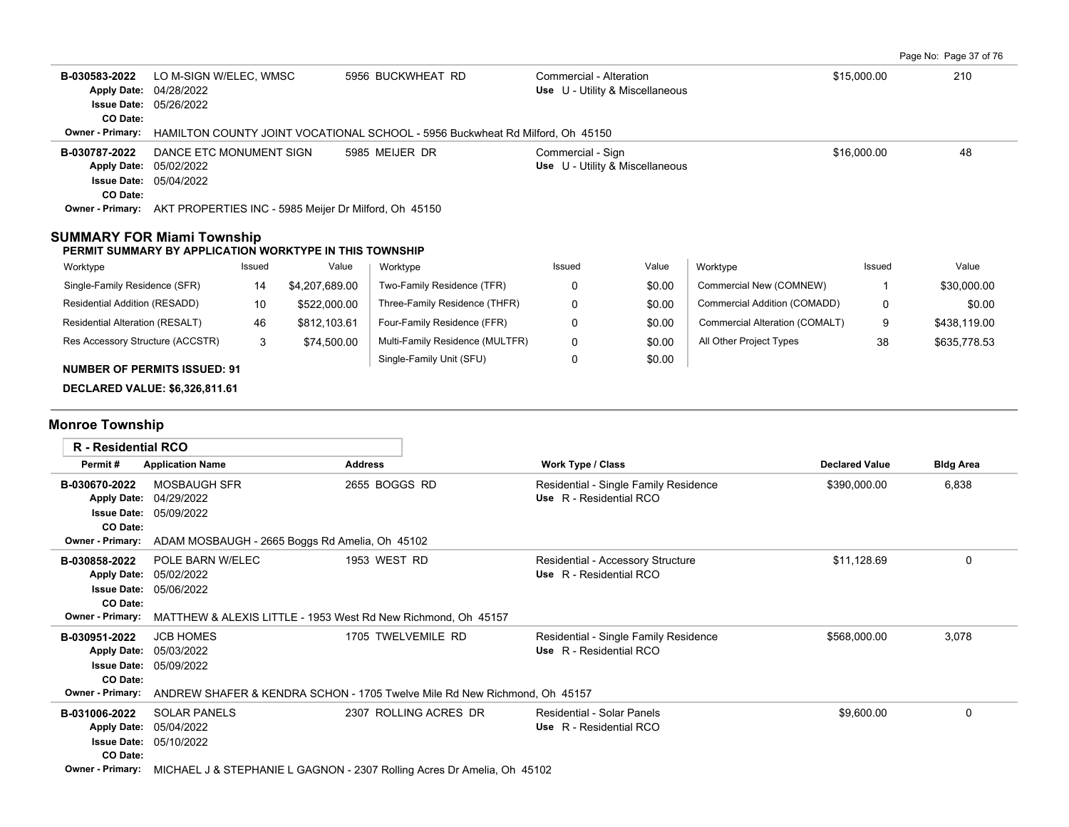| B-030583-2022<br>CO Date:<br>Owner - Primary: | LO M-SIGN W/ELEC, WMSC<br>Apply Date: 04/28/2022<br><b>Issue Date: 05/26/2022</b>  |        |                                                                        | 5956 BUCKWHEAT RD<br>HAMILTON COUNTY JOINT VOCATIONAL SCHOOL - 5956 Buckwheat Rd Milford, Oh 45150 | Commercial - Alteration<br>Use U - Utility & Miscellaneous       |        |                                | \$15,000.00           | 210              |
|-----------------------------------------------|------------------------------------------------------------------------------------|--------|------------------------------------------------------------------------|----------------------------------------------------------------------------------------------------|------------------------------------------------------------------|--------|--------------------------------|-----------------------|------------------|
| B-030787-2022<br>CO Date:                     | DANCE ETC MONUMENT SIGN<br>Apply Date: 05/02/2022<br><b>Issue Date: 05/04/2022</b> |        | Owner - Primary: AKT PROPERTIES INC - 5985 Meijer Dr Milford, Oh 45150 | 5985 MEIJER DR                                                                                     | Commercial - Sign<br>Use U - Utility & Miscellaneous             |        |                                | \$16,000.00           | 48               |
| <b>SUMMARY FOR Miami Township</b>             |                                                                                    |        | PERMIT SUMMARY BY APPLICATION WORKTYPE IN THIS TOWNSHIP                |                                                                                                    |                                                                  |        |                                |                       |                  |
| Worktype                                      |                                                                                    | Issued | Value                                                                  | Worktype                                                                                           | Issued                                                           | Value  | Worktype                       | Issued                | Value            |
| Single-Family Residence (SFR)                 |                                                                                    | 14     | \$4,207,689.00                                                         | Two-Family Residence (TFR)                                                                         | 0                                                                | \$0.00 | Commercial New (COMNEW)        | -1                    | \$30,000.00      |
| Residential Addition (RESADD)                 |                                                                                    | 10     | \$522,000.00                                                           | Three-Family Residence (THFR)                                                                      | 0                                                                | \$0.00 | Commercial Addition (COMADD)   | 0                     | \$0.00           |
| Residential Alteration (RESALT)               |                                                                                    | 46     | \$812,103.61                                                           | Four-Family Residence (FFR)                                                                        | 0                                                                | \$0.00 | Commercial Alteration (COMALT) | 9                     | \$438,119.00     |
| Res Accessory Structure (ACCSTR)              |                                                                                    | 3      | \$74,500.00                                                            | Multi-Family Residence (MULTFR)                                                                    | 0                                                                | \$0.00 | All Other Project Types        | 38                    | \$635,778.53     |
|                                               |                                                                                    |        |                                                                        | Single-Family Unit (SFU)                                                                           | $\mathbf 0$                                                      | \$0.00 |                                |                       |                  |
| <b>NUMBER OF PERMITS ISSUED: 91</b>           |                                                                                    |        |                                                                        |                                                                                                    |                                                                  |        |                                |                       |                  |
| <b>DECLARED VALUE: \$6,326,811.61</b>         |                                                                                    |        |                                                                        |                                                                                                    |                                                                  |        |                                |                       |                  |
|                                               |                                                                                    |        |                                                                        |                                                                                                    |                                                                  |        |                                |                       |                  |
|                                               |                                                                                    |        |                                                                        |                                                                                                    |                                                                  |        |                                |                       |                  |
| <b>Monroe Township</b>                        |                                                                                    |        |                                                                        |                                                                                                    |                                                                  |        |                                |                       |                  |
| <b>R</b> - Residential RCO                    |                                                                                    |        |                                                                        |                                                                                                    |                                                                  |        |                                |                       |                  |
| Permit#                                       | <b>Application Name</b>                                                            |        | <b>Address</b>                                                         |                                                                                                    | Work Type / Class                                                |        |                                | <b>Declared Value</b> | <b>Bldg Area</b> |
| B-030670-2022                                 | <b>MOSBAUGH SFR</b><br>Apply Date: 04/29/2022                                      |        |                                                                        | 2655 BOGGS RD                                                                                      | Residential - Single Family Residence<br>Use R - Residential RCO |        |                                | \$390,000.00          | 6,838            |
|                                               | <b>Issue Date: 05/09/2022</b>                                                      |        |                                                                        |                                                                                                    |                                                                  |        |                                |                       |                  |
| CO Date:                                      |                                                                                    |        |                                                                        |                                                                                                    |                                                                  |        |                                |                       |                  |
| <b>Owner - Primary:</b>                       |                                                                                    |        | ADAM MOSBAUGH - 2665 Boggs Rd Amelia, Oh 45102                         |                                                                                                    |                                                                  |        |                                |                       |                  |
| B-030858-2022                                 | POLE BARN W/ELEC                                                                   |        |                                                                        | 1953 WEST RD                                                                                       | Residential - Accessory Structure                                |        |                                | \$11,128.69           | $\mathbf 0$      |
|                                               | Apply Date: 05/02/2022<br><b>Issue Date: 05/06/2022</b>                            |        |                                                                        |                                                                                                    | Use R - Residential RCO                                          |        |                                |                       |                  |
| CO Date:                                      |                                                                                    |        |                                                                        |                                                                                                    |                                                                  |        |                                |                       |                  |
| <b>Owner - Primary:</b>                       |                                                                                    |        |                                                                        | MATTHEW & ALEXIS LITTLE - 1953 West Rd New Richmond, Oh 45157                                      |                                                                  |        |                                |                       |                  |
| B-030951-2022                                 | <b>JCB HOMES</b>                                                                   |        |                                                                        | 1705 TWELVEMILE RD                                                                                 | Residential - Single Family Residence                            |        |                                | \$568,000.00          | 3,078            |
|                                               | Apply Date: 05/03/2022                                                             |        |                                                                        |                                                                                                    | Use R - Residential RCO                                          |        |                                |                       |                  |
| CO Date:                                      | <b>Issue Date: 05/09/2022</b>                                                      |        |                                                                        |                                                                                                    |                                                                  |        |                                |                       |                  |
| <b>Owner - Primary:</b>                       |                                                                                    |        |                                                                        | ANDREW SHAFER & KENDRA SCHON - 1705 Twelve Mile Rd New Richmond, Oh 45157                          |                                                                  |        |                                |                       |                  |
| B-031006-2022                                 | <b>SOLAR PANELS</b>                                                                |        |                                                                        | 2307 ROLLING ACRES DR                                                                              | Residential - Solar Panels                                       |        |                                | \$9,600.00            | 0                |
|                                               | Apply Date: 05/04/2022                                                             |        |                                                                        |                                                                                                    | Use R - Residential RCO                                          |        |                                |                       |                  |
| CO Date:                                      | <b>Issue Date: 05/10/2022</b>                                                      |        |                                                                        |                                                                                                    |                                                                  |        |                                |                       |                  |

Page No: Page 37 of 76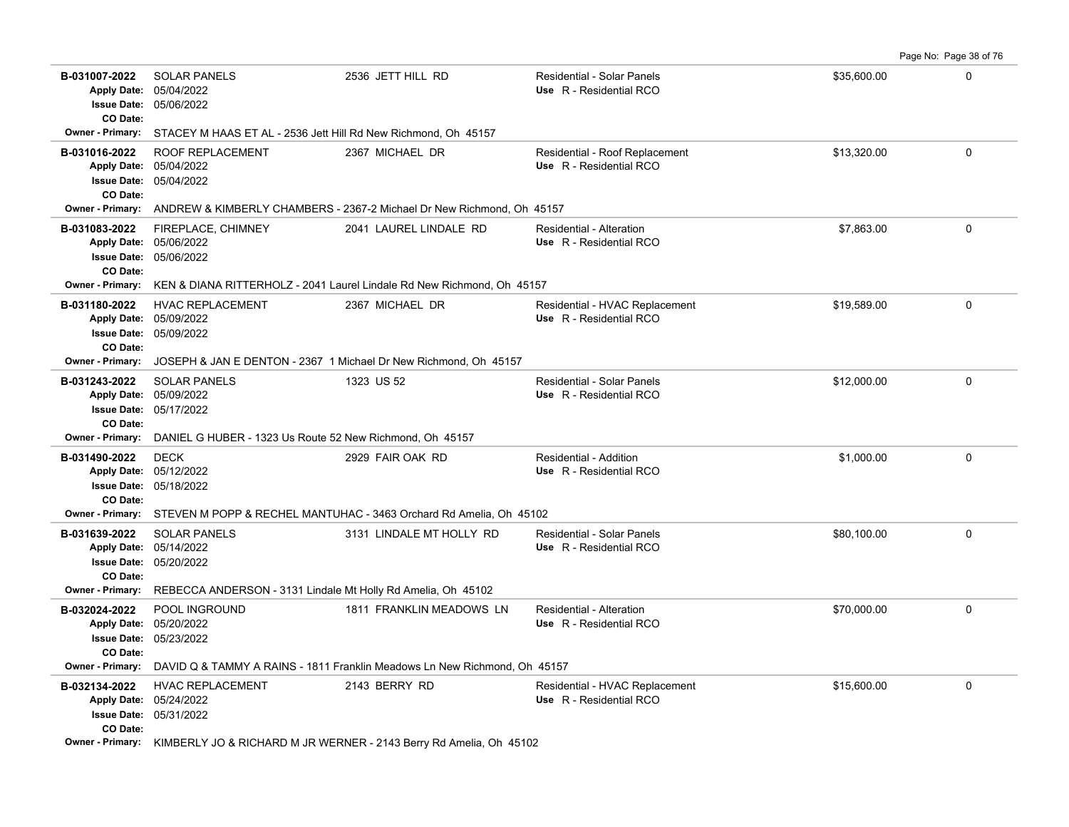Page No: Page 38 of 76

| B-031007-2022<br>CO Date: | <b>SOLAR PANELS</b><br>Apply Date: 05/04/2022<br><b>Issue Date: 05/06/2022</b>             | 2536 JETT HILL RD                                                         | <b>Residential - Solar Panels</b><br>Use R - Residential RCO | \$35,600.00 | $\Omega$            |  |  |  |  |  |
|---------------------------|--------------------------------------------------------------------------------------------|---------------------------------------------------------------------------|--------------------------------------------------------------|-------------|---------------------|--|--|--|--|--|
|                           | Owner - Primary: STACEY M HAAS ET AL - 2536 Jett Hill Rd New Richmond, Oh 45157            |                                                                           |                                                              |             |                     |  |  |  |  |  |
| B-031016-2022<br>CO Date: | ROOF REPLACEMENT<br>Apply Date: 05/04/2022<br><b>Issue Date: 05/04/2022</b>                | 2367 MICHAEL DR                                                           | Residential - Roof Replacement<br>Use R - Residential RCO    | \$13,320.00 | $\mathsf{O}\xspace$ |  |  |  |  |  |
| <b>Owner - Primary:</b>   |                                                                                            | ANDREW & KIMBERLY CHAMBERS - 2367-2 Michael Dr New Richmond, Oh 45157     |                                                              |             |                     |  |  |  |  |  |
| B-031083-2022<br>CO Date: | FIREPLACE, CHIMNEY<br>Apply Date: 05/06/2022<br><b>Issue Date: 05/06/2022</b>              | 2041 LAUREL LINDALE RD                                                    | Residential - Alteration<br>Use R - Residential RCO          | \$7,863.00  | 0                   |  |  |  |  |  |
| Owner - Primary:          |                                                                                            | KEN & DIANA RITTERHOLZ - 2041 Laurel Lindale Rd New Richmond, Oh 45157    |                                                              |             |                     |  |  |  |  |  |
| B-031180-2022<br>CO Date: | <b>HVAC REPLACEMENT</b><br>Apply Date: 05/09/2022<br><b>Issue Date: 05/09/2022</b>         | 2367 MICHAEL DR                                                           | Residential - HVAC Replacement<br>Use R - Residential RCO    | \$19,589.00 | $\mathbf 0$         |  |  |  |  |  |
| <b>Owner - Primary:</b>   |                                                                                            | JOSEPH & JAN E DENTON - 2367 1 Michael Dr New Richmond, Oh 45157          |                                                              |             |                     |  |  |  |  |  |
| B-031243-2022<br>CO Date: | <b>SOLAR PANELS</b><br>Apply Date: 05/09/2022<br><b>Issue Date: 05/17/2022</b>             | 1323 US 52                                                                | Residential - Solar Panels<br>Use R - Residential RCO        | \$12,000.00 | $\mathbf 0$         |  |  |  |  |  |
| <b>Owner - Primary:</b>   | DANIEL G HUBER - 1323 Us Route 52 New Richmond, Oh 45157                                   |                                                                           |                                                              |             |                     |  |  |  |  |  |
| B-031490-2022<br>CO Date: | <b>DECK</b><br>Apply Date: 05/12/2022<br><b>Issue Date: 05/18/2022</b>                     | 2929 FAIR OAK RD                                                          | Residential - Addition<br>Use R - Residential RCO            | \$1,000.00  | $\mathbf 0$         |  |  |  |  |  |
|                           | <b>Owner - Primary:</b> STEVEN M POPP & RECHEL MANTUHAC - 3463 Orchard Rd Amelia, Oh 45102 |                                                                           |                                                              |             |                     |  |  |  |  |  |
| B-031639-2022<br>CO Date: | <b>SOLAR PANELS</b><br>Apply Date: 05/14/2022<br><b>Issue Date: 05/20/2022</b>             | 3131 LINDALE MT HOLLY RD                                                  | Residential - Solar Panels<br>Use R - Residential RCO        | \$80,100.00 | $\mathbf 0$         |  |  |  |  |  |
| Owner - Primary:          | REBECCA ANDERSON - 3131 Lindale Mt Holly Rd Amelia, Oh 45102                               |                                                                           |                                                              |             |                     |  |  |  |  |  |
| B-032024-2022<br>CO Date: | POOL INGROUND<br>Apply Date: 05/20/2022<br><b>Issue Date: 05/23/2022</b>                   | 1811 FRANKLIN MEADOWS LN                                                  | Residential - Alteration<br>Use R - Residential RCO          | \$70,000.00 | $\mathbf 0$         |  |  |  |  |  |
| <b>Owner - Primary:</b>   |                                                                                            | DAVID Q & TAMMY A RAINS - 1811 Franklin Meadows Ln New Richmond, Oh 45157 |                                                              |             |                     |  |  |  |  |  |
| B-032134-2022<br>CO Date: | <b>HVAC REPLACEMENT</b><br>Apply Date: 05/24/2022<br><b>Issue Date: 05/31/2022</b>         | 2143 BERRY RD                                                             | Residential - HVAC Replacement<br>Use R - Residential RCO    | \$15,600.00 | $\mathbf 0$         |  |  |  |  |  |
|                           | Owner - Primary: KIMBERLY JO & RICHARD M JR WERNER - 2143 Berry Rd Amelia, Oh 45102        |                                                                           |                                                              |             |                     |  |  |  |  |  |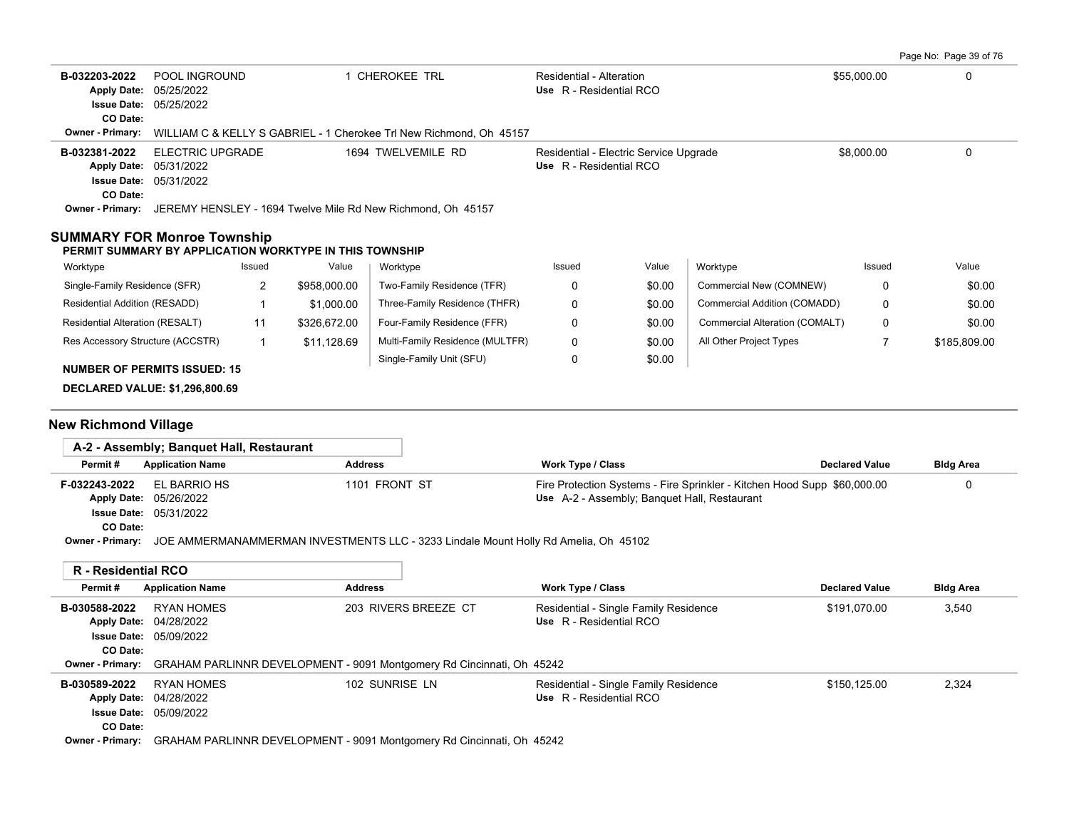Page No: Page 39 of 76

| B-032203-2022<br><b>Apply Date:</b><br>CO Date:                       | POOL INGROUND<br>05/25/2022<br><b>Issue Date: 05/25/2022</b>            |                |                | 1 CHEROKEE TRL                                                                                       | Residential - Alteration<br>Use R - Residential RCO               |        |                                                                          | \$55,000.00           | $\Omega$         |
|-----------------------------------------------------------------------|-------------------------------------------------------------------------|----------------|----------------|------------------------------------------------------------------------------------------------------|-------------------------------------------------------------------|--------|--------------------------------------------------------------------------|-----------------------|------------------|
| <b>Owner - Primary:</b>                                               |                                                                         |                |                | WILLIAM C & KELLY S GABRIEL - 1 Cherokee Trl New Richmond, Oh 45157                                  |                                                                   |        |                                                                          |                       |                  |
| B-032381-2022<br><b>Apply Date:</b><br><b>Issue Date:</b>             | <b>ELECTRIC UPGRADE</b><br>05/31/2022<br>05/31/2022                     |                |                | 1694 TWELVEMILE RD                                                                                   | Residential - Electric Service Upgrade<br>Use R - Residential RCO |        |                                                                          | \$8,000.00            | $\Omega$         |
| CO Date:<br><b>Owner - Primary:</b>                                   |                                                                         |                |                | JEREMY HENSLEY - 1694 Twelve Mile Rd New Richmond, Oh 45157                                          |                                                                   |        |                                                                          |                       |                  |
| SUMMARY FOR Monroe Township                                           |                                                                         |                |                |                                                                                                      |                                                                   |        |                                                                          |                       |                  |
| PERMIT SUMMARY BY APPLICATION WORKTYPE IN THIS TOWNSHIP               |                                                                         |                |                |                                                                                                      |                                                                   |        |                                                                          |                       |                  |
| Worktype                                                              |                                                                         | Issued         | Value          | Worktype                                                                                             | Issued                                                            | Value  | Worktype                                                                 | Issued                | Value            |
| Single-Family Residence (SFR)                                         |                                                                         | $\overline{c}$ | \$958,000.00   | Two-Family Residence (TFR)                                                                           | $\Omega$                                                          | \$0.00 | Commercial New (COMNEW)                                                  | $\mathbf 0$           | \$0.00           |
| Residential Addition (RESADD)                                         |                                                                         | $\mathbf{1}$   | \$1,000.00     | Three-Family Residence (THFR)                                                                        | 0                                                                 | \$0.00 | Commercial Addition (COMADD)                                             | 0                     | \$0.00           |
| Residential Alteration (RESALT)                                       |                                                                         | 11             | \$326,672.00   | Four-Family Residence (FFR)                                                                          | 0                                                                 | \$0.00 | Commercial Alteration (COMALT)                                           | 0                     | \$0.00           |
| Res Accessory Structure (ACCSTR)                                      |                                                                         | $\mathbf{1}$   | \$11,128.69    | Multi-Family Residence (MULTFR)                                                                      | 0                                                                 | \$0.00 | All Other Project Types                                                  | 7                     | \$185,809.00     |
|                                                                       |                                                                         |                |                | Single-Family Unit (SFU)                                                                             | 0                                                                 | \$0.00 |                                                                          |                       |                  |
| <b>NUMBER OF PERMITS ISSUED: 15</b>                                   |                                                                         |                |                |                                                                                                      |                                                                   |        |                                                                          |                       |                  |
| <b>DECLARED VALUE: \$1,296,800.69</b>                                 |                                                                         |                |                |                                                                                                      |                                                                   |        |                                                                          |                       |                  |
| <b>New Richmond Village</b>                                           |                                                                         |                |                |                                                                                                      |                                                                   |        |                                                                          |                       |                  |
|                                                                       | A-2 - Assembly; Banguet Hall, Restaurant                                |                |                |                                                                                                      |                                                                   |        |                                                                          |                       |                  |
| Permit#                                                               | <b>Application Name</b>                                                 |                | <b>Address</b> |                                                                                                      | <b>Work Type / Class</b>                                          |        |                                                                          | <b>Declared Value</b> | <b>Bldg Area</b> |
| F-032243-2022<br>CO Date:<br><b>Owner - Primary:</b>                  | EL BARRIO HS<br>Apply Date: 05/26/2022<br><b>Issue Date: 05/31/2022</b> |                |                | 1101 FRONT ST<br>JOE AMMERMANAMMERMAN INVESTMENTS LLC - 3233 Lindale Mount Holly Rd Amelia, Oh 45102 | Use A-2 - Assembly; Banquet Hall, Restaurant                      |        | Fire Protection Systems - Fire Sprinkler - Kitchen Hood Supp \$60,000.00 |                       | 0                |
| <b>R</b> - Residential RCO                                            |                                                                         |                |                |                                                                                                      |                                                                   |        |                                                                          |                       |                  |
| Permit#                                                               | <b>Application Name</b>                                                 |                | <b>Address</b> |                                                                                                      | <b>Work Type / Class</b>                                          |        |                                                                          | <b>Declared Value</b> | <b>Bldg Area</b> |
| B-030588-2022<br><b>Apply Date:</b><br>CO Date:                       | <b>RYAN HOMES</b><br>04/28/2022<br><b>Issue Date: 05/09/2022</b>        |                |                | 203 RIVERS BREEZE CT                                                                                 | Residential - Single Family Residence<br>Use R - Residential RCO  |        |                                                                          | \$191,070.00          | 3,540            |
| Owner - Primary:                                                      |                                                                         |                |                | GRAHAM PARLINNR DEVELOPMENT - 9091 Montgomery Rd Cincinnati, Oh 45242                                |                                                                   |        |                                                                          |                       |                  |
| B-030589-2022<br><b>Apply Date:</b><br><b>Issue Date:</b><br>CO Date: | <b>RYAN HOMES</b><br>04/28/2022<br>05/09/2022                           |                |                | 102 SUNRISE LN                                                                                       | Residential - Single Family Residence<br>Use R - Residential RCO  |        |                                                                          | \$150,125.00          | 2,324            |
| <b>Owner - Primary:</b>                                               |                                                                         |                |                | GRAHAM PARLINNR DEVELOPMENT - 9091 Montgomery Rd Cincinnati, Oh 45242                                |                                                                   |        |                                                                          |                       |                  |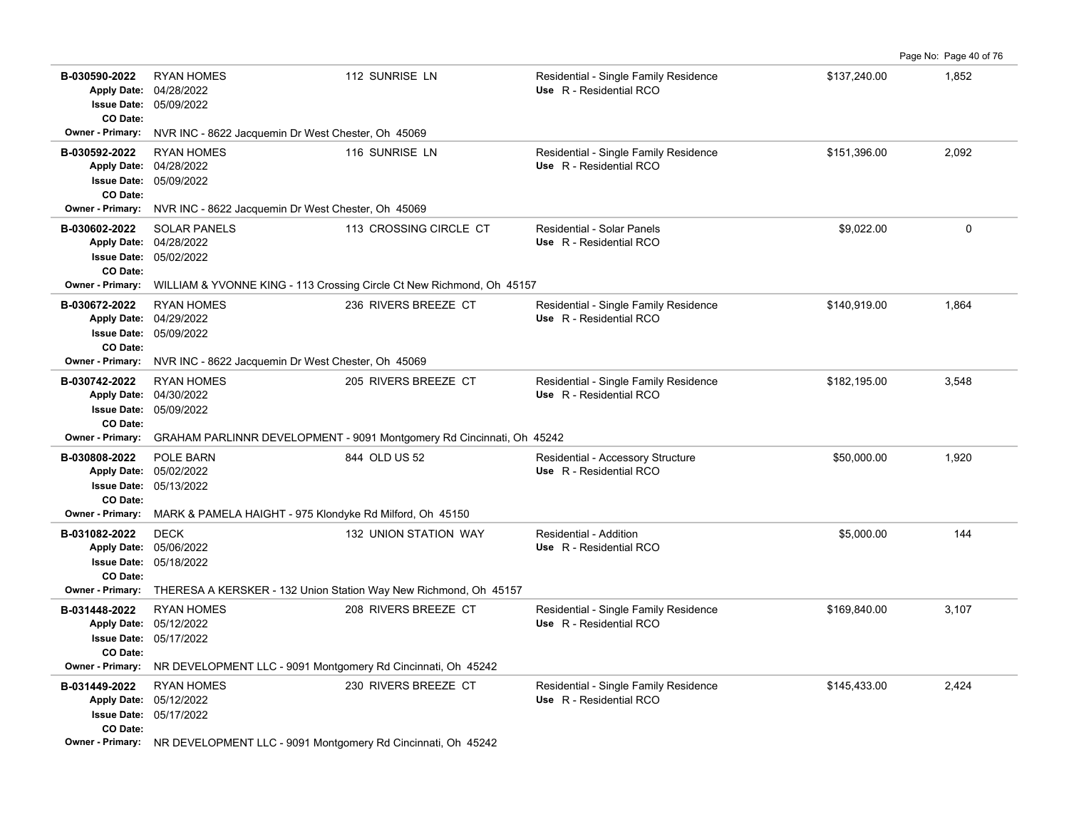|                                                                       |                                                                                                                                              |                                                                       |                                                                  |              | Page No: Page 40 of 76 |
|-----------------------------------------------------------------------|----------------------------------------------------------------------------------------------------------------------------------------------|-----------------------------------------------------------------------|------------------------------------------------------------------|--------------|------------------------|
| B-030590-2022<br><b>Apply Date:</b><br><b>Issue Date:</b><br>CO Date: | <b>RYAN HOMES</b><br>04/28/2022<br>05/09/2022                                                                                                | 112 SUNRISE LN                                                        | Residential - Single Family Residence<br>Use R - Residential RCO | \$137,240.00 | 1,852                  |
| <b>Owner - Primary:</b>                                               | NVR INC - 8622 Jacquemin Dr West Chester, Oh 45069                                                                                           |                                                                       |                                                                  |              |                        |
| B-030592-2022<br><b>Apply Date:</b><br>CO Date:                       | <b>RYAN HOMES</b><br>04/28/2022<br><b>Issue Date: 05/09/2022</b>                                                                             | 116 SUNRISE LN                                                        | Residential - Single Family Residence<br>Use R - Residential RCO | \$151,396.00 | 2,092                  |
| <b>Owner - Primary:</b>                                               | NVR INC - 8622 Jacquemin Dr West Chester, Oh 45069                                                                                           |                                                                       |                                                                  |              |                        |
| B-030602-2022<br><b>Apply Date:</b><br>CO Date:                       | <b>SOLAR PANELS</b><br>04/28/2022<br>Issue Date: 05/02/2022                                                                                  | 113 CROSSING CIRCLE CT                                                | Residential - Solar Panels<br>Use R - Residential RCO            | \$9,022.00   | $\mathbf 0$            |
| <b>Owner - Primary:</b>                                               |                                                                                                                                              | WILLIAM & YVONNE KING - 113 Crossing Circle Ct New Richmond, Oh 45157 |                                                                  |              |                        |
| B-030672-2022<br><b>Apply Date:</b><br>CO Date:                       | <b>RYAN HOMES</b><br>04/29/2022<br><b>Issue Date: 05/09/2022</b>                                                                             | 236 RIVERS BREEZE CT                                                  | Residential - Single Family Residence<br>Use R - Residential RCO | \$140,919.00 | 1,864                  |
| <b>Owner - Primary:</b>                                               | NVR INC - 8622 Jacquemin Dr West Chester, Oh 45069                                                                                           |                                                                       |                                                                  |              |                        |
| B-030742-2022<br><b>Apply Date:</b><br>CO Date:                       | <b>RYAN HOMES</b><br>04/30/2022<br><b>Issue Date: 05/09/2022</b>                                                                             | 205 RIVERS BREEZE CT                                                  | Residential - Single Family Residence<br>Use R - Residential RCO | \$182,195.00 | 3,548                  |
| <b>Owner - Primary:</b>                                               |                                                                                                                                              | GRAHAM PARLINNR DEVELOPMENT - 9091 Montgomery Rd Cincinnati, Oh 45242 |                                                                  |              |                        |
| B-030808-2022<br><b>Apply Date:</b><br><b>Issue Date:</b><br>CO Date: | <b>POLE BARN</b><br>05/02/2022<br>05/13/2022                                                                                                 | 844 OLD US 52                                                         | Residential - Accessory Structure<br>Use R - Residential RCO     | \$50,000.00  | 1,920                  |
| <b>Owner - Primary:</b>                                               | MARK & PAMELA HAIGHT - 975 Klondyke Rd Milford, Oh 45150                                                                                     |                                                                       |                                                                  |              |                        |
| B-031082-2022<br><b>Apply Date:</b><br><b>Issue Date:</b><br>CO Date: | <b>DECK</b><br>05/06/2022<br>05/18/2022                                                                                                      | 132 UNION STATION WAY                                                 | Residential - Addition<br>Use R - Residential RCO                | \$5,000.00   | 144                    |
| <b>Owner - Primary:</b>                                               |                                                                                                                                              | THERESA A KERSKER - 132 Union Station Way New Richmond, Oh 45157      |                                                                  |              |                        |
| B-031448-2022<br>CO Date:<br><b>Owner - Primary:</b>                  | <b>RYAN HOMES</b><br>Apply Date: 05/12/2022<br><b>Issue Date: 05/17/2022</b><br>NR DEVELOPMENT LLC - 9091 Montgomery Rd Cincinnati, Oh 45242 | 208 RIVERS BREEZE CT                                                  | Residential - Single Family Residence<br>Use R - Residential RCO | \$169,840.00 | 3,107                  |
| B-031449-2022                                                         | <b>RYAN HOMES</b>                                                                                                                            | 230 RIVERS BREEZE CT                                                  | Residential - Single Family Residence                            | \$145,433.00 | 2,424                  |
| <b>Issue Date:</b><br>CO Date:                                        | Apply Date: 05/12/2022<br>05/17/2022                                                                                                         |                                                                       | Use R - Residential RCO                                          |              |                        |
|                                                                       | Owner - Primary: NR DEVELOPMENT LLC - 9091 Montgomery Rd Cincinnati, Oh 45242                                                                |                                                                       |                                                                  |              |                        |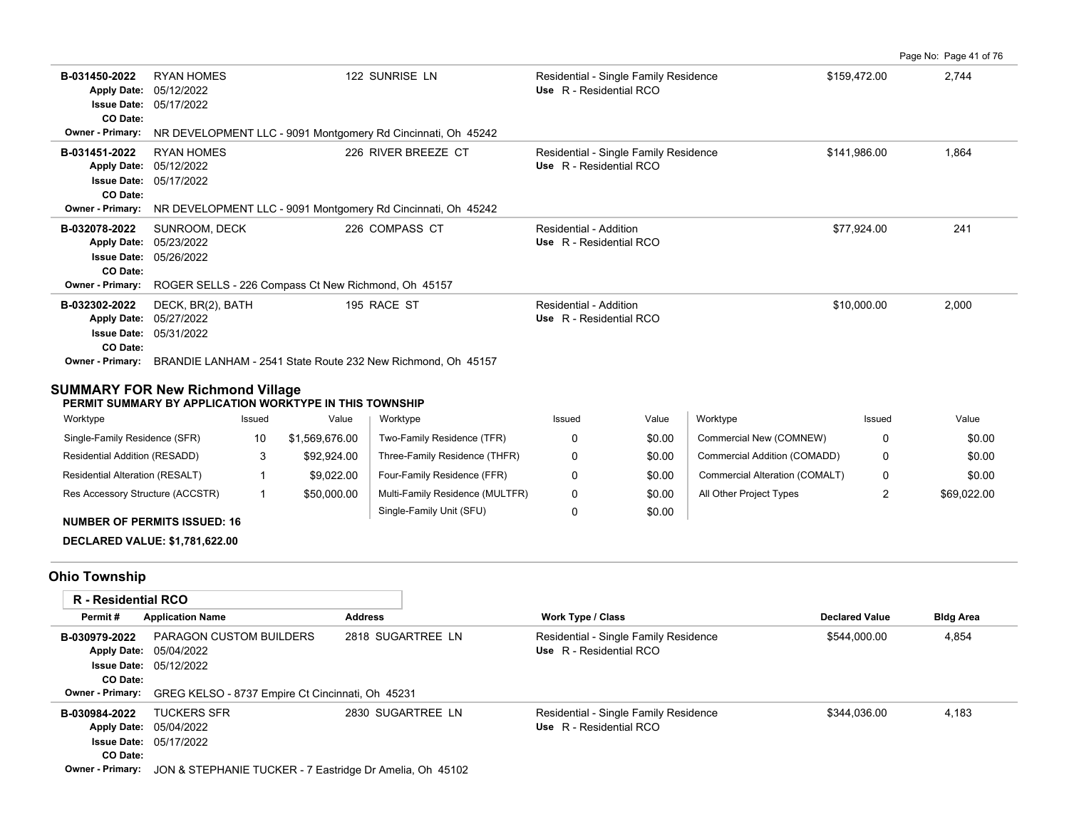|                                                |            |                |                                                                  |              | Page No: Page 41 of 76 |
|------------------------------------------------|------------|----------------|------------------------------------------------------------------|--------------|------------------------|
| B-031450-2022<br><b>Apply Date: 05/12/2022</b> | RYAN HOMES | 122 SUNRISE LN | Residential - Single Family Residence<br>Use R - Residential RCO | \$159 472 00 | 2.744                  |

| B-031450-2022<br>CO Date: | RYAN HOMES<br>Apply Date: 05/12/2022<br><b>Issue Date: 05/17/2022</b>                | 122 SUNRISE LN      | Residential - Single Family Residence<br>Use R - Residential RCO | \$159,472.00 | 2,744 |  |  |  |
|---------------------------|--------------------------------------------------------------------------------------|---------------------|------------------------------------------------------------------|--------------|-------|--|--|--|
| Owner - Primary:          | NR DEVELOPMENT LLC - 9091 Montgomery Rd Cincinnati, Oh 45242                         |                     |                                                                  |              |       |  |  |  |
| B-031451-2022<br>CO Date: | <b>RYAN HOMES</b><br>Apply Date: 05/12/2022<br><b>Issue Date: 05/17/2022</b>         | 226 RIVER BREEZE CT | Residential - Single Family Residence<br>Use R - Residential RCO | \$141,986.00 | 1,864 |  |  |  |
|                           | <b>Owner - Primary:</b> NR DEVELOPMENT LLC - 9091 Montgomery Rd Cincinnati, Oh 45242 |                     |                                                                  |              |       |  |  |  |
| B-032078-2022<br>CO Date: | SUNROOM, DECK<br>Apply Date: 05/23/2022<br><b>Issue Date: 05/26/2022</b>             | 226 COMPASS CT      | Residential - Addition<br>Use R - Residential RCO                | \$77,924.00  | 241   |  |  |  |
| <b>Owner - Primary:</b>   | ROGER SELLS - 226 Compass Ct New Richmond, Oh 45157                                  |                     |                                                                  |              |       |  |  |  |
| B-032302-2022<br>CO Date: | DECK, BR(2), BATH<br>Apply Date: 05/27/2022<br><b>Issue Date: 05/31/2022</b>         | 195 RACE ST         | Residential - Addition<br>Use R - Residential RCO                | \$10,000.00  | 2,000 |  |  |  |
|                           | <b>Owner - Primary:</b> BRANDIE LANHAM - 2541 State Route 232 New Richmond, Oh 45157 |                     |                                                                  |              |       |  |  |  |

#### **SUMMARY FOR New Richmond Village**

**PERMIT SUMMARY BY APPLICATION WORKTYPE IN THIS TOWNSHIP**

| Worktype                               | Issued | Value          | Worktype                        | Issued | Value  | Worktype                       | Issued | Value       |
|----------------------------------------|--------|----------------|---------------------------------|--------|--------|--------------------------------|--------|-------------|
| Single-Family Residence (SFR)          | 10     | \$1.569.676.00 | Two-Family Residence (TFR)      |        | \$0.00 | Commercial New (COMNEW)        | 0      | \$0.00      |
| Residential Addition (RESADD)          |        | \$92.924.00    | Three-Family Residence (THFR)   |        | \$0.00 | Commercial Addition (COMADD)   | 0      | \$0.00      |
| <b>Residential Alteration (RESALT)</b> |        | \$9.022.00     | Four-Family Residence (FFR)     |        | \$0.00 | Commercial Alteration (COMALT) | 0      | \$0.00      |
| Res Accessory Structure (ACCSTR)       |        | \$50,000.00    | Multi-Family Residence (MULTFR) |        | \$0.00 | All Other Project Types        |        | \$69.022.00 |
|                                        |        |                | Single-Family Unit (SFU)        |        | \$0.00 |                                |        |             |

**NUMBER OF PERMITS ISSUED: 16**

**DECLARED VALUE: \$1,781,622.00**

### **Ohio Township**

|                         | <b>R</b> - Residential RCO                                                                       |                   |                                                                  |                       |                  |
|-------------------------|--------------------------------------------------------------------------------------------------|-------------------|------------------------------------------------------------------|-----------------------|------------------|
| Permit#                 | <b>Application Name</b>                                                                          | <b>Address</b>    | <b>Work Type / Class</b>                                         | <b>Declared Value</b> | <b>Bldg Area</b> |
| B-030979-2022           | <b>PARAGON CUSTOM BUILDERS</b><br><b>Apply Date: 05/04/2022</b><br><b>Issue Date: 05/12/2022</b> | 2818 SUGARTREE LN | Residential - Single Family Residence<br>Use R - Residential RCO | \$544.000.00          | 4,854            |
| CO Date:                |                                                                                                  |                   |                                                                  |                       |                  |
| <b>Owner - Primary:</b> | GREG KELSO - 8737 Empire Ct Cincinnati, Oh 45231                                                 |                   |                                                                  |                       |                  |
| B-030984-2022           | <b>TUCKERS SFR</b><br><b>Apply Date: 05/04/2022</b>                                              | 2830 SUGARTREE LN | Residential - Single Family Residence<br>Use R - Residential RCO | \$344.036.00          | 4,183            |
|                         | <b>Issue Date: 05/17/2022</b>                                                                    |                   |                                                                  |                       |                  |
| CO Date:                |                                                                                                  |                   |                                                                  |                       |                  |
| <b>Owner - Primary:</b> | JON & STEPHANIE TUCKER - 7 Eastridge Dr Amelia, Oh 45102                                         |                   |                                                                  |                       |                  |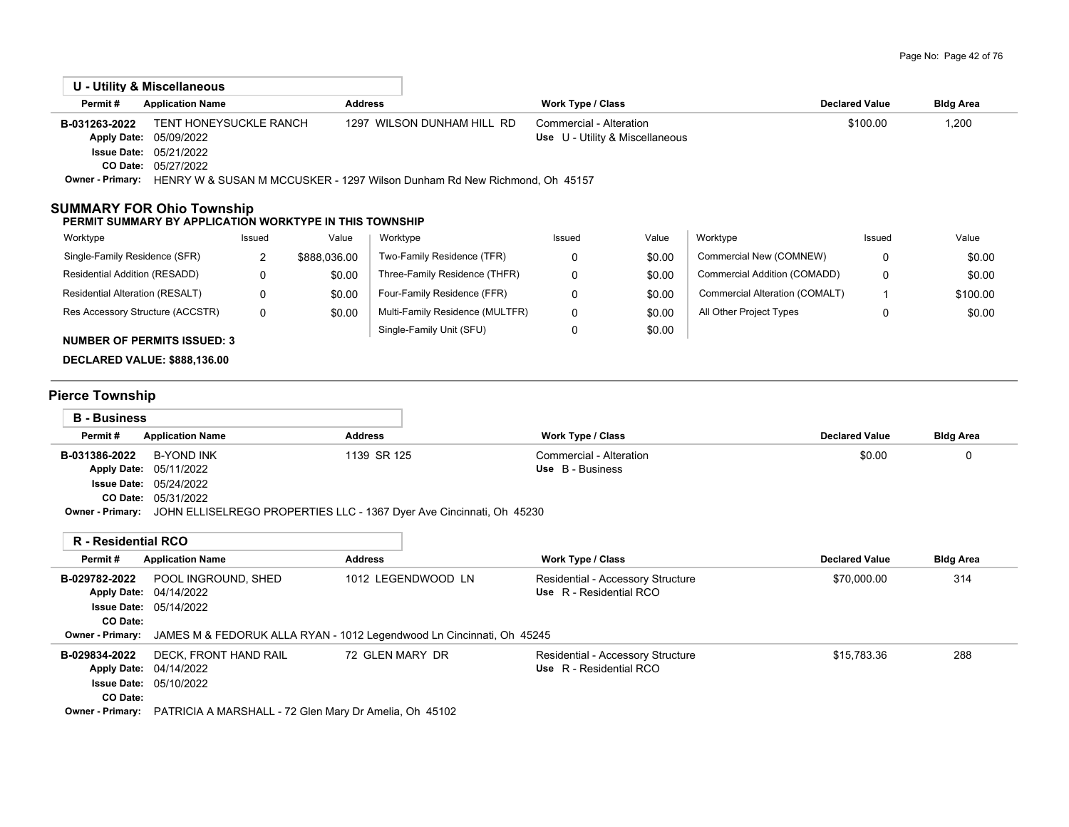\$0.00

0

|                                  | U - Utility & Miscellaneous                             |          |                |                                                                           |                          |                                 |                                |                       |                  |  |
|----------------------------------|---------------------------------------------------------|----------|----------------|---------------------------------------------------------------------------|--------------------------|---------------------------------|--------------------------------|-----------------------|------------------|--|
| Permit#                          | <b>Application Name</b>                                 |          | <b>Address</b> |                                                                           | <b>Work Type / Class</b> |                                 |                                | <b>Declared Value</b> | <b>Bldg Area</b> |  |
| B-031263-2022                    | TENT HONEYSUCKLE RANCH                                  |          |                | 1297 WILSON DUNHAM HILL RD                                                | Commercial - Alteration  |                                 |                                | \$100.00              | 1,200            |  |
| <b>Apply Date:</b>               | 05/09/2022                                              |          |                |                                                                           |                          | Use U - Utility & Miscellaneous |                                |                       |                  |  |
| <b>Issue Date:</b>               | 05/21/2022                                              |          |                |                                                                           |                          |                                 |                                |                       |                  |  |
| <b>CO Date:</b>                  | 05/27/2022                                              |          |                |                                                                           |                          |                                 |                                |                       |                  |  |
| <b>Owner - Primary:</b>          |                                                         |          |                | HENRY W & SUSAN M MCCUSKER - 1297 Wilson Dunham Rd New Richmond, Oh 45157 |                          |                                 |                                |                       |                  |  |
| <b>SUMMARY FOR Ohio Township</b> | PERMIT SUMMARY BY APPLICATION WORKTYPE IN THIS TOWNSHIP |          |                |                                                                           |                          |                                 |                                |                       |                  |  |
| Worktype                         |                                                         | Issued   | Value          | Worktype                                                                  | Issued                   | Value                           | Worktype                       | Issued                | Value            |  |
| Single-Family Residence (SFR)    |                                                         | 2        | \$888,036.00   | Two-Family Residence (TFR)                                                | 0                        | \$0.00                          | Commercial New (COMNEW)        | 0                     | \$0.00           |  |
| Residential Addition (RESADD)    |                                                         | $\Omega$ | \$0.00         | Three-Family Residence (THFR)                                             | 0                        | \$0.00                          | Commercial Addition (COMADD)   | 0                     | \$0.00           |  |
| Residential Alteration (RESALT)  |                                                         | 0        | \$0.00         | Four-Family Residence (FFR)                                               | 0                        | \$0.00                          | Commercial Alteration (COMALT) |                       | \$100.00         |  |

 0 0

\$0.00 \$0.00

Single-Family Unit (SFU) Multi-Family Residence (MULTFR) All Other Project Types

#### **NUMBER OF PERMITS ISSUED: 3**

Res Accessory Structure (ACCSTR)

**DECLARED VALUE: \$888,136.00**

## **Pierce Township**

| <b>B</b> - Business        |                                                                      |                                                                       |                                   |                       |                  |
|----------------------------|----------------------------------------------------------------------|-----------------------------------------------------------------------|-----------------------------------|-----------------------|------------------|
| Permit#                    | <b>Application Name</b>                                              | <b>Address</b>                                                        | <b>Work Type / Class</b>          | <b>Declared Value</b> | <b>Bldg Area</b> |
| B-031386-2022              | <b>B-YOND INK</b>                                                    | 1139 SR 125                                                           | Commercial - Alteration           | \$0.00                | 0                |
| <b>Apply Date:</b>         | 05/11/2022                                                           |                                                                       | Use B - Business                  |                       |                  |
| <b>Issue Date:</b>         | 05/24/2022                                                           |                                                                       |                                   |                       |                  |
| <b>CO Date:</b>            | 05/31/2022                                                           |                                                                       |                                   |                       |                  |
| <b>Owner - Primary:</b>    | JOHN ELLISELREGO PROPERTIES LLC - 1367 Dyer Ave Cincinnati, Oh 45230 |                                                                       |                                   |                       |                  |
|                            |                                                                      |                                                                       |                                   |                       |                  |
| <b>R</b> - Residential RCO |                                                                      |                                                                       |                                   |                       |                  |
| Permit#                    | <b>Application Name</b>                                              | <b>Address</b>                                                        | <b>Work Type / Class</b>          | <b>Declared Value</b> | <b>Bldg Area</b> |
|                            |                                                                      |                                                                       |                                   |                       |                  |
| B-029782-2022              | POOL INGROUND, SHED                                                  | 1012 LEGENDWOOD LN                                                    | Residential - Accessory Structure | \$70,000.00           | 314              |
| <b>Apply Date:</b>         | 04/14/2022                                                           |                                                                       | Use R - Residential RCO           |                       |                  |
| <b>Issue Date:</b>         | 05/14/2022                                                           |                                                                       |                                   |                       |                  |
| CO Date:                   |                                                                      |                                                                       |                                   |                       |                  |
| <b>Owner - Primary:</b>    |                                                                      | JAMES M & FEDORUK ALLA RYAN - 1012 Legendwood Ln Cincinnati, Oh 45245 |                                   |                       |                  |
| B-029834-2022              | DECK, FRONT HAND RAIL                                                | 72 GLEN MARY DR                                                       | Residential - Accessory Structure | \$15,783.36           | 288              |
| <b>Apply Date:</b>         | 04/14/2022                                                           |                                                                       | Use R - Residential RCO           |                       |                  |
| <b>Issue Date:</b>         | 05/10/2022                                                           |                                                                       |                                   |                       |                  |

**Owner - Primary:** PATRICIA A MARSHALL - 72 Glen Mary Dr Amelia, Oh 45102

0

\$0.00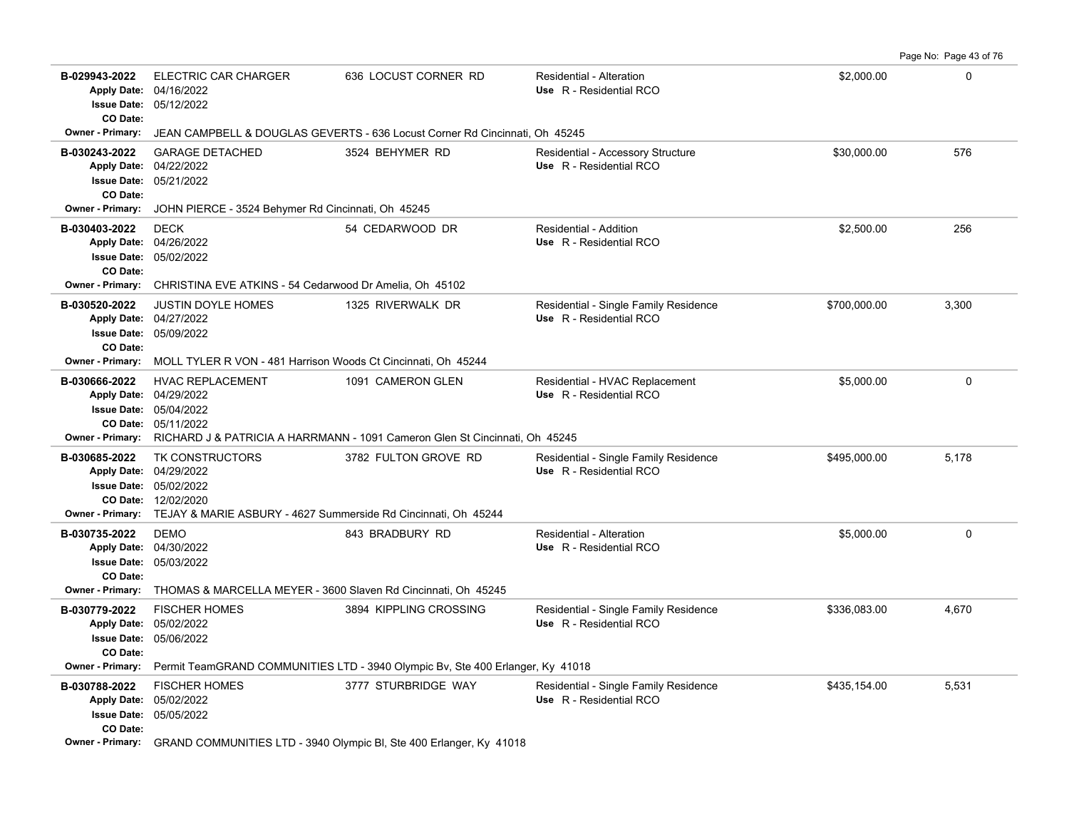**B-029943-2022** \$2,000.00 0 ELECTRIC CAR CHARGER 636 LOCUST CORNER RD Residential - Alteration 05/12/2022 **Issue Date:** Apply Date: 04/16/2022 **Apply Date: Use** R - Residential RCO **CO Date: Owner - Primary:** JEAN CAMPBELL & DOUGLAS GEVERTS - 636 Locust Corner Rd Cincinnati, Oh 45245 **B-030243-2022** \$30,000.00 576 GARAGE DETACHED 3524 BEHYMER RD Residential - Accessory Structure 05/21/2022 **Issue Date:** 04/22/2022 **Apply Date: Use** R - Residential RCO **CO Date: Owner - Primary:** JOHN PIERCE - 3524 Behymer Rd Cincinnati, Oh 45245 **B-030403-2022** \$2,500.00 256 05/02/2022 **Issue Date:** 04/26/2022 **Apply Date: Use** R - Residential RCO DECK 54 CEDARWOOD DR Residential - Addition **CO Date: Owner - Primary:** CHRISTINA EVE ATKINS - 54 Cedarwood Dr Amelia, Oh 45102 B-030520-2022 JUSTIN DOYLE HOMES 1325 RIVERWALK DR Residential - Single Family Residence \$700,000.00 3,300 05/09/2022 **Issue Date:** 04/27/2022 **Apply Date: Use** R - Residential RCO **CO Date: Owner - Primary:** MOLL TYLER R VON - 481 Harrison Woods Ct Cincinnati, Oh 45244 **B-030666-2022** HVAC REPLACEMENT 1091 CAMERON GLEN Residential - HVAC Replacement \$5,000.00 \$5,000.00 0 05/11/2022 **CO Date:** 05/04/2022 **Issue Date:** Apply Date: 04/29/2022 **Apply Date: Use** R - Residential RCO **Owner - Primary:** RICHARD J & PATRICIA A HARRMANN - 1091 Cameron Glen St Cincinnati, Oh 45245 B-030685-2022 TK CONSTRUCTORS 3782 FULTON GROVE RD Residential - Single Family Residence \$495,000.00 5,178 12/02/2020 **CO Date:** 05/02/2022 **Issue Date:** Apply Date: 04/29/2022 **Apply Date: Use** R - Residential RCO **Owner - Primary:** TEJAY & MARIE ASBURY - 4627 Summerside Rd Cincinnati, Oh 45244 **B-030735-2022** \$5,000.00 0 05/03/2022 **Issue Date:** Apply Date: 04/30/2022 DEMO 843 BRADBURY RD Residential - Alteration **Apply Date: Use** R - Residential RCO **CO Date: Owner - Primary:** THOMAS & MARCELLA MEYER - 3600 Slaven Rd Cincinnati, Oh 45245 B-030779-2022 FISCHER HOMES 3894 KIPPLING CROSSING Residential - Single Family Residence \$336,083.00 4,670 05/06/2022 **Issue Date:** 05/02/2022 **Apply Date: Use** R - Residential RCO **CO Date: Owner - Primary:** Permit TeamGRAND COMMUNITIES LTD - 3940 Olympic Bv, Ste 400 Erlanger, Ky 41018 B-030788-2022 FISCHER HOMES 3777 STURBRIDGE WAY Residential - Single Family Residence \$435,154.00 5,531 05/05/2022 **Issue Date:** 05/02/2022 **Apply Date: Use** R - Residential RCO **CO Date:**

Page No: Page 43 of 76

**Owner - Primary:** GRAND COMMUNITIES LTD - 3940 Olympic Bl, Ste 400 Erlanger, Ky 41018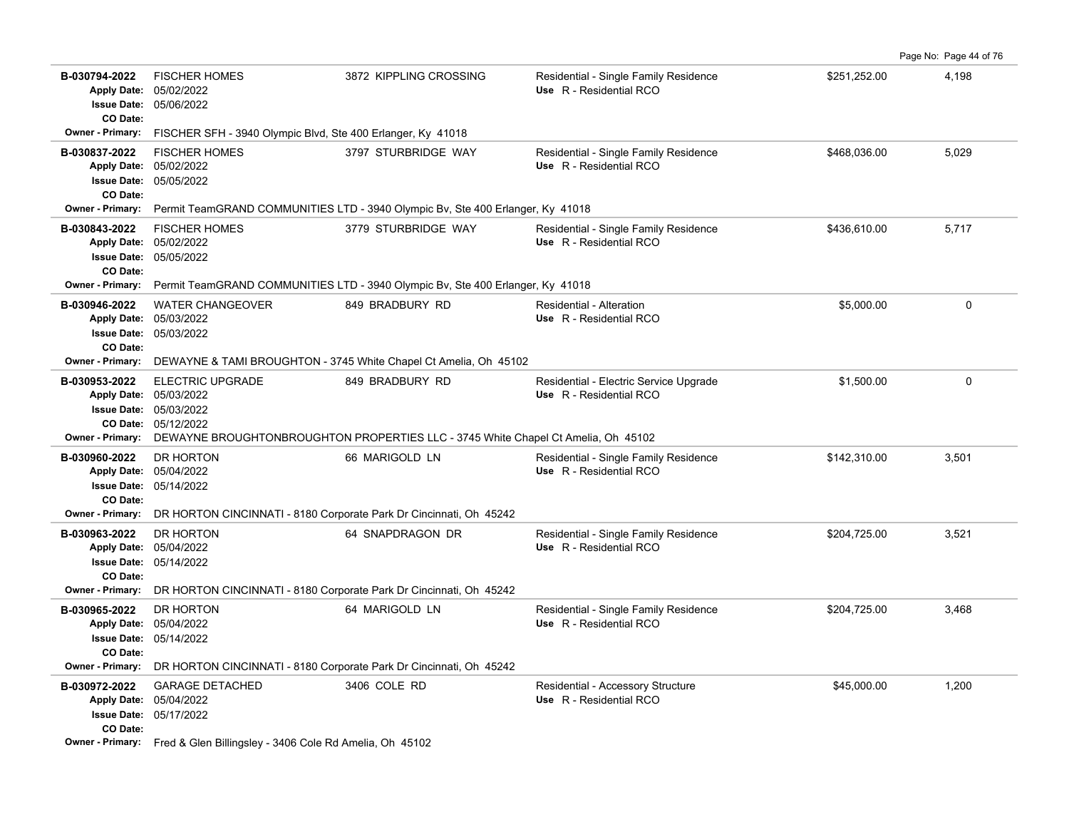|                                                                            |                                                                                                                                                                      |                                                                                                    |                                                                   |              | Page No: Page 44 of 76 |
|----------------------------------------------------------------------------|----------------------------------------------------------------------------------------------------------------------------------------------------------------------|----------------------------------------------------------------------------------------------------|-------------------------------------------------------------------|--------------|------------------------|
| B-030794-2022<br><b>Apply Date:</b><br><b>Issue Date:</b><br>CO Date:      | <b>FISCHER HOMES</b><br>05/02/2022<br>05/06/2022                                                                                                                     | 3872 KIPPLING CROSSING                                                                             | Residential - Single Family Residence<br>Use R - Residential RCO  | \$251,252.00 | 4,198                  |
| <b>Owner - Primary:</b>                                                    | FISCHER SFH - 3940 Olympic Blvd, Ste 400 Erlanger, Ky 41018                                                                                                          |                                                                                                    |                                                                   |              |                        |
| B-030837-2022<br><b>Apply Date:</b><br>CO Date:                            | <b>FISCHER HOMES</b><br>05/02/2022<br>Issue Date: 05/05/2022                                                                                                         | 3797 STURBRIDGE WAY                                                                                | Residential - Single Family Residence<br>Use R - Residential RCO  | \$468,036.00 | 5,029                  |
| <b>Owner - Primary:</b>                                                    |                                                                                                                                                                      | Permit TeamGRAND COMMUNITIES LTD - 3940 Olympic By, Ste 400 Erlanger, Ky 41018                     |                                                                   |              |                        |
| B-030843-2022<br><b>Apply Date:</b><br><b>Issue Date:</b><br>CO Date:      | <b>FISCHER HOMES</b><br>05/02/2022<br>05/05/2022                                                                                                                     | 3779 STURBRIDGE WAY                                                                                | Residential - Single Family Residence<br>Use R - Residential RCO  | \$436,610.00 | 5,717                  |
| <b>Owner - Primary:</b>                                                    |                                                                                                                                                                      | Permit TeamGRAND COMMUNITIES LTD - 3940 Olympic By, Ste 400 Erlanger, Ky 41018                     |                                                                   |              |                        |
| B-030946-2022<br>CO Date:                                                  | <b>WATER CHANGEOVER</b><br>Apply Date: 05/03/2022<br><b>Issue Date: 05/03/2022</b>                                                                                   | 849 BRADBURY RD                                                                                    | Residential - Alteration<br>Use R - Residential RCO               | \$5,000.00   | 0                      |
|                                                                            |                                                                                                                                                                      | Owner - Primary: DEWAYNE & TAMI BROUGHTON - 3745 White Chapel Ct Amelia, Oh 45102                  |                                                                   |              |                        |
| B-030953-2022<br><b>Apply Date:</b>                                        | <b>ELECTRIC UPGRADE</b><br>05/03/2022<br><b>Issue Date: 05/03/2022</b><br>CO Date: 05/12/2022                                                                        | 849 BRADBURY RD                                                                                    | Residential - Electric Service Upgrade<br>Use R - Residential RCO | \$1,500.00   | $\mathbf 0$            |
|                                                                            |                                                                                                                                                                      | Owner - Primary: DEWAYNE BROUGHTONBROUGHTON PROPERTIES LLC - 3745 White Chapel Ct Amelia, Oh 45102 |                                                                   |              |                        |
| B-030960-2022<br><b>Issue Date:</b><br>CO Date:                            | DR HORTON<br>Apply Date: 05/04/2022<br>05/14/2022                                                                                                                    | 66 MARIGOLD LN                                                                                     | Residential - Single Family Residence<br>Use R - Residential RCO  | \$142,310.00 | 3,501                  |
| <b>Owner - Primary:</b>                                                    | DR HORTON CINCINNATI - 8180 Corporate Park Dr Cincinnati, Oh 45242                                                                                                   |                                                                                                    |                                                                   |              |                        |
| B-030963-2022<br>CO Date:                                                  | DR HORTON<br>Apply Date: 05/04/2022<br><b>Issue Date: 05/14/2022</b>                                                                                                 | 64 SNAPDRAGON DR                                                                                   | Residential - Single Family Residence<br>Use R - Residential RCO  | \$204,725.00 | 3,521                  |
|                                                                            | <b>Owner - Primary:</b> DR HORTON CINCINNATI - 8180 Corporate Park Dr Cincinnati, Oh 45242                                                                           |                                                                                                    |                                                                   |              |                        |
| B-030965-2022<br><b>Issue Date:</b><br>CO Date:<br><b>Owner - Primary:</b> | DR HORTON<br>Apply Date: 05/04/2022<br>05/14/2022<br>DR HORTON CINCINNATI - 8180 Corporate Park Dr Cincinnati, Oh 45242                                              | 64 MARIGOLD LN                                                                                     | Residential - Single Family Residence<br>Use R - Residential RCO  | \$204,725.00 | 3,468                  |
| B-030972-2022<br>CO Date:                                                  | <b>GARAGE DETACHED</b><br>Apply Date: 05/04/2022<br><b>Issue Date: 05/17/2022</b><br><b>Owner - Primary:</b> Fred & Glen Billingsley - 3406 Cole Rd Amelia, Oh 45102 | 3406 COLE RD                                                                                       | Residential - Accessory Structure<br>Use R - Residential RCO      | \$45,000.00  | 1,200                  |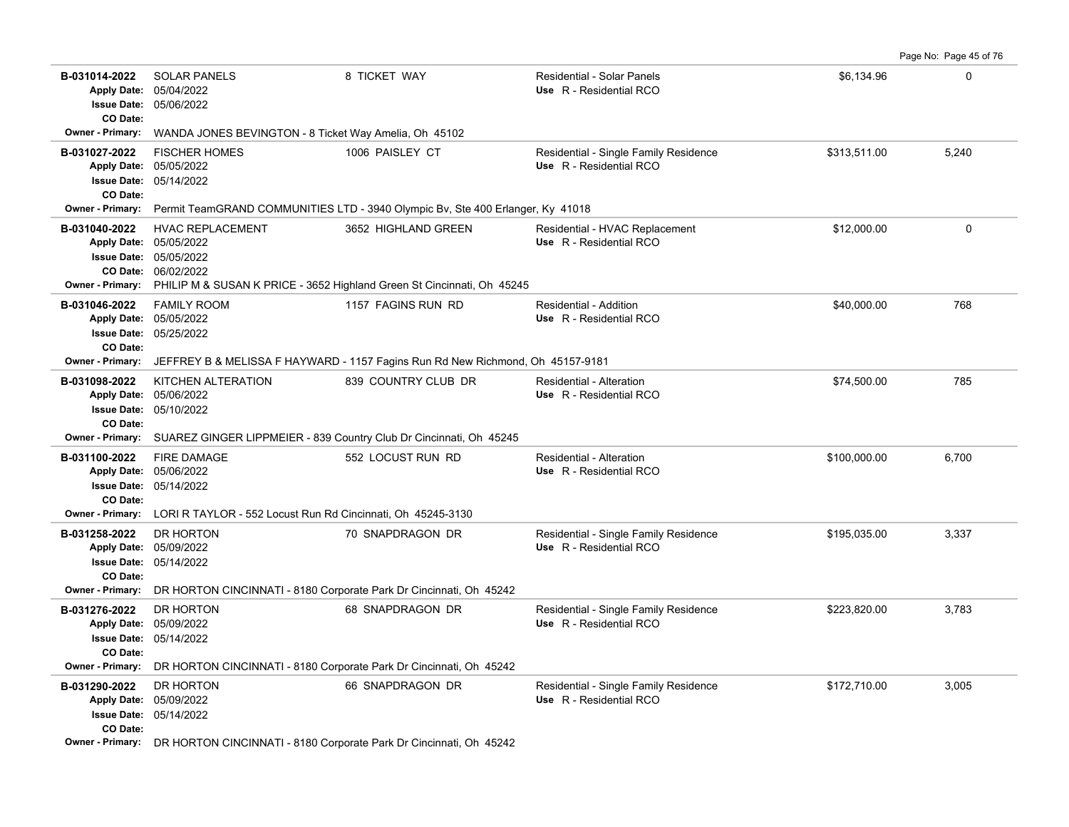| B-031014-2022<br><b>Apply Date:</b><br>CO Date:                       | <b>SOLAR PANELS</b><br>05/04/2022<br><b>Issue Date: 05/06/2022</b>                                        | 8 TICKET WAY                                                                                  | <b>Residential - Solar Panels</b><br>Use R - Residential RCO     | \$6.134.96   | $\mathbf{0}$ |
|-----------------------------------------------------------------------|-----------------------------------------------------------------------------------------------------------|-----------------------------------------------------------------------------------------------|------------------------------------------------------------------|--------------|--------------|
| <b>Owner - Primary:</b>                                               | WANDA JONES BEVINGTON - 8 Ticket Way Amelia, Oh 45102                                                     |                                                                                               |                                                                  |              |              |
| B-031027-2022<br><b>Apply Date:</b><br><b>Issue Date:</b><br>CO Date: | <b>FISCHER HOMES</b><br>05/05/2022<br>05/14/2022                                                          | 1006 PAISLEY CT                                                                               | Residential - Single Family Residence<br>Use R - Residential RCO | \$313,511.00 | 5,240        |
| <b>Owner - Primary:</b>                                               |                                                                                                           | Permit TeamGRAND COMMUNITIES LTD - 3940 Olympic Bv, Ste 400 Erlanger, Ky 41018                |                                                                  |              |              |
| B-031040-2022<br><b>Owner - Primary:</b>                              | <b>HVAC REPLACEMENT</b><br>Apply Date: 05/05/2022<br><b>Issue Date: 05/05/2022</b><br>CO Date: 06/02/2022 | 3652 HIGHLAND GREEN<br>PHILIP M & SUSAN K PRICE - 3652 Highland Green St Cincinnati, Oh 45245 | Residential - HVAC Replacement<br>Use R - Residential RCO        | \$12,000.00  | $\mathbf 0$  |
| B-031046-2022<br>CO Date:                                             | <b>FAMILY ROOM</b><br>Apply Date: 05/05/2022<br><b>Issue Date: 05/25/2022</b>                             | 1157 FAGINS RUN RD                                                                            | Residential - Addition<br>Use R - Residential RCO                | \$40,000.00  | 768          |
| Owner - Primary:                                                      |                                                                                                           | JEFFREY B & MELISSA F HAYWARD - 1157 Fagins Run Rd New Richmond, Oh 45157-9181                |                                                                  |              |              |
| B-031098-2022<br><b>Apply Date:</b><br>CO Date:                       | KITCHEN ALTERATION<br>05/06/2022<br><b>Issue Date: 05/10/2022</b>                                         | 839 COUNTRY CLUB DR                                                                           | Residential - Alteration<br>Use R - Residential RCO              | \$74,500.00  | 785          |
| <b>Owner - Primary:</b>                                               | SUAREZ GINGER LIPPMEIER - 839 Country Club Dr Cincinnati, Oh 45245                                        |                                                                                               |                                                                  |              |              |
| B-031100-2022<br><b>Issue Date:</b><br>CO Date:                       | <b>FIRE DAMAGE</b><br>Apply Date: 05/06/2022<br>05/14/2022                                                | 552 LOCUST RUN RD                                                                             | Residential - Alteration<br>Use R - Residential RCO              | \$100,000.00 | 6,700        |
| <b>Owner - Primary:</b>                                               | LORI R TAYLOR - 552 Locust Run Rd Cincinnati, Oh 45245-3130                                               |                                                                                               |                                                                  |              |              |
| B-031258-2022<br><b>Apply Date:</b><br>CO Date:                       | DR HORTON<br>05/09/2022<br><b>Issue Date: 05/14/2022</b>                                                  | 70 SNAPDRAGON DR                                                                              | Residential - Single Family Residence<br>Use R - Residential RCO | \$195,035.00 | 3,337        |
| Owner - Primary:                                                      | DR HORTON CINCINNATI - 8180 Corporate Park Dr Cincinnati, Oh 45242                                        |                                                                                               |                                                                  |              |              |
| B-031276-2022<br><b>Issue Date:</b><br>CO Date:                       | <b>DR HORTON</b><br>Apply Date: 05/09/2022<br>05/14/2022                                                  | 68 SNAPDRAGON DR                                                                              | Residential - Single Family Residence<br>Use R - Residential RCO | \$223,820.00 | 3,783        |
| <b>Owner - Primary:</b>                                               | DR HORTON CINCINNATI - 8180 Corporate Park Dr Cincinnati, Oh 45242                                        |                                                                                               |                                                                  |              |              |
| B-031290-2022<br><b>Issue Date:</b><br>CO Date:                       | DR HORTON<br>Apply Date: 05/09/2022<br>05/14/2022                                                         | 66 SNAPDRAGON DR                                                                              | Residential - Single Family Residence<br>Use R - Residential RCO | \$172,710.00 | 3,005        |
| <b>Owner - Primary:</b>                                               | DR HORTON CINCINNATI - 8180 Corporate Park Dr Cincinnati, Oh 45242                                        |                                                                                               |                                                                  |              |              |

Page No: Page 45 of 76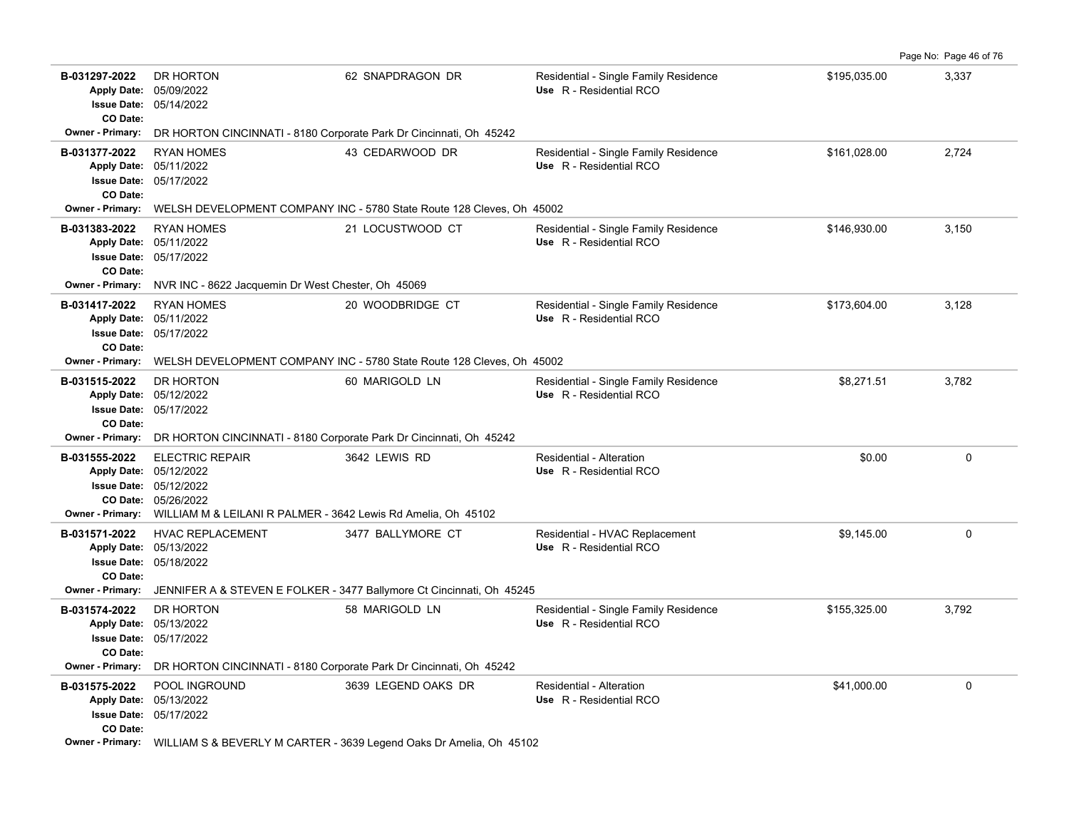|                                                           |                                                                                                                                                                           |                                                                                            |                                                                  |              | Page No: Page 46 of 76 |
|-----------------------------------------------------------|---------------------------------------------------------------------------------------------------------------------------------------------------------------------------|--------------------------------------------------------------------------------------------|------------------------------------------------------------------|--------------|------------------------|
| B-031297-2022<br><b>Issue Date:</b><br>CO Date:           | DR HORTON<br>Apply Date: 05/09/2022<br>05/14/2022                                                                                                                         | 62 SNAPDRAGON DR                                                                           | Residential - Single Family Residence<br>Use R - Residential RCO | \$195,035.00 | 3,337                  |
| <b>Owner - Primary:</b>                                   | DR HORTON CINCINNATI - 8180 Corporate Park Dr Cincinnati, Oh 45242                                                                                                        |                                                                                            |                                                                  |              |                        |
| B-031377-2022<br>CO Date:                                 | <b>RYAN HOMES</b><br>Apply Date: 05/11/2022<br><b>Issue Date: 05/17/2022</b>                                                                                              | 43 CEDARWOOD DR                                                                            | Residential - Single Family Residence<br>Use R - Residential RCO | \$161,028.00 | 2,724                  |
| <b>Owner - Primary:</b>                                   |                                                                                                                                                                           | WELSH DEVELOPMENT COMPANY INC - 5780 State Route 128 Cleves, Oh 45002                      |                                                                  |              |                        |
| B-031383-2022<br>CO Date:<br>Owner - Primary:             | <b>RYAN HOMES</b><br>Apply Date: 05/11/2022<br><b>Issue Date: 05/17/2022</b><br>NVR INC - 8622 Jacquemin Dr West Chester, Oh 45069                                        | 21 LOCUSTWOOD CT                                                                           | Residential - Single Family Residence<br>Use R - Residential RCO | \$146,930.00 | 3,150                  |
| B-031417-2022<br>CO Date:                                 | <b>RYAN HOMES</b><br>Apply Date: 05/11/2022<br><b>Issue Date: 05/17/2022</b>                                                                                              | 20 WOODBRIDGE CT                                                                           | Residential - Single Family Residence<br>Use R - Residential RCO | \$173,604.00 | 3,128                  |
| <b>Owner - Primary:</b>                                   |                                                                                                                                                                           | WELSH DEVELOPMENT COMPANY INC - 5780 State Route 128 Cleves, Oh 45002                      |                                                                  |              |                        |
| B-031515-2022<br>CO Date:                                 | <b>DR HORTON</b><br>Apply Date: 05/12/2022<br><b>Issue Date: 05/17/2022</b>                                                                                               | 60 MARIGOLD LN                                                                             | Residential - Single Family Residence<br>Use R - Residential RCO | \$8,271.51   | 3,782                  |
| <b>Owner - Primary:</b>                                   | DR HORTON CINCINNATI - 8180 Corporate Park Dr Cincinnati, Oh 45242                                                                                                        |                                                                                            |                                                                  |              |                        |
| B-031555-2022<br>Owner - Primary:                         | <b>ELECTRIC REPAIR</b><br>Apply Date: 05/12/2022<br><b>Issue Date: 05/12/2022</b><br>CO Date: 05/26/2022<br>WILLIAM M & LEILANI R PALMER - 3642 Lewis Rd Amelia, Oh 45102 | 3642 LEWIS RD                                                                              | Residential - Alteration<br>Use R - Residential RCO              | \$0.00       | 0                      |
| B-031571-2022<br>CO Date:<br><b>Owner - Primary:</b>      | <b>HVAC REPLACEMENT</b><br>Apply Date: 05/13/2022<br><b>Issue Date: 05/18/2022</b>                                                                                        | 3477 BALLYMORE CT<br>JENNIFER A & STEVEN E FOLKER - 3477 Ballymore Ct Cincinnati, Oh 45245 | Residential - HVAC Replacement<br>Use R - Residential RCO        | \$9,145.00   | $\mathbf 0$            |
| B-031574-2022                                             | DR HORTON                                                                                                                                                                 | 58 MARIGOLD LN                                                                             | Residential - Single Family Residence                            | \$155,325.00 | 3,792                  |
| <b>Issue Date:</b><br>CO Date:<br><b>Owner - Primary:</b> | Apply Date: 05/13/2022<br>05/17/2022<br>DR HORTON CINCINNATI - 8180 Corporate Park Dr Cincinnati, Oh 45242                                                                |                                                                                            | Use R - Residential RCO                                          |              |                        |
| B-031575-2022                                             | POOL INGROUND                                                                                                                                                             | 3639 LEGEND OAKS DR                                                                        | <b>Residential - Alteration</b>                                  | \$41,000.00  | 0                      |
| CO Date:                                                  | Apply Date: 05/13/2022<br><b>Issue Date: 05/17/2022</b>                                                                                                                   |                                                                                            | Use R - Residential RCO                                          |              |                        |
|                                                           | Owner - Primary: WILLIAM S & BEVERLY M CARTER - 3639 Legend Oaks Dr Amelia, Oh 45102                                                                                      |                                                                                            |                                                                  |              |                        |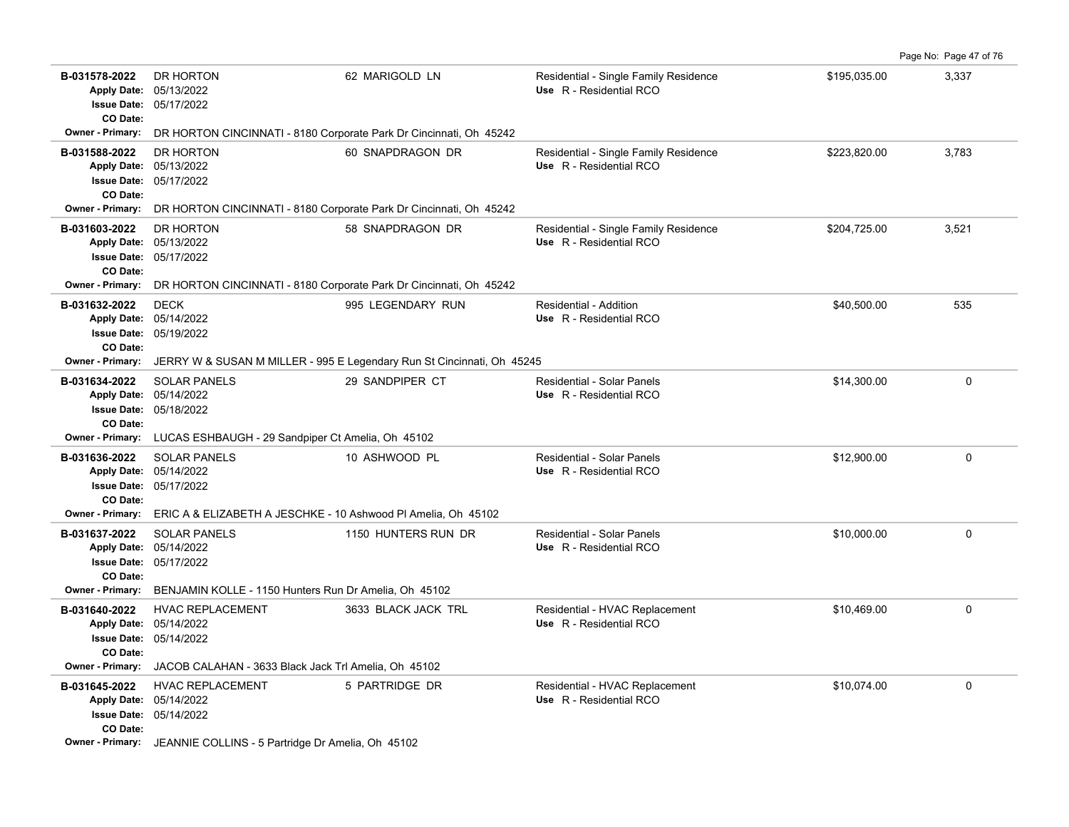| B-031578-2022<br><b>Apply Date:</b><br>CO Date: | DR HORTON<br>05/13/2022<br><b>Issue Date: 05/17/2022</b>                           | 62 MARIGOLD LN                                                         | Residential - Single Family Residence<br>Use R - Residential RCO | \$195,035.00 | 3,337       |
|-------------------------------------------------|------------------------------------------------------------------------------------|------------------------------------------------------------------------|------------------------------------------------------------------|--------------|-------------|
| <b>Owner - Primary:</b>                         | DR HORTON CINCINNATI - 8180 Corporate Park Dr Cincinnati, Oh 45242                 |                                                                        |                                                                  |              |             |
| B-031588-2022<br>CO Date:                       | DR HORTON<br>Apply Date: 05/13/2022<br><b>Issue Date: 05/17/2022</b>               | 60 SNAPDRAGON DR                                                       | Residential - Single Family Residence<br>Use R - Residential RCO | \$223,820.00 | 3,783       |
| <b>Owner - Primary:</b>                         | DR HORTON CINCINNATI - 8180 Corporate Park Dr Cincinnati, Oh 45242                 |                                                                        |                                                                  |              |             |
| B-031603-2022<br>CO Date:                       | DR HORTON<br>Apply Date: 05/13/2022<br><b>Issue Date: 05/17/2022</b>               | 58 SNAPDRAGON DR                                                       | Residential - Single Family Residence<br>Use R - Residential RCO | \$204,725.00 | 3,521       |
| <b>Owner - Primary:</b>                         | DR HORTON CINCINNATI - 8180 Corporate Park Dr Cincinnati, Oh 45242                 |                                                                        |                                                                  |              |             |
| B-031632-2022<br>CO Date:                       | <b>DECK</b><br>Apply Date: 05/14/2022<br><b>Issue Date: 05/19/2022</b>             | 995 LEGENDARY RUN                                                      | Residential - Addition<br>Use R - Residential RCO                | \$40,500.00  | 535         |
| Owner - Primary:                                |                                                                                    | JERRY W & SUSAN M MILLER - 995 E Legendary Run St Cincinnati, Oh 45245 |                                                                  |              |             |
| B-031634-2022<br>CO Date:                       | <b>SOLAR PANELS</b><br>Apply Date: 05/14/2022<br><b>Issue Date: 05/18/2022</b>     | 29 SANDPIPER CT                                                        | Residential - Solar Panels<br>Use R - Residential RCO            | \$14,300.00  | $\mathbf 0$ |
| <b>Owner - Primary:</b>                         | LUCAS ESHBAUGH - 29 Sandpiper Ct Amelia, Oh 45102                                  |                                                                        |                                                                  |              |             |
| B-031636-2022<br>CO Date:                       | SOLAR PANELS<br>Apply Date: 05/14/2022<br><b>Issue Date: 05/17/2022</b>            | 10 ASHWOOD PL                                                          | Residential - Solar Panels<br>Use R - Residential RCO            | \$12,900.00  | 0           |
| <b>Owner - Primary:</b>                         | ERIC A & ELIZABETH A JESCHKE - 10 Ashwood PI Amelia, Oh 45102                      |                                                                        |                                                                  |              |             |
| B-031637-2022<br>CO Date:                       | <b>SOLAR PANELS</b><br>Apply Date: 05/14/2022<br><b>Issue Date: 05/17/2022</b>     | 1150 HUNTERS RUN DR                                                    | <b>Residential - Solar Panels</b><br>Use R - Residential RCO     | \$10,000.00  | 0           |
| <b>Owner - Primary:</b>                         | BENJAMIN KOLLE - 1150 Hunters Run Dr Amelia, Oh 45102                              |                                                                        |                                                                  |              |             |
| B-031640-2022<br>CO Date:                       | <b>HVAC REPLACEMENT</b><br>Apply Date: 05/14/2022<br><b>Issue Date: 05/14/2022</b> | 3633 BLACK JACK TRL                                                    | Residential - HVAC Replacement<br>Use R - Residential RCO        | \$10,469.00  | $\mathbf 0$ |
| <b>Owner - Primary:</b>                         | JACOB CALAHAN - 3633 Black Jack Trl Amelia, Oh 45102                               |                                                                        |                                                                  |              |             |
| B-031645-2022<br>CO Date:                       | <b>HVAC REPLACEMENT</b><br>Apply Date: 05/14/2022<br><b>Issue Date: 05/14/2022</b> | 5 PARTRIDGE DR                                                         | Residential - HVAC Replacement<br>Use R - Residential RCO        | \$10,074.00  | 0           |
| <b>Owner - Primary:</b>                         | JEANNIE COLLINS - 5 Partridge Dr Amelia, Oh 45102                                  |                                                                        |                                                                  |              |             |

Page No: Page 47 of 76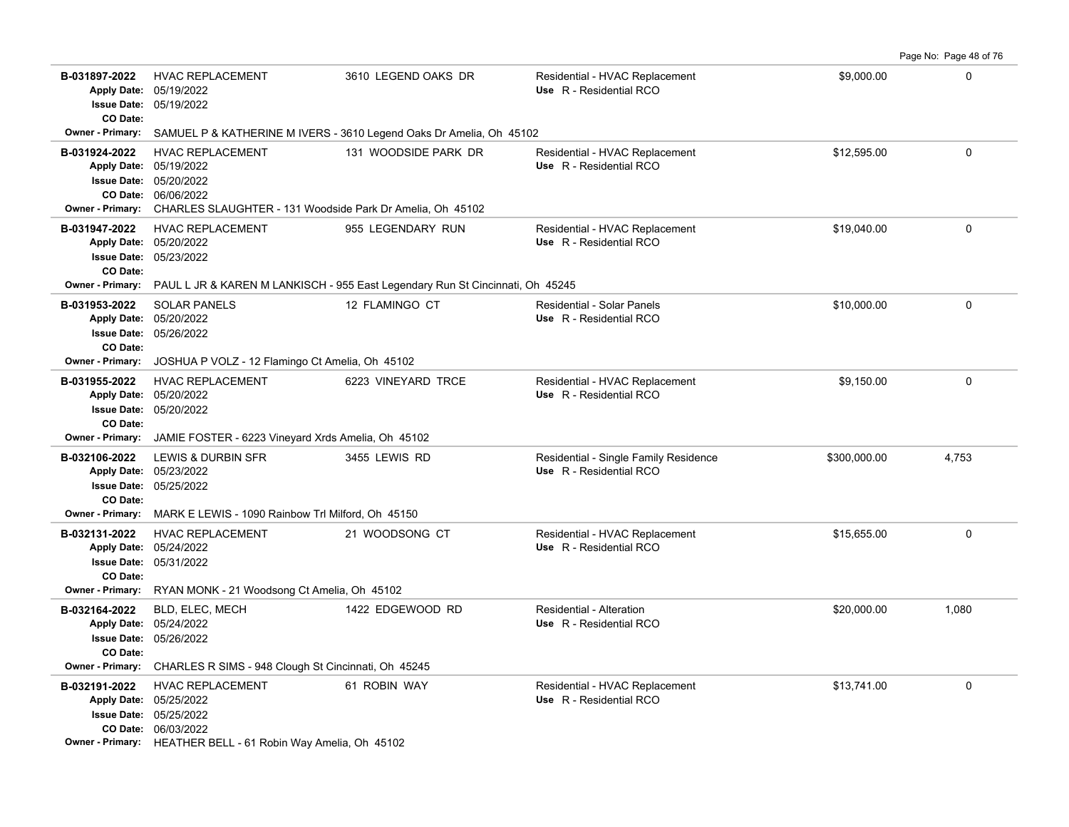**B-031897-2022** HVAC REPLACEMENT 3610 LEGEND OAKS DR Residential - HVAC Replacement \$9,000.00 \$9,000.00 0 05/19/2022 **Issue Date:** Apply Date: 05/19/2022 **Apply Date: Use** R - Residential RCO **CO Date: Owner - Primary:** SAMUEL P & KATHERINE M IVERS - 3610 Legend Oaks Dr Amelia, Oh 45102 **B-031924-2022** HVAC REPLACEMENT 131 WOODSIDE PARK DR Residential - HVAC Replacement \$12,595.00 \$12,595.00 06/06/2022 **CO Date:** 05/20/2022 **Issue Date:** 05/19/2022 **Apply Date: Use** R - Residential RCO **Owner - Primary:** CHARLES SLAUGHTER - 131 Woodside Park Dr Amelia, Oh 45102 **B-031947-2022** \$19,040.00 0 HVAC REPLACEMENT 955 LEGENDARY RUN Residential - HVAC Replacement 05/23/2022 **Issue Date:** 05/20/2022 **Apply Date: Use** R - Residential RCO **CO Date: Owner - Primary:** PAUL L JR & KAREN M LANKISCH - 955 East Legendary Run St Cincinnati, Oh 45245 **B-031953-2022** \$10,000.00 0 SOLAR PANELS 12 FLAMINGO CT Residential - Solar Panels 05/26/2022 **Issue Date:** Apply Date: 05/20/2022 **Apply Date: Use** R - Residential RCO **CO Date: Owner - Primary:** JOSHUA P VOLZ - 12 Flamingo Ct Amelia, Oh 45102 B-031955-2022 HVAC REPLACEMENT 6223 VINEYARD TRCE Residential - HVAC Replacement \$9,150.00 \$9,150.00 05/20/2022 **Issue Date:** 05/20/2022 **Apply Date: Use** R - Residential RCO **CO Date: Owner - Primary:** JAMIE FOSTER - 6223 Vineyard Xrds Amelia, Oh 45102 B-032106-2022 LEWIS & DURBIN SFR 3455 LEWIS RD Residential - Single Family Residence \$300,000.00 4,753 05/25/2022 **Issue Date:** 05/23/2022 **Apply Date: Use** R - Residential RCO **CO Date: Owner - Primary:** MARK E LEWIS - 1090 Rainbow Trl Milford, Oh 45150 **B-032131-2022** HVAC REPLACEMENT 21 WOODSONG CT Residential - HVAC Replacement \$15,655.00 \$15,655.00 05/31/2022 **Issue Date:** Apply Date: 05/24/2022 **Apply Date: Use** R - Residential RCO **CO Date: Owner - Primary:** RYAN MONK - 21 Woodsong Ct Amelia, Oh 45102 **B-032164-2022** BLD, ELEC, MECH 1422 EDGEWOOD RD Residential - Alteration **1,080** 1,080 05/26/2022 **Issue Date:** Apply Date: 05/24/2022 **Apply Date: Use** R - Residential RCO **CO Date: Owner - Primary:** CHARLES R SIMS - 948 Clough St Cincinnati, Oh 45245 **B-032191-2022** HVAC REPLACEMENT 61 ROBIN WAY Residential - HVAC Replacement \$13,741.00 \$13,741.00 06/03/2022 **CO Date:** 05/25/2022 **Issue Date:** Apply Date: 05/25/2022 **Apply Date: Use** R - Residential RCO **Owner - Primary:** HEATHER BELL - 61 Robin Way Amelia, Oh 45102

Page No: Page 48 of 76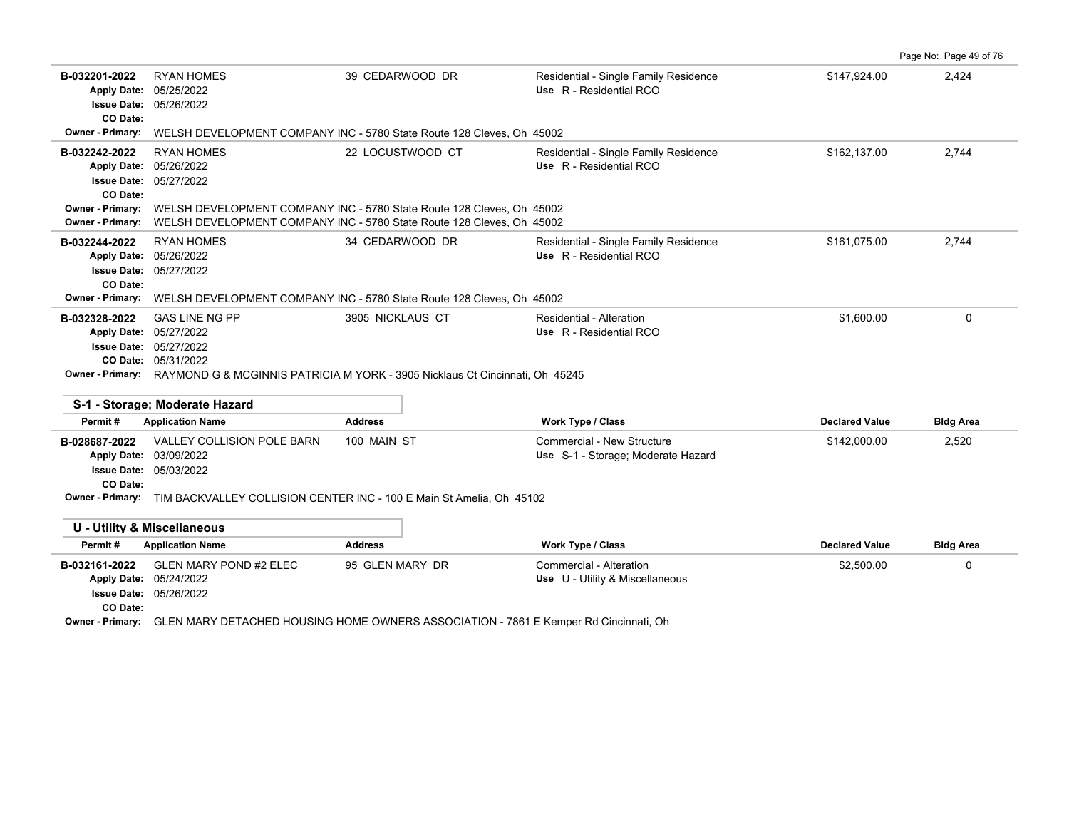Page No: Page 49 of 76 **B-032201-2022** RYAN HOMES 39 CEDARWOOD DR Residential - Single Family Residence \$147,924.00 2,424 05/26/2022 **Issue Date:** Apply Date: 05/25/2022 **Apply Date: Use** R - Residential RCO **CO Date: Owner - Primary:** WELSH DEVELOPMENT COMPANY INC - 5780 State Route 128 Cleves, Oh 45002 B-032242-2022 RYAN HOMES 22 LOCUSTWOOD CT Residential - Single Family Residence \$162,137.00 2,744 05/27/2022 **Issue Date:** 05/26/2022 **Apply Date: Use** R - Residential RCO **CO Date: Owner - Primary:** WELSH DEVELOPMENT COMPANY INC - 5780 State Route 128 Cleves, Oh 45002 **Owner - Primary:** WELSH DEVELOPMENT COMPANY INC - 5780 State Route 128 Cleves, Oh 45002 B-032244-2022 RYAN HOMES 34 CEDARWOOD DR Residential - Single Family Residence \$161,075.00 2,744 05/27/2022 **Issue Date:** 05/26/2022 **Apply Date: Use** R - Residential RCO **CO Date: Owner - Primary:** WELSH DEVELOPMENT COMPANY INC - 5780 State Route 128 Cleves, Oh 45002 **B-032328-2022** \$1,600.00 0 05/31/2022 **CO Date:** 05/27/2022 **Issue Date:** Apply Date: 05/27/2022 GAS LINE NG PP <sup>3905</sup> NICKLAUS CT Residential - Alteration **Apply Date: Use** R - Residential RCO **Owner - Primary:** RAYMOND G & MCGINNIS PATRICIA M YORK - 3905 Nicklaus Ct Cincinnati, Oh 45245 **S-1 - Storage; Moderate Hazard Permit # Application Name Address Work Type / Class Declared Value Bldg Area B-028687-2022** VALLEY COLLISION POLE BARN 100 MAIN ST Commercial - New Structure  $2,520$ 05/03/2022 **Issue Date:** Apply Date: 03/09/2022 Use S-1 - Storage; Moderate Hazard **CO Date: Owner - Primary:** TIM BACKVALLEY COLLISION CENTER INC - 100 E Main St Amelia, Oh 45102 **U - Utility & Miscellaneous Permit # Application Name Address Work Type / Class Declared Value Bldg Area B-032161-2022** \$2,500.00 0 GLEN MARY POND #2 ELEC 95 GLEN MARY DR Commercial - Alteration 05/26/2022 **Issue Date:** Apply Date: 05/24/2022 **Apply Date: Use** U - Utility & Miscellaneous **CO Date:**

**Owner - Primary:** GLEN MARY DETACHED HOUSING HOME OWNERS ASSOCIATION - 7861 E Kemper Rd Cincinnati, Oh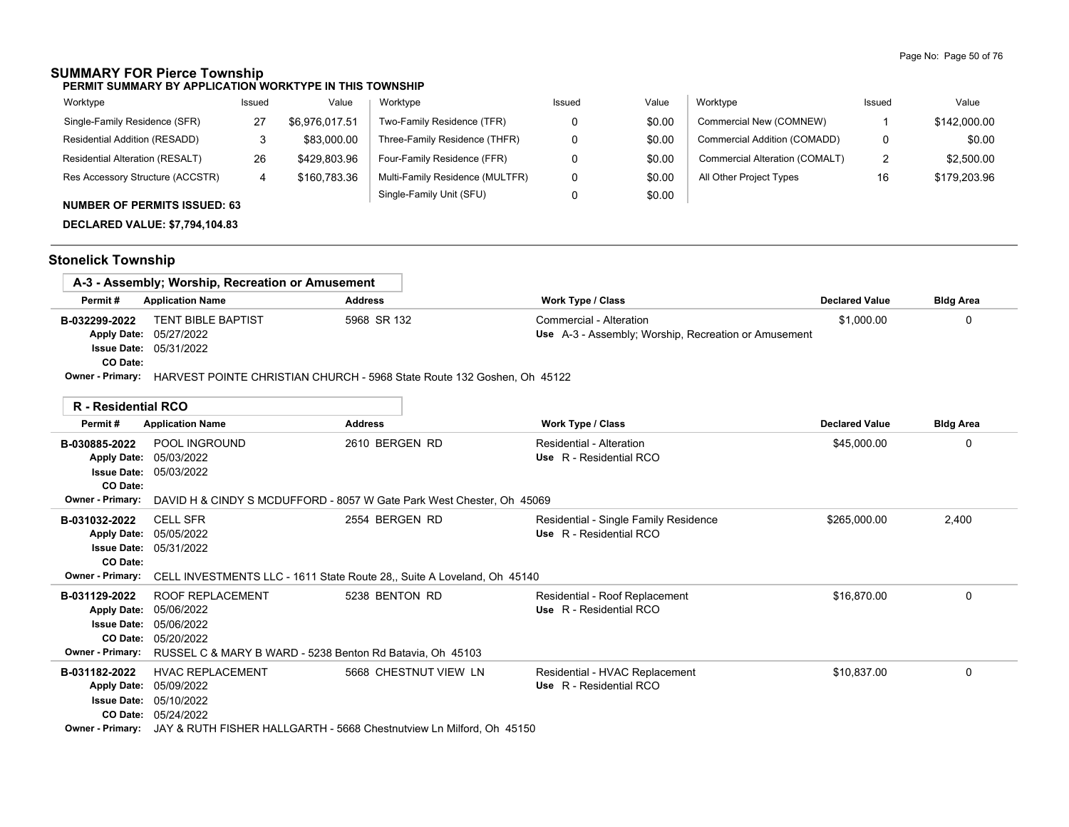### **SUMMARY FOR Pierce Township**

**PERMIT SUMMARY BY APPLICATION WORKTYPE IN THIS TOWNSHIP**

| Worktype                               | Issued | Value          | Worktype                        | Issued | Value  | Worktype                       | Issued        | Value        |
|----------------------------------------|--------|----------------|---------------------------------|--------|--------|--------------------------------|---------------|--------------|
| Single-Family Residence (SFR)          | 27     | \$6.976.017.51 | Two-Family Residence (TFR)      |        | \$0.00 | Commercial New (COMNEW)        |               | \$142,000.00 |
| Residential Addition (RESADD)          | ບ      | \$83,000.00    | Three-Family Residence (THFR)   |        | \$0.00 | Commercial Addition (COMADD)   | 0             | \$0.00       |
| <b>Residential Alteration (RESALT)</b> | 26     | \$429,803.96   | Four-Family Residence (FFR)     |        | \$0.00 | Commercial Alteration (COMALT) | າ<br><u>.</u> | \$2,500.00   |
| Res Accessory Structure (ACCSTR)       | 4      | \$160,783.36   | Multi-Family Residence (MULTFR) |        | \$0.00 | All Other Project Types        | 16            | \$179,203.96 |
| <b>NUMBER OF PERMITS ISSUED: 63</b>    |        |                | Single-Family Unit (SFU)        |        | \$0.00 |                                |               |              |

**DECLARED VALUE: \$7,794,104.83**

# **Stonelick Township**

|                         | A-3 - Assembly; Worship, Recreation or Amusement                        |                |                                                      |                       |                  |
|-------------------------|-------------------------------------------------------------------------|----------------|------------------------------------------------------|-----------------------|------------------|
| Permit#                 | <b>Application Name</b>                                                 | <b>Address</b> | Work Type / Class                                    | <b>Declared Value</b> | <b>Bldg Area</b> |
| B-032299-2022           | TENT BIBLE BAPTIST                                                      | 5968 SR 132    | Commercial - Alteration                              | \$1,000.00            |                  |
|                         | Apply Date: 05/27/2022                                                  |                | Use A-3 - Assembly; Worship, Recreation or Amusement |                       |                  |
|                         | <b>Issue Date: 05/31/2022</b>                                           |                |                                                      |                       |                  |
| CO Date:                |                                                                         |                |                                                      |                       |                  |
| <b>Owner - Primary:</b> | HARVEST POINTE CHRISTIAN CHURCH - 5968 State Route 132 Goshen, Oh 45122 |                |                                                      |                       |                  |

| <b>R</b> - Residential RCO                                                                                           |                                                                                                                                |                                                                                                                                                                    |                                                                  |                       |                  |
|----------------------------------------------------------------------------------------------------------------------|--------------------------------------------------------------------------------------------------------------------------------|--------------------------------------------------------------------------------------------------------------------------------------------------------------------|------------------------------------------------------------------|-----------------------|------------------|
| Permit#                                                                                                              | <b>Application Name</b>                                                                                                        | <b>Address</b>                                                                                                                                                     | <b>Work Type / Class</b>                                         | <b>Declared Value</b> | <b>Bldg Area</b> |
| B-030885-2022<br><b>Apply Date:</b><br><b>Issue Date:</b><br>CO Date:                                                | POOL INGROUND<br>05/03/2022<br>05/03/2022                                                                                      | 2610 BERGEN RD                                                                                                                                                     | Residential - Alteration<br>Use R - Residential RCO              | \$45,000.00           | 0                |
| <b>Owner - Primary:</b><br>B-031032-2022<br><b>Apply Date:</b><br><b>Issue Date:</b><br>CO Date:<br>Owner - Primary: | <b>CELL SFR</b><br>05/05/2022<br>05/31/2022                                                                                    | DAVID H & CINDY S MCDUFFORD - 8057 W Gate Park West Chester, Oh 45069<br>2554 BERGEN RD<br>CELL INVESTMENTS LLC - 1611 State Route 28,, Suite A Loveland, Oh 45140 | Residential - Single Family Residence<br>Use R - Residential RCO | \$265,000.00          | 2,400            |
| B-031129-2022<br><b>Apply Date:</b><br><b>Issue Date:</b><br>CO Date:<br><b>Owner - Primary:</b>                     | <b>ROOF REPLACEMENT</b><br>05/06/2022<br>05/06/2022<br>05/20/2022<br>RUSSEL C & MARY B WARD - 5238 Benton Rd Batavia, Oh 45103 | 5238 BENTON RD                                                                                                                                                     | Residential - Roof Replacement<br>Use R - Residential RCO        | \$16,870.00           | 0                |
| B-031182-2022<br><b>Apply Date:</b><br><b>Issue Date:</b><br>CO Date:<br>Owner - Primary:                            | <b>HVAC REPLACEMENT</b><br>05/09/2022<br>05/10/2022<br>05/24/2022                                                              | 5668 CHESTNUT VIEW LN<br>JAY & RUTH FISHER HALLGARTH - 5668 Chestnutview Ln Milford, Oh 45150                                                                      | Residential - HVAC Replacement<br>Use R - Residential RCO        | \$10,837.00           | 0                |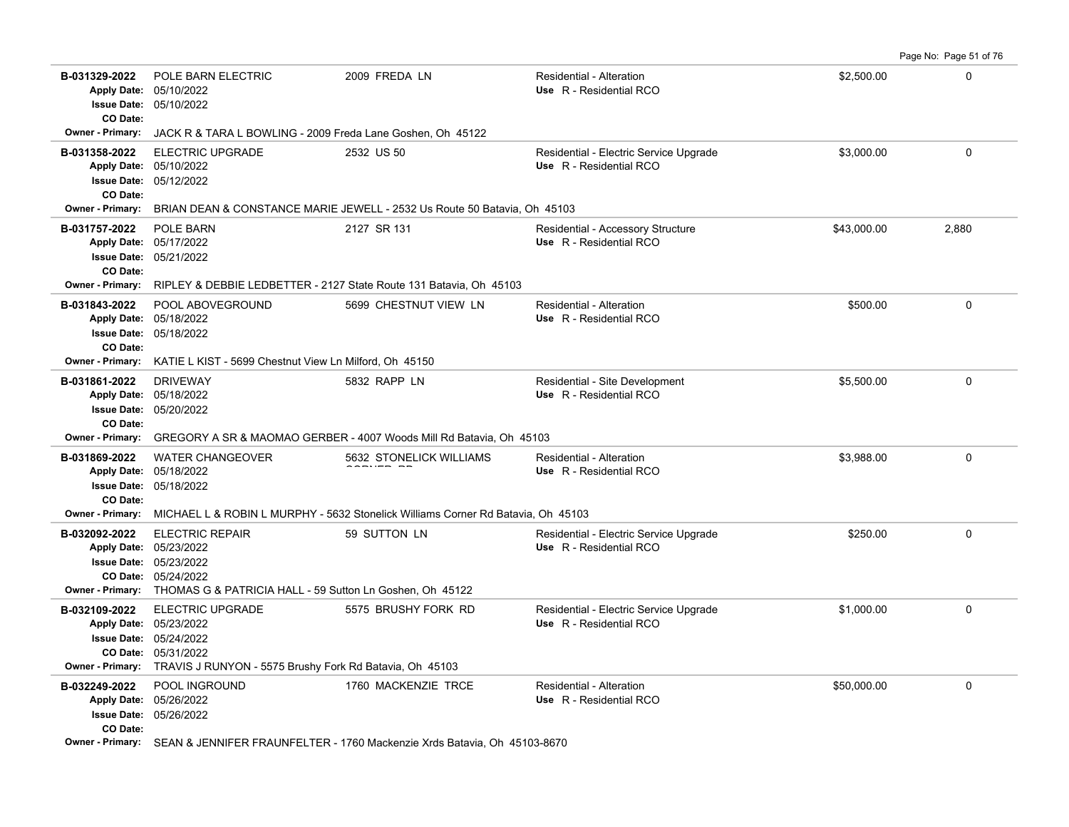Page No: Page 51 of 76

| B-031329-2022<br>CO Date:                | POLE BARN ELECTRIC<br>Apply Date: 05/10/2022<br><b>Issue Date: 05/10/2022</b>                                                                                                         | 2009 FREDA LN                                                                                                    | Residential - Alteration<br>Use R - Residential RCO               | \$2,500.00  | 0            |
|------------------------------------------|---------------------------------------------------------------------------------------------------------------------------------------------------------------------------------------|------------------------------------------------------------------------------------------------------------------|-------------------------------------------------------------------|-------------|--------------|
| Owner - Primary:                         | JACK R & TARA L BOWLING - 2009 Freda Lane Goshen, Oh 45122                                                                                                                            |                                                                                                                  |                                                                   |             |              |
| B-031358-2022<br>CO Date:                | <b>ELECTRIC UPGRADE</b><br>Apply Date: 05/10/2022<br><b>Issue Date: 05/12/2022</b>                                                                                                    | 2532 US 50                                                                                                       | Residential - Electric Service Upgrade<br>Use R - Residential RCO | \$3,000.00  | 0            |
| <b>Owner - Primary:</b>                  |                                                                                                                                                                                       | BRIAN DEAN & CONSTANCE MARIE JEWELL - 2532 Us Route 50 Batavia, Oh 45103                                         |                                                                   |             |              |
| B-031757-2022<br>CO Date:                | POLE BARN<br>Apply Date: 05/17/2022<br><b>Issue Date: 05/21/2022</b>                                                                                                                  | 2127 SR 131                                                                                                      | Residential - Accessory Structure<br>Use R - Residential RCO      | \$43,000.00 | 2,880        |
| <b>Owner - Primary:</b>                  |                                                                                                                                                                                       | RIPLEY & DEBBIE LEDBETTER - 2127 State Route 131 Batavia, Oh 45103                                               |                                                                   |             |              |
| B-031843-2022<br>CO Date:                | POOL ABOVEGROUND<br>Apply Date: 05/18/2022<br><b>Issue Date: 05/18/2022</b>                                                                                                           | 5699 CHESTNUT VIEW LN                                                                                            | Residential - Alteration<br>Use R - Residential RCO               | \$500.00    | $\mathbf{0}$ |
| <b>Owner - Primary:</b>                  | KATIE L KIST - 5699 Chestnut View Ln Milford, Oh 45150                                                                                                                                |                                                                                                                  |                                                                   |             |              |
| B-031861-2022<br>CO Date:                | <b>DRIVEWAY</b><br>Apply Date: 05/18/2022<br><b>Issue Date: 05/20/2022</b>                                                                                                            | 5832 RAPP LN                                                                                                     | Residential - Site Development<br>Use R - Residential RCO         | \$5,500.00  | $\mathbf 0$  |
| Owner - Primary:                         |                                                                                                                                                                                       | GREGORY A SR & MAOMAO GERBER - 4007 Woods Mill Rd Batavia, Oh 45103                                              |                                                                   |             |              |
| B-031869-2022<br>CO Date:                | <b>WATER CHANGEOVER</b><br>Apply Date: 05/18/2022<br><b>Issue Date: 05/18/2022</b>                                                                                                    | 5632 STONELICK WILLIAMS                                                                                          | Residential - Alteration<br>Use R - Residential RCO               | \$3,988.00  | 0            |
| <b>Owner - Primary:</b>                  |                                                                                                                                                                                       | MICHAEL L & ROBIN L MURPHY - 5632 Stonelick Williams Corner Rd Batavia, Oh 45103                                 |                                                                   |             |              |
| B-032092-2022<br><b>Owner - Primary:</b> | <b>ELECTRIC REPAIR</b><br>Apply Date: 05/23/2022<br><b>Issue Date: 05/23/2022</b><br>CO Date: 05/24/2022<br>THOMAS G & PATRICIA HALL - 59 Sutton Ln Goshen, Oh 45122                  | 59 SUTTON LN                                                                                                     | Residential - Electric Service Upgrade<br>Use R - Residential RCO | \$250.00    | 0            |
| B-032109-2022                            | <b>ELECTRIC UPGRADE</b><br>Apply Date: 05/23/2022<br><b>Issue Date: 05/24/2022</b><br>CO Date: 05/31/2022<br>Owner - Primary: TRAVIS J RUNYON - 5575 Brushy Fork Rd Batavia, Oh 45103 | 5575 BRUSHY FORK RD                                                                                              | Residential - Electric Service Upgrade<br>Use R - Residential RCO | \$1,000.00  | $\mathbf 0$  |
| B-032249-2022<br>CO Date:                | POOL INGROUND<br>Apply Date: 05/26/2022<br>Issue Date: 05/26/2022                                                                                                                     | 1760 MACKENZIE TRCE<br>Owner - Primary: SEAN & JENNIFER FRAUNFELTER - 1760 Mackenzie Xrds Batavia, Oh 45103-8670 | <b>Residential - Alteration</b><br>Use R - Residential RCO        | \$50,000.00 | $\mathbf 0$  |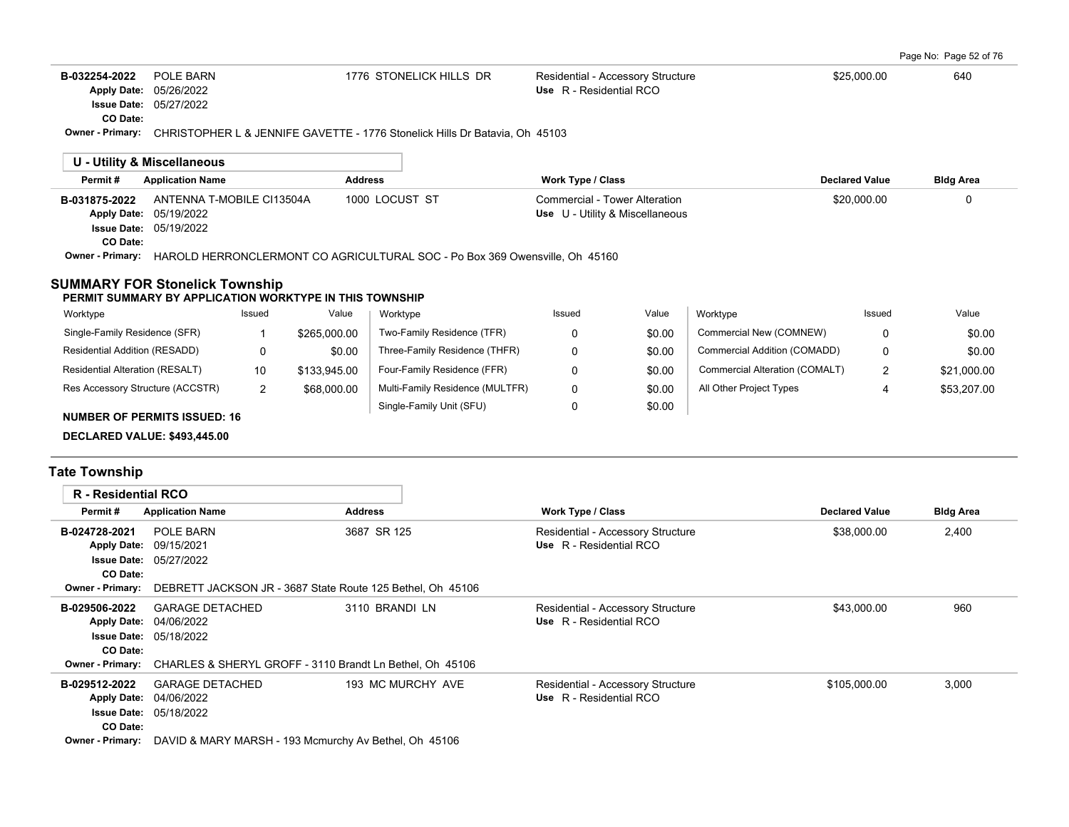|                                                     |                                                                               |                |                                                         |                                                                                                                                                                                                                              |                                                                  |        |                                |                       | Page No: Page 52 of 76 |
|-----------------------------------------------------|-------------------------------------------------------------------------------|----------------|---------------------------------------------------------|------------------------------------------------------------------------------------------------------------------------------------------------------------------------------------------------------------------------------|------------------------------------------------------------------|--------|--------------------------------|-----------------------|------------------------|
| B-032254-2022                                       | <b>POLE BARN</b><br>Apply Date: 05/26/2022<br><b>Issue Date: 05/27/2022</b>   |                |                                                         | 1776 STONELICK HILLS DR                                                                                                                                                                                                      | Residential - Accessory Structure<br>Use R - Residential RCO     |        |                                | \$25,000.00           | 640                    |
| CO Date:                                            |                                                                               |                |                                                         | Owner - Primary: CHRISTOPHER L & JENNIFE GAVETTE - 1776 Stonelick Hills Dr Batavia, Oh 45103                                                                                                                                 |                                                                  |        |                                |                       |                        |
|                                                     |                                                                               |                |                                                         |                                                                                                                                                                                                                              |                                                                  |        |                                |                       |                        |
|                                                     | <b>U - Utility &amp; Miscellaneous</b>                                        |                |                                                         |                                                                                                                                                                                                                              |                                                                  |        |                                |                       |                        |
| Permit#                                             | <b>Application Name</b>                                                       |                | <b>Address</b>                                          |                                                                                                                                                                                                                              | <b>Work Type / Class</b>                                         |        |                                | <b>Declared Value</b> | <b>Bldg Area</b>       |
| B-031875-2022<br>CO Date:                           | ANTENNA T-MOBILE CI13504A<br>Apply Date: 05/19/2022<br>Issue Date: 05/19/2022 |                |                                                         | 1000 LOCUST ST                                                                                                                                                                                                               | Commercial - Tower Alteration<br>Use U - Utility & Miscellaneous |        |                                | \$20,000.00           | $\Omega$               |
| Owner - Primary:                                    |                                                                               |                |                                                         | HAROLD HERRONCLERMONT CO AGRICULTURAL SOC - Po Box 369 Owensville, Oh 45160                                                                                                                                                  |                                                                  |        |                                |                       |                        |
| <b>SUMMARY FOR Stonelick Township</b>               |                                                                               |                | PERMIT SUMMARY BY APPLICATION WORKTYPE IN THIS TOWNSHIP |                                                                                                                                                                                                                              |                                                                  |        |                                |                       |                        |
| Worktype                                            |                                                                               | Issued         | Value                                                   | Worktype                                                                                                                                                                                                                     | Issued                                                           | Value  | Worktype                       | Issued                | Value                  |
| Single-Family Residence (SFR)                       |                                                                               | -1             | \$265,000.00                                            | Two-Family Residence (TFR)                                                                                                                                                                                                   | $\Omega$                                                         | \$0.00 | Commercial New (COMNEW)        | $\Omega$              | \$0.00                 |
| Residential Addition (RESADD)                       |                                                                               | 0              | \$0.00                                                  | Three-Family Residence (THFR)                                                                                                                                                                                                | 0                                                                | \$0.00 | Commercial Addition (COMADD)   | 0                     | \$0.00                 |
| Residential Alteration (RESALT)                     |                                                                               | 10             | \$133,945.00                                            | Four-Family Residence (FFR)                                                                                                                                                                                                  | 0                                                                | \$0.00 | Commercial Alteration (COMALT) | 2                     | \$21,000.00            |
| Res Accessory Structure (ACCSTR)                    |                                                                               | $\overline{2}$ | \$68,000.00                                             | Multi-Family Residence (MULTFR)                                                                                                                                                                                              | 0                                                                | \$0.00 | All Other Project Types        | 4                     | \$53,207.00            |
|                                                     |                                                                               |                |                                                         | Single-Family Unit (SFU)                                                                                                                                                                                                     | 0                                                                | \$0.00 |                                |                       |                        |
| <b>NUMBER OF PERMITS ISSUED: 16</b>                 |                                                                               |                |                                                         |                                                                                                                                                                                                                              |                                                                  |        |                                |                       |                        |
| DECLARED VALUE: \$493,445.00                        |                                                                               |                |                                                         |                                                                                                                                                                                                                              |                                                                  |        |                                |                       |                        |
| <b>Tate Township</b>                                |                                                                               |                |                                                         |                                                                                                                                                                                                                              |                                                                  |        |                                |                       |                        |
| R - Residential RCO                                 |                                                                               |                |                                                         |                                                                                                                                                                                                                              |                                                                  |        |                                |                       |                        |
| Permit#                                             | <b>Application Name</b>                                                       |                | <b>Address</b>                                          |                                                                                                                                                                                                                              | Work Type / Class                                                |        |                                | <b>Declared Value</b> | <b>Bldg Area</b>       |
| B-024728-2021<br>Apply Date: 09/15/2021<br>CO Date: | POLE BARN<br><b>Issue Date: 05/27/2022</b>                                    |                |                                                         | 3687 SR 125<br>$Q_{\text{unnew}}$ $D_{\text{unnew}}$ $D_{\text{FDDFT}}$ $D_{\text{C}}/Q_{\text{CMB}}$ $D_{\text{CMB}}$ $D_{\text{CMB}}$ $D_{\text{CMB}}$ $D_{\text{CMB}}$ $D_{\text{CMB}}$ $D_{\text{CMB}}$ $D_{\text{CMB}}$ | Residential - Accessory Structure<br>Use R - Residential RCO     |        |                                | \$38,000.00           | 2,400                  |

|               |                                                                                  | <b>Owner - Primary:</b> DEBRETT JACKSON JR - 3687 State Route 125 Bethel, Oh 45106 |                                   |              |       |  |  |  |  |
|---------------|----------------------------------------------------------------------------------|------------------------------------------------------------------------------------|-----------------------------------|--------------|-------|--|--|--|--|
| B-029506-2022 | GARAGE DETACHED                                                                  | 3110 BRANDI LN                                                                     | Residential - Accessory Structure | \$43.000.00  | 960   |  |  |  |  |
|               | Apply Date: 04/06/2022                                                           |                                                                                    | Use R - Residential RCO           |              |       |  |  |  |  |
|               | <b>Issue Date: 05/18/2022</b>                                                    |                                                                                    |                                   |              |       |  |  |  |  |
| CO Date:      |                                                                                  |                                                                                    |                                   |              |       |  |  |  |  |
|               | <b>Owner - Primary:</b> CHARLES & SHERYL GROFF - 3110 Brandt Ln Bethel, Oh 45106 |                                                                                    |                                   |              |       |  |  |  |  |
| B-029512-2022 | GARAGE DETACHED                                                                  | 193 MC MURCHY AVE                                                                  | Residential - Accessory Structure | \$105,000.00 | 3,000 |  |  |  |  |
|               | <b>Apply Date: 04/06/2022</b>                                                    |                                                                                    | Use R - Residential RCO           |              |       |  |  |  |  |
|               | <b>Issue Date: 05/18/2022</b>                                                    |                                                                                    |                                   |              |       |  |  |  |  |
| CO Date:      |                                                                                  |                                                                                    |                                   |              |       |  |  |  |  |
|               | Owner - Primary: DAVID & MARY MARSH - 193 Mcmurchy Av Bethel, Oh 45106           |                                                                                    |                                   |              |       |  |  |  |  |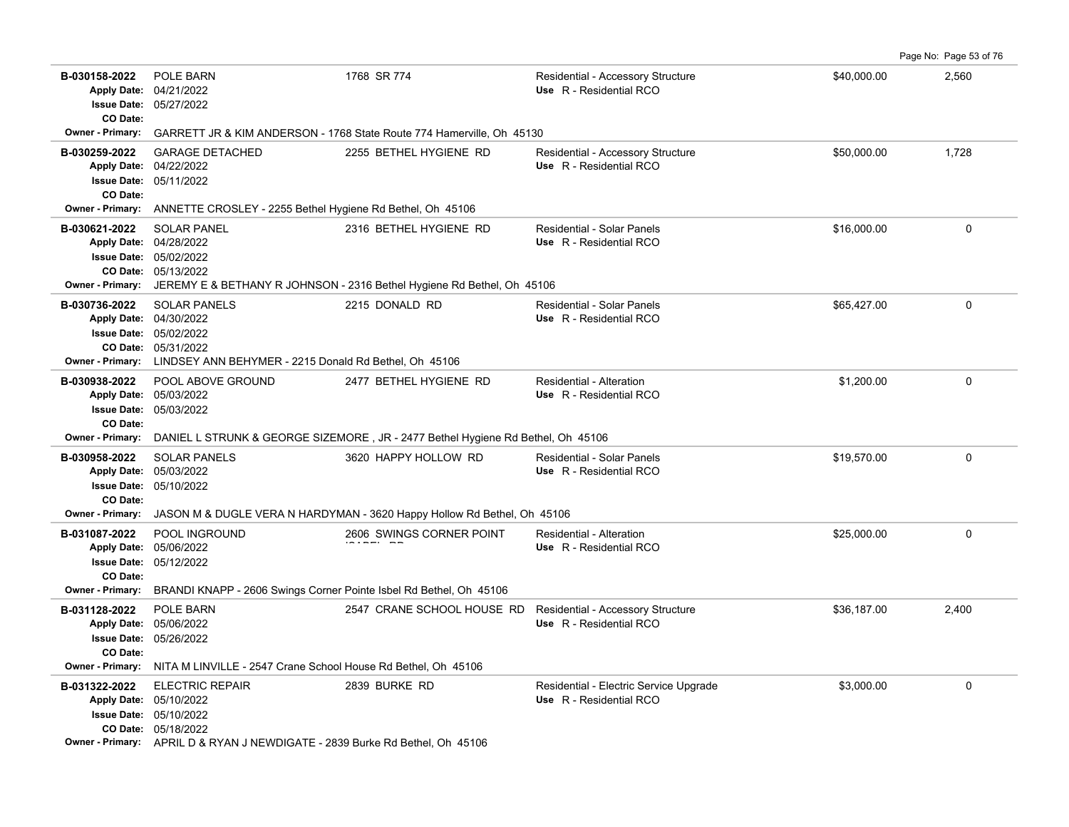| B-030158-2022<br><b>Apply Date:</b><br>CO Date:                            | POLE BARN<br>04/21/2022<br><b>Issue Date: 05/27/2022</b>                                                                                                       | 1768 SR 774                                                                                                              | Residential - Accessory Structure<br>Use R - Residential RCO      | \$40,000.00 | 2,560       |
|----------------------------------------------------------------------------|----------------------------------------------------------------------------------------------------------------------------------------------------------------|--------------------------------------------------------------------------------------------------------------------------|-------------------------------------------------------------------|-------------|-------------|
| <b>Owner - Primary:</b>                                                    |                                                                                                                                                                | GARRETT JR & KIM ANDERSON - 1768 State Route 774 Hamerville, Oh 45130                                                    |                                                                   |             |             |
| B-030259-2022<br>CO Date:                                                  | <b>GARAGE DETACHED</b><br>Apply Date: 04/22/2022<br><b>Issue Date: 05/11/2022</b>                                                                              | 2255 BETHEL HYGIENE RD                                                                                                   | Residential - Accessory Structure<br>Use R - Residential RCO      | \$50,000.00 | 1,728       |
|                                                                            | Owner - Primary: ANNETTE CROSLEY - 2255 Bethel Hygiene Rd Bethel, Oh 45106                                                                                     |                                                                                                                          |                                                                   |             |             |
| B-030621-2022                                                              | <b>SOLAR PANEL</b><br>Apply Date: 04/28/2022<br>Issue Date: 05/02/2022<br>CO Date: 05/13/2022                                                                  | 2316 BETHEL HYGIENE RD<br><b>Owner - Primary:</b> JEREMY E & BETHANY R JOHNSON - 2316 Bethel Hygiene Rd Bethel, Oh 45106 | Residential - Solar Panels<br>Use R - Residential RCO             | \$16,000.00 | $\mathbf 0$ |
| B-030736-2022<br><b>Owner - Primary:</b>                                   | <b>SOLAR PANELS</b><br>Apply Date: 04/30/2022<br><b>Issue Date: 05/02/2022</b><br>CO Date: 05/31/2022<br>LINDSEY ANN BEHYMER - 2215 Donald Rd Bethel, Oh 45106 | 2215 DONALD RD                                                                                                           | Residential - Solar Panels<br>Use R - Residential RCO             | \$65,427.00 | $\mathbf 0$ |
| B-030938-2022<br><b>Apply Date:</b><br>CO Date:<br><b>Owner - Primary:</b> | POOL ABOVE GROUND<br>05/03/2022<br><b>Issue Date: 05/03/2022</b>                                                                                               | 2477 BETHEL HYGIENE RD<br>DANIEL L STRUNK & GEORGE SIZEMORE, JR - 2477 Bethel Hygiene Rd Bethel, Oh 45106                | Residential - Alteration<br>Use R - Residential RCO               | \$1,200.00  | $\mathbf 0$ |
|                                                                            |                                                                                                                                                                |                                                                                                                          |                                                                   |             |             |
| B-030958-2022<br><b>Issue Date:</b><br>CO Date:                            | <b>SOLAR PANELS</b><br>Apply Date: 05/03/2022<br>05/10/2022                                                                                                    | 3620 HAPPY HOLLOW RD                                                                                                     | Residential - Solar Panels<br>Use R - Residential RCO             | \$19,570.00 | $\mathbf 0$ |
| <b>Owner - Primary:</b>                                                    |                                                                                                                                                                | JASON M & DUGLE VERA N HARDYMAN - 3620 Happy Hollow Rd Bethel, Oh 45106                                                  |                                                                   |             |             |
| B-031087-2022<br>CO Date:                                                  | POOL INGROUND<br>Apply Date: 05/06/2022<br><b>Issue Date: 05/12/2022</b>                                                                                       | 2606 SWINGS CORNER POINT                                                                                                 | Residential - Alteration<br>Use R - Residential RCO               | \$25,000.00 | $\mathbf 0$ |
| <b>Owner - Primary:</b>                                                    | BRANDI KNAPP - 2606 Swings Corner Pointe Isbel Rd Bethel, Oh 45106                                                                                             |                                                                                                                          |                                                                   |             |             |
| B-031128-2022<br><b>Apply Date:</b><br><b>Issue Date:</b><br>CO Date:      | POLE BARN<br>05/06/2022<br>05/26/2022                                                                                                                          | 2547 CRANE SCHOOL HOUSE RD                                                                                               | Residential - Accessory Structure<br>Use R - Residential RCO      | \$36,187.00 | 2,400       |
| <b>Owner - Primary:</b>                                                    | NITA M LINVILLE - 2547 Crane School House Rd Bethel, Oh 45106                                                                                                  |                                                                                                                          |                                                                   |             |             |
| B-031322-2022                                                              | <b>ELECTRIC REPAIR</b><br>Apply Date: 05/10/2022<br><b>Issue Date: 05/10/2022</b><br>CO Date: 05/18/2022                                                       | 2839 BURKE RD                                                                                                            | Residential - Electric Service Upgrade<br>Use R - Residential RCO | \$3,000.00  | $\mathbf 0$ |
|                                                                            | <b>Owner - Primary:</b> APRIL D & RYAN J NEWDIGATE - 2839 Burke Rd Bethel, Oh 45106                                                                            |                                                                                                                          |                                                                   |             |             |

Page No: Page 53 of 76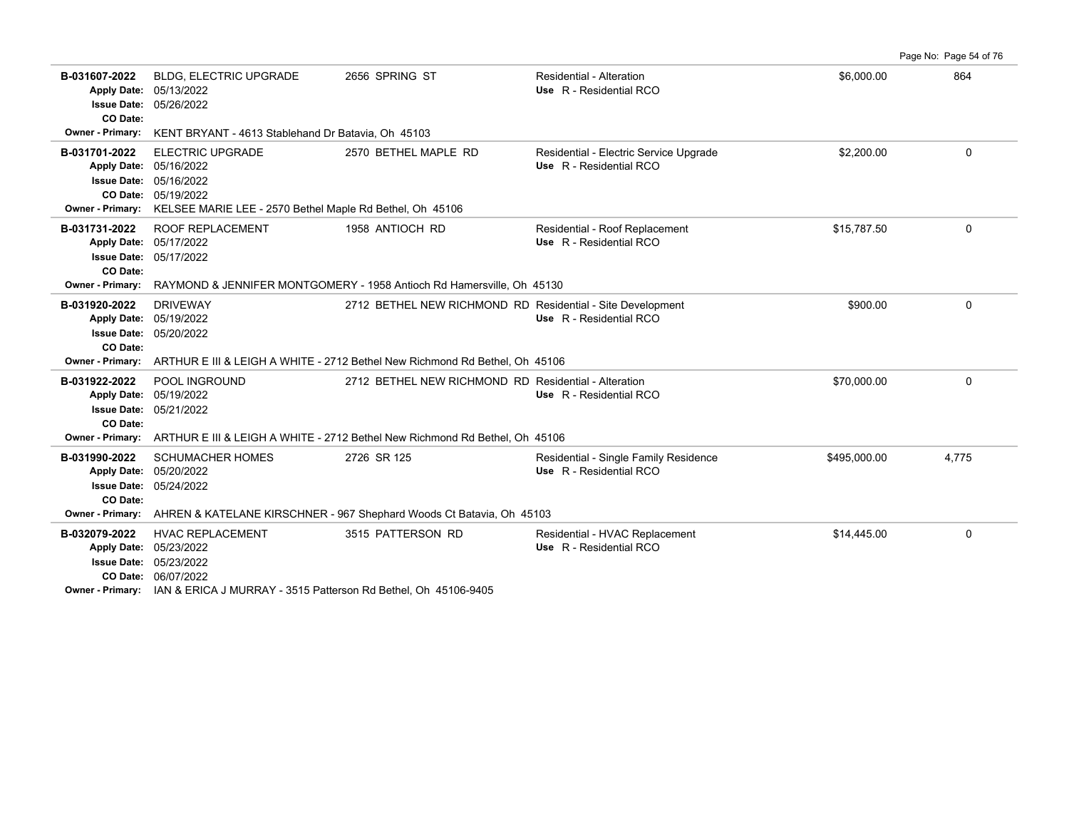|--|

| B-031607-2022<br>Apply Date: 05/13/2022<br>CO Date:                | <b>BLDG, ELECTRIC UPGRADE</b><br><b>Issue Date: 05/26/2022</b>                                                                                                     | 2656 SPRING ST                                                              | Residential - Alteration<br>Use R - Residential RCO               | \$6,000.00   | 864         |
|--------------------------------------------------------------------|--------------------------------------------------------------------------------------------------------------------------------------------------------------------|-----------------------------------------------------------------------------|-------------------------------------------------------------------|--------------|-------------|
| Owner - Primary:                                                   | KENT BRYANT - 4613 Stablehand Dr Batavia, Oh 45103                                                                                                                 |                                                                             |                                                                   |              |             |
| B-031701-2022<br>Apply Date: 05/16/2022<br><b>Owner - Primary:</b> | <b>ELECTRIC UPGRADE</b><br><b>Issue Date: 05/16/2022</b><br>CO Date: 05/19/2022<br>KELSEE MARIE LEE - 2570 Bethel Maple Rd Bethel, Oh 45106                        | 2570 BETHEL MAPLE RD                                                        | Residential - Electric Service Upgrade<br>Use R - Residential RCO | \$2,200.00   | $\Omega$    |
| B-031731-2022<br>Apply Date: 05/17/2022<br>CO Date:                | <b>ROOF REPLACEMENT</b><br><b>Issue Date: 05/17/2022</b>                                                                                                           | 1958 ANTIOCH RD                                                             | Residential - Roof Replacement<br>Use R - Residential RCO         | \$15,787.50  | $\mathbf 0$ |
| Owner - Primary:                                                   |                                                                                                                                                                    | RAYMOND & JENNIFER MONTGOMERY - 1958 Antioch Rd Hamersville, Oh 45130       |                                                                   |              |             |
| B-031920-2022<br>Apply Date: 05/19/2022<br>CO Date:                | <b>DRIVEWAY</b><br><b>Issue Date: 05/20/2022</b>                                                                                                                   | 2712 BETHEL NEW RICHMOND RD Residential - Site Development                  | Use R - Residential RCO                                           | \$900.00     | $\mathbf 0$ |
| Owner - Primary:                                                   |                                                                                                                                                                    | ARTHUR E III & LEIGH A WHITE - 2712 Bethel New Richmond Rd Bethel, Oh 45106 |                                                                   |              |             |
| B-031922-2022<br>Apply Date: 05/19/2022<br>CO Date:                | POOL INGROUND<br><b>Issue Date: 05/21/2022</b>                                                                                                                     | 2712 BETHEL NEW RICHMOND RD Residential - Alteration                        | Use R - Residential RCO                                           | \$70,000.00  | $\Omega$    |
| <b>Owner - Primary:</b>                                            |                                                                                                                                                                    | ARTHUR E III & LEIGH A WHITE - 2712 Bethel New Richmond Rd Bethel, Oh 45106 |                                                                   |              |             |
| B-031990-2022<br>Apply Date: 05/20/2022<br>CO Date:                | <b>SCHUMACHER HOMES</b><br><b>Issue Date: 05/24/2022</b>                                                                                                           | 2726 SR 125                                                                 | Residential - Single Family Residence<br>Use R - Residential RCO  | \$495,000.00 | 4,775       |
| Owner - Primary:                                                   |                                                                                                                                                                    | AHREN & KATELANE KIRSCHNER - 967 Shephard Woods Ct Batavia, Oh 45103        |                                                                   |              |             |
| B-032079-2022<br>Apply Date: 05/23/2022                            | <b>HVAC REPLACEMENT</b><br><b>Issue Date: 05/23/2022</b><br>CO Date: 06/07/2022<br>Owner - Primary: JAN & ERICA J MURRAY - 3515 Patterson Rd Bethel, Oh 45106-9405 | 3515 PATTERSON RD                                                           | Residential - HVAC Replacement<br>Use R - Residential RCO         | \$14,445.00  | $\mathbf 0$ |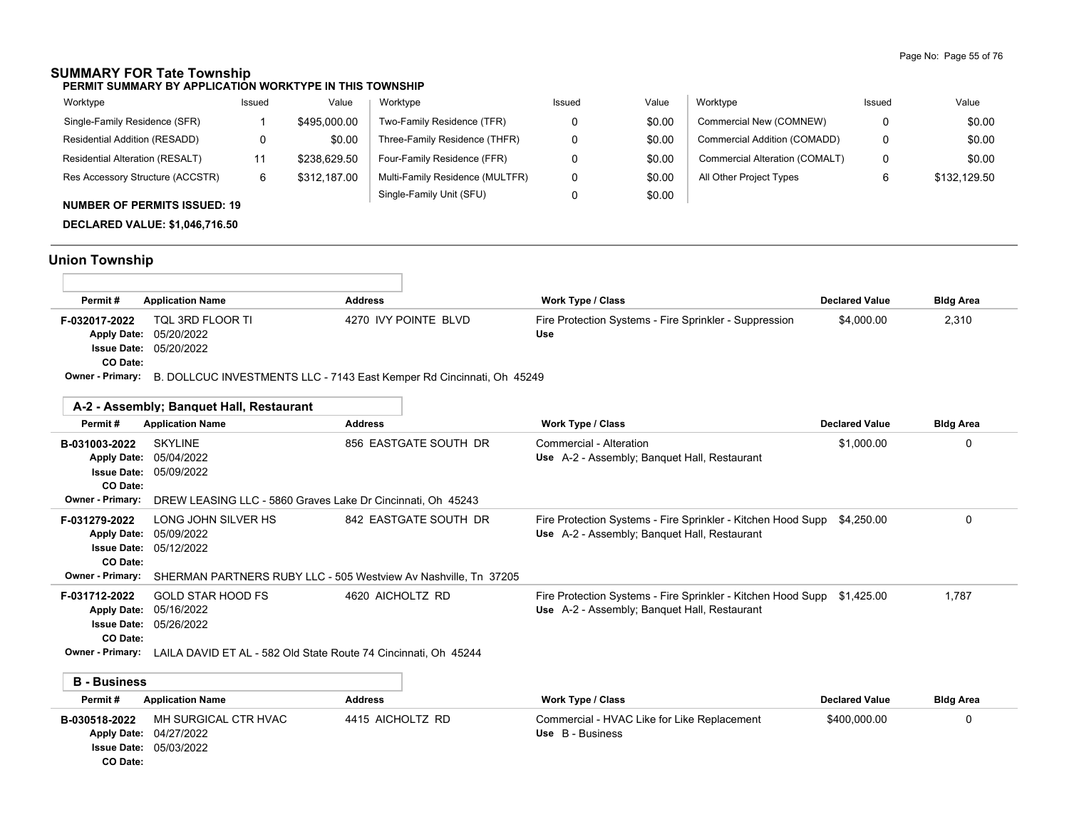## **SUMMARY FOR Tate Township**

**PERMIT SUMMARY BY APPLICATION WORKTYPE IN THIS TOWNSHIP**

| Worktype                               | Issued | Value        | Worktype                        | Issued | Value  | Worktype                       | Issued | Value        |
|----------------------------------------|--------|--------------|---------------------------------|--------|--------|--------------------------------|--------|--------------|
| Single-Family Residence (SFR)          |        | \$495,000.00 | Two-Family Residence (TFR)      |        | \$0.00 | Commercial New (COMNEW)        | 0      | \$0.00       |
| Residential Addition (RESADD)          |        | \$0.00       | Three-Family Residence (THFR)   |        | \$0.00 | Commercial Addition (COMADD)   | 0      | \$0.00       |
| <b>Residential Alteration (RESALT)</b> |        | \$238.629.50 | Four-Family Residence (FFR)     |        | \$0.00 | Commercial Alteration (COMALT) | 0      | \$0.00       |
| Res Accessory Structure (ACCSTR)       |        | \$312.187.00 | Multi-Family Residence (MULTFR) |        | \$0.00 | All Other Project Types        |        | \$132,129.50 |
| NUBLERED OF BEBRIER IOOUED. 10         |        |              | Single-Family Unit (SFU)        |        | \$0.00 |                                |        |              |

#### **NUMBER OF PERMITS ISSUED: 19**

**DECLARED VALUE: \$1,046,716.50**

# **Union Township**

| Permit#       | <b>Application Name</b>       | <b>Address</b>                                                                          | Work Type / Class                                      | <b>Declared Value</b> | <b>Bldg Area</b> |
|---------------|-------------------------------|-----------------------------------------------------------------------------------------|--------------------------------------------------------|-----------------------|------------------|
| F-032017-2022 | TQL 3RD FLOOR TI              | 4270 IVY POINTE BLVD                                                                    | Fire Protection Systems - Fire Sprinkler - Suppression | \$4,000.00            | 2,310            |
|               | <b>Apply Date: 05/20/2022</b> |                                                                                         | Use                                                    |                       |                  |
|               | <b>Issue Date: 05/20/2022</b> |                                                                                         |                                                        |                       |                  |
| CO Date:      |                               |                                                                                         |                                                        |                       |                  |
|               |                               | Ournox, Brimany. D. DOU CUC INVIECTMENTS U.C. 7442 Foot Kompos Dd Cincinnoti, Ob. 45240 |                                                        |                       |                  |

**Owner - Primary:** B. DOLLCUC INVESTMENTS LLC - 7143 East Kemper Rd Cincinnati, Oh 45249

|                                                                            | A-2 - Assembly; Banguet Hall, Restaurant                                                                                                        |                       |                                                                                                                         |                       |                  |
|----------------------------------------------------------------------------|-------------------------------------------------------------------------------------------------------------------------------------------------|-----------------------|-------------------------------------------------------------------------------------------------------------------------|-----------------------|------------------|
| Permit#                                                                    | <b>Application Name</b>                                                                                                                         | <b>Address</b>        | <b>Work Type / Class</b>                                                                                                | <b>Declared Value</b> | <b>Bldg Area</b> |
| B-031003-2022<br><b>Issue Date:</b><br>CO Date:<br><b>Owner - Primary:</b> | <b>SKYLINE</b><br>Apply Date: 05/04/2022<br>05/09/2022<br>DREW LEASING LLC - 5860 Graves Lake Dr Cincinnati. Oh 45243                           | 856 EASTGATE SOUTH DR | Commercial - Alteration<br>Use A-2 - Assembly; Banquet Hall, Restaurant                                                 | \$1,000.00            | 0                |
| F-031279-2022<br><b>Issue Date:</b><br>CO Date:<br><b>Owner - Primary:</b> | LONG JOHN SILVER HS<br>Apply Date: 05/09/2022<br>05/12/2022<br>SHERMAN PARTNERS RUBY LLC - 505 Westview Av Nashville, Tn 37205                  | 842 EASTGATE SOUTH DR | Fire Protection Systems - Fire Sprinkler - Kitchen Hood Supp \$4,250.00<br>Use A-2 - Assembly; Banquet Hall, Restaurant |                       | 0                |
| F-031712-2022<br><b>Apply Date:</b><br><b>Issue Date:</b><br>CO Date:      | <b>GOLD STAR HOOD FS</b><br>05/16/2022<br>05/26/2022<br><b>Owner - Primary:</b> LAILA DAVID ET AL - 582 Old State Route 74 Cincinnati, Oh 45244 | 4620 AICHOLTZ RD      | Fire Protection Systems - Fire Sprinkler - Kitchen Hood Supp \$1,425.00<br>Use A-2 - Assembly; Banquet Hall, Restaurant |                       | 1,787            |
|                                                                            |                                                                                                                                                 |                       |                                                                                                                         |                       |                  |
| <b>B</b> - Business                                                        |                                                                                                                                                 |                       |                                                                                                                         |                       |                  |
| Permit#                                                                    | <b>Application Name</b>                                                                                                                         | <b>Address</b>        | <b>Work Type / Class</b>                                                                                                | <b>Declared Value</b> | <b>Bldg Area</b> |
| B-030518-2022<br>CO Date:                                                  | MH SURGICAL CTR HVAC<br>Apply Date: 04/27/2022<br><b>Issue Date: 05/03/2022</b>                                                                 | 4415 AICHOLTZ RD      | Commercial - HVAC Like for Like Replacement<br>Use B - Business                                                         | \$400,000.00          | 0                |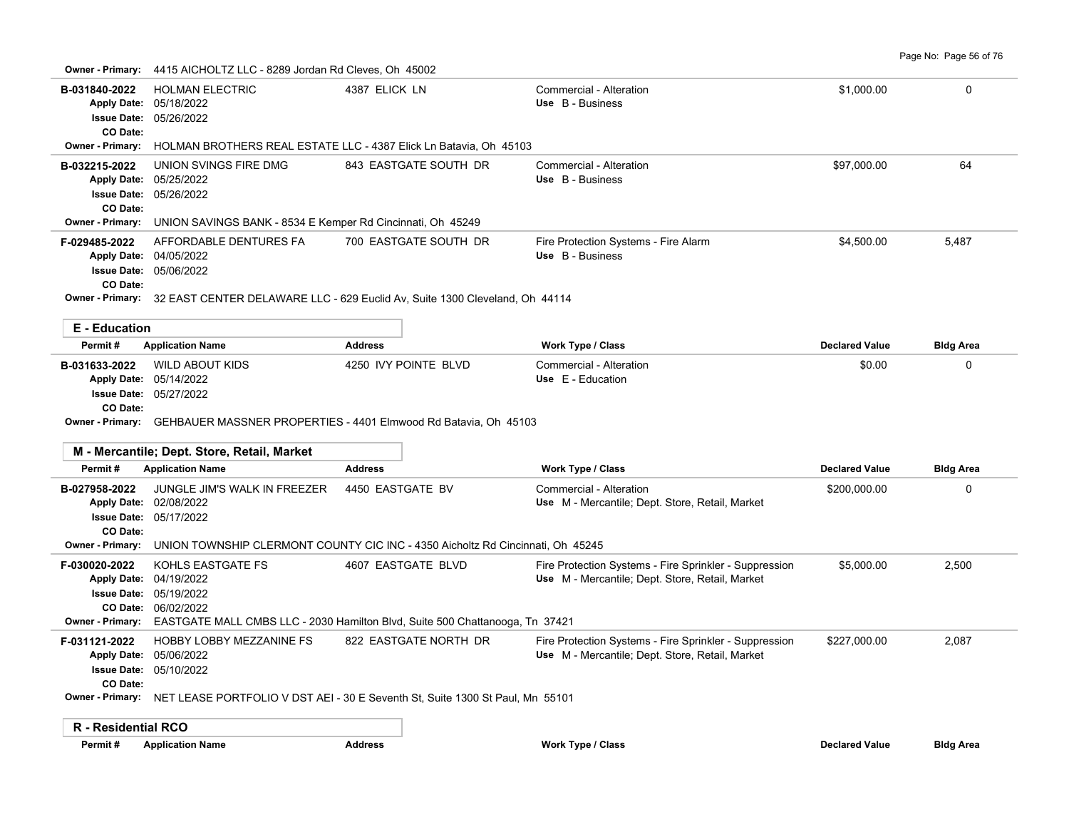**Owner - Primary:** 4415 AICHOLTZ LLC - 8289 Jordan Rd Cleves, Oh 45002

| B-031840-2022<br>CO Date:                            | <b>HOLMAN ELECTRIC</b><br>Apply Date: 05/18/2022<br><b>Issue Date: 05/26/2022</b>                                                                                                   | 4387 ELICK LN         | Commercial - Alteration<br>Use B - Business                                                               | \$1,000.00            | $\mathbf 0$      |
|------------------------------------------------------|-------------------------------------------------------------------------------------------------------------------------------------------------------------------------------------|-----------------------|-----------------------------------------------------------------------------------------------------------|-----------------------|------------------|
| Owner - Primary:                                     | HOLMAN BROTHERS REAL ESTATE LLC - 4387 Elick Ln Batavia, Oh 45103                                                                                                                   |                       |                                                                                                           |                       |                  |
| B-032215-2022<br>CO Date:                            | UNION SVINGS FIRE DMG<br>Apply Date: 05/25/2022<br><b>Issue Date: 05/26/2022</b>                                                                                                    | 843 EASTGATE SOUTH DR | Commercial - Alteration<br>Use B - Business                                                               | \$97,000.00           | 64               |
| <b>Owner - Primary:</b>                              | UNION SAVINGS BANK - 8534 E Kemper Rd Cincinnati, Oh 45249                                                                                                                          |                       |                                                                                                           |                       |                  |
| F-029485-2022<br>CO Date:                            | AFFORDABLE DENTURES FA<br>Apply Date: 04/05/2022<br><b>Issue Date: 05/06/2022</b>                                                                                                   | 700 EASTGATE SOUTH DR | Fire Protection Systems - Fire Alarm<br>Use B - Business                                                  | \$4,500.00            | 5,487            |
|                                                      | Owner - Primary: 32 EAST CENTER DELAWARE LLC - 629 Euclid Av, Suite 1300 Cleveland, Oh 44114                                                                                        |                       |                                                                                                           |                       |                  |
| <b>E</b> - Education                                 |                                                                                                                                                                                     |                       |                                                                                                           |                       |                  |
| Permit#                                              | <b>Application Name</b>                                                                                                                                                             | <b>Address</b>        | Work Type / Class                                                                                         | <b>Declared Value</b> | <b>Bldg Area</b> |
| B-031633-2022<br>CO Date:                            | <b>WILD ABOUT KIDS</b><br>Apply Date: 05/14/2022<br><b>Issue Date: 05/27/2022</b><br><b>Owner - Primary:</b> GEHBAUER MASSNER PROPERTIES - 4401 Elmwood Rd Batavia, Oh 45103        | 4250 IVY POINTE BLVD  | Commercial - Alteration<br>Use E - Education                                                              | \$0.00                | 0                |
|                                                      | M - Mercantile; Dept. Store, Retail, Market                                                                                                                                         |                       |                                                                                                           |                       |                  |
| Permit#                                              | <b>Application Name</b>                                                                                                                                                             | <b>Address</b>        | <b>Work Type / Class</b>                                                                                  | <b>Declared Value</b> | <b>Bldg Area</b> |
| B-027958-2022<br>CO Date:<br><b>Owner - Primary:</b> | JUNGLE JIM'S WALK IN FREEZER<br>Apply Date: 02/08/2022<br><b>Issue Date: 05/17/2022</b><br>UNION TOWNSHIP CLERMONT COUNTY CIC INC - 4350 Aicholtz Rd Cincinnati, Oh 45245           | 4450 EASTGATE BV      | Commercial - Alteration<br>Use M - Mercantile; Dept. Store, Retail, Market                                | \$200,000.00          | 0                |
| F-030020-2022<br><b>Owner - Primary:</b>             | KOHLS EASTGATE FS<br>Apply Date: 04/19/2022<br><b>Issue Date: 05/19/2022</b><br>CO Date: 06/02/2022<br>EASTGATE MALL CMBS LLC - 2030 Hamilton Blvd, Suite 500 Chattanooga, Tn 37421 | 4607 EASTGATE BLVD    | Fire Protection Systems - Fire Sprinkler - Suppression<br>Use M - Mercantile; Dept. Store, Retail, Market | \$5,000.00            | 2,500            |
| F-031121-2022<br>CO Date:                            | HOBBY LOBBY MEZZANINE FS<br>Apply Date: 05/06/2022<br><b>Issue Date: 05/10/2022</b>                                                                                                 | 822 EASTGATE NORTH DR | Fire Protection Systems - Fire Sprinkler - Suppression<br>Use M - Mercantile; Dept. Store, Retail, Market | \$227,000.00          | 2,087            |
|                                                      | Owner - Primary: NET LEASE PORTFOLIO V DST AEI - 30 E Seventh St, Suite 1300 St Paul, Mn 55101                                                                                      |                       |                                                                                                           |                       |                  |
| <b>R</b> - Residential RCO                           |                                                                                                                                                                                     |                       |                                                                                                           |                       |                  |
| Permit#                                              | <b>Application Name</b>                                                                                                                                                             | <b>Address</b>        | <b>Work Type / Class</b>                                                                                  | <b>Declared Value</b> | <b>Bldg Area</b> |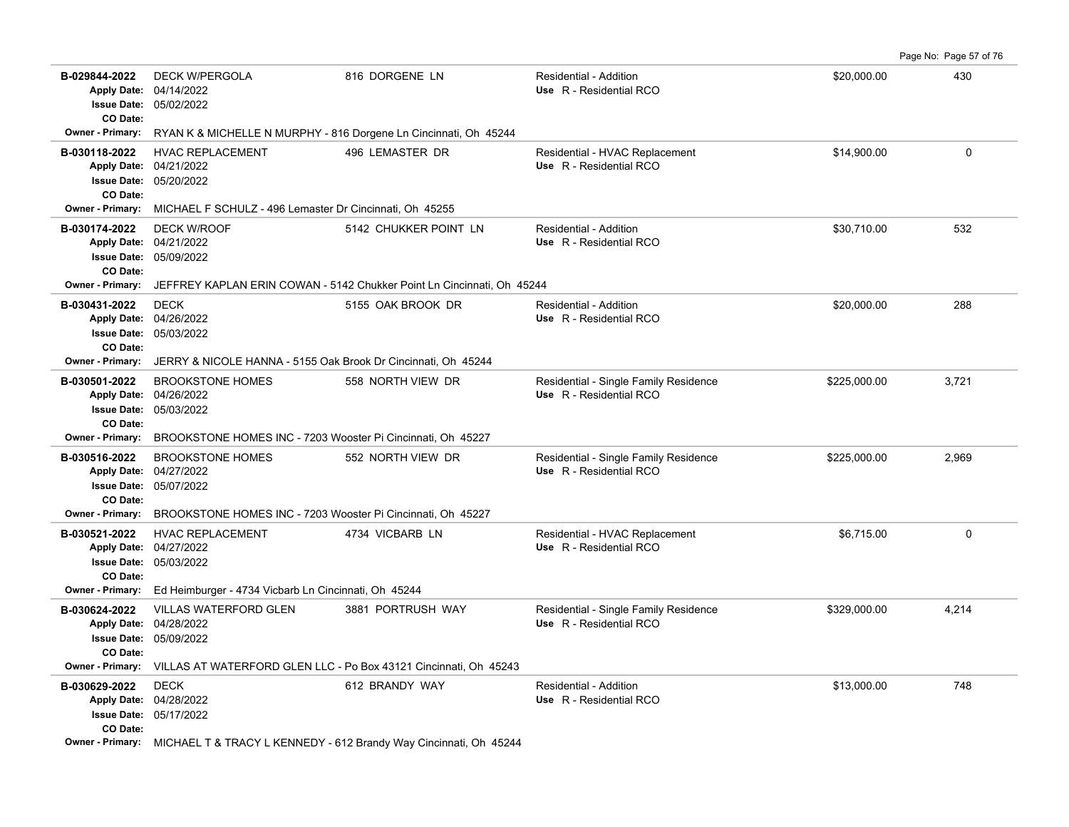Page No: Page 57 of 76

| B-029844-2022<br>CO Date: | <b>DECK W/PERGOLA</b><br>Apply Date: 04/14/2022<br><b>Issue Date: 05/02/2022</b>          | 816 DORGENE LN                                                         | Residential - Addition<br>Use R - Residential RCO                | \$20,000.00  | 430   |
|---------------------------|-------------------------------------------------------------------------------------------|------------------------------------------------------------------------|------------------------------------------------------------------|--------------|-------|
| Owner - Primary:          | RYAN K & MICHELLE N MURPHY - 816 Dorgene Ln Cincinnati, Oh 45244                          |                                                                        |                                                                  |              |       |
| B-030118-2022<br>CO Date: | <b>HVAC REPLACEMENT</b><br>Apply Date: 04/21/2022<br><b>Issue Date: 05/20/2022</b>        | 496 LEMASTER DR                                                        | Residential - HVAC Replacement<br>Use R - Residential RCO        | \$14,900.00  | 0     |
| Owner - Primary:          | MICHAEL F SCHULZ - 496 Lemaster Dr Cincinnati, Oh 45255                                   |                                                                        |                                                                  |              |       |
| B-030174-2022<br>CO Date: | <b>DECK W/ROOF</b><br>Apply Date: 04/21/2022<br>Issue Date: 05/09/2022                    | 5142 CHUKKER POINT LN                                                  | Residential - Addition<br>Use R - Residential RCO                | \$30,710.00  | 532   |
| Owner - Primary:          |                                                                                           | JEFFREY KAPLAN ERIN COWAN - 5142 Chukker Point Ln Cincinnati, Oh 45244 |                                                                  |              |       |
| B-030431-2022<br>CO Date: | <b>DECK</b><br>Apply Date: 04/26/2022<br><b>Issue Date: 05/03/2022</b>                    | 5155 OAK BROOK DR                                                      | Residential - Addition<br>Use R - Residential RCO                | \$20,000.00  | 288   |
| <b>Owner - Primary:</b>   | JERRY & NICOLE HANNA - 5155 Oak Brook Dr Cincinnati, Oh 45244                             |                                                                        |                                                                  |              |       |
| B-030501-2022<br>CO Date: | <b>BROOKSTONE HOMES</b><br>Apply Date: 04/26/2022<br><b>Issue Date: 05/03/2022</b>        | 558 NORTH VIEW DR                                                      | Residential - Single Family Residence<br>Use R - Residential RCO | \$225,000.00 | 3,721 |
| Owner - Primary:          | BROOKSTONE HOMES INC - 7203 Wooster Pi Cincinnati, Oh 45227                               |                                                                        |                                                                  |              |       |
| B-030516-2022<br>CO Date: | <b>BROOKSTONE HOMES</b><br>Apply Date: 04/27/2022<br>Issue Date: 05/07/2022               | 552 NORTH VIEW DR                                                      | Residential - Single Family Residence<br>Use R - Residential RCO | \$225,000.00 | 2,969 |
| Owner - Primary:          | BROOKSTONE HOMES INC - 7203 Wooster Pi Cincinnati, Oh 45227                               |                                                                        |                                                                  |              |       |
| B-030521-2022<br>CO Date: | <b>HVAC REPLACEMENT</b><br>Apply Date: 04/27/2022<br>Issue Date: 05/03/2022               | 4734 VICBARB LN                                                        | Residential - HVAC Replacement<br>Use R - Residential RCO        | \$6,715.00   | 0     |
| Owner - Primary:          | Ed Heimburger - 4734 Vicbarb Ln Cincinnati, Oh 45244                                      |                                                                        |                                                                  |              |       |
| B-030624-2022<br>CO Date: | <b>VILLAS WATERFORD GLEN</b><br>Apply Date: 04/28/2022<br><b>Issue Date: 05/09/2022</b>   | 3881 PORTRUSH WAY                                                      | Residential - Single Family Residence<br>Use R - Residential RCO | \$329,000.00 | 4,214 |
| Owner - Primary:          | VILLAS AT WATERFORD GLEN LLC - Po Box 43121 Cincinnati, Oh 45243                          |                                                                        |                                                                  |              |       |
| B-030629-2022<br>CO Date: | <b>DECK</b><br>Apply Date: 04/28/2022<br>Issue Date: 05/17/2022                           | 612 BRANDY WAY                                                         | Residential - Addition<br>Use R - Residential RCO                | \$13,000.00  | 748   |
|                           | <b>Owner - Primary:</b> MICHAEL T & TRACY L KENNEDY - 612 Brandy Way Cincinnati, Oh 45244 |                                                                        |                                                                  |              |       |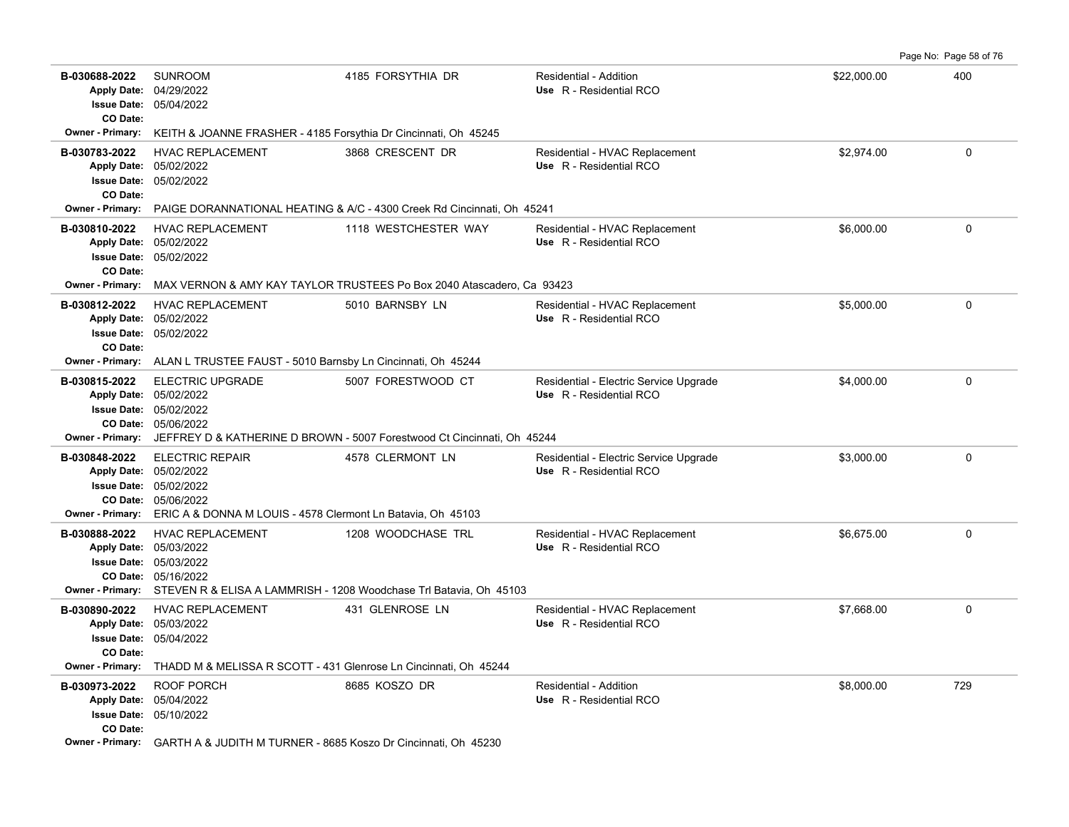Page No: Page 58 of 76

| B-030688-2022                            | <b>SUNROOM</b><br>Apply Date: 04/29/2022<br>Issue Date: 05/04/2022                                                                     | 4185 FORSYTHIA DR                                                                             | Residential - Addition<br>Use R - Residential RCO                 | \$22,000.00 | 400      |
|------------------------------------------|----------------------------------------------------------------------------------------------------------------------------------------|-----------------------------------------------------------------------------------------------|-------------------------------------------------------------------|-------------|----------|
| CO Date:<br>Owner - Primary:             | KEITH & JOANNE FRASHER - 4185 Forsythia Dr Cincinnati, Oh 45245                                                                        |                                                                                               |                                                                   |             |          |
| B-030783-2022<br>CO Date:                | <b>HVAC REPLACEMENT</b><br>Apply Date: 05/02/2022<br>Issue Date: 05/02/2022                                                            | 3868 CRESCENT DR                                                                              | Residential - HVAC Replacement<br>Use R - Residential RCO         | \$2,974.00  | 0        |
| <b>Owner - Primary:</b>                  |                                                                                                                                        | PAIGE DORANNATIONAL HEATING & A/C - 4300 Creek Rd Cincinnati, Oh 45241                        |                                                                   |             |          |
| B-030810-2022<br>CO Date:                | <b>HVAC REPLACEMENT</b><br>Apply Date: 05/02/2022<br>Issue Date: 05/02/2022                                                            | 1118 WESTCHESTER WAY                                                                          | Residential - HVAC Replacement<br>Use R - Residential RCO         | \$6,000.00  | 0        |
| Owner - Primary:                         |                                                                                                                                        | MAX VERNON & AMY KAY TAYLOR TRUSTEES Po Box 2040 Atascadero, Ca 93423                         |                                                                   |             |          |
| B-030812-2022<br>CO Date:                | <b>HVAC REPLACEMENT</b><br>Apply Date: 05/02/2022<br>Issue Date: 05/02/2022                                                            | 5010 BARNSBY LN                                                                               | Residential - HVAC Replacement<br>Use R - Residential RCO         | \$5,000.00  | $\Omega$ |
| Owner - Primary:                         | ALAN L TRUSTEE FAUST - 5010 Barnsby Ln Cincinnati, Oh 45244                                                                            |                                                                                               |                                                                   |             |          |
| B-030815-2022<br><b>Owner - Primary:</b> | <b>ELECTRIC UPGRADE</b><br>Apply Date: 05/02/2022<br><b>Issue Date: 05/02/2022</b><br>CO Date: 05/06/2022                              | 5007 FORESTWOOD CT<br>JEFFREY D & KATHERINE D BROWN - 5007 Forestwood Ct Cincinnati, Oh 45244 | Residential - Electric Service Upgrade<br>Use R - Residential RCO | \$4,000.00  | 0        |
| B-030848-2022                            | <b>ELECTRIC REPAIR</b>                                                                                                                 | 4578 CLERMONT LN                                                                              | Residential - Electric Service Upgrade                            | \$3,000.00  | 0        |
| <b>Owner - Primary:</b>                  | Apply Date: 05/02/2022<br>Issue Date: 05/02/2022<br>CO Date: 05/06/2022<br>ERIC A & DONNA M LOUIS - 4578 Clermont Ln Batavia, Oh 45103 |                                                                                               | Use R - Residential RCO                                           |             |          |
| B-030888-2022                            | <b>HVAC REPLACEMENT</b>                                                                                                                | 1208 WOODCHASE TRL                                                                            | Residential - HVAC Replacement                                    | \$6,675.00  | $\Omega$ |
| Owner - Primary:                         | Apply Date: 05/03/2022<br>Issue Date: 05/03/2022<br>CO Date: 05/16/2022                                                                | STEVEN R & ELISA A LAMMRISH - 1208 Woodchase Trl Batavia, Oh 45103                            | Use R - Residential RCO                                           |             |          |
| B-030890-2022                            | <b>HVAC REPLACEMENT</b>                                                                                                                | 431 GLENROSE LN                                                                               | Residential - HVAC Replacement                                    | \$7,668.00  | 0        |
| CO Date:                                 | Apply Date: 05/03/2022<br><b>Issue Date: 05/04/2022</b>                                                                                |                                                                                               | Use R - Residential RCO                                           |             |          |
| <b>Owner - Primary:</b>                  | THADD M & MELISSA R SCOTT - 431 Glenrose Ln Cincinnati, Oh 45244                                                                       |                                                                                               |                                                                   |             |          |
| B-030973-2022<br>CO Date:                | <b>ROOF PORCH</b><br>Apply Date: 05/04/2022<br><b>Issue Date: 05/10/2022</b>                                                           | 8685 KOSZO DR                                                                                 | Residential - Addition<br>Use R - Residential RCO                 | \$8,000.00  | 729      |
| <b>Owner - Primary:</b>                  | GARTH A & JUDITH M TURNER - 8685 Koszo Dr Cincinnati, Oh 45230                                                                         |                                                                                               |                                                                   |             |          |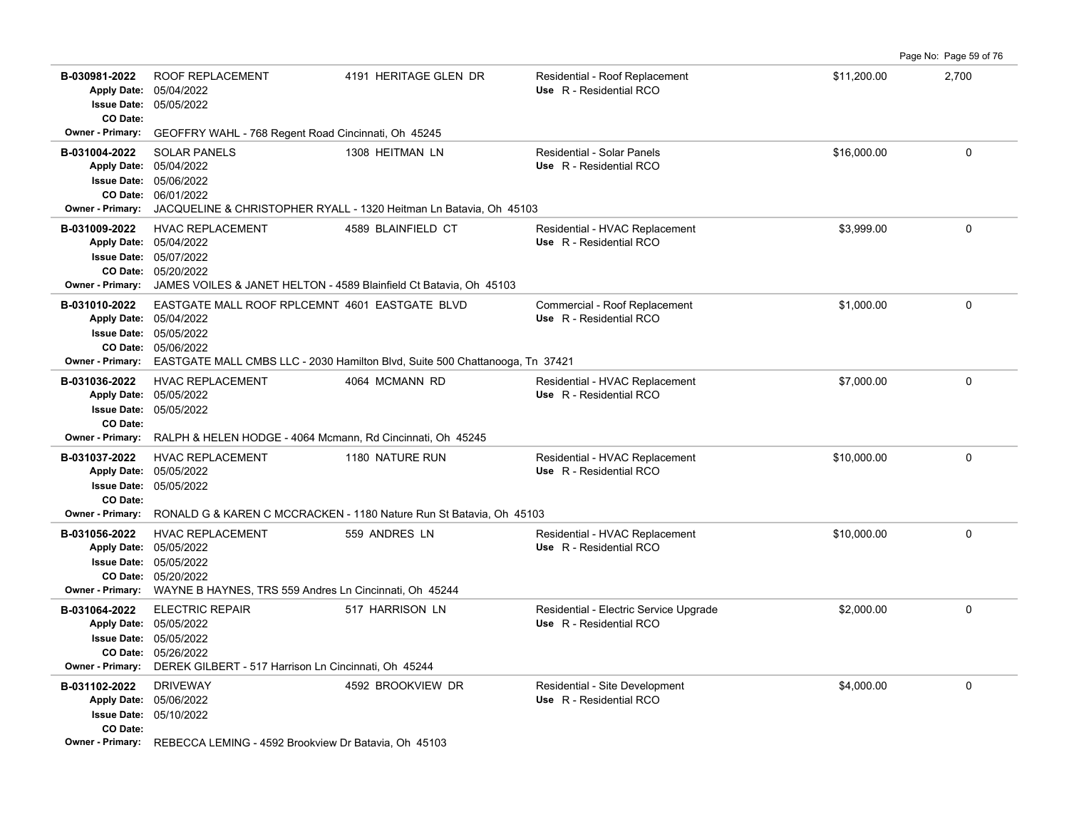|                                                      |                                                                                                                                                                                      |                                                                                       |                                                                   |             | Page No: Page 59 of 76 |
|------------------------------------------------------|--------------------------------------------------------------------------------------------------------------------------------------------------------------------------------------|---------------------------------------------------------------------------------------|-------------------------------------------------------------------|-------------|------------------------|
| B-030981-2022<br><b>Issue Date:</b><br>CO Date:      | <b>ROOF REPLACEMENT</b><br>Apply Date: 05/04/2022<br>05/05/2022                                                                                                                      | 4191 HERITAGE GLEN DR                                                                 | Residential - Roof Replacement<br>Use R - Residential RCO         | \$11,200.00 | 2,700                  |
| <b>Owner - Primary:</b>                              | GEOFFRY WAHL - 768 Regent Road Cincinnati, Oh 45245                                                                                                                                  |                                                                                       |                                                                   |             |                        |
| B-031004-2022<br><b>Owner - Primary:</b>             | <b>SOLAR PANELS</b><br>Apply Date: 05/04/2022<br><b>Issue Date: 05/06/2022</b><br>CO Date: 06/01/2022                                                                                | 1308 HEITMAN LN<br>JACQUELINE & CHRISTOPHER RYALL - 1320 Heitman Ln Batavia, Oh 45103 | Residential - Solar Panels<br>Use R - Residential RCO             | \$16,000.00 | $\Omega$               |
| B-031009-2022<br>CO Date:<br><b>Owner - Primary:</b> | <b>HVAC REPLACEMENT</b><br>Apply Date: 05/04/2022<br><b>Issue Date: 05/07/2022</b><br>05/20/2022<br>JAMES VOILES & JANET HELTON - 4589 Blainfield Ct Batavia, Oh 45103               | 4589 BLAINFIELD CT                                                                    | Residential - HVAC Replacement<br>Use R - Residential RCO         | \$3,999.00  | 0                      |
| B-031010-2022<br>Owner - Primary:                    | EASTGATE MALL ROOF RPLCEMNT 4601 EASTGATE BLVD<br>Apply Date: 05/04/2022<br><b>Issue Date: 05/05/2022</b><br>CO Date: 05/06/2022                                                     | EASTGATE MALL CMBS LLC - 2030 Hamilton Blvd, Suite 500 Chattanooga, Tn 37421          | Commercial - Roof Replacement<br>Use R - Residential RCO          | \$1,000.00  | $\Omega$               |
| B-031036-2022<br><b>Apply Date:</b><br>CO Date:      | <b>HVAC REPLACEMENT</b><br>05/05/2022<br><b>Issue Date: 05/05/2022</b>                                                                                                               | 4064 MCMANN RD                                                                        | Residential - HVAC Replacement<br>Use R - Residential RCO         | \$7,000.00  | 0                      |
| <b>Owner - Primary:</b>                              | RALPH & HELEN HODGE - 4064 Mcmann, Rd Cincinnati, Oh 45245                                                                                                                           |                                                                                       |                                                                   |             |                        |
| B-031037-2022<br><b>Issue Date:</b><br>CO Date:      | <b>HVAC REPLACEMENT</b><br>Apply Date: 05/05/2022<br>05/05/2022                                                                                                                      | 1180 NATURE RUN                                                                       | Residential - HVAC Replacement<br>Use R - Residential RCO         | \$10,000.00 | 0                      |
| Owner - Primary:                                     |                                                                                                                                                                                      | RONALD G & KAREN C MCCRACKEN - 1180 Nature Run St Batavia, Oh 45103                   |                                                                   |             |                        |
| B-031056-2022                                        | <b>HVAC REPLACEMENT</b><br>Apply Date: 05/05/2022<br><b>Issue Date: 05/05/2022</b><br>CO Date: 05/20/2022<br>Owner - Primary: WAYNE B HAYNES, TRS 559 Andres Ln Cincinnati, Oh 45244 | 559 ANDRES LN                                                                         | Residential - HVAC Replacement<br>Use R - Residential RCO         | \$10,000.00 | $\mathbf 0$            |
| B-031064-2022<br><b>Owner - Primary:</b>             | <b>ELECTRIC REPAIR</b><br>Apply Date: 05/05/2022<br><b>Issue Date: 05/05/2022</b><br>CO Date: 05/26/2022<br>DEREK GILBERT - 517 Harrison Ln Cincinnati, Oh 45244                     | 517 HARRISON LN                                                                       | Residential - Electric Service Upgrade<br>Use R - Residential RCO | \$2,000.00  | 0                      |
| B-031102-2022<br>CO Date:<br><b>Owner - Primary:</b> | <b>DRIVEWAY</b><br>Apply Date: 05/06/2022<br><b>Issue Date: 05/10/2022</b><br>REBECCA LEMING - 4592 Brookview Dr Batavia, Oh 45103                                                   | 4592 BROOKVIEW DR                                                                     | Residential - Site Development<br>Use R - Residential RCO         | \$4,000.00  | $\Omega$               |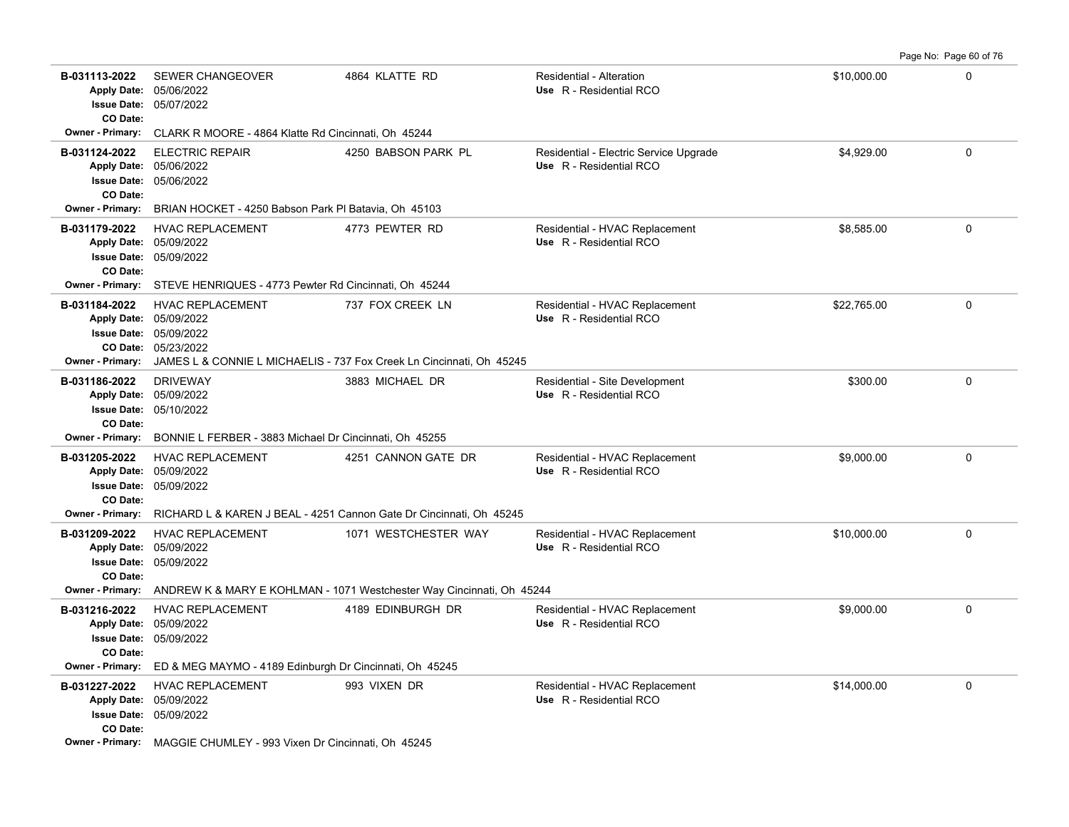Page No: Page 60 of 76

| B-031113-2022<br>CO Date:                     | <b>SEWER CHANGEOVER</b><br>Apply Date: 05/06/2022<br><b>Issue Date: 05/07/2022</b>                                                   | 4864 KLATTE RD                                                                           | Residential - Alteration<br>Use R - Residential RCO               | \$10,000.00 | $\Omega$    |
|-----------------------------------------------|--------------------------------------------------------------------------------------------------------------------------------------|------------------------------------------------------------------------------------------|-------------------------------------------------------------------|-------------|-------------|
|                                               | Owner - Primary: CLARK R MOORE - 4864 Klatte Rd Cincinnati, Oh 45244                                                                 |                                                                                          |                                                                   |             |             |
| B-031124-2022<br>CO Date:                     | <b>ELECTRIC REPAIR</b><br>Apply Date: 05/06/2022<br><b>Issue Date: 05/06/2022</b>                                                    | 4250 BABSON PARK PL                                                                      | Residential - Electric Service Upgrade<br>Use R - Residential RCO | \$4,929.00  | $\mathbf 0$ |
| Owner - Primary:                              | BRIAN HOCKET - 4250 Babson Park PI Batavia, Oh 45103                                                                                 |                                                                                          |                                                                   |             |             |
| B-031179-2022<br>CO Date:                     | <b>HVAC REPLACEMENT</b><br>Apply Date: 05/09/2022<br><b>Issue Date: 05/09/2022</b>                                                   | 4773 PEWTER RD                                                                           | Residential - HVAC Replacement<br>Use R - Residential RCO         | \$8,585.00  | $\mathbf 0$ |
| Owner - Primary:                              | STEVE HENRIQUES - 4773 Pewter Rd Cincinnati, Oh 45244                                                                                |                                                                                          |                                                                   |             |             |
| B-031184-2022<br><b>Owner - Primary:</b>      | <b>HVAC REPLACEMENT</b><br>Apply Date: 05/09/2022<br><b>Issue Date: 05/09/2022</b><br>CO Date: 05/23/2022                            | 737 FOX CREEK LN<br>JAMES L & CONNIE L MICHAELIS - 737 Fox Creek Ln Cincinnati, Oh 45245 | Residential - HVAC Replacement<br>Use R - Residential RCO         | \$22,765.00 | 0           |
| B-031186-2022<br>CO Date:<br>Owner - Primary: | <b>DRIVEWAY</b><br>Apply Date: 05/09/2022<br><b>Issue Date: 05/10/2022</b><br>BONNIE L FERBER - 3883 Michael Dr Cincinnati, Oh 45255 | 3883 MICHAEL DR                                                                          | Residential - Site Development<br>Use R - Residential RCO         | \$300.00    | $\Omega$    |
| B-031205-2022<br>CO Date:                     | <b>HVAC REPLACEMENT</b><br>Apply Date: 05/09/2022<br><b>Issue Date: 05/09/2022</b>                                                   | 4251 CANNON GATE DR                                                                      | Residential - HVAC Replacement<br>Use R - Residential RCO         | \$9,000.00  | $\Omega$    |
| <b>Owner - Primary:</b>                       |                                                                                                                                      | RICHARD L & KAREN J BEAL - 4251 Cannon Gate Dr Cincinnati, Oh 45245                      |                                                                   |             |             |
| B-031209-2022<br>CO Date:                     | <b>HVAC REPLACEMENT</b><br>Apply Date: 05/09/2022<br><b>Issue Date: 05/09/2022</b>                                                   | 1071 WESTCHESTER WAY                                                                     | Residential - HVAC Replacement<br>Use R - Residential RCO         | \$10,000.00 | $\mathbf 0$ |
| Owner - Primary:                              | ANDREW K & MARY E KOHLMAN - 1071 Westchester Way Cincinnati, Oh 45244                                                                |                                                                                          |                                                                   |             |             |
| B-031216-2022<br>CO Date:                     | <b>HVAC REPLACEMENT</b><br>Apply Date: 05/09/2022<br><b>Issue Date: 05/09/2022</b>                                                   | 4189 EDINBURGH DR                                                                        | Residential - HVAC Replacement<br>Use R - Residential RCO         | \$9,000.00  | $\mathbf 0$ |
| Owner - Primary:                              | ED & MEG MAYMO - 4189 Edinburgh Dr Cincinnati, Oh 45245                                                                              |                                                                                          |                                                                   |             |             |
| B-031227-2022<br>CO Date:                     | <b>HVAC REPLACEMENT</b><br>Apply Date: 05/09/2022<br><b>Issue Date: 05/09/2022</b>                                                   | 993 VIXEN DR                                                                             | Residential - HVAC Replacement<br>Use R - Residential RCO         | \$14,000.00 | $\mathbf 0$ |
|                                               | Owner - Primary: MAGGIE CHUMLEY - 993 Vixen Dr Cincinnati, Oh 45245                                                                  |                                                                                          |                                                                   |             |             |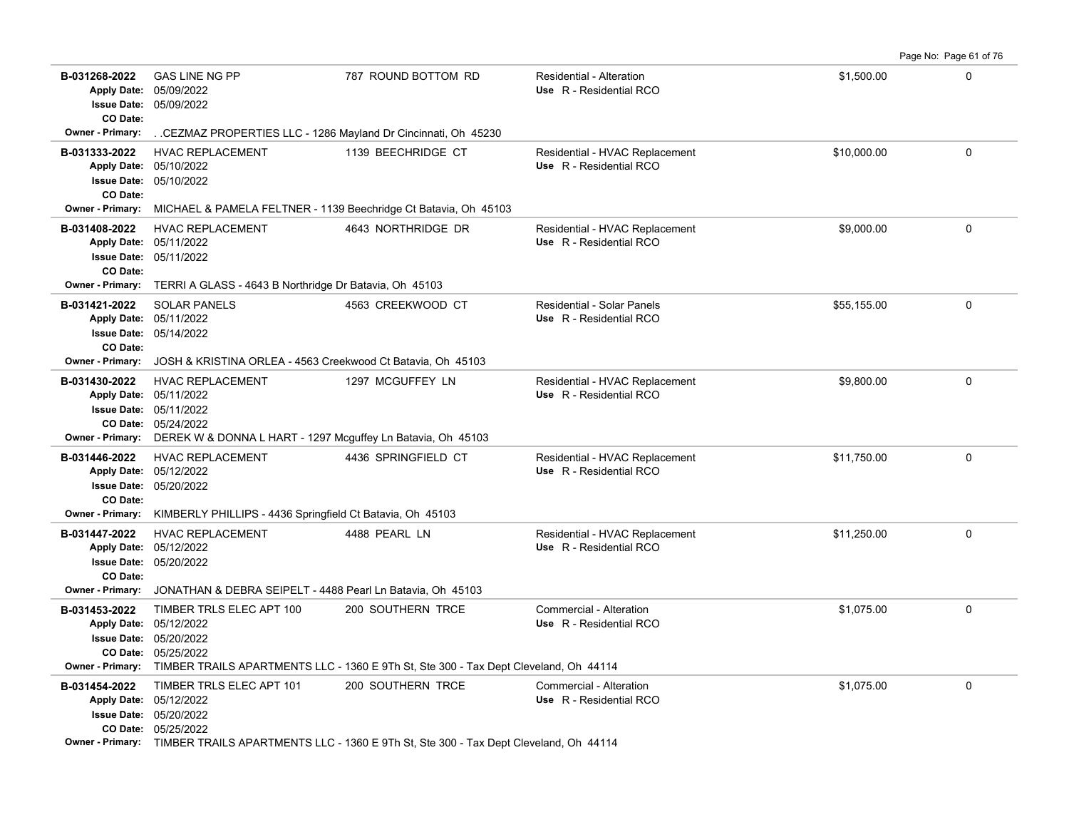**B-031268-2022** GAS LINE NG PP **1988 1287 ROUND BOTTOM RD** Residential - Alteration **1998 1288-2022** GAS LINE NG PP 05/09/2022 Apply Date: 05/09/2022 **Apply Date: Use** R - Residential RCO **Issue Date: CO Date: Owner - Primary:** . .CEZMAZ PROPERTIES LLC - 1286 Mayland Dr Cincinnati, Oh 45230 **B-031333-2022** HVAC REPLACEMENT 1139 BEECHRIDGE CT Residential - HVAC Replacement \$10,000.00 \$10,000.00 0 05/10/2022 **Issue Date:** 05/10/2022 **Apply Date: Use** R - Residential RCO **CO Date: Owner - Primary:** MICHAEL & PAMELA FELTNER - 1139 Beechridge Ct Batavia, Oh 45103 **B-031408-2022** HVAC REPLACEMENT 4643 NORTHRIDGE DR Residential - HVAC Replacement \$9,000.00 \$9,000.00 0 05/11/2022 **Issue Date:** 05/11/2022 **Apply Date: Use** R - Residential RCO **CO Date: Owner - Primary:** TERRI A GLASS - 4643 B Northridge Dr Batavia, Oh 45103 **B-031421-2022** \$55,155.00 0 SOLAR PANELS 4563 CREEKWOOD CT Residential - Solar Panels 05/14/2022 **Issue Date:** Apply Date: 05/11/2022 **Apply Date: Use** R - Residential RCO **CO Date: Owner - Primary:** JOSH & KRISTINA ORLEA - 4563 Creekwood Ct Batavia, Oh 45103 **B-031430-2022** HVAC REPLACEMENT 1297 MCGUFFEY LN Residential - HVAC Replacement \$9,800.00 \$9,800.00 0 05/24/2022 **CO Date:** 05/11/2022 **Issue Date:** Apply Date: 05/11/2022 **Apply Date: Use** R - Residential RCO **Owner - Primary:** DEREK W & DONNA L HART - 1297 Mcguffey Ln Batavia, Oh 45103 B-031446-2022 HVAC REPLACEMENT 4436 SPRINGFIELD CT Residential - HVAC Replacement \$11,750.00 \$11,750.00 0 05/20/2022 **Issue Date:** Apply Date: 05/12/2022 **Apply Date: Use** R - Residential RCO **CO Date: Owner - Primary:** KIMBERLY PHILLIPS - 4436 Springfield Ct Batavia, Oh 45103 **B-031447-2022** HVAC REPLACEMENT 4488 PEARL LN Residential - HVAC Replacement \$11,250.00 \$11,250.00 05/20/2022 **Issue Date:** Apply Date: 05/12/2022 **Apply Date: Use** R - Residential RCO **CO Date: Owner - Primary:** JONATHAN & DEBRA SEIPELT - 4488 Pearl Ln Batavia, Oh 45103 **B-031453-2022** \$1,075.00 0 TIMBER TRLS ELEC APT 100 200 SOUTHERN TRCE Commercial - Alteration 05/25/2022 **CO Date:** 05/20/2022 **Issue Date:** Apply Date: 05/12/2022 **Apply Date: Use** R - Residential RCO **Owner - Primary:** TIMBER TRAILS APARTMENTS LLC - 1360 E 9Th St, Ste 300 - Tax Dept Cleveland, Oh 44114 **B-031454-2022** \$1,075.00 0 TIMBER TRLS ELEC APT 101 200 SOUTHERN TRCE Commercial - Alteration 05/25/2022 **CO Date:** 05/20/2022 **Issue Date:** Apply Date: 05/12/2022 **Apply Date: Use** R - Residential RCO

Page No: Page 61 of 76

**Owner - Primary:** TIMBER TRAILS APARTMENTS LLC - 1360 E 9Th St, Ste 300 - Tax Dept Cleveland, Oh 44114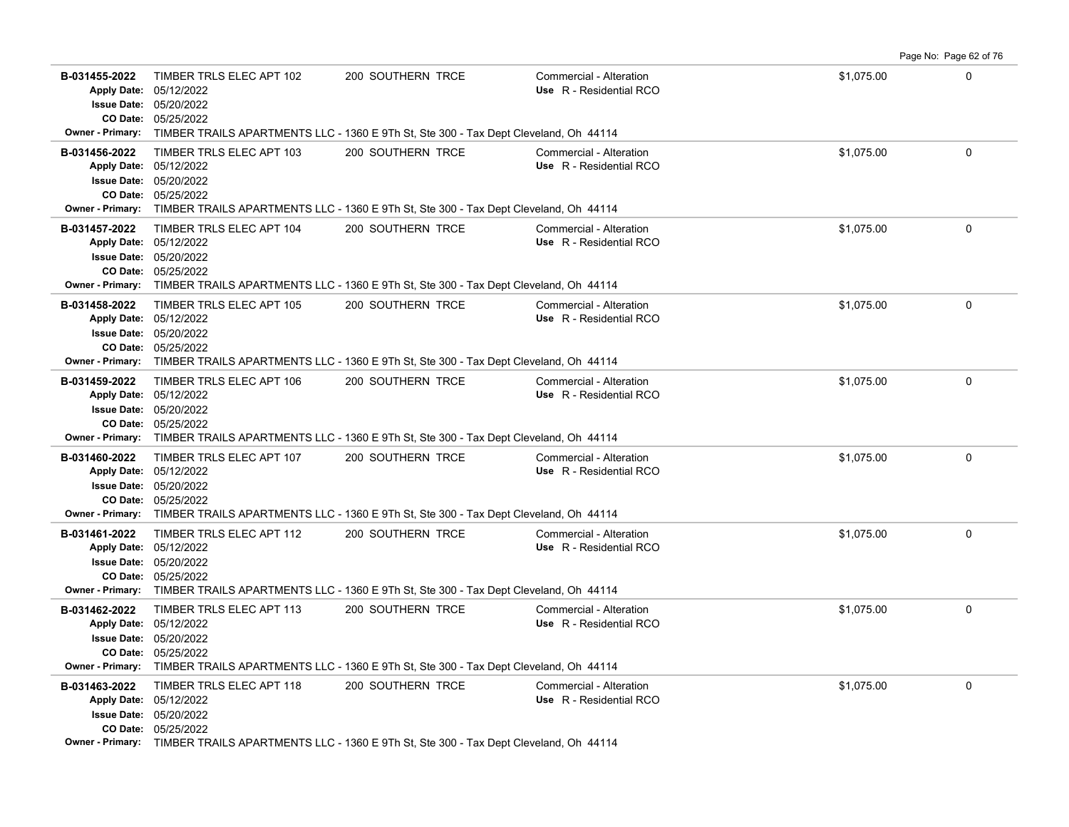| B-031455-2022<br>CO Date:<br><b>Owner - Primary:</b> | TIMBER TRLS ELEC APT 102<br>Apply Date: 05/12/2022<br><b>Issue Date: 05/20/2022</b><br>05/25/2022          | 200 SOUTHERN TRCE<br>TIMBER TRAILS APARTMENTS LLC - 1360 E 9Th St, Ste 300 - Tax Dept Cleveland, Oh 44114                         | Commercial - Alteration<br>Use R - Residential RCO | \$1,075.00 | $\Omega$    |
|------------------------------------------------------|------------------------------------------------------------------------------------------------------------|-----------------------------------------------------------------------------------------------------------------------------------|----------------------------------------------------|------------|-------------|
| B-031456-2022                                        | TIMBER TRLS ELEC APT 103<br>Apply Date: 05/12/2022<br><b>Issue Date: 05/20/2022</b><br>CO Date: 05/25/2022 | 200 SOUTHERN TRCE<br><b>Owner - Primary:</b> TIMBER TRAILS APARTMENTS LLC - 1360 E 9Th St, Ste 300 - Tax Dept Cleveland, Oh 44114 | Commercial - Alteration<br>Use R - Residential RCO | \$1,075.00 | 0           |
| B-031457-2022<br><b>Owner - Primary:</b>             | TIMBER TRLS ELEC APT 104<br>Apply Date: 05/12/2022<br><b>Issue Date: 05/20/2022</b><br>CO Date: 05/25/2022 | 200 SOUTHERN TRCE<br>TIMBER TRAILS APARTMENTS LLC - 1360 E 9Th St, Ste 300 - Tax Dept Cleveland, Oh 44114                         | Commercial - Alteration<br>Use R - Residential RCO | \$1,075.00 | 0           |
| B-031458-2022<br>CO Date:                            | TIMBER TRLS ELEC APT 105<br>Apply Date: 05/12/2022<br><b>Issue Date: 05/20/2022</b><br>05/25/2022          | 200 SOUTHERN TRCE<br><b>Owner - Primary:</b> TIMBER TRAILS APARTMENTS LLC - 1360 E 9Th St, Ste 300 - Tax Dept Cleveland, Oh 44114 | Commercial - Alteration<br>Use R - Residential RCO | \$1,075.00 | 0           |
| B-031459-2022<br><b>Owner - Primary:</b>             | TIMBER TRLS ELEC APT 106<br>Apply Date: 05/12/2022<br><b>Issue Date: 05/20/2022</b><br>CO Date: 05/25/2022 | 200 SOUTHERN TRCE<br>TIMBER TRAILS APARTMENTS LLC - 1360 E 9Th St, Ste 300 - Tax Dept Cleveland, Oh 44114                         | Commercial - Alteration<br>Use R - Residential RCO | \$1,075.00 | $\Omega$    |
| B-031460-2022<br><b>Owner - Primary:</b>             | TIMBER TRLS ELEC APT 107<br>Apply Date: 05/12/2022<br><b>Issue Date: 05/20/2022</b><br>CO Date: 05/25/2022 | 200 SOUTHERN TRCE<br>TIMBER TRAILS APARTMENTS LLC - 1360 E 9Th St, Ste 300 - Tax Dept Cleveland, Oh 44114                         | Commercial - Alteration<br>Use R - Residential RCO | \$1,075.00 | 0           |
| B-031461-2022                                        | TIMBER TRLS ELEC APT 112<br>Apply Date: 05/12/2022<br><b>Issue Date: 05/20/2022</b><br>CO Date: 05/25/2022 | 200 SOUTHERN TRCE<br>Owner - Primary: TIMBER TRAILS APARTMENTS LLC - 1360 E 9Th St, Ste 300 - Tax Dept Cleveland, Oh 44114        | Commercial - Alteration<br>Use R - Residential RCO | \$1,075.00 | $\mathbf 0$ |
| B-031462-2022                                        | TIMBER TRLS ELEC APT 113<br>Apply Date: 05/12/2022<br><b>Issue Date: 05/20/2022</b><br>CO Date: 05/25/2022 | 200 SOUTHERN TRCE<br>Owner - Primary: TIMBER TRAILS APARTMENTS LLC - 1360 E 9Th St, Ste 300 - Tax Dept Cleveland, Oh 44114        | Commercial - Alteration<br>Use R - Residential RCO | \$1,075.00 | $\pmb{0}$   |
| B-031463-2022                                        | TIMBER TRLS ELEC APT 118<br>Apply Date: 05/12/2022<br><b>Issue Date: 05/20/2022</b><br>CO Date: 05/25/2022 | 200 SOUTHERN TRCE<br><b>Owner - Primary:</b> TIMBER TRAILS APARTMENTS LLC - 1360 F 9Th St Ste 300 - Tax Dent Cleveland Oh 44114   | Commercial - Alteration<br>Use R - Residential RCO | \$1,075.00 | 0           |

Page No: Page 62 of 76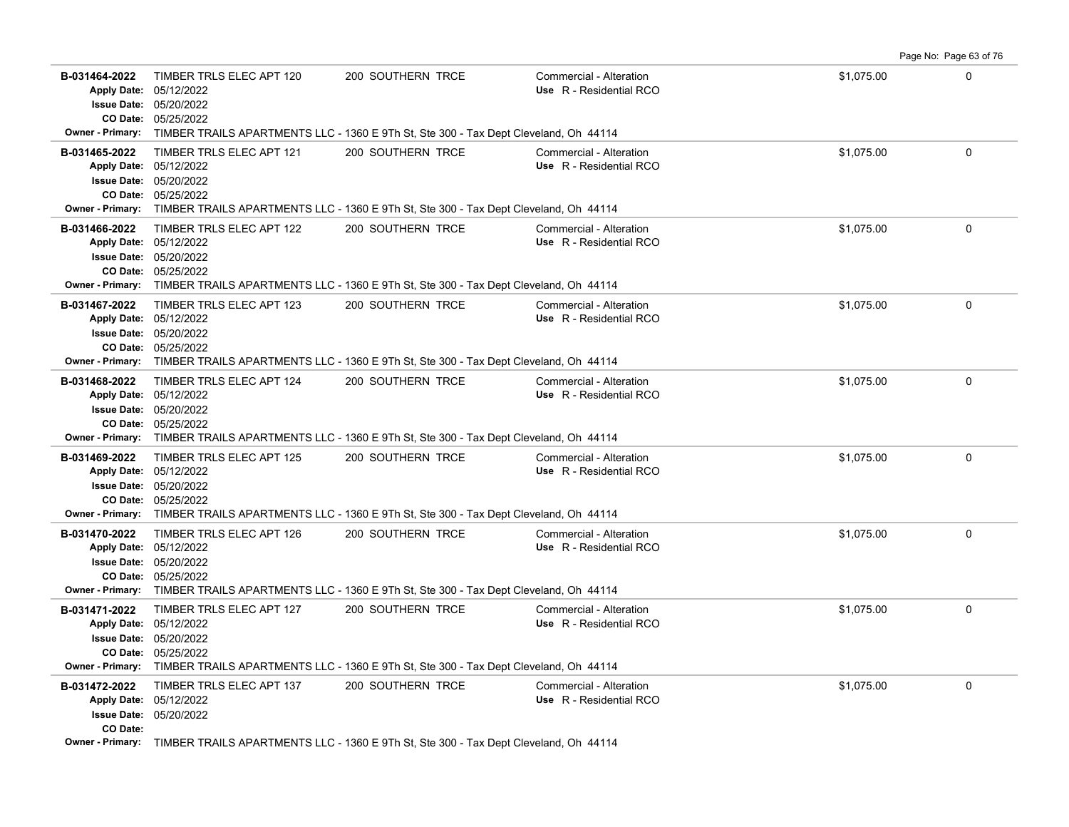|                           |                                                                                                                                                                                                                            |                   |                                                    |            | Page No: Page 63 of 76 |
|---------------------------|----------------------------------------------------------------------------------------------------------------------------------------------------------------------------------------------------------------------------|-------------------|----------------------------------------------------|------------|------------------------|
| B-031464-2022             | TIMBER TRLS ELEC APT 120<br>Apply Date: 05/12/2022<br><b>Issue Date: 05/20/2022</b><br>CO Date: 05/25/2022                                                                                                                 | 200 SOUTHERN TRCE | Commercial - Alteration<br>Use R - Residential RCO | \$1,075.00 | $\Omega$               |
|                           | <b>Owner - Primary:</b> TIMBER TRAILS APARTMENTS LLC - 1360 E 9Th St, Ste 300 - Tax Dept Cleveland, Oh 44114                                                                                                               |                   |                                                    |            |                        |
| B-031465-2022             | TIMBER TRLS ELEC APT 121<br>Apply Date: 05/12/2022<br><b>Issue Date: 05/20/2022</b><br>CO Date: 05/25/2022<br>Owner - Primary: TIMBER TRAILS APARTMENTS LLC - 1360 E 9Th St, Ste 300 - Tax Dept Cleveland, Oh 44114        | 200 SOUTHERN TRCE | Commercial - Alteration<br>Use R - Residential RCO | \$1.075.00 | $\Omega$               |
| B-031466-2022             | TIMBER TRLS ELEC APT 122<br>Apply Date: 05/12/2022<br><b>Issue Date: 05/20/2022</b><br>CO Date: 05/25/2022<br>Owner - Primary: TIMBER TRAILS APARTMENTS LLC - 1360 E 9Th St, Ste 300 - Tax Dept Cleveland, Oh 44114        | 200 SOUTHERN TRCE | Commercial - Alteration<br>Use R - Residential RCO | \$1,075.00 | 0                      |
| B-031467-2022             | TIMBER TRLS ELEC APT 123<br>Apply Date: 05/12/2022<br><b>Issue Date: 05/20/2022</b><br>CO Date: 05/25/2022<br>Owner - Primary: TIMBER TRAILS APARTMENTS LLC - 1360 E 9Th St, Ste 300 - Tax Dept Cleveland, Oh 44114        | 200 SOUTHERN TRCE | Commercial - Alteration<br>Use R - Residential RCO | \$1,075.00 | $\Omega$               |
| B-031468-2022             | TIMBER TRLS ELEC APT 124<br>Apply Date: 05/12/2022<br><b>Issue Date: 05/20/2022</b><br>CO Date: 05/25/2022<br><b>Owner - Primary:</b> TIMBER TRAILS APARTMENTS LLC - 1360 E 9Th St, Ste 300 - Tax Dept Cleveland, Oh 44114 | 200 SOUTHERN TRCE | Commercial - Alteration<br>Use R - Residential RCO | \$1,075.00 | $\mathbf 0$            |
| B-031469-2022             | TIMBER TRLS ELEC APT 125<br>Apply Date: 05/12/2022<br><b>Issue Date: 05/20/2022</b><br>CO Date: 05/25/2022<br>Owner - Primary: TIMBER TRAILS APARTMENTS LLC - 1360 E 9Th St, Ste 300 - Tax Dept Cleveland, Oh 44114        | 200 SOUTHERN TRCE | Commercial - Alteration<br>Use R - Residential RCO | \$1,075.00 | $\mathbf 0$            |
| B-031470-2022             | TIMBER TRLS ELEC APT 126<br>Apply Date: 05/12/2022<br><b>Issue Date: 05/20/2022</b><br>CO Date: 05/25/2022<br>Owner - Primary: TIMBER TRAILS APARTMENTS LLC - 1360 E 9Th St, Ste 300 - Tax Dept Cleveland, Oh 44114        | 200 SOUTHERN TRCE | Commercial - Alteration<br>Use R - Residential RCO | \$1,075.00 | $\mathbf 0$            |
| B-031471-2022             | TIMBER TRLS ELEC APT 127<br>Apply Date: 05/12/2022<br><b>Issue Date: 05/20/2022</b><br>CO Date: 05/25/2022<br>Owner - Primary: TIMBER TRAILS APARTMENTS LLC - 1360 E 9Th St, Ste 300 - Tax Dept Cleveland, Oh 44114        | 200 SOUTHERN TRCE | Commercial - Alteration<br>Use R - Residential RCO | \$1,075.00 | 0                      |
| B-031472-2022<br>CO Date: | TIMBER TRLS ELEC APT 137<br>Apply Date: 05/12/2022<br>Issue Date: 05/20/2022                                                                                                                                               | 200 SOUTHERN TRCE | Commercial - Alteration<br>Use R - Residential RCO | \$1,075.00 | 0                      |
|                           | Owner - Primary: TIMBER TRAILS APARTMENTS LLC - 1360 E 9Th St, Ste 300 - Tax Dept Cleveland, Oh 44114                                                                                                                      |                   |                                                    |            |                        |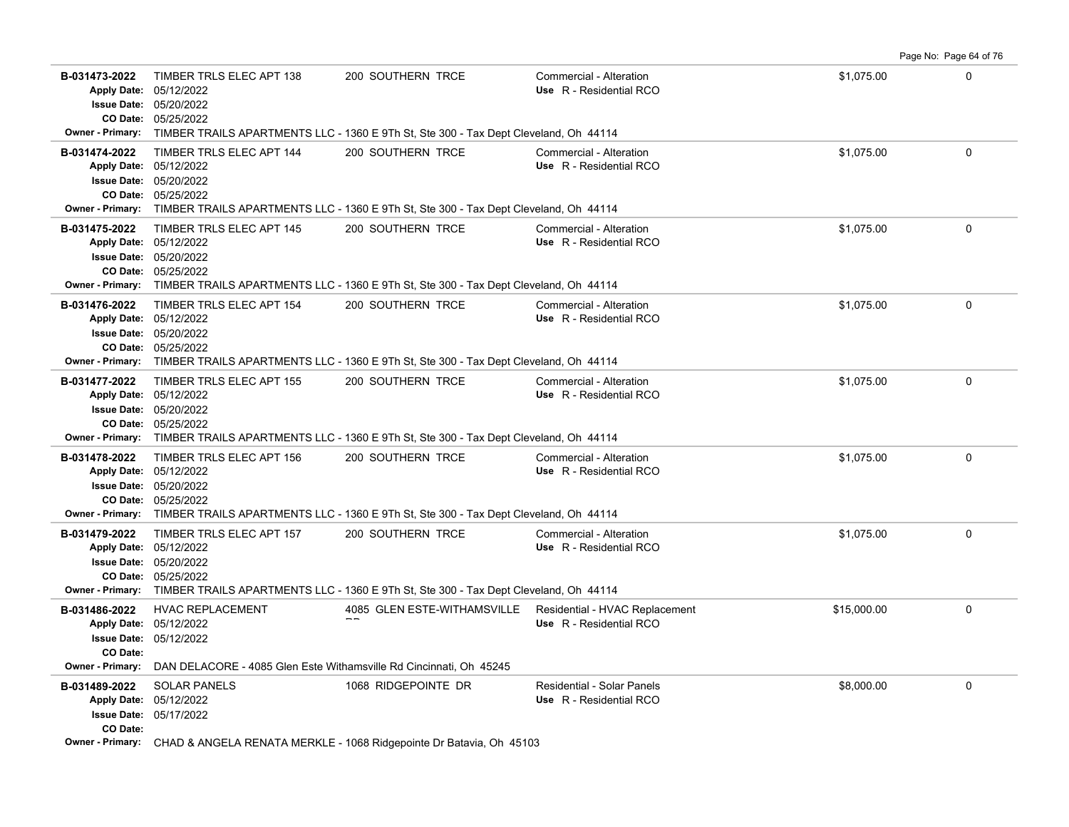|                                                                            |                                                                                                                                                                                                                     |                                                                                                           |                                                       |             | Page No: Page 64 of 76 |
|----------------------------------------------------------------------------|---------------------------------------------------------------------------------------------------------------------------------------------------------------------------------------------------------------------|-----------------------------------------------------------------------------------------------------------|-------------------------------------------------------|-------------|------------------------|
| B-031473-2022<br><b>Owner - Primary:</b>                                   | TIMBER TRLS ELEC APT 138<br>Apply Date: 05/12/2022<br><b>Issue Date: 05/20/2022</b><br>CO Date: 05/25/2022<br>TIMBER TRAILS APARTMENTS LLC - 1360 E 9Th St, Ste 300 - Tax Dept Cleveland, Oh 44114                  | 200 SOUTHERN TRCE                                                                                         | Commercial - Alteration<br>Use R - Residential RCO    | \$1,075.00  | $\Omega$               |
| B-031474-2022                                                              | TIMBER TRLS ELEC APT 144<br>Apply Date: 05/12/2022<br><b>Issue Date: 05/20/2022</b><br>CO Date: 05/25/2022<br>Owner - Primary: TIMBER TRAILS APARTMENTS LLC - 1360 E 9Th St, Ste 300 - Tax Dept Cleveland, Oh 44114 | 200 SOUTHERN TRCE                                                                                         | Commercial - Alteration<br>Use R - Residential RCO    | \$1,075.00  | 0                      |
| B-031475-2022<br><b>Owner - Primary:</b>                                   | TIMBER TRLS ELEC APT 145<br>Apply Date: 05/12/2022<br><b>Issue Date: 05/20/2022</b><br>CO Date: 05/25/2022<br>TIMBER TRAILS APARTMENTS LLC - 1360 E 9Th St, Ste 300 - Tax Dept Cleveland, Oh 44114                  | 200 SOUTHERN TRCE                                                                                         | Commercial - Alteration<br>Use R - Residential RCO    | \$1,075.00  | 0                      |
| B-031476-2022<br><b>Apply Date:</b><br><b>Owner - Primary:</b>             | TIMBER TRLS ELEC APT 154<br>05/12/2022<br><b>Issue Date: 05/20/2022</b><br>CO Date: 05/25/2022<br>TIMBER TRAILS APARTMENTS LLC - 1360 E 9Th St, Ste 300 - Tax Dept Cleveland, Oh 44114                              | 200 SOUTHERN TRCE                                                                                         | Commercial - Alteration<br>Use R - Residential RCO    | \$1,075.00  | $\Omega$               |
| B-031477-2022<br>CO Date:<br><b>Owner - Primary:</b>                       | TIMBER TRLS ELEC APT 155<br>Apply Date: 05/12/2022<br><b>Issue Date: 05/20/2022</b><br>05/25/2022<br>TIMBER TRAILS APARTMENTS LLC - 1360 E 9Th St, Ste 300 - Tax Dept Cleveland, Oh 44114                           | 200 SOUTHERN TRCE                                                                                         | Commercial - Alteration<br>Use R - Residential RCO    | \$1,075.00  | 0                      |
| B-031478-2022<br>CO Date:                                                  | TIMBER TRLS ELEC APT 156<br>Apply Date: 05/12/2022<br><b>Issue Date: 05/20/2022</b><br>05/25/2022<br>Owner - Primary: TIMBER TRAILS APARTMENTS LLC - 1360 E 9Th St, Ste 300 - Tax Dept Cleveland, Oh 44114          | 200 SOUTHERN TRCE                                                                                         | Commercial - Alteration<br>Use R - Residential RCO    | \$1,075.00  | $\Omega$               |
| B-031479-2022<br><b>Apply Date:</b><br>CO Date:<br><b>Owner - Primary:</b> | TIMBER TRLS ELEC APT 157<br>05/12/2022<br><b>Issue Date: 05/20/2022</b><br>05/25/2022                                                                                                                               | 200 SOUTHERN TRCE<br>TIMBER TRAILS APARTMENTS LLC - 1360 E 9Th St, Ste 300 - Tax Dept Cleveland, Oh 44114 | Commercial - Alteration<br>Use R - Residential RCO    | \$1,075.00  | 0                      |
| B-031486-2022<br>CO Date:<br><b>Owner - Primary:</b>                       | <b>HVAC REPLACEMENT</b><br>Apply Date: 05/12/2022<br><b>Issue Date: 05/12/2022</b><br>DAN DELACORE - 4085 Glen Este Withamsville Rd Cincinnati, Oh 45245                                                            | 4085 GLEN ESTE-WITHAMSVILLE Residential - HVAC Replacement                                                | Use R - Residential RCO                               | \$15,000.00 | $\mathbf 0$            |
| B-031489-2022<br><b>Issue Date:</b><br>CO Date:                            | <b>SOLAR PANELS</b><br>Apply Date: 05/12/2022<br>05/17/2022<br><b>Owner - Primary:</b> CHAD & ANGELA RENATA MERKLE - 1068 Ridgepointe Dr Batavia, Oh 45103                                                          | 1068 RIDGEPOINTE DR                                                                                       | Residential - Solar Panels<br>Use R - Residential RCO | \$8,000.00  | $\Omega$               |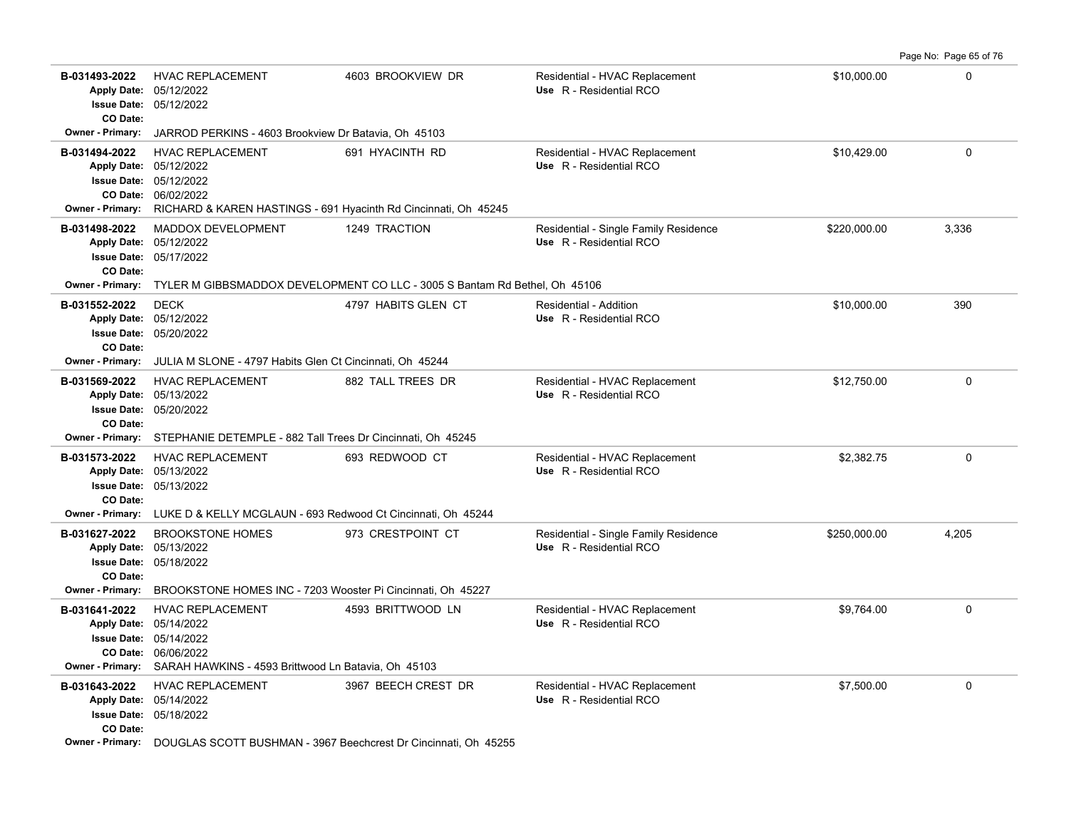**B-031493-2022** HVAC REPLACEMENT 4603 BROOKVIEW DR Residential - HVAC Replacement \$10,000.00 \$10,000.00 0 05/12/2022 **Issue Date:** 05/12/2022 **Apply Date: Use** R - Residential RCO **CO Date: Owner - Primary:** JARROD PERKINS - 4603 Brookview Dr Batavia, Oh 45103 **B-031494-2022** \$10,429.00 0 HVAC REPLACEMENT 691 HYACINTH RD Residential - HVAC Replacement 06/02/2022 **CO Date:** 05/12/2022 **Issue Date:** 05/12/2022 **Apply Date: Use** R - Residential RCO **Owner - Primary:** RICHARD & KAREN HASTINGS - 691 Hyacinth Rd Cincinnati, Oh 45245 B-031498-2022 MADDOX DEVELOPMENT 1249 TRACTION Residential - Single Family Residence \$220,000.00 3,336 05/17/2022 **Issue Date:** 05/12/2022 **Apply Date: Use** R - Residential RCO **CO Date: Owner - Primary:** TYLER M GIBBSMADDOX DEVELOPMENT CO LLC - 3005 S Bantam Rd Bethel, Oh 45106 **B-031552-2022** \$10,000.00 390 DECK 4797 HABITS GLEN CT Residential - Addition 05/20/2022 **Issue Date:** Apply Date: 05/12/2022 **Apply Date: Use** R - Residential RCO **CO Date: Owner - Primary:** JULIA M SLONE - 4797 Habits Glen Ct Cincinnati, Oh 45244 B-031569-2022 HVAC REPLACEMENT 882 TALL TREES DR Residential - HVAC Replacement \$12,750.00 \$12,750.00 05/20/2022 **Issue Date:** Apply Date: 05/13/2022 **Apply Date: Use** R - Residential RCO **CO Date: Owner - Primary:** STEPHANIE DETEMPLE - 882 Tall Trees Dr Cincinnati, Oh 45245 **B-031573-2022** \$2,382.75 0 HVAC REPLACEMENT 693 REDWOOD CT Residential - HVAC Replacement 05/13/2022 **Issue Date:** Apply Date: 05/13/2022 **Apply Date: Use** R - Residential RCO **CO Date: Owner - Primary:** LUKE D & KELLY MCGLAUN - 693 Redwood Ct Cincinnati, Oh 45244 B-031627-2022 BROOKSTONE HOMES 973 CRESTPOINT CT Residential - Single Family Residence \$250,000.00 4,205 05/18/2022 **Issue Date:** Apply Date: 05/13/2022 **Apply Date: Use** R - Residential RCO **CO Date: Owner - Primary:** BROOKSTONE HOMES INC - 7203 Wooster Pi Cincinnati, Oh 45227 **B-031641-2022** \$9,764.00 0 HVAC REPLACEMENT 4593 BRITTWOOD LN Residential - HVAC Replacement 06/06/2022 **CO Date:** 05/14/2022 **Issue Date:** 05/14/2022 **Apply Date: Use** R - Residential RCO **Owner - Primary:** SARAH HAWKINS - 4593 Brittwood Ln Batavia, Oh 45103 **B-031643-2022** \$7,500.00 0 HVAC REPLACEMENT 3967 BEECH CREST DR Residential - HVAC Replacement 05/18/2022 **Issue Date:** 05/14/2022 **Apply Date: Use** R - Residential RCO **CO Date:**

Page No: Page 65 of 76

**Owner - Primary:** DOUGLAS SCOTT BUSHMAN - 3967 Beechcrest Dr Cincinnati, Oh 45255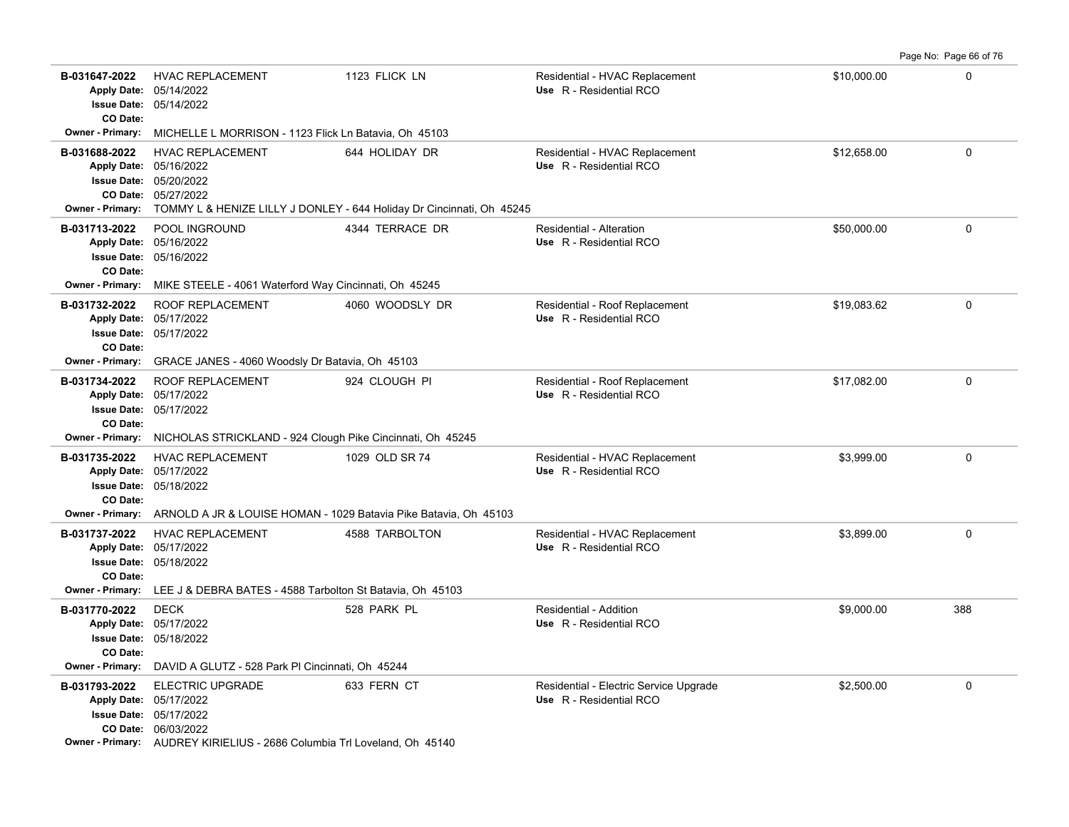**B-031647-2022** HVAC REPLACEMENT 1123 FLICK LN Residential - HVAC Replacement \$10,000.00 0 0 0 05/14/2022 **Issue Date:** Apply Date: 05/14/2022 **Apply Date: Use** R - Residential RCO **CO Date: Owner - Primary:** MICHELLE L MORRISON - 1123 Flick Ln Batavia, Oh 45103 **B-031688-2022** \$12,658.00 0 HVAC REPLACEMENT 644 HOLIDAY DR Residential - HVAC Replacement 05/27/2022 **CO Date:** 05/20/2022 **Issue Date:** 05/16/2022 **Apply Date: Use** R - Residential RCO **Owner - Primary:** TOMMY L & HENIZE LILLY J DONLEY - 644 Holiday Dr Cincinnati, Oh 45245 **B-031713-2022** \$50,000.00 0 05/16/2022 **Issue Date:** 05/16/2022 **Apply Date: Use** R - Residential RCO POOL INGROUND 4344 TERRACE DR Residential - Alteration **CO Date: Owner - Primary:** MIKE STEELE - 4061 Waterford Way Cincinnati, Oh 45245 B-031732-2022 ROOF REPLACEMENT 4060 WOODSLY DR Residential - Roof Replacement \$19,083.62 0 05/17/2022 **Issue Date:** Apply Date: 05/17/2022 **Apply Date: Use** R - Residential RCO **CO Date: Owner - Primary:** GRACE JANES - 4060 Woodsly Dr Batavia, Oh 45103 **B-031734-2022** ROOF REPLACEMENT 924 CLOUGH PI Residential - Roof Replacement \$17,082.00 \$17,082.00 05/17/2022 **Issue Date:** Apply Date: 05/17/2022 **Apply Date: Use** R - Residential RCO **CO Date: Owner - Primary:** NICHOLAS STRICKLAND - 924 Clough Pike Cincinnati, Oh 45245 **B-031735-2022** HVAC REPLACEMENT 1029 OLD SR 74 Residential - HVAC Replacement \$3,999.00 \$3,999.00 05/18/2022 **Issue Date:** Apply Date: 05/17/2022 **Apply Date: Use** R - Residential RCO **CO Date: Owner - Primary:** ARNOLD A JR & LOUISE HOMAN - 1029 Batavia Pike Batavia, Oh 45103 **B-031737-2022** HVAC REPLACEMENT 4588 TARBOLTON Residential - HVAC Replacement \$3,899.00 \$3,899.00 05/18/2022 **Issue Date:** Apply Date: 05/17/2022 **Apply Date: Use** R - Residential RCO **CO Date: Owner - Primary:** LEE J & DEBRA BATES - 4588 Tarbolton St Batavia, Oh 45103 **B-031770-2022** \$9,000.00 388 05/18/2022 **Issue Date:** Apply Date: 05/17/2022 DECK 528 PARK PL Residential - Addition **Apply Date: Use** R - Residential RCO **CO Date: Owner - Primary:** DAVID A GLUTZ - 528 Park Pl Cincinnati, Oh 45244 **B-031793-2022** \$2,500.00 0 ELECTRIC UPGRADE 633 FERN CT Residential - Electric Service Upgrade 06/03/2022 **CO Date:** 05/17/2022 **Issue Date:** Apply Date: 05/17/2022 **Apply Date: Use** R - Residential RCO **Owner - Primary:** AUDREY KIRIELIUS - 2686 Columbia Trl Loveland, Oh 45140

Page No: Page 66 of 76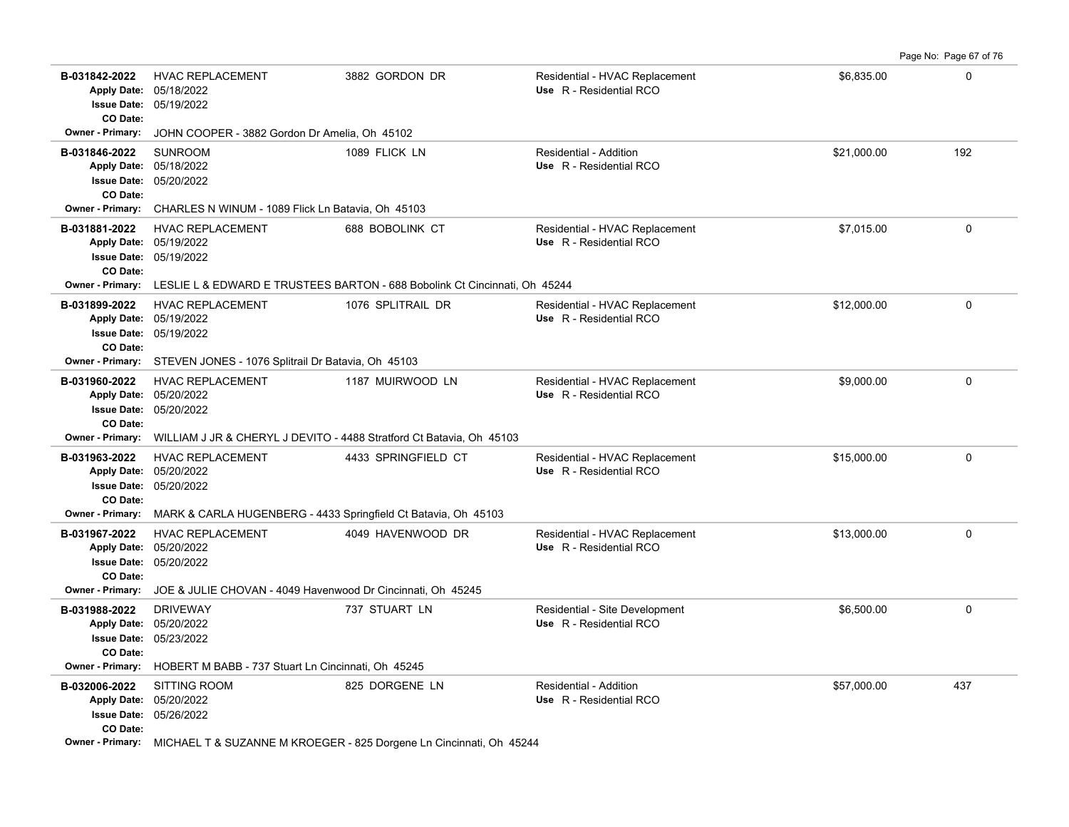|                                                                            |                                                                                                               |                                                                                      |                                                           |             | Page No: Page 67 of 76 |
|----------------------------------------------------------------------------|---------------------------------------------------------------------------------------------------------------|--------------------------------------------------------------------------------------|-----------------------------------------------------------|-------------|------------------------|
| B-031842-2022<br><b>Issue Date:</b><br>CO Date:                            | <b>HVAC REPLACEMENT</b><br>Apply Date: 05/18/2022<br>05/19/2022                                               | 3882 GORDON DR                                                                       | Residential - HVAC Replacement<br>Use R - Residential RCO | \$6,835.00  | 0                      |
| Owner - Primary:                                                           | JOHN COOPER - 3882 Gordon Dr Amelia, Oh 45102                                                                 |                                                                                      |                                                           |             |                        |
| B-031846-2022<br>CO Date:                                                  | <b>SUNROOM</b><br>Apply Date: 05/18/2022<br>Issue Date: 05/20/2022                                            | 1089 FLICK LN                                                                        | Residential - Addition<br>Use R - Residential RCO         | \$21,000.00 | 192                    |
| <b>Owner - Primary:</b>                                                    | CHARLES N WINUM - 1089 Flick Ln Batavia, Oh 45103                                                             |                                                                                      |                                                           |             |                        |
| B-031881-2022<br>CO Date:                                                  | <b>HVAC REPLACEMENT</b><br>Apply Date: 05/19/2022<br><b>Issue Date: 05/19/2022</b>                            | 688 BOBOLINK CT                                                                      | Residential - HVAC Replacement<br>Use R - Residential RCO | \$7,015.00  | 0                      |
| <b>Owner - Primary:</b>                                                    |                                                                                                               | LESLIE L & EDWARD E TRUSTEES BARTON - 688 Bobolink Ct Cincinnati, Oh 45244           |                                                           |             |                        |
| B-031899-2022<br>CO Date:                                                  | <b>HVAC REPLACEMENT</b><br>Apply Date: 05/19/2022<br><b>Issue Date: 05/19/2022</b>                            | 1076 SPLITRAIL DR                                                                    | Residential - HVAC Replacement<br>Use R - Residential RCO | \$12,000.00 | 0                      |
| Owner - Primary:                                                           | STEVEN JONES - 1076 Splitrail Dr Batavia, Oh 45103                                                            |                                                                                      |                                                           |             |                        |
| B-031960-2022<br><b>Apply Date:</b><br>CO Date:                            | HVAC REPLACEMENT<br>05/20/2022<br><b>Issue Date: 05/20/2022</b>                                               | 1187 MUIRWOOD LN                                                                     | Residential - HVAC Replacement<br>Use R - Residential RCO | \$9,000.00  | $\mathbf 0$            |
| <b>Owner - Primary:</b>                                                    | WILLIAM J JR & CHERYL J DEVITO - 4488 Stratford Ct Batavia, Oh 45103                                          |                                                                                      |                                                           |             |                        |
| B-031963-2022<br>CO Date:                                                  | <b>HVAC REPLACEMENT</b><br>Apply Date: 05/20/2022<br><b>Issue Date: 05/20/2022</b>                            | 4433 SPRINGFIELD CT                                                                  | Residential - HVAC Replacement<br>Use R - Residential RCO | \$15,000.00 | 0                      |
| Owner - Primary:                                                           | MARK & CARLA HUGENBERG - 4433 Springfield Ct Batavia, Oh 45103                                                |                                                                                      |                                                           |             |                        |
| B-031967-2022<br>CO Date:                                                  | <b>HVAC REPLACEMENT</b><br>Apply Date: 05/20/2022<br><b>Issue Date: 05/20/2022</b>                            | 4049 HAVENWOOD DR                                                                    | Residential - HVAC Replacement<br>Use R - Residential RCO | \$13,000.00 | $\mathbf 0$            |
| <b>Owner - Primary:</b>                                                    | JOE & JULIE CHOVAN - 4049 Havenwood Dr Cincinnati, Oh 45245                                                   |                                                                                      |                                                           |             |                        |
| B-031988-2022<br><b>Issue Date:</b><br>CO Date:<br><b>Owner - Primary:</b> | <b>DRIVEWAY</b><br>Apply Date: 05/20/2022<br>05/23/2022<br>HOBERT M BABB - 737 Stuart Ln Cincinnati, Oh 45245 | 737 STUART LN                                                                        | Residential - Site Development<br>Use R - Residential RCO | \$6,500.00  | 0                      |
| B-032006-2022                                                              | <b>SITTING ROOM</b>                                                                                           | 825 DORGENE LN                                                                       | <b>Residential - Addition</b>                             | \$57,000.00 | 437                    |
| CO Date:                                                                   | Apply Date: 05/20/2022<br>Issue Date: 05/26/2022                                                              |                                                                                      | Use R - Residential RCO                                   |             |                        |
|                                                                            |                                                                                                               | Owner - Primary: MICHAEL T & SUZANNE M KROEGER - 825 Dorgene Ln Cincinnati, Oh 45244 |                                                           |             |                        |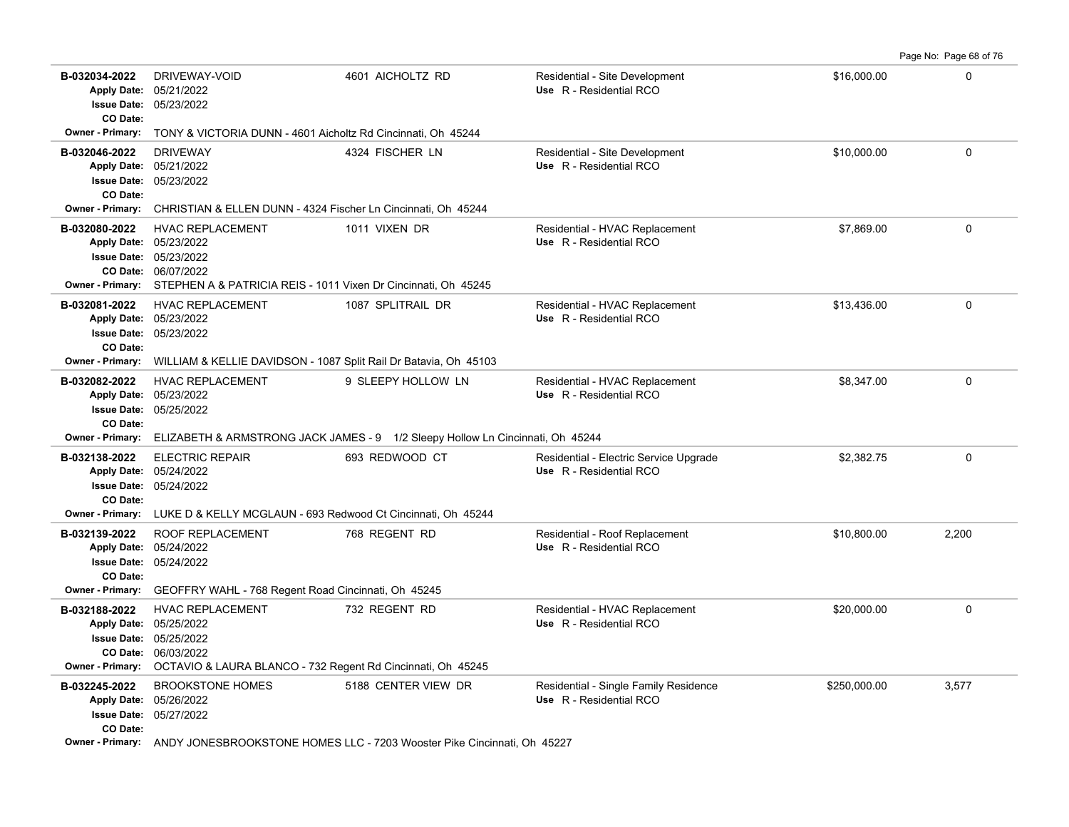**B-032034-2022** \$16,000.00 0 DRIVEWAY-VOID 4601 AICHOLTZ RD Residential - Site Development 05/23/2022 **Issue Date:** Apply Date: 05/21/2022 **Apply Date: Use** R - Residential RCO **CO Date: Owner - Primary:** TONY & VICTORIA DUNN - 4601 Aicholtz Rd Cincinnati, Oh 45244 **B-032046-2022** \$10,000.00 0 DRIVEWAY 4324 FISCHER LN Residential - Site Development 05/23/2022 **Issue Date:** 05/21/2022 **Apply Date: Use** R - Residential RCO **CO Date: Owner - Primary:** CHRISTIAN & ELLEN DUNN - 4324 Fischer Ln Cincinnati, Oh 45244 **B-032080-2022** HVAC REPLACEMENT 1011 VIXEN DR Residential - HVAC Replacement \$7,869.00 \$7,869.00 06/07/2022 **CO Date:** 05/23/2022 **Issue Date:** 05/23/2022 **Apply Date: Use** R - Residential RCO **Owner - Primary:** STEPHEN A & PATRICIA REIS - 1011 Vixen Dr Cincinnati, Oh 45245 B-032081-2022 HVAC REPLACEMENT 1087 SPLITRAIL DR Residential - HVAC Replacement \$13,436.00 \$13,436.00 05/23/2022 **Issue Date:** Apply Date: 05/23/2022 **Apply Date: Use** R - Residential RCO **CO Date: Owner - Primary:** WILLIAM & KELLIE DAVIDSON - 1087 Split Rail Dr Batavia, Oh 45103 B-032082-2022 HVAC REPLACEMENT 9 SLEEPY HOLLOW LN Residential - HVAC Replacement \$8,347.00 \$8,347.00 05/25/2022 **Issue Date:** Apply Date: 05/23/2022 **Apply Date: Use** R - Residential RCO **CO Date: Owner - Primary:** ELIZABETH & ARMSTRONG JACK JAMES - 9 1/2 Sleepy Hollow Ln Cincinnati, Oh 45244 **B-032138-2022** ELECTRIC REPAIR 693 REDWOOD CT Residential - Electric Service Upgrade \$2,382.75 6 0 05/24/2022 **Issue Date:** 05/24/2022 **Apply Date: Use** R - Residential RCO **CO Date: Owner - Primary:** LUKE D & KELLY MCGLAUN - 693 Redwood Ct Cincinnati, Oh 45244 **B-032139-2022** \$10,800.00 2,200 ROOF REPLACEMENT 768 REGENT RD Residential - Roof Replacement 05/24/2022 **Issue Date:** Apply Date: 05/24/2022 **Apply Date: Use** R - Residential RCO **CO Date: Owner - Primary:** GEOFFRY WAHL - 768 Regent Road Cincinnati, Oh 45245 **B-032188-2022** \$20,000.00 0 HVAC REPLACEMENT 732 REGENT RD Residential - HVAC Replacement 06/03/2022 **CO Date:** 05/25/2022 **Issue Date:** 05/25/2022 **Apply Date: Use** R - Residential RCO **Owner - Primary:** OCTAVIO & LAURA BLANCO - 732 Regent Rd Cincinnati, Oh 45245 B-032245-2022 BROOKSTONE HOMES 5188 CENTER VIEW DR Residential - Single Family Residence \$250,000.00 3,577 05/27/2022 **Issue Date:** 05/26/2022 **Apply Date: Use** R - Residential RCO **CO Date: Owner - Primary:** ANDY JONESBROOKSTONE HOMES LLC - 7203 Wooster Pike Cincinnati, Oh 45227

Page No: Page 68 of 76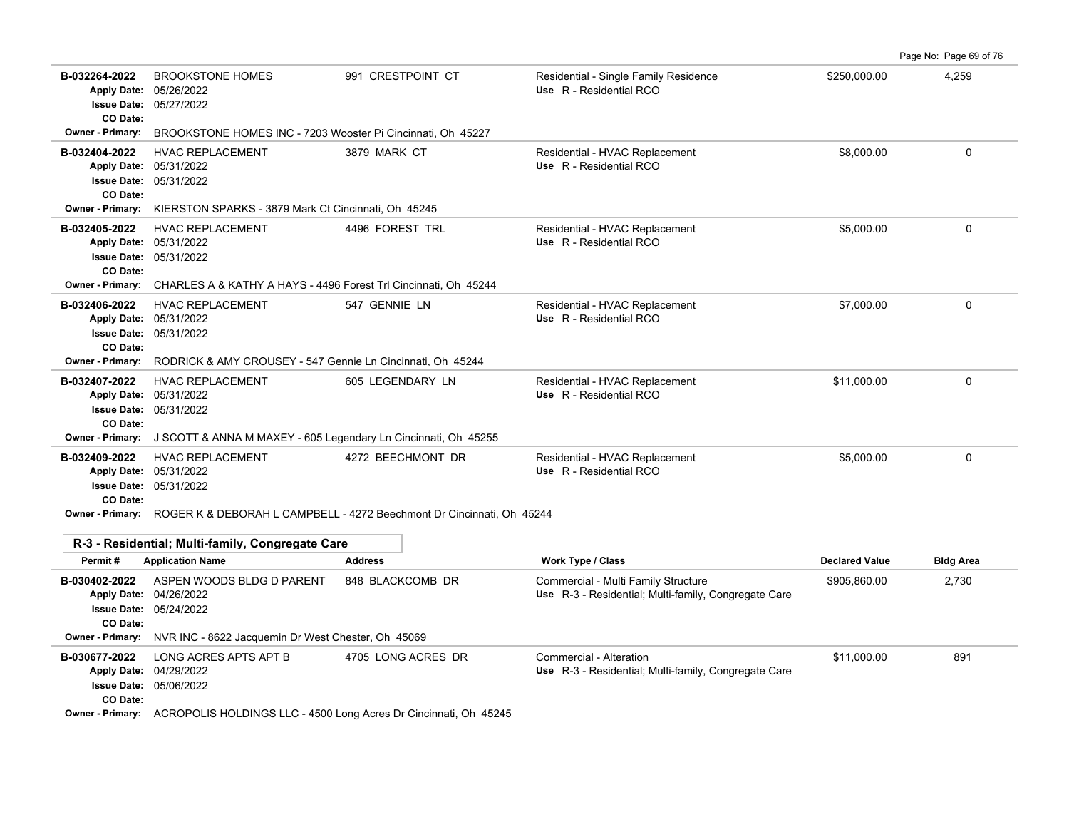Page No: Page 69 of 76 B-032264-2022 BROOKSTONE HOMES 991 CRESTPOINT CT Residential - Single Family Residence \$250,000.00 4,259 05/27/2022 **Issue Date:** Apply Date: 05/26/2022 **Apply Date: Use** R - Residential RCO **CO Date: Owner - Primary:** BROOKSTONE HOMES INC - 7203 Wooster Pi Cincinnati, Oh 45227 **B-032404-2022** HVAC REPLACEMENT 3879 MARK CT Residential - HVAC Replacement \$8,000.00 \$8,000.00 0 05/31/2022 **Issue Date:** 05/31/2022 **Apply Date: Use** R - Residential RCO **CO Date: Owner - Primary:** KIERSTON SPARKS - 3879 Mark Ct Cincinnati, Oh 45245 **B-032405-2022** \$5,000.00 0 HVAC REPLACEMENT 4496 FOREST TRL Residential - HVAC Replacement 05/31/2022 **Issue Date:** 05/31/2022 **Apply Date: Use** R - Residential RCO **CO Date: Owner - Primary:** CHARLES A & KATHY A HAYS - 4496 Forest Trl Cincinnati, Oh 45244 **B-032406-2022** \$7,000.00 0 HVAC REPLACEMENT 547 GENNIE LN Residential - HVAC Replacement 05/31/2022 **Issue Date:** Apply Date: 05/31/2022 **Apply Date: Use** R - Residential RCO **CO Date: Owner - Primary:** RODRICK & AMY CROUSEY - 547 Gennie Ln Cincinnati, Oh 45244 **B-032407-2022** HVAC REPLACEMENT 605 LEGENDARY LN Residential - HVAC Replacement \$11,000.00 \$11,000.00 0 05/31/2022 **Issue Date:** 05/31/2022 **Apply Date: Use** R - Residential RCO **CO Date: Owner - Primary:** J SCOTT & ANNA M MAXEY - 605 Legendary Ln Cincinnati, Oh 45255 **B-032409-2022** HVAC REPLACEMENT 4272 BEECHMONT DR Residential - HVAC Replacement \$5,000.00 \$5,000.00 0 05/31/2022 **Issue Date:** 05/31/2022 **Apply Date: Use** R - Residential RCO **CO Date: Owner - Primary:** ROGER K & DEBORAH L CAMPBELL - 4272 Beechmont Dr Cincinnati, Oh 45244 **R-3 - Residential; Multi-family, Congregate Care**

| Permit#                 | <b>Application Name</b>                                                    | <b>Address</b>     | <b>Work Type / Class</b>                             | <b>Declared Value</b> | <b>Bldg Area</b> |
|-------------------------|----------------------------------------------------------------------------|--------------------|------------------------------------------------------|-----------------------|------------------|
| B-030402-2022           | ASPEN WOODS BLDG D PARENT                                                  | 848 BLACKCOMB DR   | Commercial - Multi Family Structure                  | \$905,860.00          | 2.730            |
|                         | Apply Date: 04/26/2022                                                     |                    | Use R-3 - Residential: Multi-family, Congregate Care |                       |                  |
|                         | <b>Issue Date: 05/24/2022</b>                                              |                    |                                                      |                       |                  |
| CO Date:                |                                                                            |                    |                                                      |                       |                  |
|                         | <b>Owner - Primary:</b> NVR INC - 8622 Jacquemin Dr West Chester, Oh 45069 |                    |                                                      |                       |                  |
| B-030677-2022           | LONG ACRES APTS APT B                                                      | 4705 LONG ACRES DR | Commercial - Alteration                              | \$11.000.00           | 891              |
|                         | <b>Apply Date: 04/29/2022</b>                                              |                    | Use R-3 - Residential: Multi-family, Congregate Care |                       |                  |
|                         | <b>Issue Date: 05/06/2022</b>                                              |                    |                                                      |                       |                  |
| CO Date:                |                                                                            |                    |                                                      |                       |                  |
| <b>Owner - Primary:</b> | ACROPOLIS HOLDINGS LLC - 4500 Long Acres Dr Cincinnati, Oh 45245           |                    |                                                      |                       |                  |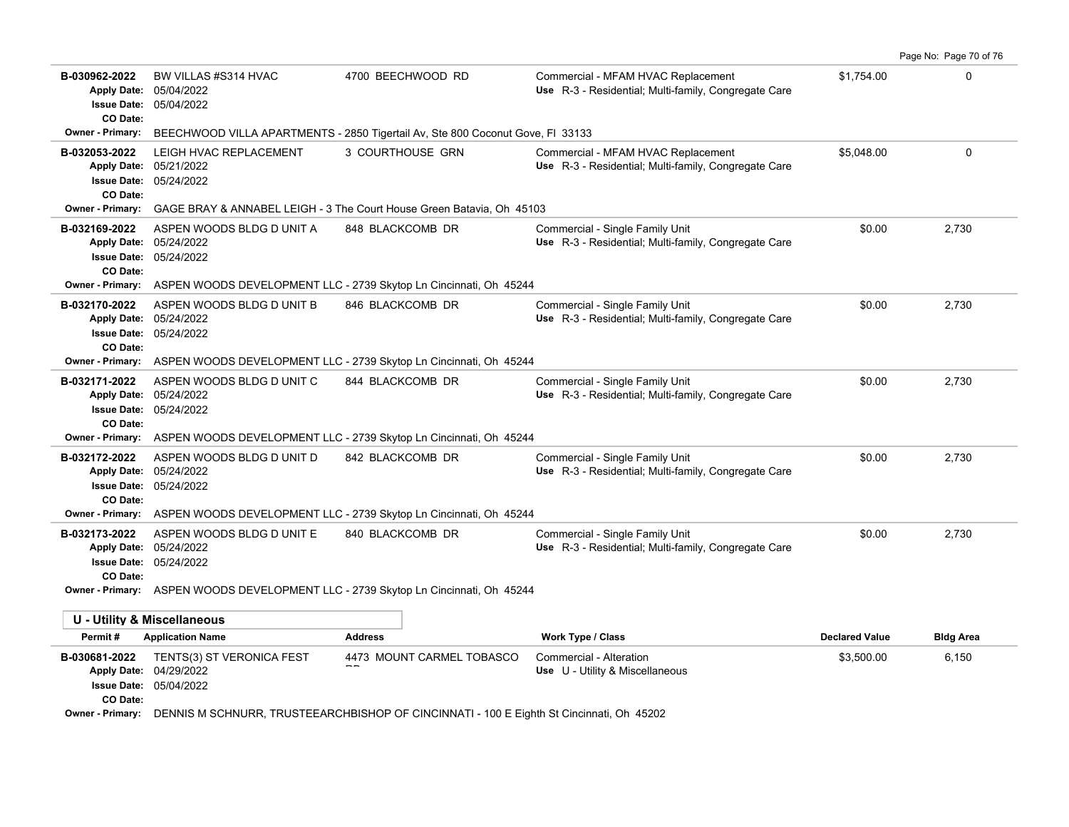|                                                     |                                                                                      |                                                                                    |                                                                                            |                       | Page No: Page 70 of 76 |  |  |  |  |
|-----------------------------------------------------|--------------------------------------------------------------------------------------|------------------------------------------------------------------------------------|--------------------------------------------------------------------------------------------|-----------------------|------------------------|--|--|--|--|
| B-030962-2022<br>Apply Date: 05/04/2022<br>CO Date: | BW VILLAS #S314 HVAC<br><b>Issue Date: 05/04/2022</b>                                | 4700 BEECHWOOD RD                                                                  | Commercial - MFAM HVAC Replacement<br>Use R-3 - Residential; Multi-family, Congregate Care | \$1,754.00            | 0                      |  |  |  |  |
| <b>Owner - Primary:</b>                             |                                                                                      | BEECHWOOD VILLA APARTMENTS - 2850 Tigertail Av, Ste 800 Coconut Gove, FI 33133     |                                                                                            |                       |                        |  |  |  |  |
| B-032053-2022<br>Apply Date: 05/21/2022<br>CO Date: | <b>LEIGH HVAC REPLACEMENT</b><br><b>Issue Date: 05/24/2022</b>                       | 3 COURTHOUSE GRN                                                                   | Commercial - MFAM HVAC Replacement<br>Use R-3 - Residential; Multi-family, Congregate Care | \$5,048.00            | 0                      |  |  |  |  |
| Owner - Primary:                                    | GAGE BRAY & ANNABEL LEIGH - 3 The Court House Green Batavia, Oh 45103                |                                                                                    |                                                                                            |                       |                        |  |  |  |  |
| B-032169-2022<br>CO Date:                           | ASPEN WOODS BLDG D UNIT A<br>Apply Date: 05/24/2022<br><b>Issue Date: 05/24/2022</b> | 848 BLACKCOMB DR                                                                   | Commercial - Single Family Unit<br>Use R-3 - Residential; Multi-family, Congregate Care    | \$0.00                | 2,730                  |  |  |  |  |
| <b>Owner - Primary:</b>                             |                                                                                      | ASPEN WOODS DEVELOPMENT LLC - 2739 Skytop Ln Cincinnati, Oh 45244                  |                                                                                            |                       |                        |  |  |  |  |
| B-032170-2022<br>Apply Date: 05/24/2022<br>CO Date: | ASPEN WOODS BLDG D UNIT B<br>Issue Date: 05/24/2022                                  | 846 BLACKCOMB DR                                                                   | Commercial - Single Family Unit<br>Use R-3 - Residential; Multi-family, Congregate Care    | \$0.00                | 2,730                  |  |  |  |  |
| <b>Owner - Primary:</b>                             | ASPEN WOODS DEVELOPMENT LLC - 2739 Skytop Ln Cincinnati, Oh 45244                    |                                                                                    |                                                                                            |                       |                        |  |  |  |  |
| B-032171-2022<br>Apply Date: 05/24/2022<br>CO Date: | ASPEN WOODS BLDG D UNIT C<br><b>Issue Date: 05/24/2022</b>                           | 844 BLACKCOMB DR                                                                   | Commercial - Single Family Unit<br>Use R-3 - Residential; Multi-family, Congregate Care    | \$0.00                | 2,730                  |  |  |  |  |
| <b>Owner - Primary:</b>                             | ASPEN WOODS DEVELOPMENT LLC - 2739 Skytop Ln Cincinnati, Oh 45244                    |                                                                                    |                                                                                            |                       |                        |  |  |  |  |
| B-032172-2022<br>Apply Date: 05/24/2022<br>CO Date: | ASPEN WOODS BLDG D UNIT D<br><b>Issue Date: 05/24/2022</b>                           | 842 BLACKCOMB DR                                                                   | Commercial - Single Family Unit<br>Use R-3 - Residential; Multi-family, Congregate Care    | \$0.00                | 2,730                  |  |  |  |  |
|                                                     |                                                                                      | Owner - Primary: ASPEN WOODS DEVELOPMENT LLC - 2739 Skytop Ln Cincinnati, Oh 45244 |                                                                                            |                       |                        |  |  |  |  |
| B-032173-2022<br>Apply Date: 05/24/2022<br>CO Date: | ASPEN WOODS BLDG D UNIT E<br><b>Issue Date: 05/24/2022</b>                           | 840 BLACKCOMB DR                                                                   | Commercial - Single Family Unit<br>Use R-3 - Residential; Multi-family, Congregate Care    | \$0.00                | 2,730                  |  |  |  |  |
|                                                     |                                                                                      | Owner - Primary: ASPEN WOODS DEVELOPMENT LLC - 2739 Skytop Ln Cincinnati, Oh 45244 |                                                                                            |                       |                        |  |  |  |  |
| <b>U - Utility &amp; Miscellaneous</b>              |                                                                                      |                                                                                    |                                                                                            |                       |                        |  |  |  |  |
| Permit#                                             | <b>Application Name</b>                                                              | <b>Address</b>                                                                     | Work Type / Class                                                                          | <b>Declared Value</b> | <b>Bldg Area</b>       |  |  |  |  |
| B-030681-2022<br>Apply Date: 04/29/2022<br>CO Date: | TENTS(3) ST VERONICA FEST<br><b>Issue Date: 05/04/2022</b>                           | 4473 MOUNT CARMEL TOBASCO                                                          | Commercial - Alteration<br>Use U - Utility & Miscellaneous                                 | \$3,500.00            | 6,150                  |  |  |  |  |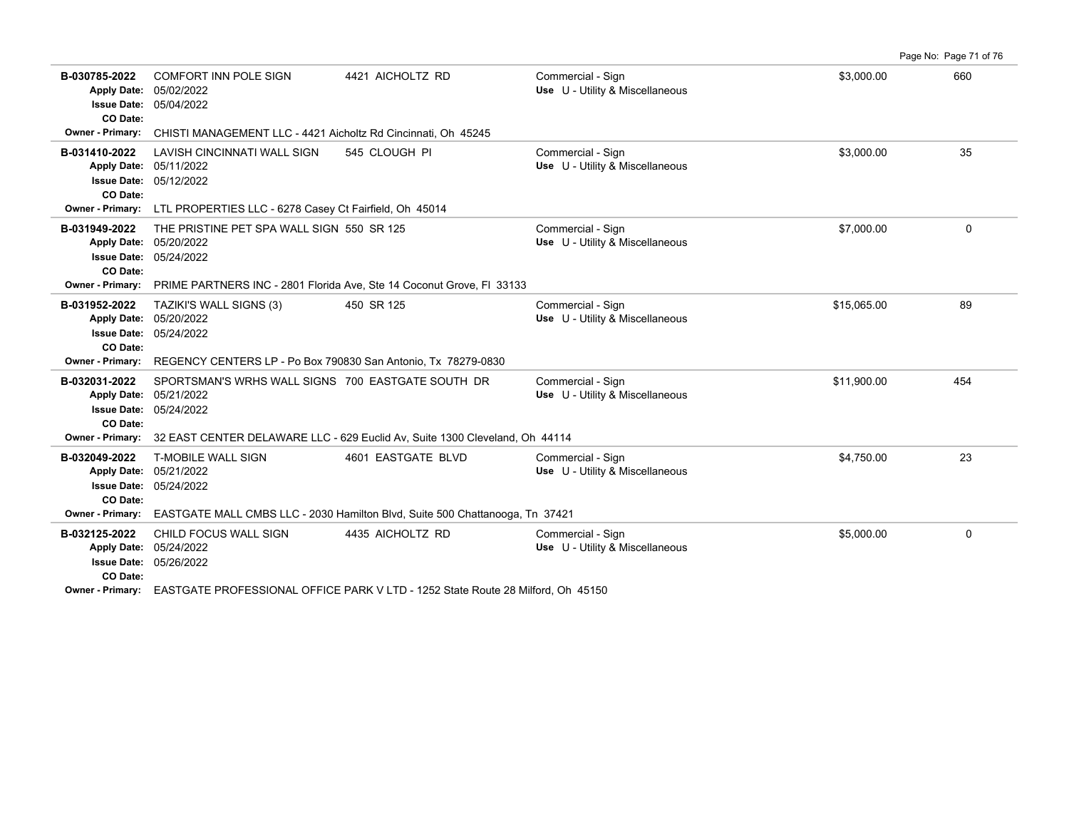**B-030785-2022** \$3,000.00 660 COMFORT INN POLE SIGN 4421 AICHOLTZ RD Commercial - Sign 05/04/2022 **Issue Date:** Apply Date: 05/02/2022 **Apply Date: Use** U - Utility & Miscellaneous **CO Date: Owner - Primary:** CHISTI MANAGEMENT LLC - 4421 Aicholtz Rd Cincinnati, Oh 45245 **B-031410-2022** \$3,000.00 35 LAVISH CINCINNATI WALL SIGN 545 CLOUGH PI Commercial - Sign 05/12/2022 **Issue Date:** Apply Date: 05/11/2022 **Apply Date: Use** U - Utility & Miscellaneous **CO Date: Owner - Primary:** LTL PROPERTIES LLC - 6278 Casey Ct Fairfield, Oh 45014 **B-031949-2022** THE PRISTINE PET SPA WALL SIGN 550 SR 125 Commercial - Sign Commercial - Sign \$7,000.00 \$7,000.00 05/24/2022 **Issue Date:** Apply Date: 05/20/2022 **Apply Date: Use** U - Utility & Miscellaneous **CO Date: Owner - Primary:** PRIME PARTNERS INC - 2801 Florida Ave, Ste 14 Coconut Grove, Fl 33133 **B-031952-2022** \$15,065.00 89 TAZIKI'S WALL SIGNS (3) 450 SR 125 Commercial - Sign 05/24/2022 **Issue Date:** Apply Date: 05/20/2022 **Apply Date: Use** U - Utility & Miscellaneous **CO Date: Owner - Primary:** REGENCY CENTERS LP - Po Box 790830 San Antonio, Tx 78279-0830 **B-032031-2022** \$11,900.00 454 SPORTSMAN'S WRHS WALL SIGNS 700 EASTGATE SOUTH DR Commercial - Sign 05/24/2022 **Issue Date:** Apply Date: 05/21/2022 **Use** U - Utility & Miscellaneous **CO Date: Owner - Primary:** 32 EAST CENTER DELAWARE LLC - 629 Euclid Av, Suite 1300 Cleveland, Oh 44114 **B-032049-2022** \$4,750.00 23 T-MOBILE WALL SIGN 4601 EASTGATE BLVD Commercial - Sign 05/24/2022 **Issue Date:** Apply Date: 05/21/2022 **Apply Date: Use** U - Utility & Miscellaneous **CO Date: Owner - Primary:** EASTGATE MALL CMBS LLC - 2030 Hamilton Blvd, Suite 500 Chattanooga, Tn 37421 **B-032125-2022** \$5,000.00 0 CHILD FOCUS WALL SIGN 4435 AICHOLTZ RD Commercial - Sign 05/26/2022 **Issue Date:** Apply Date: 05/24/2022 **Apply Date: Use** U - Utility & Miscellaneous **CO Date:**

Page No: Page 71 of 76

**Owner - Primary:** EASTGATE PROFESSIONAL OFFICE PARK V LTD - 1252 State Route 28 Milford, Oh 45150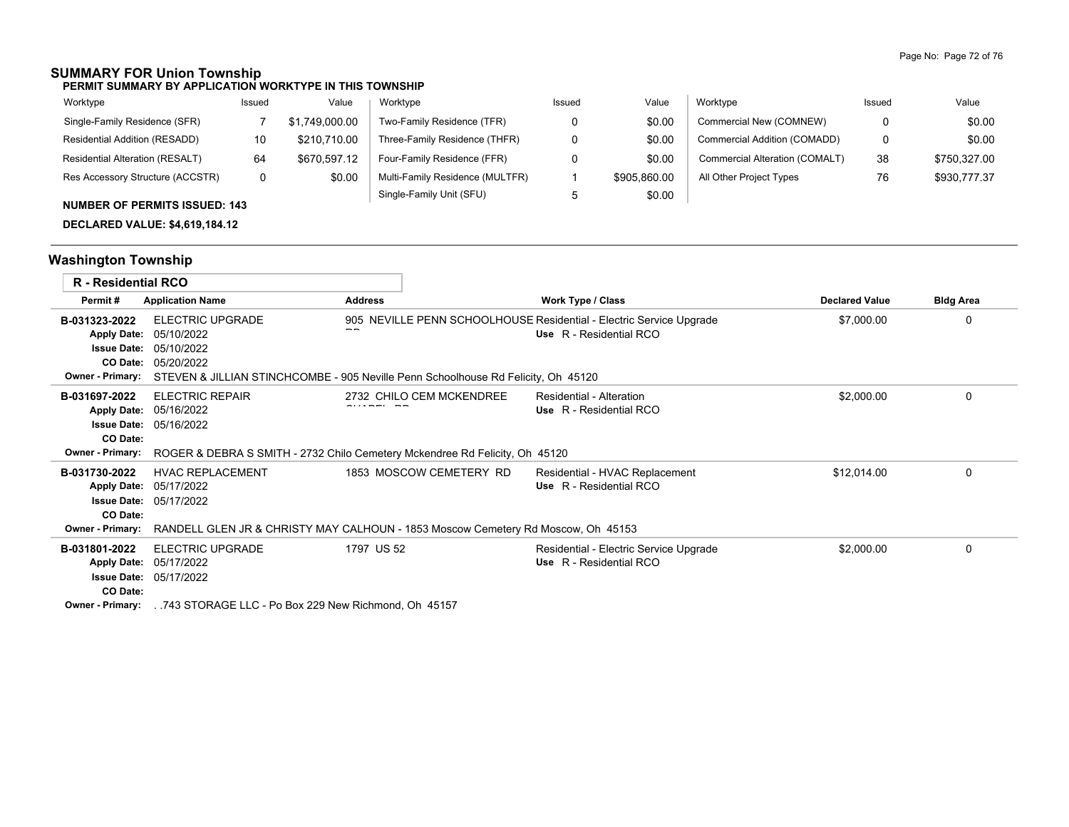### **SUMMARY FOR Union Township**

**PERMIT SUMMARY BY APPLICATION WORKTYPE IN THIS TOWNSHIP**

| Worktype                         | Issued | Value          | Worktype                        | Issued | Value        | Worktype                       | Issued | Value        |
|----------------------------------|--------|----------------|---------------------------------|--------|--------------|--------------------------------|--------|--------------|
| Single-Family Residence (SFR)    |        | \$1,749,000.00 | Two-Family Residence (TFR)      |        | \$0.00       | Commercial New (COMNEW)        | 0      | \$0.00       |
| Residential Addition (RESADD)    | 10     | \$210,710.00   | Three-Family Residence (THFR)   |        | \$0.00       | Commercial Addition (COMADD)   | 0      | \$0.00       |
| Residential Alteration (RESALT)  | 64     | \$670.597.12   | Four-Family Residence (FFR)     |        | \$0.00       | Commercial Alteration (COMALT) | 38     | \$750,327.00 |
| Res Accessory Structure (ACCSTR) |        | \$0.00         | Multi-Family Residence (MULTFR) |        | \$905.860.00 | All Other Project Types        | 76     | \$930,777.37 |
|                                  |        |                | Single-Family Unit (SFU)        |        | \$0.00       |                                |        |              |

#### **NUMBER OF PERMITS ISSUED: 143**

**DECLARED VALUE: \$4,619,184.12**

# **Washington Township**

| <b>R</b> - Residential RCO                                                                |                                                                                                                                                        |                |                          |                                                                                                |                       |                  |
|-------------------------------------------------------------------------------------------|--------------------------------------------------------------------------------------------------------------------------------------------------------|----------------|--------------------------|------------------------------------------------------------------------------------------------|-----------------------|------------------|
| Permit#                                                                                   | <b>Application Name</b>                                                                                                                                | <b>Address</b> |                          | Work Type / Class                                                                              | <b>Declared Value</b> | <b>Bldg Area</b> |
| B-031323-2022<br><b>Apply Date:</b><br><b>Issue Date:</b><br>CO Date:<br>Owner - Primary: | <b>ELECTRIC UPGRADE</b><br>05/10/2022<br>05/10/2022<br>05/20/2022<br>STEVEN & JILLIAN STINCHCOMBE - 905 Neville Penn Schoolhouse Rd Felicity, Oh 45120 |                |                          | 905 NEVILLE PENN SCHOOLHOUSE Residential - Electric Service Upgrade<br>Use R - Residential RCO | \$7,000.00            | $\Omega$         |
| B-031697-2022<br><b>Apply Date:</b><br>CO Date:<br>Owner - Primary:                       | <b>ELECTRIC REPAIR</b><br>05/16/2022<br><b>Issue Date: 05/16/2022</b><br>ROGER & DEBRA S SMITH - 2732 Chilo Cemetery Mckendree Rd Felicity, Oh 45120   |                | 2732 CHILO CEM MCKENDREE | Residential - Alteration<br>Use R - Residential RCO                                            | \$2,000.00            | $\Omega$         |
| B-031730-2022<br><b>Issue Date:</b><br>CO Date:<br><b>Owner - Primary:</b>                | <b>HVAC REPLACEMENT</b><br>Apply Date: 05/17/2022<br>05/17/2022<br>RANDELL GLEN JR & CHRISTY MAY CALHOUN - 1853 Moscow Cemetery Rd Moscow, Oh 45153    |                | 1853 MOSCOW CEMETERY RD  | Residential - HVAC Replacement<br>Use R - Residential RCO                                      | \$12,014.00           | $\Omega$         |
| B-031801-2022<br><b>Apply Date:</b><br>CO Date:<br><b>Owner - Primary:</b>                | <b>ELECTRIC UPGRADE</b><br>05/17/2022<br><b>Issue Date: 05/17/2022</b><br>743 STORAGE LLC - Po Box 229 New Richmond, Oh 45157                          | 1797 US 52     |                          | Residential - Electric Service Upgrade<br>Use R - Residential RCO                              | \$2,000.00            | $\Omega$         |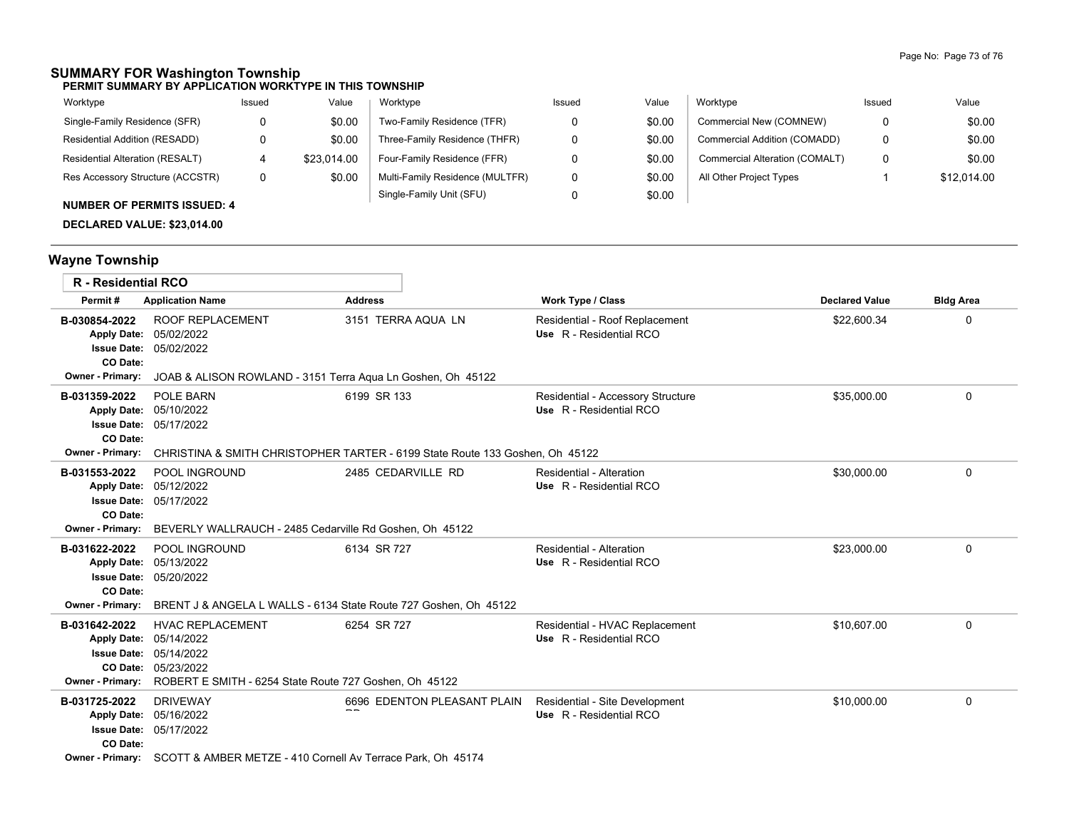### **SUMMARY FOR Washington Township**

**PERMIT SUMMARY BY APPLICATION WORKTYPE IN THIS TOWNSHIP**

| Worktype                               | Issued | Value       | Worktype                        | Issued | Value  | Worktype                       | Issued | Value       |
|----------------------------------------|--------|-------------|---------------------------------|--------|--------|--------------------------------|--------|-------------|
| Single-Family Residence (SFR)          |        | \$0.00      | Two-Family Residence (TFR)      |        | \$0.00 | Commercial New (COMNEW)        |        | \$0.00      |
| Residential Addition (RESADD)          |        | \$0.00      | Three-Family Residence (THFR)   |        | \$0.00 | Commercial Addition (COMADD)   | 0      | \$0.00      |
| <b>Residential Alteration (RESALT)</b> |        | \$23.014.00 | Four-Family Residence (FFR)     |        | \$0.00 | Commercial Alteration (COMALT) | 0      | \$0.00      |
| Res Accessory Structure (ACCSTR)       |        | \$0.00      | Multi-Family Residence (MULTFR) |        | \$0.00 | All Other Project Types        |        | \$12.014.00 |
| $\ddot{ }$                             |        |             | Single-Family Unit (SFU)        |        | \$0.00 |                                |        |             |

## **NUMBER OF PERMITS ISSUED: 4**

**DECLARED VALUE: \$23,014.00**

## **Wayne Township**

| <b>R</b> - Residential RCO                                          |                                                                                                                                                                     |                                                                              |                                                              |                       |                  |
|---------------------------------------------------------------------|---------------------------------------------------------------------------------------------------------------------------------------------------------------------|------------------------------------------------------------------------------|--------------------------------------------------------------|-----------------------|------------------|
| Permit#                                                             | <b>Application Name</b>                                                                                                                                             | <b>Address</b>                                                               | Work Type / Class                                            | <b>Declared Value</b> | <b>Bldg Area</b> |
| B-030854-2022<br><b>Apply Date:</b><br>CO Date:<br>Owner - Primary: | <b>ROOF REPLACEMENT</b><br>05/02/2022<br><b>Issue Date: 05/02/2022</b>                                                                                              | 3151 TERRA AQUA LN                                                           | Residential - Roof Replacement<br>Use R - Residential RCO    | \$22,600.34           | 0                |
|                                                                     | JOAB & ALISON ROWLAND - 3151 Terra Aqua Ln Goshen, Oh 45122                                                                                                         |                                                                              |                                                              |                       |                  |
| B-031359-2022<br>CO Date:                                           | POLE BARN<br>Apply Date: 05/10/2022<br><b>Issue Date: 05/17/2022</b>                                                                                                | 6199 SR 133                                                                  | Residential - Accessory Structure<br>Use R - Residential RCO | \$35,000.00           | $\mathbf 0$      |
| Owner - Primary:                                                    |                                                                                                                                                                     | CHRISTINA & SMITH CHRISTOPHER TARTER - 6199 State Route 133 Goshen, Oh 45122 |                                                              |                       |                  |
| B-031553-2022<br>CO Date:<br>Owner - Primary:                       | POOL INGROUND<br>Apply Date: 05/12/2022<br><b>Issue Date: 05/17/2022</b><br>BEVERLY WALLRAUCH - 2485 Cedarville Rd Goshen, Oh 45122                                 | 2485 CEDARVILLE RD                                                           | Residential - Alteration<br>Use R - Residential RCO          | \$30,000.00           | 0                |
|                                                                     |                                                                                                                                                                     |                                                                              |                                                              |                       |                  |
| B-031622-2022<br>CO Date:<br>Owner - Primary:                       | POOL INGROUND<br>Apply Date: 05/13/2022<br><b>Issue Date: 05/20/2022</b><br>BRENT J & ANGELA L WALLS - 6134 State Route 727 Goshen, Oh 45122                        | 6134 SR 727                                                                  | Residential - Alteration<br>Use R - Residential RCO          | \$23,000.00           | $\mathbf 0$      |
| B-031642-2022<br><b>Owner - Primary:</b>                            | <b>HVAC REPLACEMENT</b><br>Apply Date: 05/14/2022<br><b>Issue Date: 05/14/2022</b><br>CO Date: 05/23/2022<br>ROBERT E SMITH - 6254 State Route 727 Goshen, Oh 45122 | 6254 SR 727                                                                  | Residential - HVAC Replacement<br>Use R - Residential RCO    | \$10,607.00           | 0                |
| B-031725-2022<br>CO Date:                                           | <b>DRIVEWAY</b><br>Apply Date: 05/16/2022<br><b>Issue Date: 05/17/2022</b><br><b>Owner - Primary:</b> SCOTT & AMBER METZE - 410 Cornell Av Terrace Park. Oh 45174   | 6696 EDENTON PLEASANT PLAIN                                                  | Residential - Site Development<br>Use R - Residential RCO    | \$10,000.00           | $\mathbf 0$      |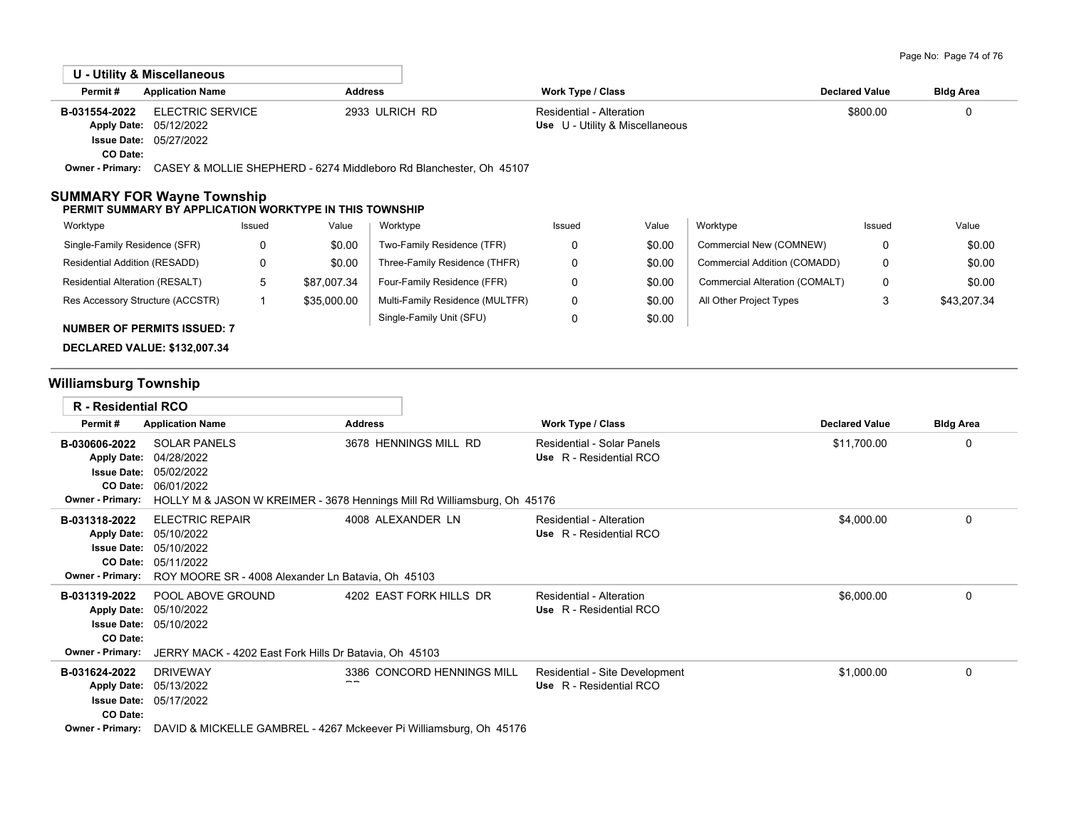| U - Utility & Miscellaneous                          |                                                         |        |                          |                                                                    |                          |                                 |                                |              |             |  |
|------------------------------------------------------|---------------------------------------------------------|--------|--------------------------|--------------------------------------------------------------------|--------------------------|---------------------------------|--------------------------------|--------------|-------------|--|
| <b>Address</b><br>Permit#<br><b>Application Name</b> |                                                         |        | <b>Work Type / Class</b> |                                                                    |                          | <b>Declared Value</b>           | <b>Bldg Area</b>               |              |             |  |
| B-031554-2022                                        | <b>ELECTRIC SERVICE</b>                                 |        |                          | 2933 ULRICH RD                                                     | Residential - Alteration |                                 |                                | \$800.00     | 0           |  |
| <b>Apply Date:</b>                                   | 05/12/2022                                              |        |                          |                                                                    |                          | Use U - Utility & Miscellaneous |                                |              |             |  |
| <b>Issue Date:</b>                                   | 05/27/2022                                              |        |                          |                                                                    |                          |                                 |                                |              |             |  |
| CO Date:                                             |                                                         |        |                          |                                                                    |                          |                                 |                                |              |             |  |
| <b>Owner - Primary:</b>                              |                                                         |        |                          | CASEY & MOLLIE SHEPHERD - 6274 Middleboro Rd Blanchester, Oh 45107 |                          |                                 |                                |              |             |  |
| SUMMARY FOR Wayne Township<br>Worktype               | PERMIT SUMMARY BY APPLICATION WORKTYPE IN THIS TOWNSHIP | Issued | Value                    | Worktype                                                           | Issued                   | Value                           | Worktype                       | Issued       | Value       |  |
| Single-Family Residence (SFR)                        |                                                         | 0      | \$0.00                   | Two-Family Residence (TFR)                                         | 0                        | \$0.00                          | Commercial New (COMNEW)        | $\mathbf{0}$ | \$0.00      |  |
| Residential Addition (RESADD)                        |                                                         | 0      | \$0.00                   | Three-Family Residence (THFR)                                      | 0                        | \$0.00                          | Commercial Addition (COMADD)   | $\Omega$     | \$0.00      |  |
| Residential Alteration (RESALT)                      |                                                         | 5      | \$87,007.34              | Four-Family Residence (FFR)                                        | $\Omega$                 | \$0.00                          | Commercial Alteration (COMALT) | $\mathbf{0}$ | \$0.00      |  |
| Res Accessory Structure (ACCSTR)                     |                                                         |        | \$35,000.00              | Multi-Family Residence (MULTFR)                                    | 0                        | \$0.00                          | All Other Project Types        | 3            | \$43,207.34 |  |
|                                                      | <b>NUMBER OF PERMITS ISSUED: 7</b>                      |        |                          | Single-Family Unit (SFU)                                           | 0                        | \$0.00                          |                                |              |             |  |

**DECLARED VALUE: \$132,007.34**

# **Williamsburg Township**

| <b>R</b> - Residential RCO                                                                       |                                                                                                                        |                                                                          |                                                           |                       |                  |  |
|--------------------------------------------------------------------------------------------------|------------------------------------------------------------------------------------------------------------------------|--------------------------------------------------------------------------|-----------------------------------------------------------|-----------------------|------------------|--|
| Permit#                                                                                          | <b>Application Name</b>                                                                                                | <b>Address</b>                                                           | Work Type / Class                                         | <b>Declared Value</b> | <b>Bldg Area</b> |  |
| B-030606-2022<br><b>Apply Date:</b><br><b>Issue Date:</b><br>CO Date:                            | <b>SOLAR PANELS</b><br>04/28/2022<br>05/02/2022<br>06/01/2022                                                          | 3678 HENNINGS MILL RD                                                    | Residential - Solar Panels<br>Use R - Residential RCO     | \$11,700.00           | $\Omega$         |  |
| Owner - Primary:                                                                                 |                                                                                                                        | HOLLY M & JASON W KREIMER - 3678 Hennings Mill Rd Williamsburg, Oh 45176 |                                                           |                       |                  |  |
| B-031318-2022<br><b>Apply Date:</b><br><b>Issue Date:</b><br>CO Date:<br><b>Owner - Primary:</b> | <b>ELECTRIC REPAIR</b><br>05/10/2022<br>05/10/2022<br>05/11/2022<br>ROY MOORE SR - 4008 Alexander Ln Batavia, Oh 45103 | 4008 ALEXANDER LN                                                        | Residential - Alteration<br>Use R - Residential RCO       | \$4,000.00            | $\Omega$         |  |
| B-031319-2022<br><b>Apply Date:</b><br><b>Issue Date:</b><br>CO Date:<br><b>Owner - Primary:</b> | POOL ABOVE GROUND<br>05/10/2022<br>05/10/2022<br>JERRY MACK - 4202 East Fork Hills Dr Batavia, Oh 45103                | 4202 EAST FORK HILLS DR                                                  | Residential - Alteration<br>Use R - Residential RCO       | \$6,000.00            | $\Omega$         |  |
|                                                                                                  |                                                                                                                        |                                                                          |                                                           |                       |                  |  |
| B-031624-2022<br><b>Apply Date:</b><br><b>Issue Date:</b><br>CO Date:                            | <b>DRIVEWAY</b><br>05/13/2022<br>05/17/2022                                                                            | 3386 CONCORD HENNINGS MILL<br>--                                         | Residential - Site Development<br>Use R - Residential RCO | \$1,000.00            | $\Omega$         |  |
| <b>Owner - Primary:</b>                                                                          | DAVID & MICKELLE GAMBREL - 4267 Mckeever Pi Williamsburg, Oh 45176                                                     |                                                                          |                                                           |                       |                  |  |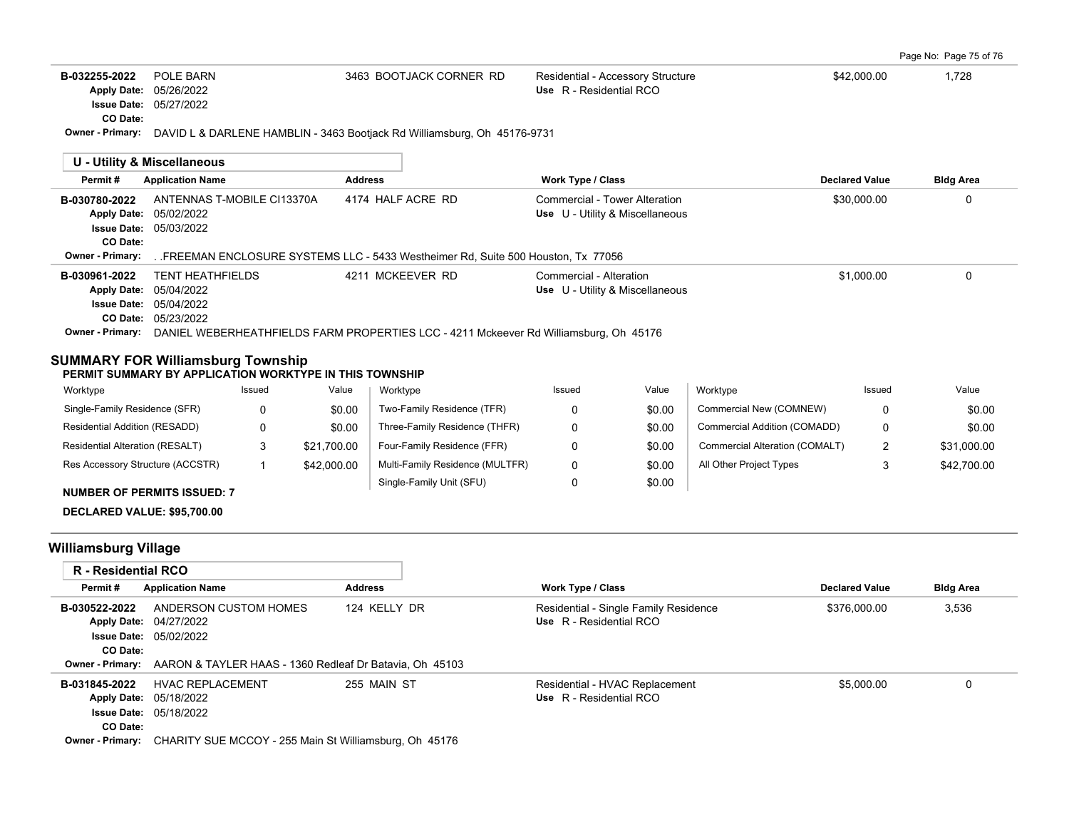| B-032255-2022<br>Apply Date: 05/26/2022<br>Issue Date: 05/27/2022<br>CO Date:                                   | POLE BARN                                              |        |                | 3463 BOOTJACK CORNER RD                                                                                                                                                                                       | Residential - Accessory Structure<br>Use R - Residential RCO     |                  |                                | \$42,000.00           | 1,728            |
|-----------------------------------------------------------------------------------------------------------------|--------------------------------------------------------|--------|----------------|---------------------------------------------------------------------------------------------------------------------------------------------------------------------------------------------------------------|------------------------------------------------------------------|------------------|--------------------------------|-----------------------|------------------|
| <b>Owner - Primary:</b>                                                                                         |                                                        |        |                | DAVID L & DARLENE HAMBLIN - 3463 Bootjack Rd Williamsburg, Oh 45176-9731                                                                                                                                      |                                                                  |                  |                                |                       |                  |
| <b>U - Utility &amp; Miscellaneous</b>                                                                          |                                                        |        |                |                                                                                                                                                                                                               |                                                                  |                  |                                |                       |                  |
| Permit#                                                                                                         | <b>Application Name</b>                                |        | <b>Address</b> |                                                                                                                                                                                                               | Work Type / Class                                                |                  |                                | <b>Declared Value</b> | <b>Bldg Area</b> |
| B-030780-2022<br><b>Apply Date:</b><br><b>Issue Date:</b><br>CO Date:                                           | ANTENNAS T-MOBILE CI13370A<br>05/02/2022<br>05/03/2022 |        |                | 4174 HALF ACRE RD                                                                                                                                                                                             | Commercial - Tower Alteration<br>Use U - Utility & Miscellaneous |                  |                                | \$30,000.00           | 0                |
| <b>Owner - Primary:</b><br>B-030961-2022<br>Apply Date: 05/04/2022<br><b>Issue Date: 05/04/2022</b>             | <b>TENT HEATHFIELDS</b><br>CO Date: 05/23/2022         |        |                | FREEMAN ENCLOSURE SYSTEMS LLC - 5433 Westheimer Rd, Suite 500 Houston, Tx 77056<br>4211 MCKEEVER RD<br>Owner - Primary: DANIEL WEBERHEATHFIELDS FARM PROPERTIES LCC - 4211 Mckeever Rd Williamsburg, Oh 45176 | Commercial - Alteration<br>Use U - Utility & Miscellaneous       |                  |                                | \$1,000.00            | 0                |
| <b>SUMMARY FOR Williamsburg Township</b><br>PERMIT SUMMARY BY APPLICATION WORKTYPE IN THIS TOWNSHIP<br>Worktype |                                                        | Issued | Value          | Worktype                                                                                                                                                                                                      | Issued                                                           | Value            | Worktype                       | Issued                | Value            |
| Single-Family Residence (SFR)                                                                                   |                                                        | 0      | \$0.00         | Two-Family Residence (TFR)                                                                                                                                                                                    | 0                                                                | \$0.00           | Commercial New (COMNEW)        | 0                     | \$0.00           |
| Residential Addition (RESADD)                                                                                   |                                                        | 0      | \$0.00         | Three-Family Residence (THFR)                                                                                                                                                                                 | 0                                                                | \$0.00           | Commercial Addition (COMADD)   | 0                     | \$0.00           |
| Residential Alteration (RESALT)                                                                                 |                                                        | 3      | \$21,700.00    | Four-Family Residence (FFR)                                                                                                                                                                                   | 0                                                                | \$0.00           | Commercial Alteration (COMALT) | $\overline{2}$        | \$31.000.00      |
| Res Accessory Structure (ACCSTR)<br><b>NUMBER OF PERMITS ISSUED: 7</b>                                          |                                                        | -1     | \$42,000.00    | Multi-Family Residence (MULTFR)<br>Single-Family Unit (SFU)                                                                                                                                                   | 0<br>0                                                           | \$0.00<br>\$0.00 | All Other Project Types        | 3                     | \$42,700.00      |
| DECLARED VALUE: \$95,700.00                                                                                     |                                                        |        |                |                                                                                                                                                                                                               |                                                                  |                  |                                |                       |                  |
| <b>Williamsburg Village</b>                                                                                     |                                                        |        |                |                                                                                                                                                                                                               |                                                                  |                  |                                |                       |                  |
| <b>R</b> - Residential RCO                                                                                      |                                                        |        |                |                                                                                                                                                                                                               |                                                                  |                  |                                |                       |                  |
| Permit#                                                                                                         | <b>Application Name</b>                                |        | <b>Address</b> |                                                                                                                                                                                                               | Work Type / Class                                                |                  |                                | <b>Declared Value</b> | <b>Bldg Area</b> |
| B-030522-2022<br>Apply Date: 04/27/2022                                                                         | ANDERSON CUSTOM HOMES                                  |        |                | 124 KELLY DR                                                                                                                                                                                                  | Residential - Single Family Residence<br>Use R - Residential RCO |                  |                                | \$376,000.00          | 3,536            |

| CO Date:      |                               |                                                                                 |                                |            |  |
|---------------|-------------------------------|---------------------------------------------------------------------------------|--------------------------------|------------|--|
|               |                               | <b>Owner - Primary:</b> AARON & TAYLER HAAS - 1360 Redleaf Dr Batavia, Oh 45103 |                                |            |  |
| B-031845-2022 | HVAC REPLACEMENT              | 255 MAIN ST                                                                     | Residential - HVAC Replacement | \$5,000.00 |  |
|               | Apply Date: 05/18/2022        |                                                                                 | Use R - Residential RCO        |            |  |
|               | <b>Issue Date: 05/18/2022</b> |                                                                                 |                                |            |  |
| CO Date:      |                               |                                                                                 |                                |            |  |
|               |                               |                                                                                 |                                |            |  |

**Owner - Primary:** CHARITY SUE MCCOY - 255 Main St Williamsburg, Oh 45176

05/02/2022 **Issue Date:**